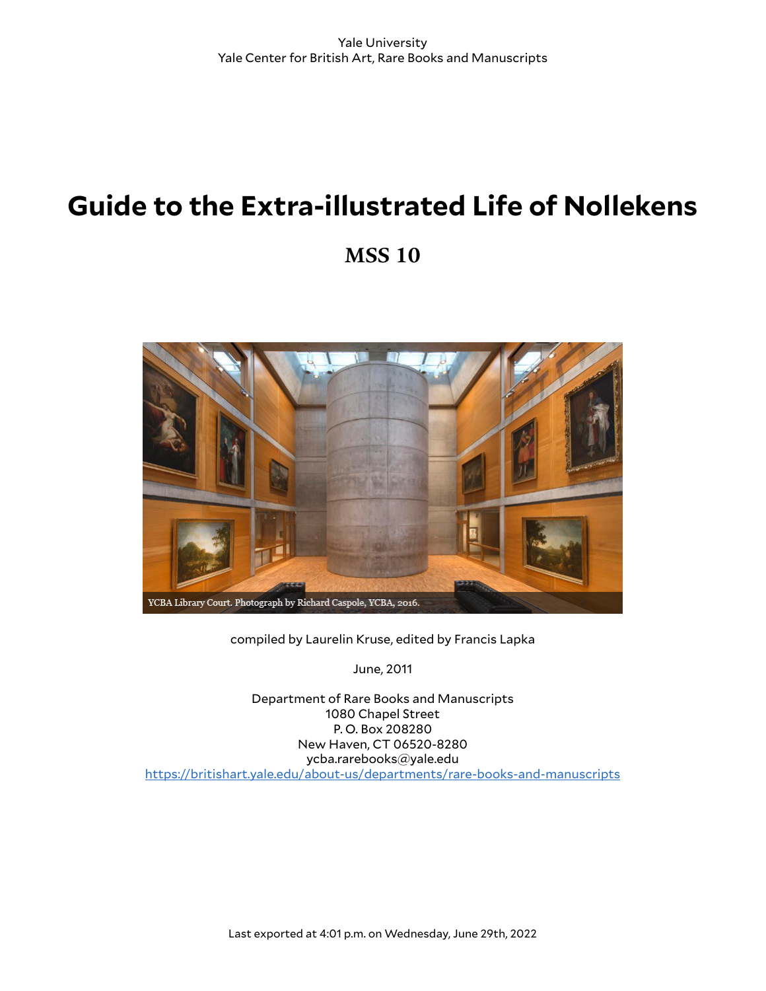# **Guide to the Extra-illustrated Life of Nollekens**

**MSS 10**



compiled by Laurelin Kruse, edited by Francis Lapka

June, 2011

Department of Rare Books and Manuscripts 1080 Chapel Street P. O. Box 208280 New Haven, CT 06520-8280 ycba.rarebooks@yale.edu <https://britishart.yale.edu/about-us/departments/rare-books-and-manuscripts>

Last exported at 4:01 p.m. on Wednesday, June 29th, 2022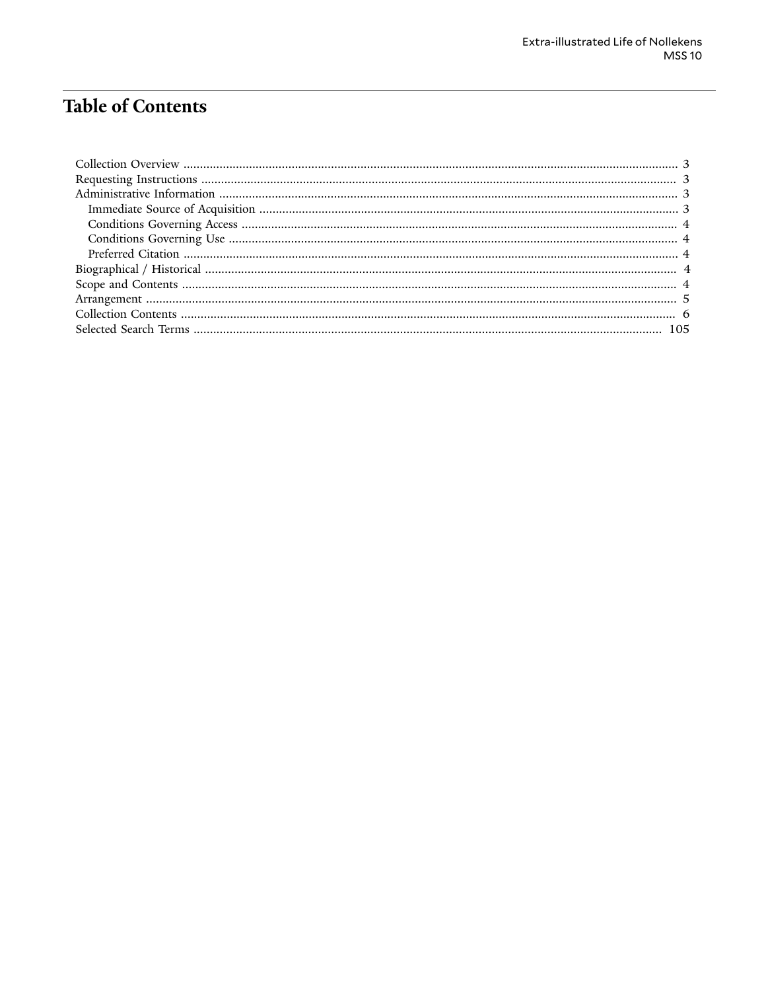# **Table of Contents**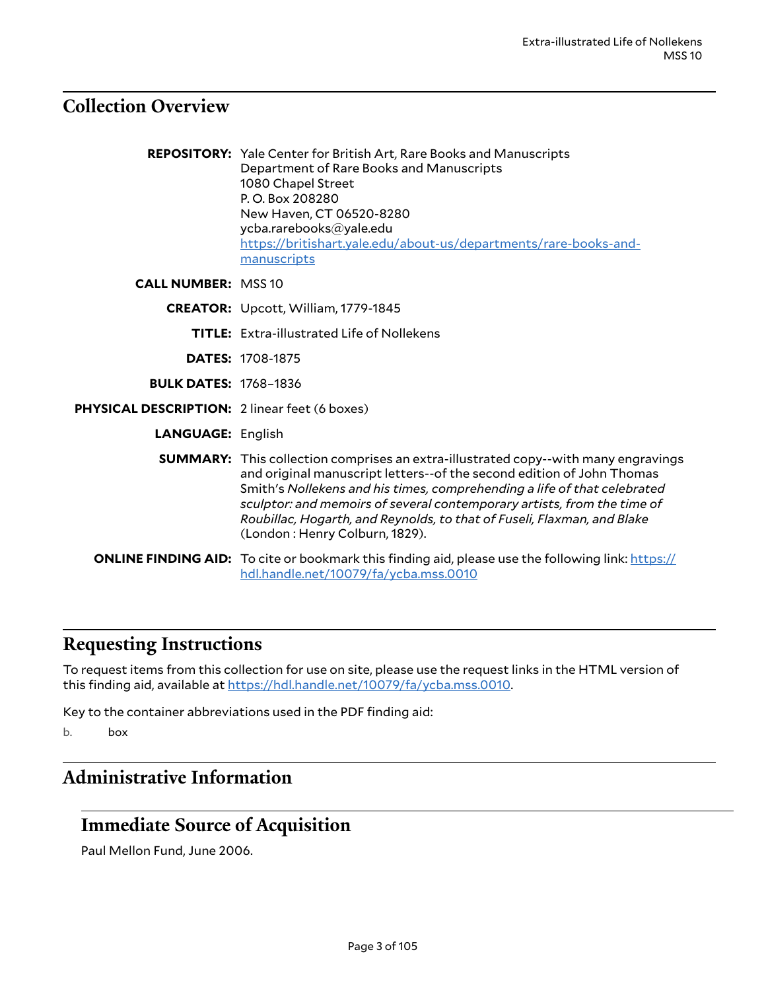#### <span id="page-2-0"></span>**Collection Overview**

**REPOSITORY:** Yale Center for British Art, Rare Books and Manuscripts Department of Rare Books and Manuscripts 1080 Chapel Street P. O. Box 208280 New Haven, CT 06520-8280 ycba.rarebooks@yale.edu [https://britishart.yale.edu/about-us/departments/rare-books-and](https://britishart.yale.edu/about-us/departments/rare-books-and-manuscripts)[manuscripts](https://britishart.yale.edu/about-us/departments/rare-books-and-manuscripts)

**CALL NUMBER:** MSS 10

**CREATOR:** Upcott, William, 1779-1845

**TITLE:** Extra-illustrated Life of Nollekens

**DATES:** 1708-1875

**BULK DATES:** 1768–1836

**PHYSICAL DESCRIPTION:** 2 linear feet (6 boxes)

**LANGUAGE:** English

**SUMMARY:** This collection comprises an extra-illustrated copy--with many engravings and original manuscript letters--of the second edition of John Thomas Smith's *Nollekens and his times, comprehending a life of that celebrated sculptor: and memoirs of several contemporary artists, from the time of Roubillac, Hogarth, and Reynolds, to that of Fuseli, Flaxman, and Blake* (London : Henry Colburn, 1829).

**ONLINE FINDING AID:** To cite or bookmark this finding aid, please use the following link: [https://](https://hdl.handle.net/10079/fa/ycba.mss.0010) [hdl.handle.net/10079/fa/ycba.mss.0010](https://hdl.handle.net/10079/fa/ycba.mss.0010)

#### <span id="page-2-1"></span>**Requesting Instructions**

To request items from this collection for use on site, please use the request links in the HTML version of this finding aid, available at <https://hdl.handle.net/10079/fa/ycba.mss.0010>.

Key to the container abbreviations used in the PDF finding aid:

b. box

#### <span id="page-2-2"></span>**Administrative Information**

#### <span id="page-2-3"></span>**Immediate Source of Acquisition**

Paul Mellon Fund, June 2006.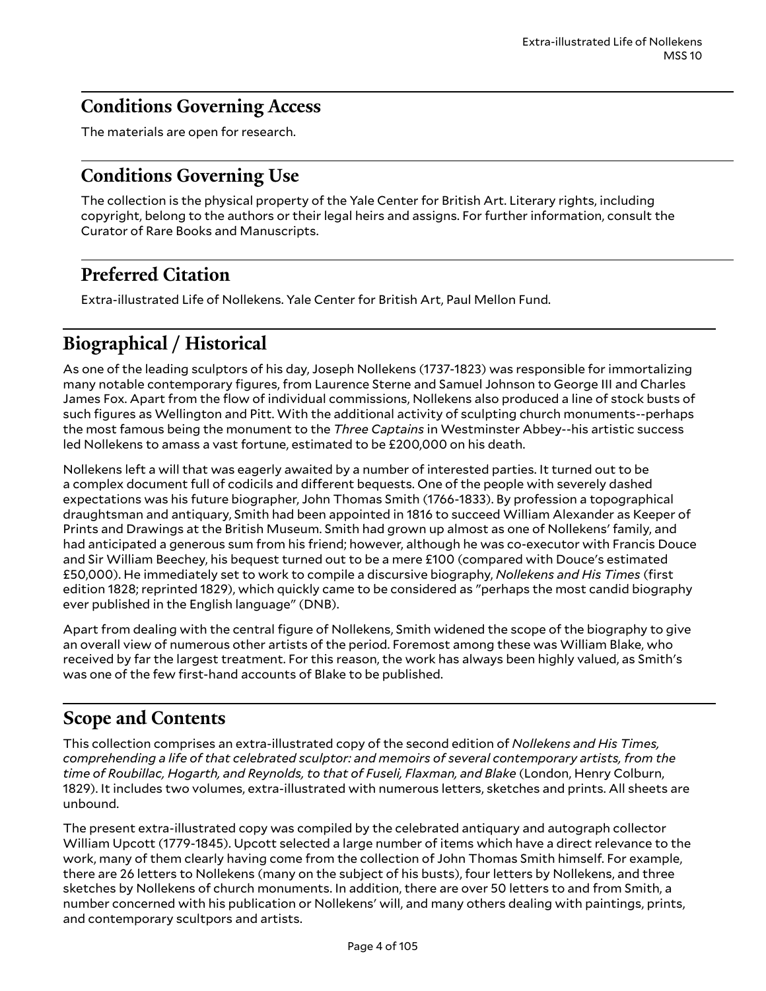## <span id="page-3-0"></span>**Conditions Governing Access**

The materials are open for research.

## <span id="page-3-1"></span>**Conditions Governing Use**

The collection is the physical property of the Yale Center for British Art. Literary rights, including copyright, belong to the authors or their legal heirs and assigns. For further information, consult the Curator of Rare Books and Manuscripts.

# <span id="page-3-2"></span>**Preferred Citation**

Extra-illustrated Life of Nollekens. Yale Center for British Art, Paul Mellon Fund.

# <span id="page-3-3"></span>**Biographical / Historical**

As one of the leading sculptors of his day, Joseph Nollekens (1737-1823) was responsible for immortalizing many notable contemporary figures, from Laurence Sterne and Samuel Johnson to George III and Charles James Fox. Apart from the flow of individual commissions, Nollekens also produced a line of stock busts of such figures as Wellington and Pitt. With the additional activity of sculpting church monuments--perhaps the most famous being the monument to the *Three Captains* in Westminster Abbey--his artistic success led Nollekens to amass a vast fortune, estimated to be £200,000 on his death.

Nollekens left a will that was eagerly awaited by a number of interested parties. It turned out to be a complex document full of codicils and different bequests. One of the people with severely dashed expectations was his future biographer, John Thomas Smith (1766-1833). By profession a topographical draughtsman and antiquary, Smith had been appointed in 1816 to succeed William Alexander as Keeper of Prints and Drawings at the British Museum. Smith had grown up almost as one of Nollekens' family, and had anticipated a generous sum from his friend; however, although he was co-executor with Francis Douce and Sir William Beechey, his bequest turned out to be a mere £100 (compared with Douce's estimated £50,000). He immediately set to work to compile a discursive biography, *Nollekens and His Times* (first edition 1828; reprinted 1829), which quickly came to be considered as "perhaps the most candid biography ever published in the English language" (DNB).

Apart from dealing with the central figure of Nollekens, Smith widened the scope of the biography to give an overall view of numerous other artists of the period. Foremost among these was William Blake, who received by far the largest treatment. For this reason, the work has always been highly valued, as Smith's was one of the few first-hand accounts of Blake to be published.

# <span id="page-3-4"></span>**Scope and Contents**

This collection comprises an extra-illustrated copy of the second edition of *Nollekens and His Times, comprehending a life of that celebrated sculptor: and memoirs of several contemporary artists, from the time of Roubillac, Hogarth, and Reynolds, to that of Fuseli, Flaxman, and Blake* (London, Henry Colburn, 1829). It includes two volumes, extra-illustrated with numerous letters, sketches and prints. All sheets are unbound.

The present extra-illustrated copy was compiled by the celebrated antiquary and autograph collector William Upcott (1779-1845). Upcott selected a large number of items which have a direct relevance to the work, many of them clearly having come from the collection of John Thomas Smith himself. For example, there are 26 letters to Nollekens (many on the subject of his busts), four letters by Nollekens, and three sketches by Nollekens of church monuments. In addition, there are over 50 letters to and from Smith, a number concerned with his publication or Nollekens' will, and many others dealing with paintings, prints, and contemporary scultpors and artists.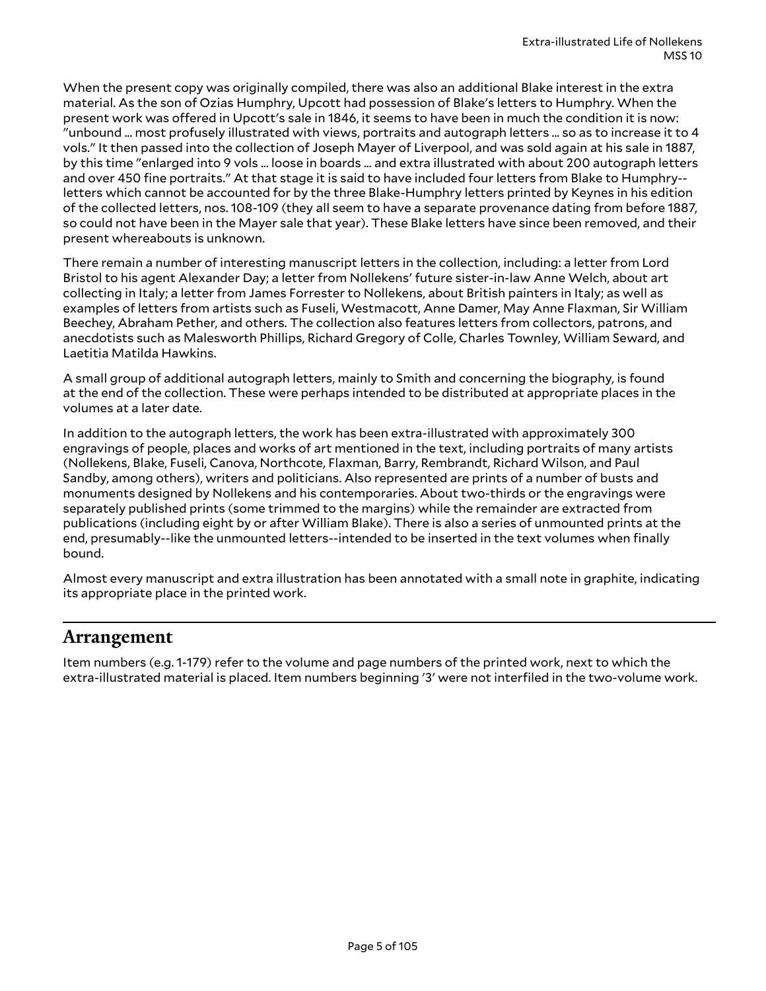When the present copy was originally compiled, there was also an additional Blake interest in the extra material. As the son of Ozias Humphry, Upcott had possession of Blake's letters to Humphry. When the present work was offered in Upcott's sale in 1846, it seems to have been in much the condition it is now: "unbound ... most profusely illustrated with views, portraits and autograph letters ... so as to increase it to 4 vols." It then passed into the collection of Joseph Mayer of Liverpool, and was sold again at his sale in 1887, by this time "enlarged into 9 vols ... loose in boards ... and extra illustrated with about 200 autograph letters and over 450 fine portraits." At that stage it is said to have included four letters from Blake to Humphry- letters which cannot be accounted for by the three Blake-Humphry letters printed by Keynes in his edition of the collected letters, nos. 108-109 (they all seem to have a separate provenance dating from before 1887, so could not have been in the Mayer sale that year). These Blake letters have since been removed, and their present whereabouts is unknown.

There remain a number of interesting manuscript letters in the collection, including: a letter from Lord Bristol to his agent Alexander Day; a letter from Nollekens' future sister-in-law Anne Welch, about art collecting in Italy; a letter from James Forrester to Nollekens, about British painters in Italy; as well as examples of letters from artists such as Fuseli, Westmacott, Anne Damer, May Anne Flaxman, Sir William Beechey, Abraham Pether, and others. The collection also features letters from collectors, patrons, and anecdotists such as Malesworth Phillips, Richard Gregory of Colle, Charles Townley, William Seward, and Laetitia Matilda Hawkins.

A small group of additional autograph letters, mainly to Smith and concerning the biography, is found at the end of the collection. These were perhaps intended to be distributed at appropriate places in the volumes at a later date.

In addition to the autograph letters, the work has been extra-illustrated with approximately 300 engravings of people, places and works of art mentioned in the text, including portraits of many artists (Nollekens, Blake, Fuseli, Canova, Northcote, Flaxman, Barry, Rembrandt, Richard Wilson, and Paul Sandby, among others), writers and politicians. Also represented are prints of a number of busts and monuments designed by Nollekens and his contemporaries. About two-thirds or the engravings were separately published prints (some trimmed to the margins) while the remainder are extracted from publications (including eight by or after William Blake). There is also a series of unmounted prints at the end, presumably--like the unmounted letters--intended to be inserted in the text volumes when finally bound.

Almost every manuscript and extra illustration has been annotated with a small note in graphite, indicating its appropriate place in the printed work.

#### <span id="page-4-0"></span>**Arrangement**

Item numbers (e.g. 1-179) refer to the volume and page numbers of the printed work, next to which the extra-illustrated material is placed. Item numbers beginning '3' were not interfiled in the two-volume work.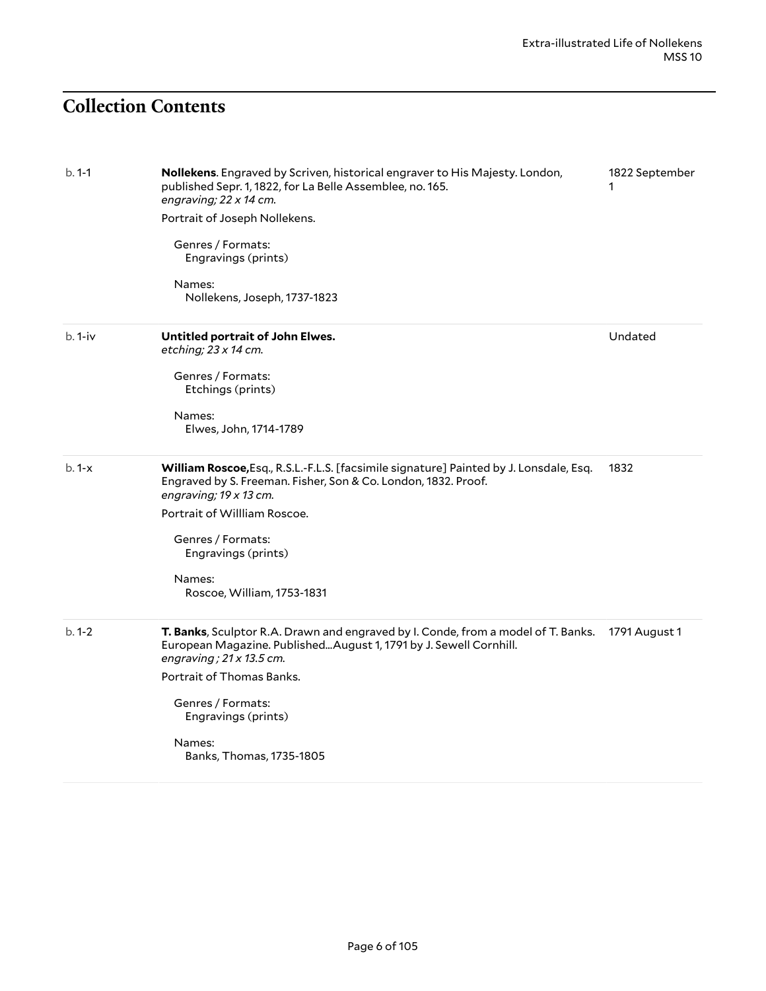# <span id="page-5-0"></span>**Collection Contents**

| $b. 1-1$ | Nollekens. Engraved by Scriven, historical engraver to His Majesty. London,<br>published Sepr. 1, 1822, for La Belle Assemblee, no. 165.<br>engraving; 22 x 14 cm.<br>Portrait of Joseph Nollekens.<br>Genres / Formats:<br>Engravings (prints)<br>Names:<br>Nollekens, Joseph, 1737-1823                 | 1822 September |
|----------|-----------------------------------------------------------------------------------------------------------------------------------------------------------------------------------------------------------------------------------------------------------------------------------------------------------|----------------|
| b. 1-iv  | Untitled portrait of John Elwes.<br>etching; $23 \times 14$ cm.<br>Genres / Formats:<br>Etchings (prints)<br>Names:<br>Elwes, John, 1714-1789                                                                                                                                                             | Undated        |
| $b.1-x$  | William Roscoe, Esq., R.S.L.-F.L.S. [facsimile signature] Painted by J. Lonsdale, Esq.<br>Engraved by S. Freeman. Fisher, Son & Co. London, 1832. Proof.<br>engraving; 19 x 13 cm.<br>Portrait of Willliam Roscoe.<br>Genres / Formats:<br>Engravings (prints)<br>Names:<br>Roscoe, William, 1753-1831    | 1832           |
| $b.1-2$  | T. Banks, Sculptor R.A. Drawn and engraved by I. Conde, from a model of T. Banks.<br>European Magazine. Published August 1, 1791 by J. Sewell Cornhill.<br>engraving; $21 \times 13.5$ cm.<br>Portrait of Thomas Banks.<br>Genres / Formats:<br>Engravings (prints)<br>Names:<br>Banks, Thomas, 1735-1805 | 1791 August 1  |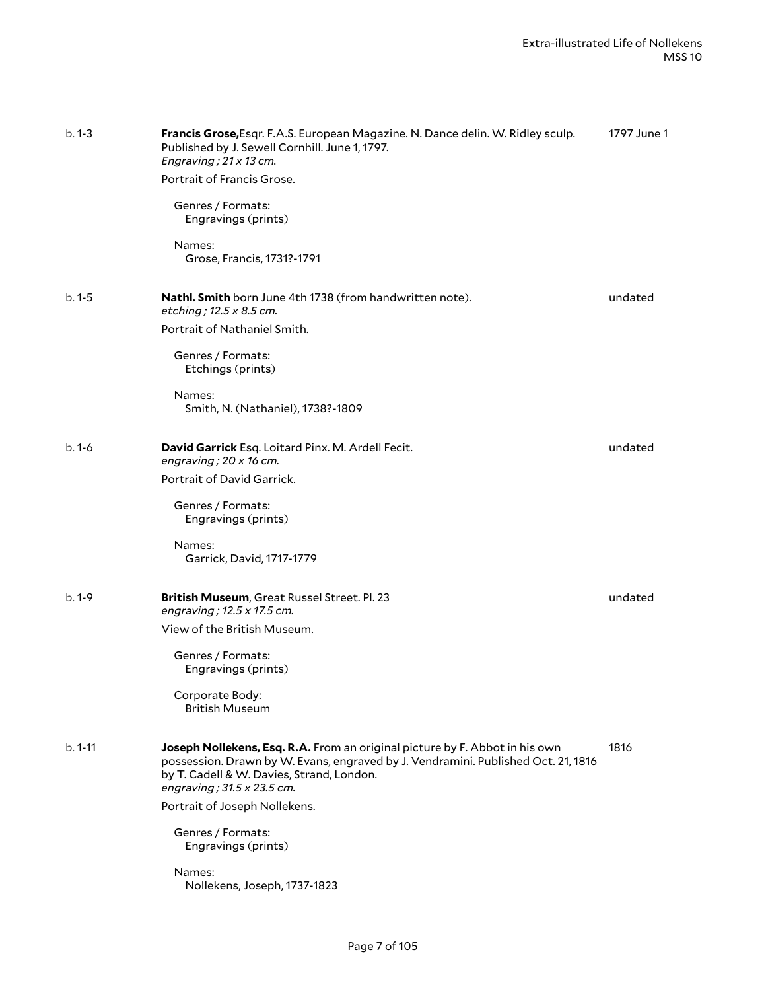| $b. 1 - 3$ | Francis Grose, Esqr. F.A.S. European Magazine. N. Dance delin. W. Ridley sculp.<br>Published by J. Sewell Cornhill. June 1, 1797.<br>Engraving; 21 x 13 cm.<br>Portrait of Francis Grose.<br>Genres / Formats:<br>Engravings (prints)<br>Names:<br>Grose, Francis, 1731?-1791                                                                                             | 1797 June 1 |
|------------|---------------------------------------------------------------------------------------------------------------------------------------------------------------------------------------------------------------------------------------------------------------------------------------------------------------------------------------------------------------------------|-------------|
| $b.1 - 5$  | <b>Nathl. Smith</b> born June 4th 1738 (from handwritten note).<br>etching; 12.5 x 8.5 cm.<br>Portrait of Nathaniel Smith.<br>Genres / Formats:<br>Etchings (prints)                                                                                                                                                                                                      | undated     |
|            | Names:<br>Smith, N. (Nathaniel), 1738?-1809                                                                                                                                                                                                                                                                                                                               |             |
| $b.1-6$    | David Garrick Esq. Loitard Pinx. M. Ardell Fecit.<br>engraving; $20 \times 16$ cm.<br>Portrait of David Garrick.<br>Genres / Formats:<br>Engravings (prints)<br>Names:<br>Garrick, David, 1717-1779                                                                                                                                                                       | undated     |
| $b.1-9$    | British Museum, Great Russel Street. Pl. 23<br>engraving; 12.5 x 17.5 cm.<br>View of the British Museum.<br>Genres / Formats:<br>Engravings (prints)<br>Corporate Body:<br><b>British Museum</b>                                                                                                                                                                          | undated     |
| $b. 1-11$  | Joseph Nollekens, Esq. R.A. From an original picture by F. Abbot in his own<br>possession. Drawn by W. Evans, engraved by J. Vendramini. Published Oct. 21, 1816<br>by T. Cadell & W. Davies, Strand, London.<br>engraving; $31.5 \times 23.5$ cm.<br>Portrait of Joseph Nollekens.<br>Genres / Formats:<br>Engravings (prints)<br>Names:<br>Nollekens, Joseph, 1737-1823 | 1816        |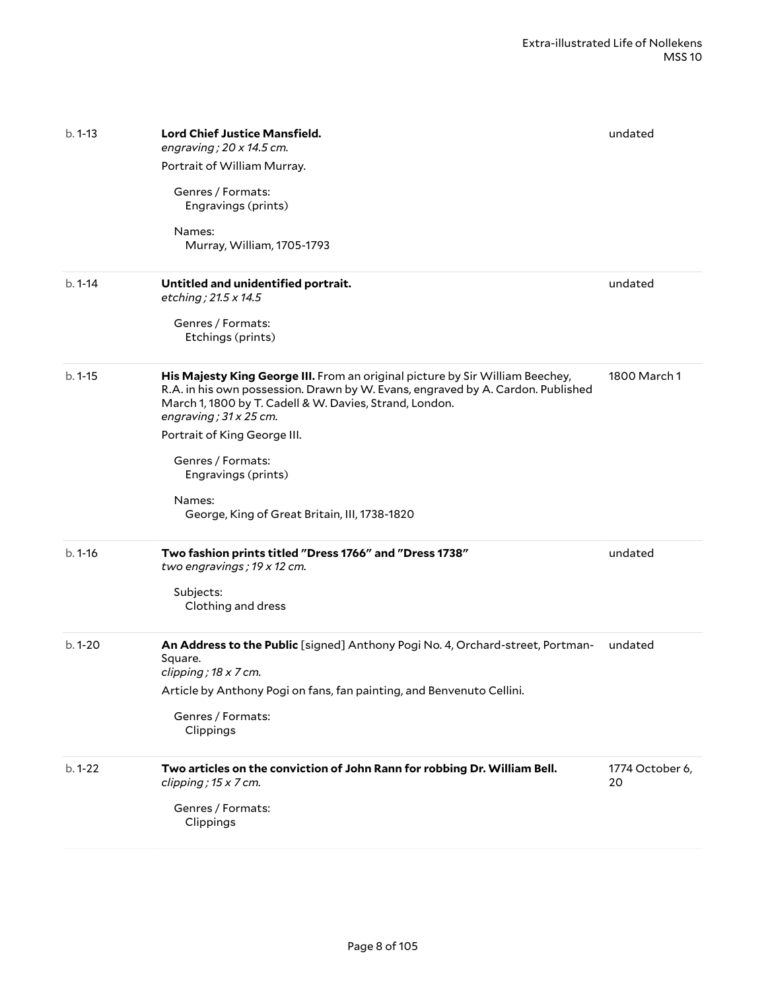| $b. 1 - 13$<br>$b.1 - 14$ | <b>Lord Chief Justice Mansfield.</b><br>engraving; $20 \times 14.5$ cm.<br>Portrait of William Murray.<br>Genres / Formats:<br>Engravings (prints)<br>Names:<br>Murray, William, 1705-1793<br>Untitled and unidentified portrait.<br>etching; 21.5 x 14.5                                                                                                                                           | undated<br>undated    |
|---------------------------|-----------------------------------------------------------------------------------------------------------------------------------------------------------------------------------------------------------------------------------------------------------------------------------------------------------------------------------------------------------------------------------------------------|-----------------------|
|                           | Genres / Formats:<br>Etchings (prints)                                                                                                                                                                                                                                                                                                                                                              |                       |
| $b.1 - 15$                | His Majesty King George III. From an original picture by Sir William Beechey,<br>R.A. in his own possession. Drawn by W. Evans, engraved by A. Cardon. Published<br>March 1, 1800 by T. Cadell & W. Davies, Strand, London.<br>engraving; $31 \times 25$ cm.<br>Portrait of King George III.<br>Genres / Formats:<br>Engravings (prints)<br>Names:<br>George, King of Great Britain, III, 1738-1820 | 1800 March 1          |
| $b.1 - 16$                | Two fashion prints titled "Dress 1766" and "Dress 1738"<br>two engravings; 19 x 12 cm.<br>Subjects:<br>Clothing and dress                                                                                                                                                                                                                                                                           | undated               |
| $b.1 - 20$                | An Address to the Public [signed] Anthony Pogi No. 4, Orchard-street, Portman-<br>Square.<br>clipping; 18 x 7 cm.<br>Article by Anthony Pogi on fans, fan painting, and Benvenuto Cellini.<br>Genres / Formats:<br>Clippings                                                                                                                                                                        | undated               |
| $b.1-22$                  | Two articles on the conviction of John Rann for robbing Dr. William Bell.<br>clipping; 15 x 7 cm.<br>Genres / Formats:<br>Clippings                                                                                                                                                                                                                                                                 | 1774 October 6,<br>20 |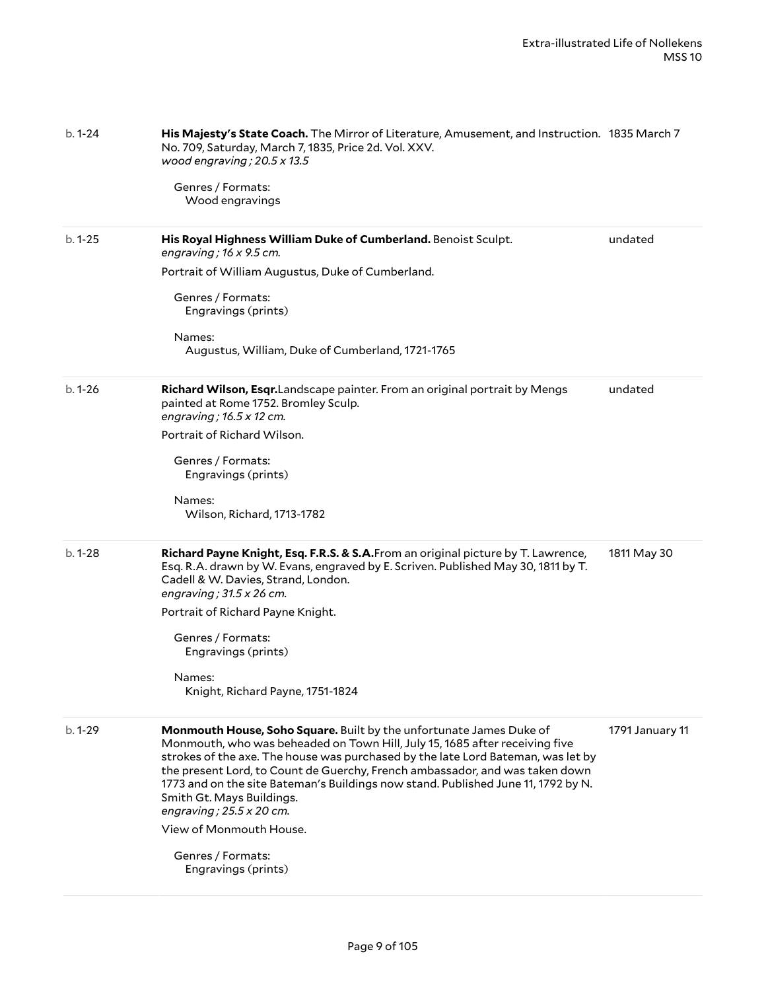| $b. 1 - 24$ | His Majesty's State Coach. The Mirror of Literature, Amusement, and Instruction. 1835 March 7<br>No. 709, Saturday, March 7, 1835, Price 2d. Vol. XXV.<br>wood engraving; $20.5 \times 13.5$<br>Genres / Formats:<br>Wood engravings                                                                                                                                                                                                                                                                   |                 |
|-------------|--------------------------------------------------------------------------------------------------------------------------------------------------------------------------------------------------------------------------------------------------------------------------------------------------------------------------------------------------------------------------------------------------------------------------------------------------------------------------------------------------------|-----------------|
| $b.1 - 25$  | His Royal Highness William Duke of Cumberland. Benoist Sculpt.<br>engraving; $16 \times 9.5$ cm.                                                                                                                                                                                                                                                                                                                                                                                                       | undated         |
|             | Portrait of William Augustus, Duke of Cumberland.                                                                                                                                                                                                                                                                                                                                                                                                                                                      |                 |
|             | Genres / Formats:<br>Engravings (prints)                                                                                                                                                                                                                                                                                                                                                                                                                                                               |                 |
|             | Names:<br>Augustus, William, Duke of Cumberland, 1721-1765                                                                                                                                                                                                                                                                                                                                                                                                                                             |                 |
| $b.1 - 26$  | Richard Wilson, Esqr. Landscape painter. From an original portrait by Mengs<br>painted at Rome 1752. Bromley Sculp.<br>engraving; $16.5 \times 12$ cm.                                                                                                                                                                                                                                                                                                                                                 | undated         |
|             | Portrait of Richard Wilson.                                                                                                                                                                                                                                                                                                                                                                                                                                                                            |                 |
|             | Genres / Formats:<br>Engravings (prints)                                                                                                                                                                                                                                                                                                                                                                                                                                                               |                 |
|             | Names:<br>Wilson, Richard, 1713-1782                                                                                                                                                                                                                                                                                                                                                                                                                                                                   |                 |
| $b.1-28$    | Richard Payne Knight, Esq. F.R.S. & S.A. From an original picture by T. Lawrence,<br>Esq. R.A. drawn by W. Evans, engraved by E. Scriven. Published May 30, 1811 by T.<br>Cadell & W. Davies, Strand, London.<br>engraving; $31.5 \times 26$ cm.                                                                                                                                                                                                                                                       | 1811 May 30     |
|             | Portrait of Richard Payne Knight.                                                                                                                                                                                                                                                                                                                                                                                                                                                                      |                 |
|             | Genres / Formats:<br>Engravings (prints)                                                                                                                                                                                                                                                                                                                                                                                                                                                               |                 |
|             | Names:<br>Knight, Richard Payne, 1751-1824                                                                                                                                                                                                                                                                                                                                                                                                                                                             |                 |
| $b.1-29$    | Monmouth House, Soho Square. Built by the unfortunate James Duke of<br>Monmouth, who was beheaded on Town Hill, July 15, 1685 after receiving five<br>strokes of the axe. The house was purchased by the late Lord Bateman, was let by<br>the present Lord, to Count de Guerchy, French ambassador, and was taken down<br>1773 and on the site Bateman's Buildings now stand. Published June 11, 1792 by N.<br>Smith Gt. Mays Buildings.<br>engraving; $25.5 \times 20$ cm.<br>View of Monmouth House. | 1791 January 11 |
|             | Genres / Formats:<br>Engravings (prints)                                                                                                                                                                                                                                                                                                                                                                                                                                                               |                 |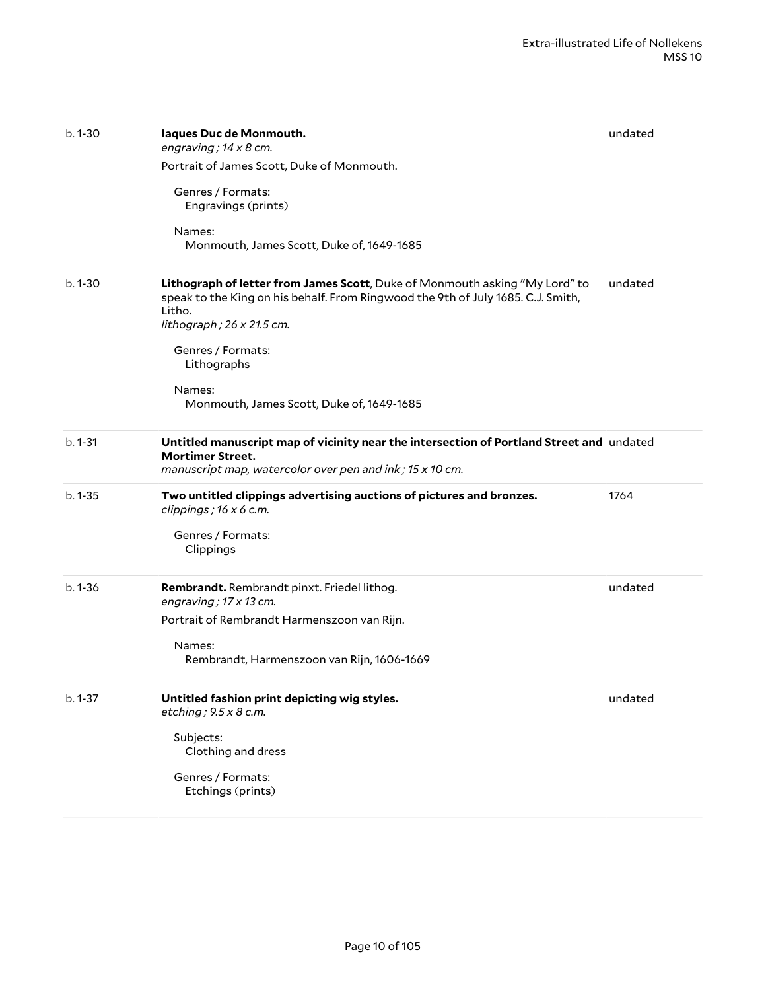| $b.1 - 30$  | laques Duc de Monmouth.<br>engraving; $14 \times 8$ cm.<br>Portrait of James Scott, Duke of Monmouth.<br>Genres / Formats:<br>Engravings (prints)<br>Names:<br>Monmouth, James Scott, Duke of, 1649-1685                                                                                          | undated |
|-------------|---------------------------------------------------------------------------------------------------------------------------------------------------------------------------------------------------------------------------------------------------------------------------------------------------|---------|
| $b.1 - 30$  | Lithograph of letter from James Scott, Duke of Monmouth asking "My Lord" to<br>speak to the King on his behalf. From Ringwood the 9th of July 1685. C.J. Smith,<br>Litho.<br>lithograph; 26 x 21.5 cm.<br>Genres / Formats:<br>Lithographs<br>Names:<br>Monmouth, James Scott, Duke of, 1649-1685 | undated |
| $b. 1 - 31$ | Untitled manuscript map of vicinity near the intersection of Portland Street and undated<br><b>Mortimer Street.</b><br>manuscript map, watercolor over pen and ink; 15 x 10 cm.                                                                                                                   |         |
| $b.1 - 35$  | Two untitled clippings advertising auctions of pictures and bronzes.<br>clippings; $16 \times 6$ c.m.<br>Genres / Formats:<br>Clippings                                                                                                                                                           | 1764    |
| $b.1 - 36$  | Rembrandt. Rembrandt pinxt. Friedel lithog.<br>engraving; 17 x 13 cm.<br>Portrait of Rembrandt Harmenszoon van Rijn.<br>Names:<br>Rembrandt, Harmenszoon van Rijn, 1606-1669                                                                                                                      | undated |
| $b. 1 - 37$ | Untitled fashion print depicting wig styles.<br>etching; $9.5 \times 8$ c.m.<br>Subjects:<br>Clothing and dress<br>Genres / Formats:<br>Etchings (prints)                                                                                                                                         | undated |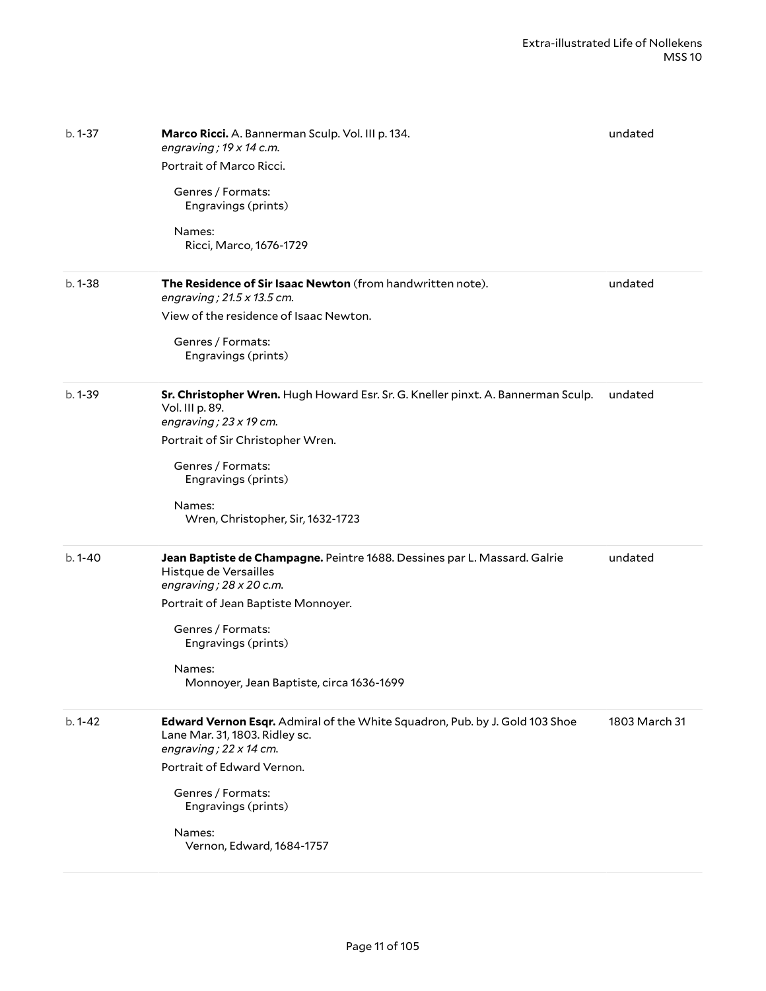| $b.1 - 37$  | Marco Ricci. A. Bannerman Sculp. Vol. III p. 134.<br>engraving; $19 \times 14$ c.m.<br>Portrait of Marco Ricci.<br>Genres / Formats:<br>Engravings (prints)<br>Names:<br>Ricci, Marco, 1676-1729                                                                              | undated       |
|-------------|-------------------------------------------------------------------------------------------------------------------------------------------------------------------------------------------------------------------------------------------------------------------------------|---------------|
| $b.1 - 38$  | The Residence of Sir Isaac Newton (from handwritten note).<br>engraving; 21.5 x 13.5 cm.<br>View of the residence of Isaac Newton.<br>Genres / Formats:<br>Engravings (prints)                                                                                                | undated       |
| $b.1 - 39$  | Sr. Christopher Wren. Hugh Howard Esr. Sr. G. Kneller pinxt. A. Bannerman Sculp.<br>Vol. III p. 89.<br>engraving; $23 \times 19$ cm.<br>Portrait of Sir Christopher Wren.<br>Genres / Formats:<br>Engravings (prints)<br>Names:<br>Wren, Christopher, Sir, 1632-1723          | undated       |
| $b.1 - 40$  | Jean Baptiste de Champagne. Peintre 1688. Dessines par L. Massard. Galrie<br>Histque de Versailles<br>engraving; $28 \times 20$ c.m.<br>Portrait of Jean Baptiste Monnoyer.<br>Genres / Formats:<br>Engravings (prints)<br>Names:<br>Monnoyer, Jean Baptiste, circa 1636-1699 | undated       |
| $b. 1 - 42$ | Edward Vernon Esqr. Admiral of the White Squadron, Pub. by J. Gold 103 Shoe<br>Lane Mar. 31, 1803. Ridley sc.<br>engraving; $22 \times 14$ cm.<br>Portrait of Edward Vernon.<br>Genres / Formats:<br>Engravings (prints)<br>Names:<br>Vernon, Edward, 1684-1757               | 1803 March 31 |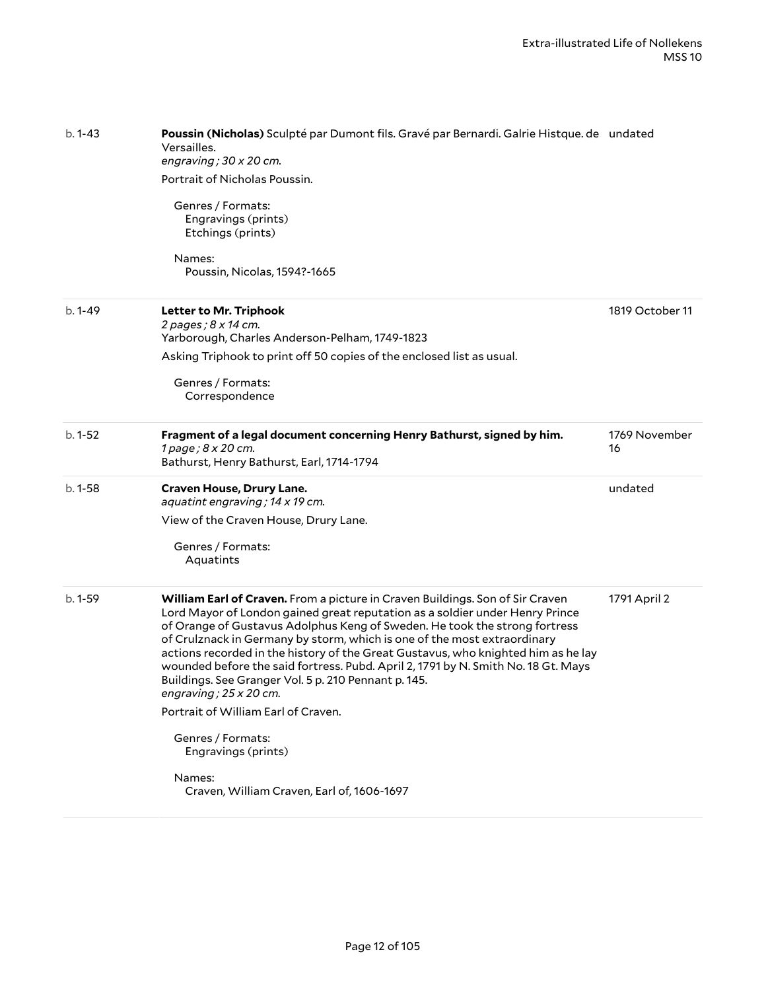| Poussin (Nicholas) Sculpté par Dumont fils. Gravé par Bernardi. Galrie Histque. de undated<br>Versailles.<br>engraving; $30 \times 20$ cm.<br>Portrait of Nicholas Poussin.<br>Genres / Formats:<br>Engravings (prints)<br>Etchings (prints)<br>Names:<br>Poussin, Nicolas, 1594?-1665                                                                                                                                                                                                                                                                                                                                                                                                  |                                            |
|-----------------------------------------------------------------------------------------------------------------------------------------------------------------------------------------------------------------------------------------------------------------------------------------------------------------------------------------------------------------------------------------------------------------------------------------------------------------------------------------------------------------------------------------------------------------------------------------------------------------------------------------------------------------------------------------|--------------------------------------------|
| Letter to Mr. Triphook<br>2 pages; 8 x 14 cm.<br>Yarborough, Charles Anderson-Pelham, 1749-1823<br>Asking Triphook to print off 50 copies of the enclosed list as usual.<br>Genres / Formats:<br>Correspondence                                                                                                                                                                                                                                                                                                                                                                                                                                                                         | 1819 October 11                            |
| Fragment of a legal document concerning Henry Bathurst, signed by him.<br>1 page; 8 x 20 cm.<br>Bathurst, Henry Bathurst, Earl, 1714-1794                                                                                                                                                                                                                                                                                                                                                                                                                                                                                                                                               | 1769 November<br>16                        |
| Craven House, Drury Lane.<br>aquatint engraving; 14 x 19 cm.<br>View of the Craven House, Drury Lane.<br>Genres / Formats:<br>Aquatints                                                                                                                                                                                                                                                                                                                                                                                                                                                                                                                                                 | undated                                    |
| William Earl of Craven. From a picture in Craven Buildings. Son of Sir Craven<br>Lord Mayor of London gained great reputation as a soldier under Henry Prince<br>of Orange of Gustavus Adolphus Keng of Sweden. He took the strong fortress<br>of Crulznack in Germany by storm, which is one of the most extraordinary<br>actions recorded in the history of the Great Gustavus, who knighted him as he lay<br>wounded before the said fortress. Pubd. April 2, 1791 by N. Smith No. 18 Gt. Mays<br>Buildings. See Granger Vol. 5 p. 210 Pennant p. 145.<br>engraving; $25 \times 20$ cm.<br>Portrait of William Earl of Craven.<br>Genres / Formats:<br>Engravings (prints)<br>Names: | 1791 April 2                               |
|                                                                                                                                                                                                                                                                                                                                                                                                                                                                                                                                                                                                                                                                                         | Craven, William Craven, Earl of, 1606-1697 |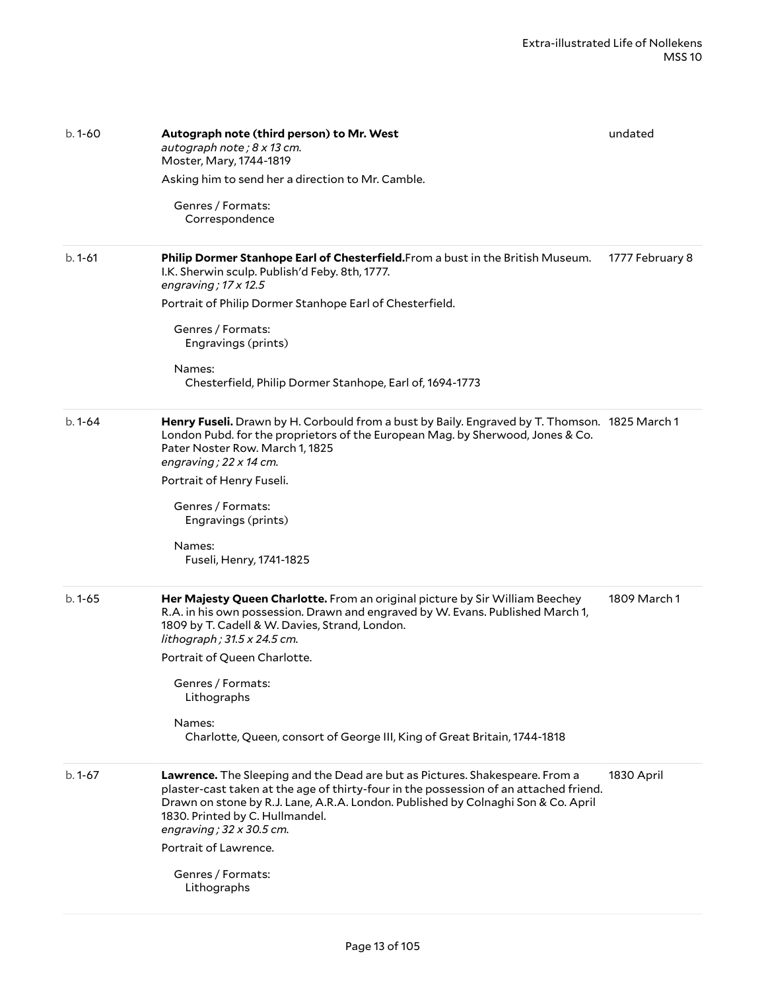| $b.1 - 60$ | Autograph note (third person) to Mr. West<br>autograph note; 8 x 13 cm.<br>Moster, Mary, 1744-1819<br>Asking him to send her a direction to Mr. Camble.<br>Genres / Formats:                                                                                                                                                     | undated         |
|------------|----------------------------------------------------------------------------------------------------------------------------------------------------------------------------------------------------------------------------------------------------------------------------------------------------------------------------------|-----------------|
|            | Correspondence                                                                                                                                                                                                                                                                                                                   |                 |
| $b.1 - 61$ | Philip Dormer Stanhope Earl of Chesterfield. From a bust in the British Museum.<br>I.K. Sherwin sculp. Publish'd Feby. 8th, 1777.<br>engraving; $17 \times 12.5$                                                                                                                                                                 | 1777 February 8 |
|            | Portrait of Philip Dormer Stanhope Earl of Chesterfield.                                                                                                                                                                                                                                                                         |                 |
|            | Genres / Formats:<br>Engravings (prints)                                                                                                                                                                                                                                                                                         |                 |
|            | Names:<br>Chesterfield, Philip Dormer Stanhope, Earl of, 1694-1773                                                                                                                                                                                                                                                               |                 |
| $b.1 - 64$ | Henry Fuseli. Drawn by H. Corbould from a bust by Baily. Engraved by T. Thomson. 1825 March 1<br>London Pubd. for the proprietors of the European Mag. by Sherwood, Jones & Co.<br>Pater Noster Row. March 1, 1825<br>engraving; $22 \times 14$ cm.                                                                              |                 |
|            | Portrait of Henry Fuseli.                                                                                                                                                                                                                                                                                                        |                 |
|            | Genres / Formats:<br>Engravings (prints)                                                                                                                                                                                                                                                                                         |                 |
|            | Names:<br>Fuseli, Henry, 1741-1825                                                                                                                                                                                                                                                                                               |                 |
| $b.1 - 65$ | Her Majesty Queen Charlotte. From an original picture by Sir William Beechey<br>R.A. in his own possession. Drawn and engraved by W. Evans. Published March 1,<br>1809 by T. Cadell & W. Davies, Strand, London.<br>lithograph ; 31.5 x 24.5 cm.                                                                                 | 1809 March 1    |
|            | Portrait of Queen Charlotte.                                                                                                                                                                                                                                                                                                     |                 |
|            | Genres / Formats:<br>Lithographs                                                                                                                                                                                                                                                                                                 |                 |
|            | Names:<br>Charlotte, Queen, consort of George III, King of Great Britain, 1744-1818                                                                                                                                                                                                                                              |                 |
| $b.1 - 67$ | Lawrence. The Sleeping and the Dead are but as Pictures. Shakespeare. From a<br>plaster-cast taken at the age of thirty-four in the possession of an attached friend.<br>Drawn on stone by R.J. Lane, A.R.A. London. Published by Colnaghi Son & Co. April<br>1830. Printed by C. Hullmandel.<br>engraving; $32 \times 30.5$ cm. | 1830 April      |
|            | Portrait of Lawrence.                                                                                                                                                                                                                                                                                                            |                 |
|            | Genres / Formats:<br>Lithographs                                                                                                                                                                                                                                                                                                 |                 |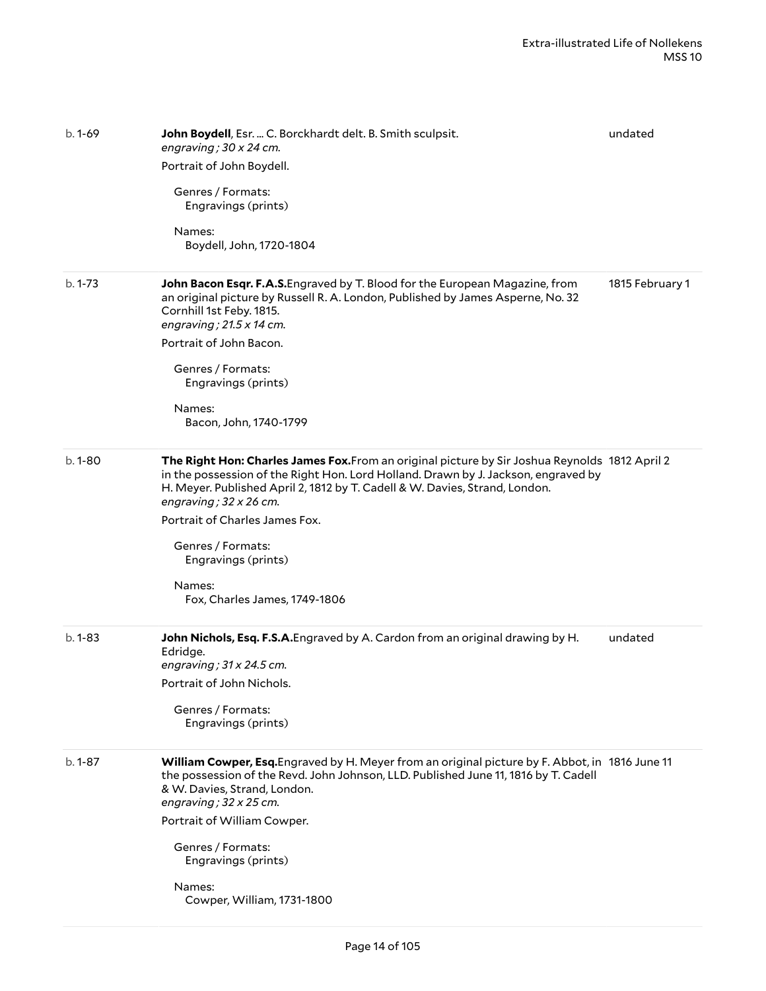| $b.1 - 69$  | John Boydell, Esr.  C. Borckhardt delt. B. Smith sculpsit.<br>engraving; $30 \times 24$ cm.<br>Portrait of John Boydell.<br>Genres / Formats:<br>Engravings (prints)<br>Names:<br>Boydell, John, 1720-1804                                                                                                                                                                                                                    | undated         |
|-------------|-------------------------------------------------------------------------------------------------------------------------------------------------------------------------------------------------------------------------------------------------------------------------------------------------------------------------------------------------------------------------------------------------------------------------------|-----------------|
| $b. 1 - 73$ | John Bacon Esqr. F.A.S. Engraved by T. Blood for the European Magazine, from<br>an original picture by Russell R. A. London, Published by James Asperne, No. 32<br>Cornhill 1st Feby. 1815.<br>engraving; $21.5 \times 14$ cm.<br>Portrait of John Bacon.<br>Genres / Formats:<br>Engravings (prints)<br>Names:<br>Bacon, John, 1740-1799                                                                                     | 1815 February 1 |
| $b.1 - 80$  | The Right Hon: Charles James Fox. From an original picture by Sir Joshua Reynolds 1812 April 2<br>in the possession of the Right Hon. Lord Holland. Drawn by J. Jackson, engraved by<br>H. Meyer. Published April 2, 1812 by T. Cadell & W. Davies, Strand, London.<br>engraving; $32 \times 26$ cm.<br>Portrait of Charles James Fox.<br>Genres / Formats:<br>Engravings (prints)<br>Names:<br>Fox, Charles James, 1749-1806 |                 |
| $b.1 - 83$  | John Nichols, Esq. F.S.A. Engraved by A. Cardon from an original drawing by H.<br>Edridge.<br>engraving; $31 \times 24.5$ cm.<br>Portrait of John Nichols.<br>Genres / Formats:<br>Engravings (prints)                                                                                                                                                                                                                        | undated         |
| $b.1 - 87$  | William Cowper, Esq. Engraved by H. Meyer from an original picture by F. Abbot, in 1816 June 11<br>the possession of the Revd. John Johnson, LLD. Published June 11, 1816 by T. Cadell<br>& W. Davies, Strand, London.<br>engraving; $32 \times 25$ cm.<br>Portrait of William Cowper.<br>Genres / Formats:<br>Engravings (prints)<br>Names:<br>Cowper, William, 1731-1800                                                    |                 |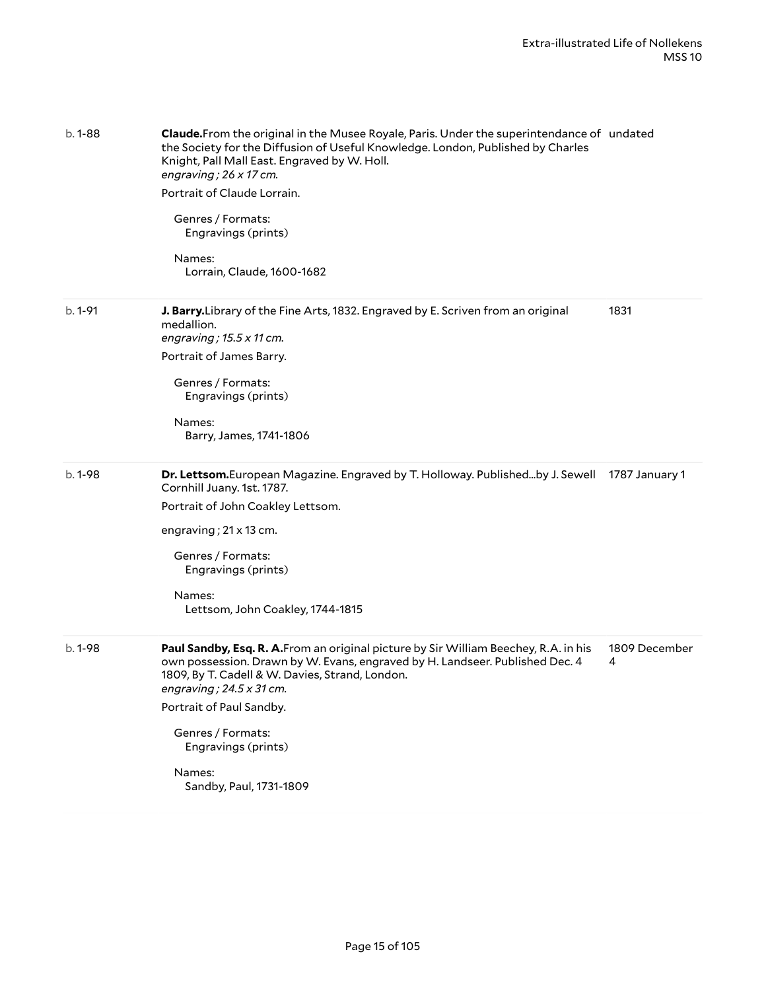| $b.1 - 88$ | Claude.From the original in the Musee Royale, Paris. Under the superintendance of undated<br>the Society for the Diffusion of Useful Knowledge. London, Published by Charles<br>Knight, Pall Mall East. Engraved by W. Holl.<br>engraving; $26 \times 17$ cm.<br>Portrait of Claude Lorrain.<br>Genres / Formats:<br>Engravings (prints)<br>Names:<br>Lorrain, Claude, 1600-1682 |                    |
|------------|----------------------------------------------------------------------------------------------------------------------------------------------------------------------------------------------------------------------------------------------------------------------------------------------------------------------------------------------------------------------------------|--------------------|
| b. 1-91    | J. Barry. Library of the Fine Arts, 1832. Engraved by E. Scriven from an original<br>medallion.<br>engraving; $15.5 \times 11$ cm.<br>Portrait of James Barry.<br>Genres / Formats:<br>Engravings (prints)<br>Names:<br>Barry, James, 1741-1806                                                                                                                                  | 1831               |
| $b.1-98$   | Dr. Lettsom.European Magazine. Engraved by T. Holloway. Publishedby J. Sewell<br>Cornhill Juany. 1st. 1787.<br>Portrait of John Coakley Lettsom.<br>engraving; $21 \times 13$ cm.<br>Genres / Formats:<br>Engravings (prints)<br>Names:<br>Lettsom, John Coakley, 1744-1815                                                                                                      | 1787 January 1     |
| $b.1-98$   | Paul Sandby, Esq. R. A.From an original picture by Sir William Beechey, R.A. in his<br>own possession. Drawn by W. Evans, engraved by H. Landseer. Published Dec. 4<br>1809, By T. Cadell & W. Davies, Strand, London.<br>engraving; $24.5 \times 31$ cm.<br>Portrait of Paul Sandby.<br>Genres / Formats:<br>Engravings (prints)<br>Names:<br>Sandby, Paul, 1731-1809           | 1809 December<br>4 |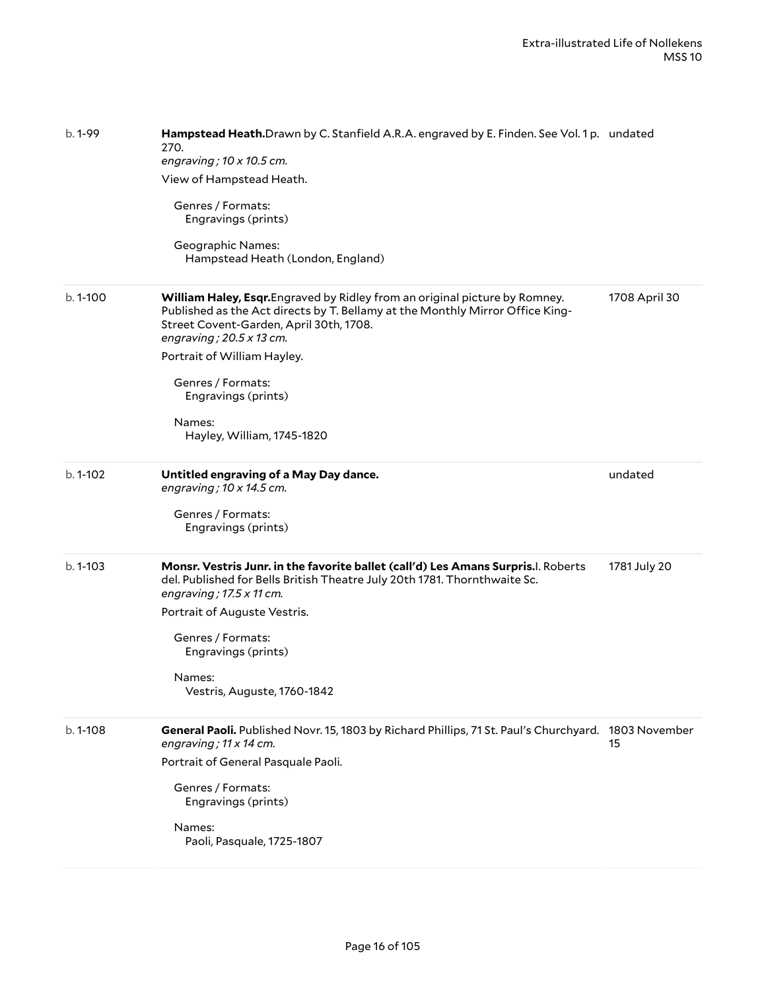| b. 1-99     | Hampstead Heath.Drawn by C. Stanfield A.R.A. engraved by E. Finden. See Vol. 1 p. undated<br>270.<br>engraving; $10 \times 10.5$ cm.<br>View of Hampstead Heath.<br>Genres / Formats:<br>Engravings (prints)<br><b>Geographic Names:</b><br>Hampstead Heath (London, England)                                                                                 |               |
|-------------|---------------------------------------------------------------------------------------------------------------------------------------------------------------------------------------------------------------------------------------------------------------------------------------------------------------------------------------------------------------|---------------|
| b. 1-100    | William Haley, Esqr. Engraved by Ridley from an original picture by Romney.<br>Published as the Act directs by T. Bellamy at the Monthly Mirror Office King-<br>Street Covent-Garden, April 30th, 1708.<br>engraving; $20.5 \times 13$ cm.<br>Portrait of William Hayley.<br>Genres / Formats:<br>Engravings (prints)<br>Names:<br>Hayley, William, 1745-1820 | 1708 April 30 |
| $b.1 - 102$ | Untitled engraving of a May Day dance.<br>engraving; $10 \times 14.5$ cm.<br>Genres / Formats:<br>Engravings (prints)                                                                                                                                                                                                                                         | undated       |
| b. 1-103    | Monsr. Vestris Junr. in the favorite ballet (call'd) Les Amans Surpris. I. Roberts<br>del. Published for Bells British Theatre July 20th 1781. Thornthwaite Sc.<br>engraving; $17.5 \times 11$ cm.<br>Portrait of Auguste Vestris.<br>Genres / Formats:<br>Engravings (prints)<br>Names:<br>Vestris, Auguste, 1760-1842                                       | 1781 July 20  |
| b. 1-108    | General Paoli. Published Novr. 15, 1803 by Richard Phillips, 71 St. Paul's Churchyard. 1803 November<br>engraving; 11 x 14 cm.<br>Portrait of General Pasquale Paoli.<br>Genres / Formats:<br>Engravings (prints)<br>Names:<br>Paoli, Pasquale, 1725-1807                                                                                                     | 15            |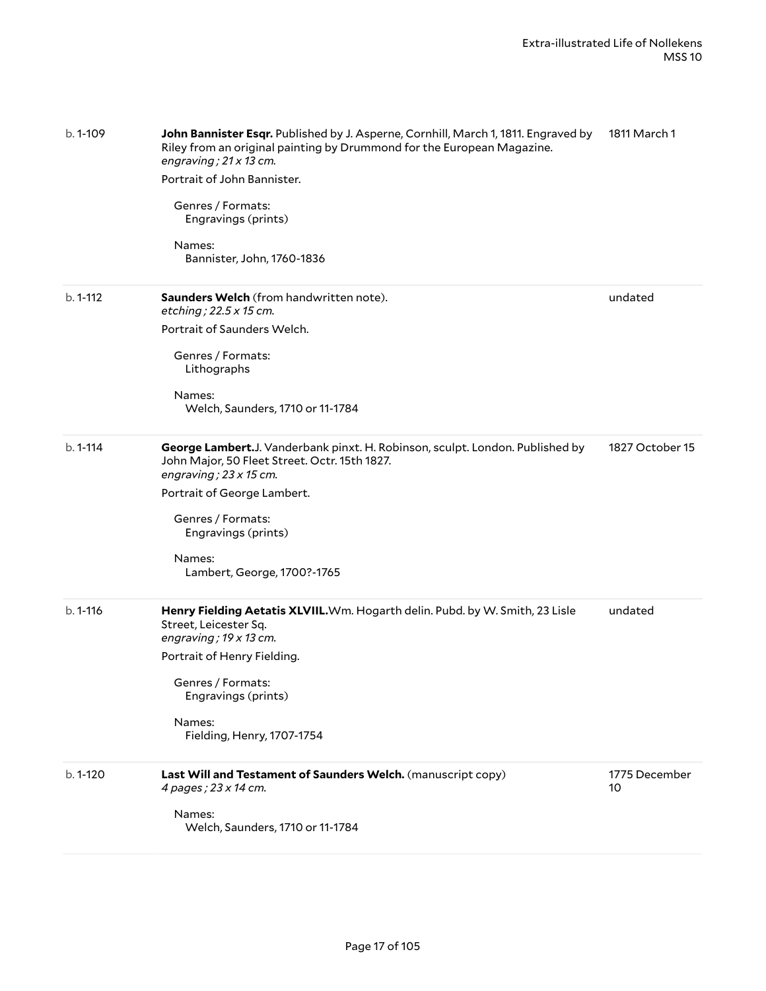| b. 1-109     | John Bannister Esqr. Published by J. Asperne, Cornhill, March 1, 1811. Engraved by<br>Riley from an original painting by Drummond for the European Magazine.<br>engraving; $21 \times 13$ cm.<br>Portrait of John Bannister.<br>Genres / Formats:<br>Engravings (prints)<br>Names:<br>Bannister, John, 1760-1836 | 1811 March 1        |
|--------------|------------------------------------------------------------------------------------------------------------------------------------------------------------------------------------------------------------------------------------------------------------------------------------------------------------------|---------------------|
| $b. 1 - 112$ | <b>Saunders Welch</b> (from handwritten note).<br>etching; 22.5 x 15 cm.<br>Portrait of Saunders Welch.                                                                                                                                                                                                          | undated             |
|              | Genres / Formats:<br>Lithographs<br>Names:                                                                                                                                                                                                                                                                       |                     |
|              | Welch, Saunders, 1710 or 11-1784                                                                                                                                                                                                                                                                                 |                     |
| $b. 1 - 114$ | George Lambert.J. Vanderbank pinxt. H. Robinson, sculpt. London. Published by<br>John Major, 50 Fleet Street. Octr. 15th 1827.<br>engraving; $23 \times 15$ cm.                                                                                                                                                  | 1827 October 15     |
|              | Portrait of George Lambert.<br>Genres / Formats:                                                                                                                                                                                                                                                                 |                     |
|              | Engravings (prints)                                                                                                                                                                                                                                                                                              |                     |
|              | Names:<br>Lambert, George, 1700?-1765                                                                                                                                                                                                                                                                            |                     |
| b. 1-116     | Henry Fielding Aetatis XLVIIL. Wm. Hogarth delin. Pubd. by W. Smith, 23 Lisle<br>Street, Leicester Sq.<br>engraving; $19 \times 13$ cm.                                                                                                                                                                          | undated             |
|              | Portrait of Henry Fielding.                                                                                                                                                                                                                                                                                      |                     |
|              | Genres / Formats:<br>Engravings (prints)                                                                                                                                                                                                                                                                         |                     |
|              | Names:<br>Fielding, Henry, 1707-1754                                                                                                                                                                                                                                                                             |                     |
| b. 1-120     | Last Will and Testament of Saunders Welch. (manuscript copy)<br>4 pages; 23 x 14 cm.                                                                                                                                                                                                                             | 1775 December<br>10 |
|              | Names:<br>Welch, Saunders, 1710 or 11-1784                                                                                                                                                                                                                                                                       |                     |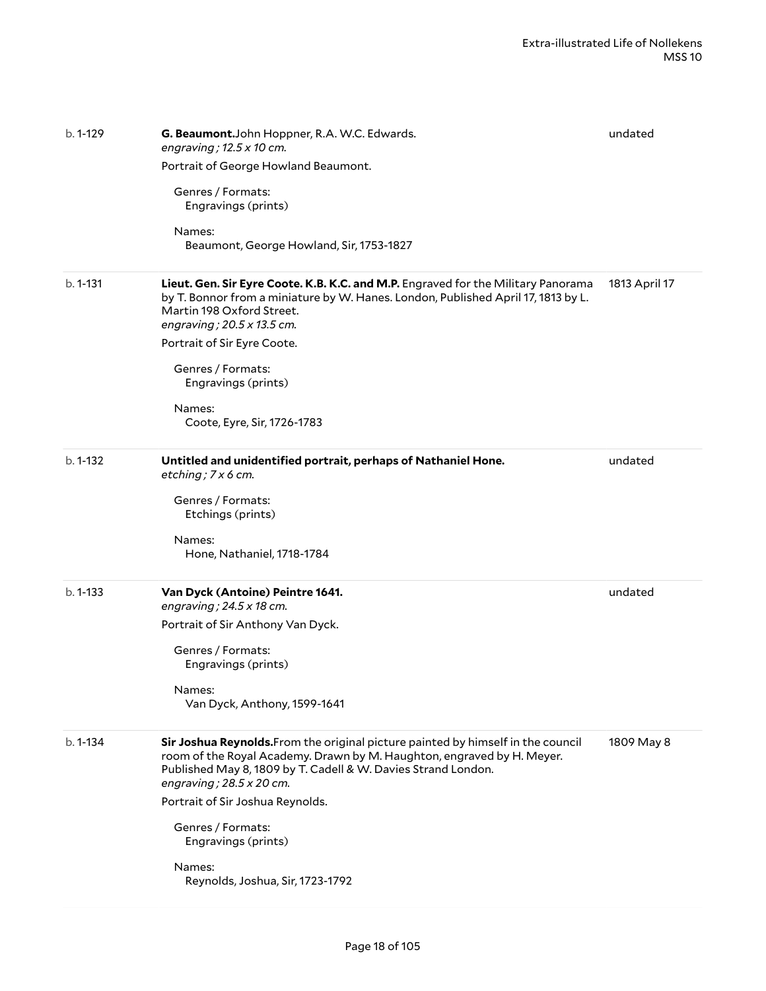| $b.1-129$    | G. Beaumont.John Hoppner, R.A. W.C. Edwards.<br>engraving; $12.5 \times 10$ cm.<br>Portrait of George Howland Beaumont.<br>Genres / Formats:<br>Engravings (prints)<br>Names:<br>Beaumont, George Howland, Sir, 1753-1827                                                                                                                                                                    | undated       |
|--------------|----------------------------------------------------------------------------------------------------------------------------------------------------------------------------------------------------------------------------------------------------------------------------------------------------------------------------------------------------------------------------------------------|---------------|
| b. 1-131     | Lieut. Gen. Sir Eyre Coote. K.B. K.C. and M.P. Engraved for the Military Panorama<br>by T. Bonnor from a miniature by W. Hanes. London, Published April 17, 1813 by L.<br>Martin 198 Oxford Street.<br>engraving; 20.5 x 13.5 cm.<br>Portrait of Sir Eyre Coote.<br>Genres / Formats:<br>Engravings (prints)<br>Names:<br>Coote, Eyre, Sir, 1726-1783                                        | 1813 April 17 |
| $b. 1 - 132$ | Untitled and unidentified portrait, perhaps of Nathaniel Hone.<br>etching; $7 \times 6$ cm.<br>Genres / Formats:<br>Etchings (prints)<br>Names:<br>Hone, Nathaniel, 1718-1784                                                                                                                                                                                                                | undated       |
| $b. 1 - 133$ | Van Dyck (Antoine) Peintre 1641.<br>engraving; $24.5 \times 18$ cm.<br>Portrait of Sir Anthony Van Dyck.<br>Genres / Formats:<br>Engravings (prints)<br>Names:<br>Van Dyck, Anthony, 1599-1641                                                                                                                                                                                               | undated       |
| $b. 1 - 134$ | Sir Joshua Reynolds. From the original picture painted by himself in the council<br>room of the Royal Academy. Drawn by M. Haughton, engraved by H. Meyer.<br>Published May 8, 1809 by T. Cadell & W. Davies Strand London.<br>engraving; $28.5 \times 20$ cm.<br>Portrait of Sir Joshua Reynolds.<br>Genres / Formats:<br>Engravings (prints)<br>Names:<br>Reynolds, Joshua, Sir, 1723-1792 | 1809 May 8    |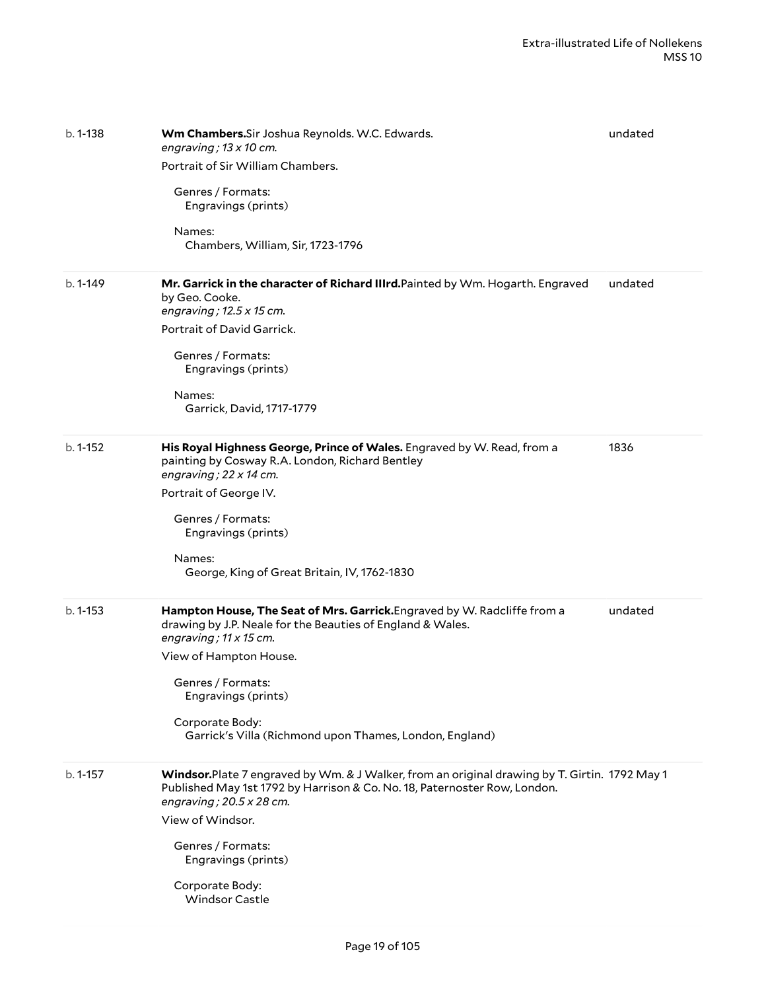| b. 1-138     | Wm Chambers. Sir Joshua Reynolds. W.C. Edwards.<br>engraving; $13 \times 10$ cm.<br>Portrait of Sir William Chambers.<br>Genres / Formats:<br>Engravings (prints)<br>Names:<br>Chambers, William, Sir, 1723-1796                                                                                                            | undated |
|--------------|-----------------------------------------------------------------------------------------------------------------------------------------------------------------------------------------------------------------------------------------------------------------------------------------------------------------------------|---------|
| $b.1 - 149$  | Mr. Garrick in the character of Richard IIIrd.Painted by Wm. Hogarth. Engraved<br>by Geo. Cooke.<br>engraving; $12.5 \times 15$ cm.<br>Portrait of David Garrick.<br>Genres / Formats:<br>Engravings (prints)<br>Names:<br>Garrick, David, 1717-1779                                                                        | undated |
| $b. 1 - 152$ | His Royal Highness George, Prince of Wales. Engraved by W. Read, from a<br>painting by Cosway R.A. London, Richard Bentley<br>engraving; $22 \times 14$ cm.<br>Portrait of George IV.<br>Genres / Formats:<br>Engravings (prints)<br>Names:<br>George, King of Great Britain, IV, 1762-1830                                 | 1836    |
| $b. 1 - 153$ | Hampton House, The Seat of Mrs. Garrick. Engraved by W. Radcliffe from a<br>drawing by J.P. Neale for the Beauties of England & Wales.<br>engraving; $11 \times 15$ cm.<br>View of Hampton House.<br>Genres / Formats:<br>Engravings (prints)<br>Corporate Body:<br>Garrick's Villa (Richmond upon Thames, London, England) | undated |
| b. 1-157     | Windsor.Plate 7 engraved by Wm. & J Walker, from an original drawing by T. Girtin. 1792 May 1<br>Published May 1st 1792 by Harrison & Co. No. 18, Paternoster Row, London.<br>engraving; $20.5 \times 28$ cm.<br>View of Windsor.<br>Genres / Formats:<br>Engravings (prints)<br>Corporate Body:<br><b>Windsor Castle</b>   |         |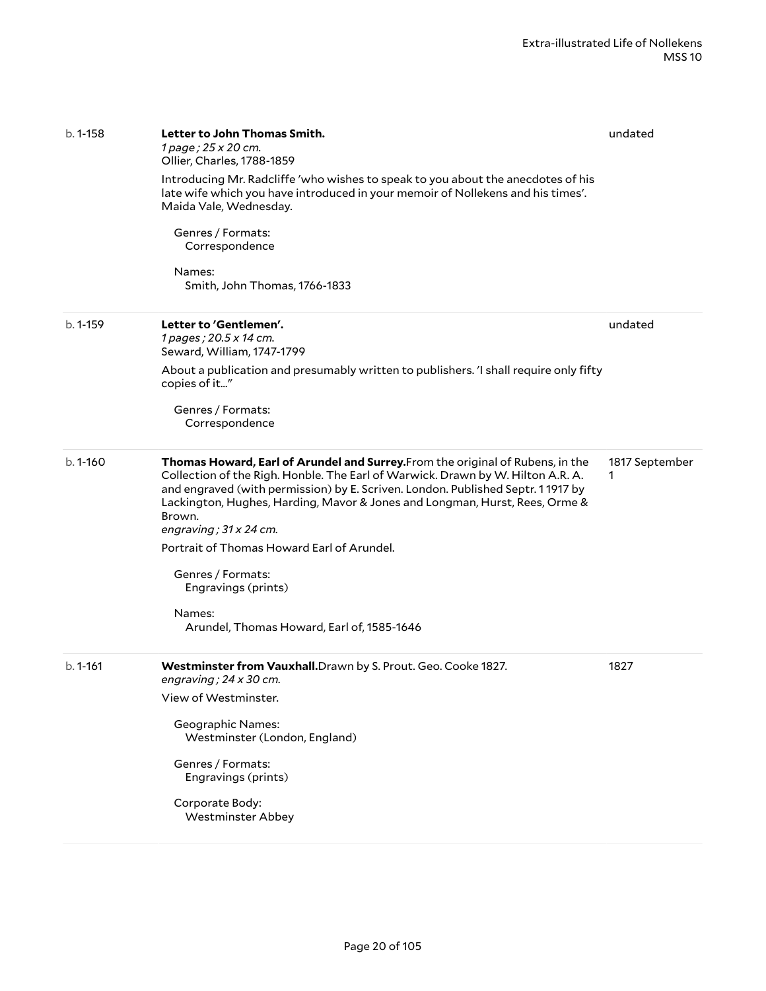| b. 1-158     | Letter to John Thomas Smith.<br>1 page; 25 x 20 cm.<br>Ollier, Charles, 1788-1859<br>Introducing Mr. Radcliffe 'who wishes to speak to you about the anecdotes of his<br>late wife which you have introduced in your memoir of Nollekens and his times'.<br>Maida Vale, Wednesday.<br>Genres / Formats:<br>Correspondence<br>Names:<br>Smith, John Thomas, 1766-1833                                                                                                                                                             | undated             |
|--------------|----------------------------------------------------------------------------------------------------------------------------------------------------------------------------------------------------------------------------------------------------------------------------------------------------------------------------------------------------------------------------------------------------------------------------------------------------------------------------------------------------------------------------------|---------------------|
| b. 1-159     | Letter to 'Gentlemen'.<br>1 pages; 20.5 x 14 cm.<br>Seward, William, 1747-1799<br>About a publication and presumably written to publishers. 'I shall require only fifty<br>copies of it"<br>Genres / Formats:<br>Correspondence                                                                                                                                                                                                                                                                                                  | undated             |
| $b.1 - 160$  | Thomas Howard, Earl of Arundel and Surrey. From the original of Rubens, in the<br>Collection of the Righ. Honble. The Earl of Warwick. Drawn by W. Hilton A.R. A.<br>and engraved (with permission) by E. Scriven. London. Published Septr. 11917 by<br>Lackington, Hughes, Harding, Mavor & Jones and Longman, Hurst, Rees, Orme &<br>Brown.<br>engraving; $31 \times 24$ cm.<br>Portrait of Thomas Howard Earl of Arundel.<br>Genres / Formats:<br>Engravings (prints)<br>Names:<br>Arundel, Thomas Howard, Earl of, 1585-1646 | 1817 September<br>1 |
| $b. 1 - 161$ | Westminster from Vauxhall. Drawn by S. Prout. Geo. Cooke 1827.<br>engraving; $24 \times 30$ cm.<br>View of Westminster.<br><b>Geographic Names:</b><br>Westminster (London, England)<br>Genres / Formats:<br>Engravings (prints)<br>Corporate Body:<br><b>Westminster Abbey</b>                                                                                                                                                                                                                                                  | 1827                |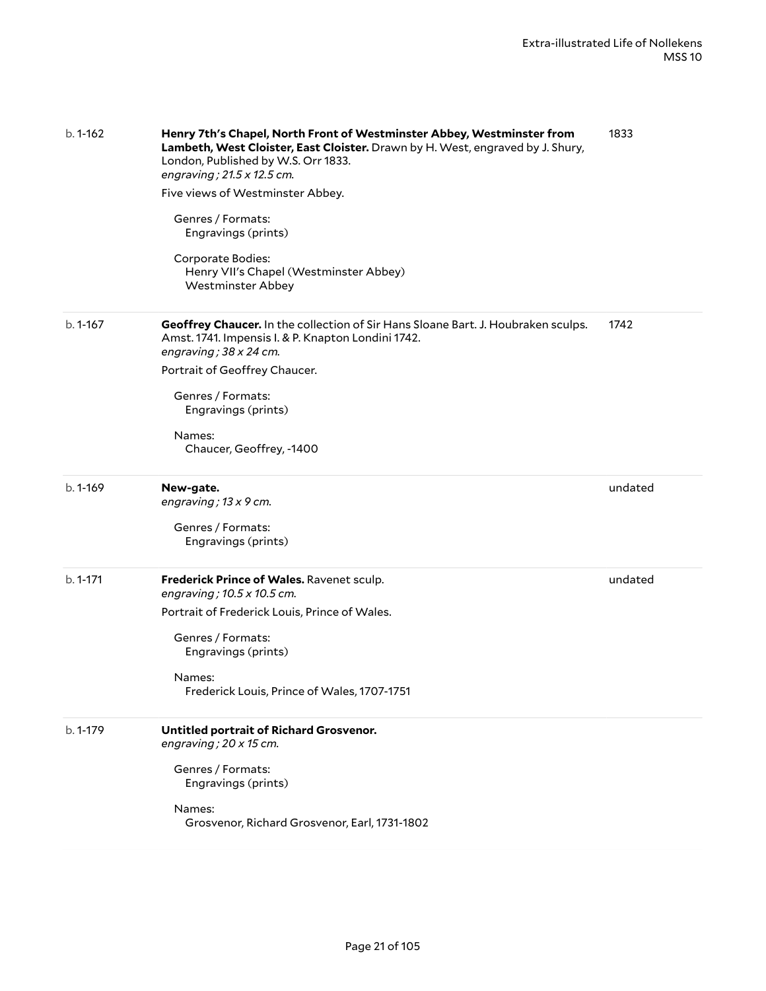| $b.1 - 162$ | Henry 7th's Chapel, North Front of Westminster Abbey, Westminster from<br>Lambeth, West Cloister, East Cloister. Drawn by H. West, engraved by J. Shury,<br>London, Published by W.S. Orr 1833.<br>engraving; 21.5 x 12.5 cm.<br>Five views of Westminster Abbey.<br>Genres / Formats:<br>Engravings (prints)<br>Corporate Bodies:<br>Henry VII's Chapel (Westminster Abbey)<br><b>Westminster Abbey</b> | 1833    |
|-------------|----------------------------------------------------------------------------------------------------------------------------------------------------------------------------------------------------------------------------------------------------------------------------------------------------------------------------------------------------------------------------------------------------------|---------|
| $b.1 - 167$ | Geoffrey Chaucer. In the collection of Sir Hans Sloane Bart. J. Houbraken sculps.<br>Amst. 1741. Impensis I. & P. Knapton Londini 1742.<br>engraving; $38 \times 24$ cm.<br>Portrait of Geoffrey Chaucer.<br>Genres / Formats:<br>Engravings (prints)<br>Names:<br>Chaucer, Geoffrey, -1400                                                                                                              | 1742    |
| $b.1 - 169$ | New-gate.<br>engraving; $13 \times 9$ cm.<br>Genres / Formats:<br>Engravings (prints)                                                                                                                                                                                                                                                                                                                    | undated |
| $b.1 - 171$ | Frederick Prince of Wales. Ravenet sculp.<br>engraving; 10.5 x 10.5 cm.<br>Portrait of Frederick Louis, Prince of Wales.<br>Genres / Formats:<br>Engravings (prints)<br>Names:<br>Frederick Louis, Prince of Wales, 1707-1751                                                                                                                                                                            | undated |
| b. 1-179    | Untitled portrait of Richard Grosvenor.<br>engraving; $20 \times 15$ cm.<br>Genres / Formats:<br>Engravings (prints)<br>Names:<br>Grosvenor, Richard Grosvenor, Earl, 1731-1802                                                                                                                                                                                                                          |         |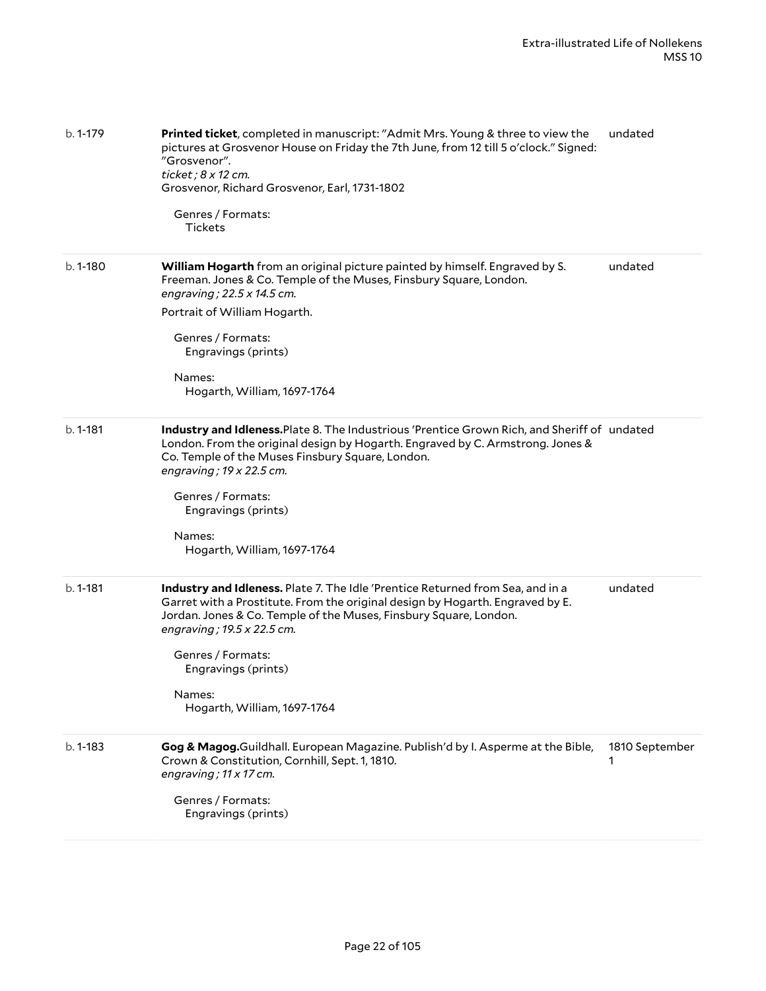| $b.1 - 179$  | Printed ticket, completed in manuscript: "Admit Mrs. Young & three to view the<br>pictures at Grosvenor House on Friday the 7th June, from 12 till 5 o'clock." Signed:<br>"Grosvenor".<br>ticket; 8 x 12 cm.<br>Grosvenor, Richard Grosvenor, Earl, 1731-1802<br>Genres / Formats:<br>Tickets                                                              | undated             |
|--------------|------------------------------------------------------------------------------------------------------------------------------------------------------------------------------------------------------------------------------------------------------------------------------------------------------------------------------------------------------------|---------------------|
| b. 1-180     | William Hogarth from an original picture painted by himself. Engraved by S.<br>Freeman. Jones & Co. Temple of the Muses, Finsbury Square, London.<br>engraving ; 22.5 x 14.5 cm.<br>Portrait of William Hogarth.<br>Genres / Formats:<br>Engravings (prints)<br>Names:<br>Hogarth, William, 1697-1764                                                      | undated             |
| $b. 1 - 181$ | Industry and Idleness. Plate 8. The Industrious 'Prentice Grown Rich, and Sheriff of undated<br>London. From the original design by Hogarth. Engraved by C. Armstrong. Jones &<br>Co. Temple of the Muses Finsbury Square, London.<br>engraving; $19 \times 22.5$ cm.<br>Genres / Formats:<br>Engravings (prints)<br>Names:<br>Hogarth, William, 1697-1764 |                     |
| $b. 1 - 181$ | Industry and Idleness. Plate 7. The Idle 'Prentice Returned from Sea, and in a<br>Garret with a Prostitute. From the original design by Hogarth. Engraved by E.<br>Jordan. Jones & Co. Temple of the Muses, Finsbury Square, London.<br>engraving; 19.5 x 22.5 cm.<br>Genres / Formats:<br>Engravings (prints)<br>Names:<br>Hogarth, William, 1697-1764    | undated             |
| $b. 1 - 183$ | Gog & Magog.Guildhall. European Magazine. Publish'd by I. Asperme at the Bible,<br>Crown & Constitution, Cornhill, Sept. 1, 1810.<br>engraving; 11 x 17 cm.<br>Genres / Formats:<br>Engravings (prints)                                                                                                                                                    | 1810 September<br>1 |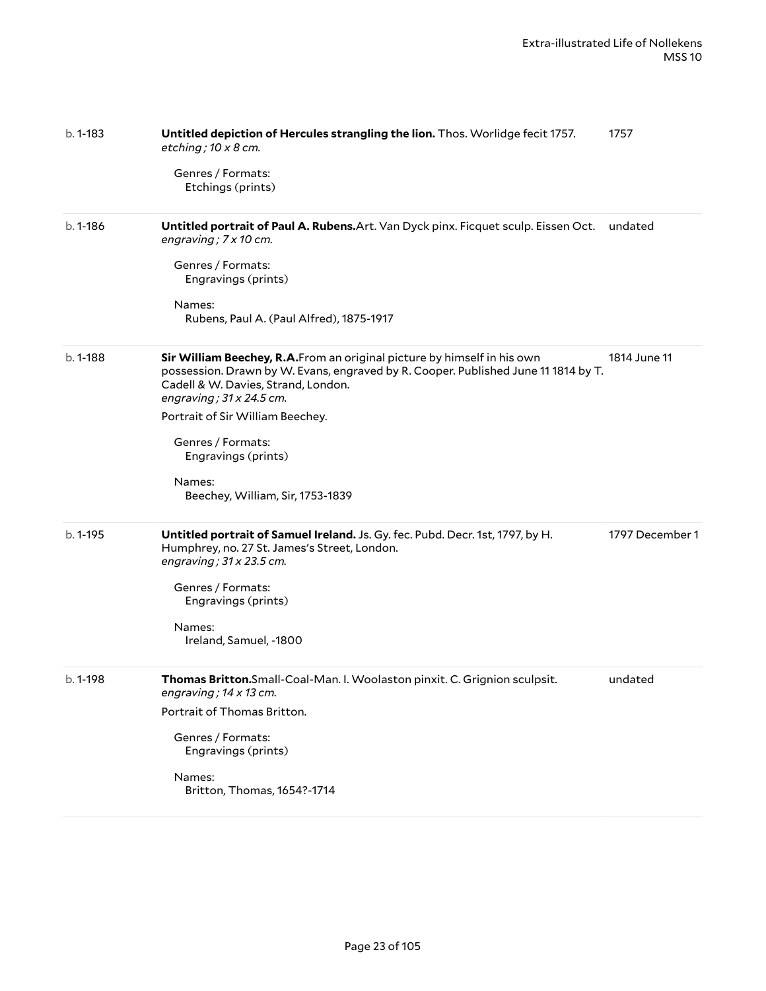| $b.1 - 183$ | Untitled depiction of Hercules strangling the lion. Thos. Worlidge fecit 1757.<br>etching; $10 \times 8$ cm.                                                                                                                             | 1757            |
|-------------|------------------------------------------------------------------------------------------------------------------------------------------------------------------------------------------------------------------------------------------|-----------------|
|             | Genres / Formats:<br>Etchings (prints)                                                                                                                                                                                                   |                 |
| $b.1 - 186$ | Untitled portrait of Paul A. Rubens. Art. Van Dyck pinx. Ficquet sculp. Eissen Oct.<br>engraving; 7 x 10 cm.                                                                                                                             | undated         |
|             | Genres / Formats:<br>Engravings (prints)                                                                                                                                                                                                 |                 |
|             | Names:<br>Rubens, Paul A. (Paul Alfred), 1875-1917                                                                                                                                                                                       |                 |
| b. 1-188    | Sir William Beechey, R.A. From an original picture by himself in his own<br>possession. Drawn by W. Evans, engraved by R. Cooper. Published June 11 1814 by T.<br>Cadell & W. Davies, Strand, London.<br>engraving; $31 \times 24.5$ cm. | 1814 June 11    |
|             | Portrait of Sir William Beechey.                                                                                                                                                                                                         |                 |
|             | Genres / Formats:<br>Engravings (prints)                                                                                                                                                                                                 |                 |
|             | Names:<br>Beechey, William, Sir, 1753-1839                                                                                                                                                                                               |                 |
| $b.1 - 195$ | Untitled portrait of Samuel Ireland. Js. Gy. fec. Pubd. Decr. 1st, 1797, by H.<br>Humphrey, no. 27 St. James's Street, London.<br>engraving; $31 \times 23.5$ cm.                                                                        | 1797 December 1 |
|             | Genres / Formats:<br>Engravings (prints)                                                                                                                                                                                                 |                 |
|             | Names:<br>Ireland, Samuel, -1800                                                                                                                                                                                                         |                 |
| b. 1-198    | Thomas Britton.Small-Coal-Man. I. Woolaston pinxit. C. Grignion sculpsit.<br>engraving; 14 x 13 cm.                                                                                                                                      | undated         |
|             | Portrait of Thomas Britton.                                                                                                                                                                                                              |                 |
|             | Genres / Formats:<br>Engravings (prints)                                                                                                                                                                                                 |                 |
|             | Names:<br>Britton, Thomas, 1654?-1714                                                                                                                                                                                                    |                 |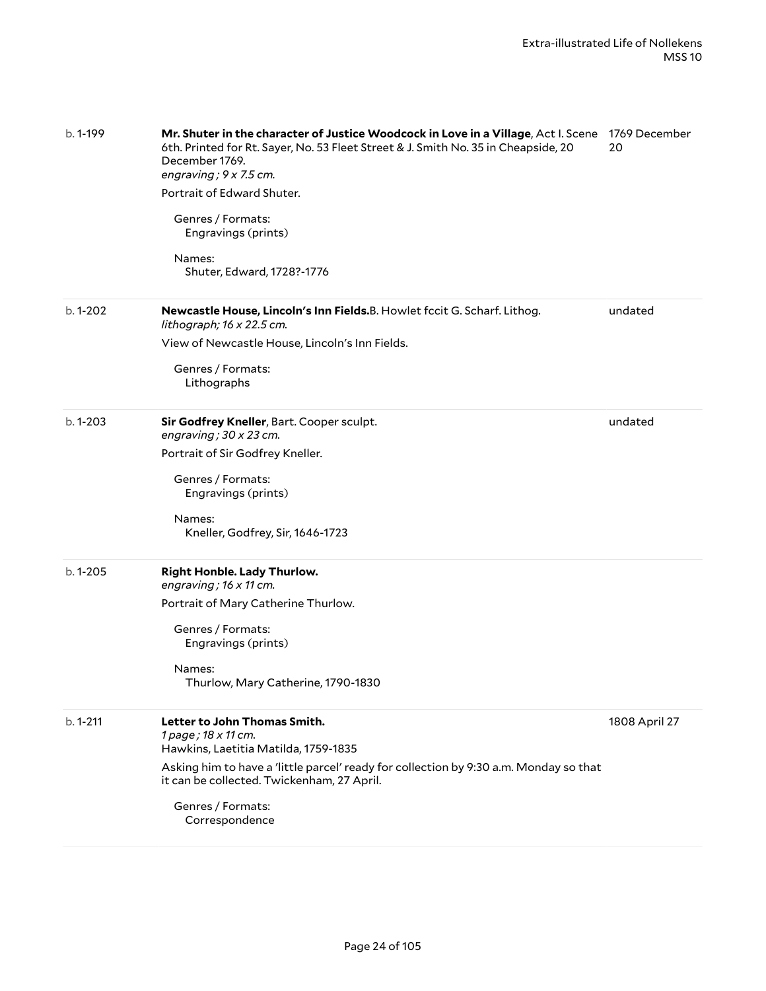| $b.1 - 199$  | Mr. Shuter in the character of Justice Woodcock in Love in a Village, Act I. Scene 1769 December<br>6th. Printed for Rt. Sayer, No. 53 Fleet Street & J. Smith No. 35 in Cheapside, 20<br>December 1769.<br>engraving; 9 x 7.5 cm.<br>Portrait of Edward Shuter.<br>Genres / Formats:<br>Engravings (prints)<br>Names:<br>Shuter, Edward, 1728?-1776 | 20            |
|--------------|------------------------------------------------------------------------------------------------------------------------------------------------------------------------------------------------------------------------------------------------------------------------------------------------------------------------------------------------------|---------------|
| b. 1-202     | Newcastle House, Lincoln's Inn Fields.B. Howlet fccit G. Scharf. Lithog.<br>lithograph; 16 x 22.5 cm.<br>View of Newcastle House, Lincoln's Inn Fields.<br>Genres / Formats:<br>Lithographs                                                                                                                                                          | undated       |
| $b.1 - 203$  | Sir Godfrey Kneller, Bart. Cooper sculpt.<br>engraving; $30 \times 23$ cm.<br>Portrait of Sir Godfrey Kneller.<br>Genres / Formats:<br>Engravings (prints)<br>Names:<br>Kneller, Godfrey, Sir, 1646-1723                                                                                                                                             | undated       |
| $b.1 - 205$  | <b>Right Honble. Lady Thurlow.</b><br>engraving; $16 \times 11$ cm.<br>Portrait of Mary Catherine Thurlow.<br>Genres / Formats:<br>Engravings (prints)<br>Names:<br>Thurlow, Mary Catherine, 1790-1830                                                                                                                                               |               |
| $b. 1 - 211$ | Letter to John Thomas Smith.<br>1 page; 18 x 11 cm.<br>Hawkins, Laetitia Matilda, 1759-1835<br>Asking him to have a 'little parcel' ready for collection by 9:30 a.m. Monday so that<br>it can be collected. Twickenham, 27 April.<br>Genres / Formats:<br>Correspondence                                                                            | 1808 April 27 |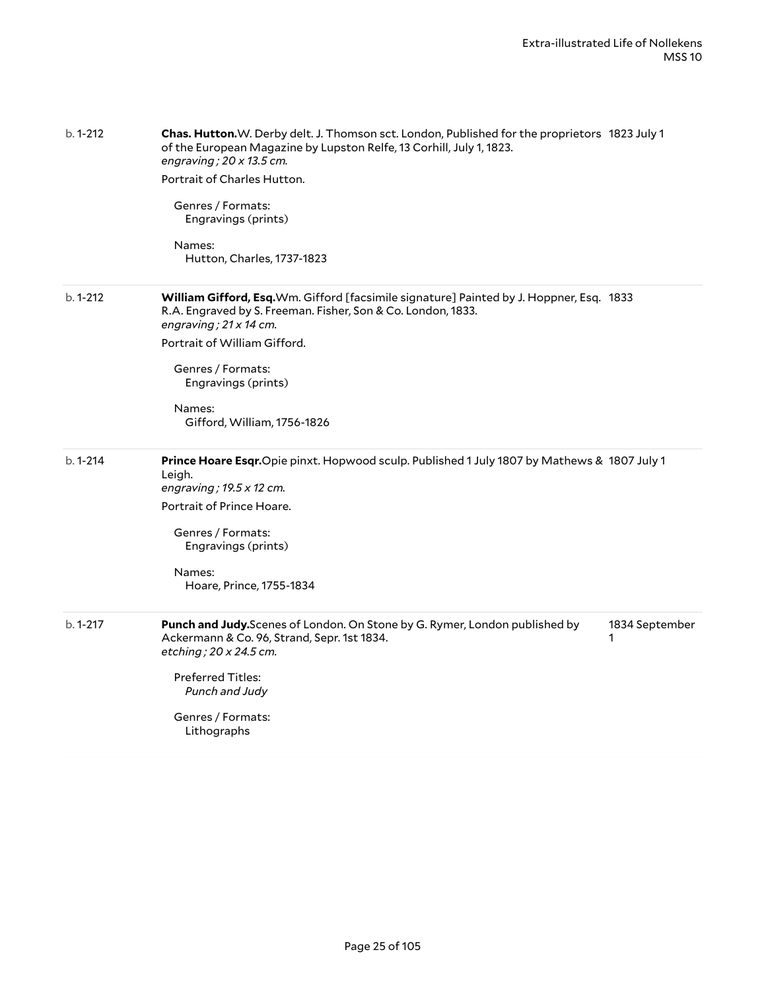| $b. 1 - 212$ | Chas. Hutton.W. Derby delt. J. Thomson sct. London, Published for the proprietors 1823 July 1<br>of the European Magazine by Lupston Relfe, 13 Corhill, July 1, 1823.<br>engraving; $20 \times 13.5$ cm.<br>Portrait of Charles Hutton.<br>Genres / Formats:<br>Engravings (prints)<br>Names:<br>Hutton, Charles, 1737-1823 |
|--------------|-----------------------------------------------------------------------------------------------------------------------------------------------------------------------------------------------------------------------------------------------------------------------------------------------------------------------------|
| $b.1 - 212$  | William Gifford, Esq. Wm. Gifford [facsimile signature] Painted by J. Hoppner, Esq. 1833<br>R.A. Engraved by S. Freeman. Fisher, Son & Co. London, 1833.<br>engraving; 21 x 14 cm.<br>Portrait of William Gifford.<br>Genres / Formats:<br>Engravings (prints)<br>Names:<br>Gifford, William, 1756-1826                     |
| $b.1 - 214$  | Prince Hoare Esqr.Opie pinxt. Hopwood sculp. Published 1 July 1807 by Mathews & 1807 July 1<br>Leigh.<br>engraving; $19.5 \times 12$ cm.<br>Portrait of Prince Hoare.<br>Genres / Formats:<br>Engravings (prints)<br>Names:<br>Hoare, Prince, 1755-1834                                                                     |
| b. 1-217     | Punch and Judy.Scenes of London. On Stone by G. Rymer, London published by<br>1834 September<br>Ackermann & Co. 96, Strand, Sepr. 1st 1834.<br>1<br>etching; 20 x 24.5 cm.<br><b>Preferred Titles:</b><br>Punch and Judy<br>Genres / Formats:<br>Lithographs                                                                |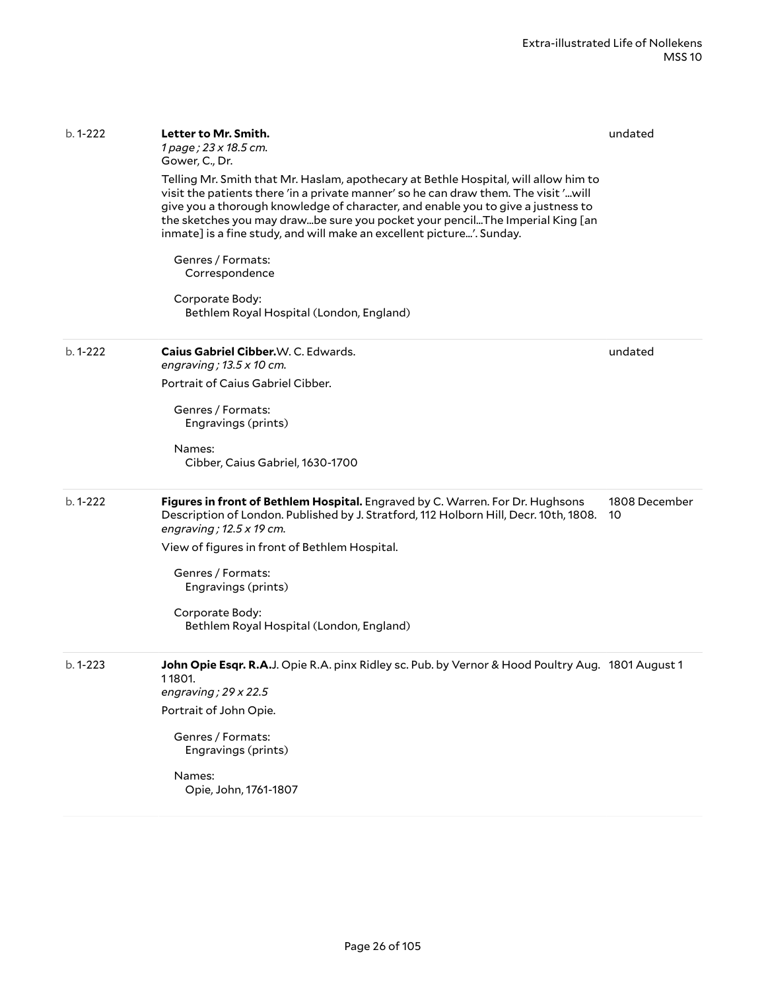| Telling Mr. Smith that Mr. Haslam, apothecary at Bethle Hospital, will allow him to<br>visit the patients there 'in a private manner' so he can draw them. The visit 'will<br>give you a thorough knowledge of character, and enable you to give a justness to<br>the sketches you may drawbe sure you pocket your pencilThe Imperial King [an<br>inmate] is a fine study, and will make an excellent picture'. Sunday.<br>Genres / Formats:<br>Correspondence<br>Corporate Body:<br>Bethlem Royal Hospital (London, England)<br>Caius Gabriel Cibber.W. C. Edwards.<br>engraving; $13.5 \times 10$ cm.<br>Portrait of Caius Gabriel Cibber.<br>Genres / Formats:<br>Engravings (prints)<br>Names:<br>Cibber, Caius Gabriel, 1630-1700<br>Figures in front of Bethlem Hospital. Engraved by C. Warren. For Dr. Hughsons | undated<br>1808 December                                                                                                                                                                                                     |
|-------------------------------------------------------------------------------------------------------------------------------------------------------------------------------------------------------------------------------------------------------------------------------------------------------------------------------------------------------------------------------------------------------------------------------------------------------------------------------------------------------------------------------------------------------------------------------------------------------------------------------------------------------------------------------------------------------------------------------------------------------------------------------------------------------------------------|------------------------------------------------------------------------------------------------------------------------------------------------------------------------------------------------------------------------------|
|                                                                                                                                                                                                                                                                                                                                                                                                                                                                                                                                                                                                                                                                                                                                                                                                                         |                                                                                                                                                                                                                              |
|                                                                                                                                                                                                                                                                                                                                                                                                                                                                                                                                                                                                                                                                                                                                                                                                                         |                                                                                                                                                                                                                              |
|                                                                                                                                                                                                                                                                                                                                                                                                                                                                                                                                                                                                                                                                                                                                                                                                                         |                                                                                                                                                                                                                              |
|                                                                                                                                                                                                                                                                                                                                                                                                                                                                                                                                                                                                                                                                                                                                                                                                                         |                                                                                                                                                                                                                              |
|                                                                                                                                                                                                                                                                                                                                                                                                                                                                                                                                                                                                                                                                                                                                                                                                                         |                                                                                                                                                                                                                              |
|                                                                                                                                                                                                                                                                                                                                                                                                                                                                                                                                                                                                                                                                                                                                                                                                                         |                                                                                                                                                                                                                              |
|                                                                                                                                                                                                                                                                                                                                                                                                                                                                                                                                                                                                                                                                                                                                                                                                                         |                                                                                                                                                                                                                              |
| Description of London. Published by J. Stratford, 112 Holborn Hill, Decr. 10th, 1808.                                                                                                                                                                                                                                                                                                                                                                                                                                                                                                                                                                                                                                                                                                                                   | 10                                                                                                                                                                                                                           |
| engraving; $12.5 \times 19$ cm.                                                                                                                                                                                                                                                                                                                                                                                                                                                                                                                                                                                                                                                                                                                                                                                         |                                                                                                                                                                                                                              |
| View of figures in front of Bethlem Hospital.                                                                                                                                                                                                                                                                                                                                                                                                                                                                                                                                                                                                                                                                                                                                                                           |                                                                                                                                                                                                                              |
| Genres / Formats:<br>Engravings (prints)                                                                                                                                                                                                                                                                                                                                                                                                                                                                                                                                                                                                                                                                                                                                                                                |                                                                                                                                                                                                                              |
| Corporate Body:<br>Bethlem Royal Hospital (London, England)                                                                                                                                                                                                                                                                                                                                                                                                                                                                                                                                                                                                                                                                                                                                                             |                                                                                                                                                                                                                              |
|                                                                                                                                                                                                                                                                                                                                                                                                                                                                                                                                                                                                                                                                                                                                                                                                                         |                                                                                                                                                                                                                              |
|                                                                                                                                                                                                                                                                                                                                                                                                                                                                                                                                                                                                                                                                                                                                                                                                                         |                                                                                                                                                                                                                              |
| Engravings (prints)                                                                                                                                                                                                                                                                                                                                                                                                                                                                                                                                                                                                                                                                                                                                                                                                     |                                                                                                                                                                                                                              |
|                                                                                                                                                                                                                                                                                                                                                                                                                                                                                                                                                                                                                                                                                                                                                                                                                         |                                                                                                                                                                                                                              |
|                                                                                                                                                                                                                                                                                                                                                                                                                                                                                                                                                                                                                                                                                                                                                                                                                         | John Opie Esqr. R.A.J. Opie R.A. pinx Ridley sc. Pub. by Vernor & Hood Poultry Aug. 1801 August 1<br>11801.<br>engraving; $29 \times 22.5$<br>Portrait of John Opie.<br>Genres / Formats:<br>Names:<br>Opie, John, 1761-1807 |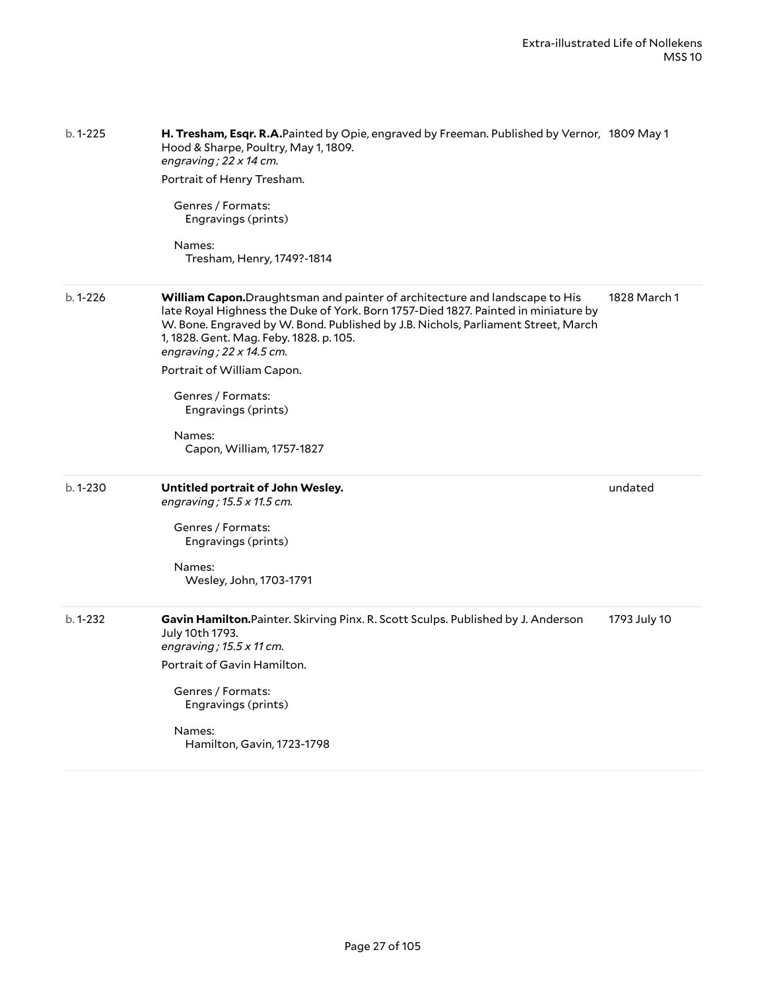| b. 1-225    | H. Tresham, Esqr. R.A.Painted by Opie, engraved by Freeman. Published by Vernor, 1809 May 1<br>Hood & Sharpe, Poultry, May 1, 1809.<br>engraving; 22 x 14 cm.<br>Portrait of Henry Tresham.<br>Genres / Formats:<br>Engravings (prints)<br>Names:<br>Tresham, Henry, 1749?-1814                                                                                                                                                                |              |
|-------------|------------------------------------------------------------------------------------------------------------------------------------------------------------------------------------------------------------------------------------------------------------------------------------------------------------------------------------------------------------------------------------------------------------------------------------------------|--------------|
| $b.1 - 226$ | William Capon. Draughtsman and painter of architecture and landscape to His<br>late Royal Highness the Duke of York. Born 1757-Died 1827. Painted in miniature by<br>W. Bone. Engraved by W. Bond. Published by J.B. Nichols, Parliament Street, March<br>1, 1828. Gent. Mag. Feby. 1828. p. 105.<br>engraving; 22 x 14.5 cm.<br>Portrait of William Capon.<br>Genres / Formats:<br>Engravings (prints)<br>Names:<br>Capon, William, 1757-1827 | 1828 March 1 |
| b. 1-230    | Untitled portrait of John Wesley.<br>engraving; 15.5 x 11.5 cm.<br>Genres / Formats:<br>Engravings (prints)<br>Names:<br>Wesley, John, 1703-1791                                                                                                                                                                                                                                                                                               | undated      |
| $b.1 - 232$ | Gavin Hamilton.Painter. Skirving Pinx. R. Scott Sculps. Published by J. Anderson<br>July 10th 1793.<br>engraving; $15.5 \times 11$ cm.<br>Portrait of Gavin Hamilton.<br>Genres / Formats:<br>Engravings (prints)<br>Names:<br>Hamilton, Gavin, 1723-1798                                                                                                                                                                                      | 1793 July 10 |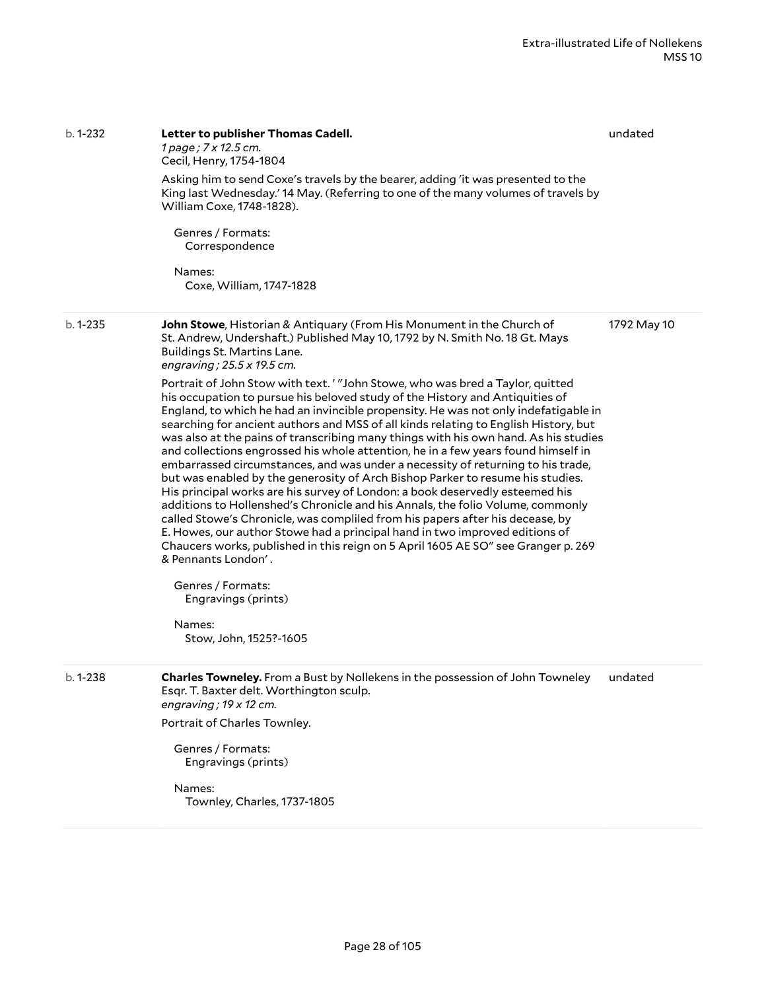| $b.1 - 232$ | Letter to publisher Thomas Cadell.<br>1 page; 7 x 12.5 cm.<br>Cecil, Henry, 1754-1804<br>Asking him to send Coxe's travels by the bearer, adding 'it was presented to the<br>King last Wednesday.' 14 May. (Referring to one of the many volumes of travels by<br>William Coxe, 1748-1828).<br>Genres / Formats:<br>Correspondence<br>Names:<br>Coxe, William, 1747-1828                                                                                                                                                                                                                                                                                                                                                                                                                                                                                                                                                                                                                                                                                                                                                                                                                                                                                                                                                                                                                                                                        | undated     |
|-------------|-------------------------------------------------------------------------------------------------------------------------------------------------------------------------------------------------------------------------------------------------------------------------------------------------------------------------------------------------------------------------------------------------------------------------------------------------------------------------------------------------------------------------------------------------------------------------------------------------------------------------------------------------------------------------------------------------------------------------------------------------------------------------------------------------------------------------------------------------------------------------------------------------------------------------------------------------------------------------------------------------------------------------------------------------------------------------------------------------------------------------------------------------------------------------------------------------------------------------------------------------------------------------------------------------------------------------------------------------------------------------------------------------------------------------------------------------|-------------|
| $b.1 - 235$ | John Stowe, Historian & Antiquary (From His Monument in the Church of<br>St. Andrew, Undershaft.) Published May 10, 1792 by N. Smith No. 18 Gt. Mays<br>Buildings St. Martins Lane.<br>engraving; 25.5 x 19.5 cm.<br>Portrait of John Stow with text.' "John Stowe, who was bred a Taylor, quitted<br>his occupation to pursue his beloved study of the History and Antiquities of<br>England, to which he had an invincible propensity. He was not only indefatigable in<br>searching for ancient authors and MSS of all kinds relating to English History, but<br>was also at the pains of transcribing many things with his own hand. As his studies<br>and collections engrossed his whole attention, he in a few years found himself in<br>embarrassed circumstances, and was under a necessity of returning to his trade,<br>but was enabled by the generosity of Arch Bishop Parker to resume his studies.<br>His principal works are his survey of London: a book deservedly esteemed his<br>additions to Hollenshed's Chronicle and his Annals, the folio Volume, commonly<br>called Stowe's Chronicle, was compliled from his papers after his decease, by<br>E. Howes, our author Stowe had a principal hand in two improved editions of<br>Chaucers works, published in this reign on 5 April 1605 AE SO" see Granger p. 269<br>& Pennants London'.<br>Genres / Formats:<br>Engravings (prints)<br>Names:<br>Stow, John, 1525?-1605 | 1792 May 10 |
| b. 1-238    | Charles Towneley. From a Bust by Nollekens in the possession of John Towneley<br>Esqr. T. Baxter delt. Worthington sculp.<br>engraving; $19 \times 12$ cm.<br>Portrait of Charles Townley.<br>Genres / Formats:<br>Engravings (prints)<br>Names:<br>Townley, Charles, 1737-1805                                                                                                                                                                                                                                                                                                                                                                                                                                                                                                                                                                                                                                                                                                                                                                                                                                                                                                                                                                                                                                                                                                                                                                 | undated     |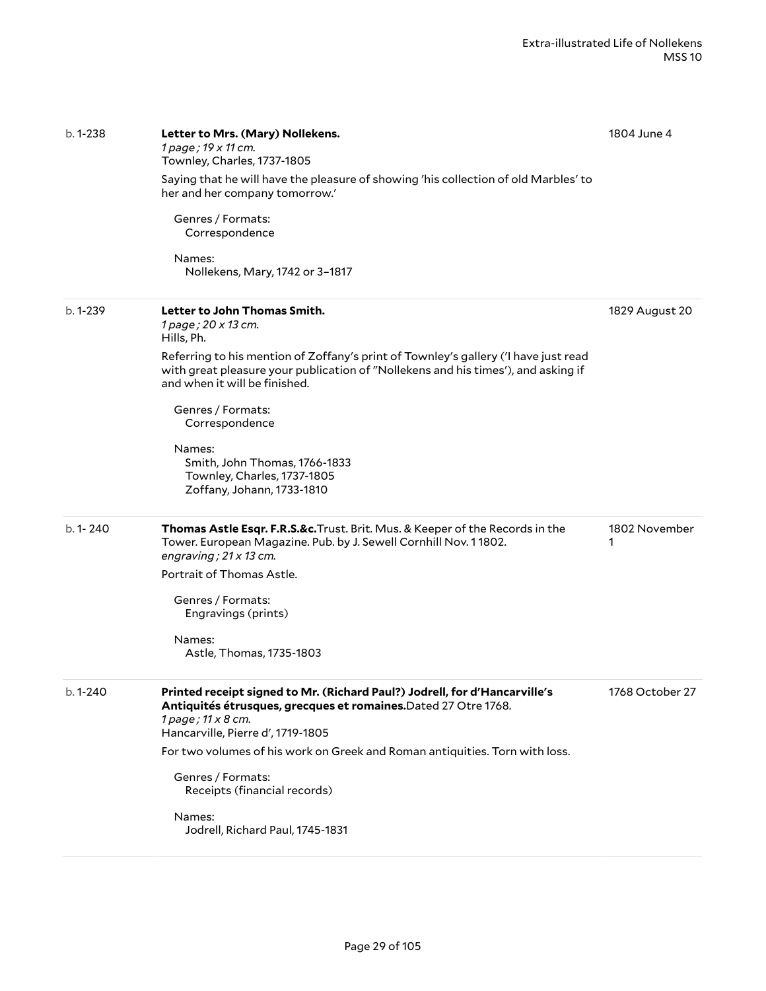| $b.1 - 238$ | Letter to Mrs. (Mary) Nollekens.<br>1 page; 19 x 11 cm.<br>Townley, Charles, 1737-1805<br>Saying that he will have the pleasure of showing 'his collection of old Marbles' to<br>her and her company tomorrow.'<br>Genres / Formats:<br>Correspondence<br>Names: | 1804 June 4        |
|-------------|------------------------------------------------------------------------------------------------------------------------------------------------------------------------------------------------------------------------------------------------------------------|--------------------|
|             | Nollekens, Mary, 1742 or 3-1817                                                                                                                                                                                                                                  |                    |
| $b.1 - 239$ | Letter to John Thomas Smith.<br>1 page; 20 x 13 cm.<br>Hills, Ph.<br>Referring to his mention of Zoffany's print of Townley's gallery ('I have just read<br>with great pleasure your publication of "Nollekens and his times'), and asking if                    | 1829 August 20     |
|             | and when it will be finished.<br>Genres / Formats:<br>Correspondence                                                                                                                                                                                             |                    |
|             | Names:<br>Smith, John Thomas, 1766-1833<br>Townley, Charles, 1737-1805<br>Zoffany, Johann, 1733-1810                                                                                                                                                             |                    |
| b. 1-240    | Thomas Astle Esqr. F.R.S.&c. Trust. Brit. Mus. & Keeper of the Records in the<br>Tower. European Magazine. Pub. by J. Sewell Cornhill Nov. 11802.<br>engraving; $21 \times 13$ cm.<br>Portrait of Thomas Astle.                                                  | 1802 November<br>1 |
|             | Genres / Formats:<br>Engravings (prints)                                                                                                                                                                                                                         |                    |
|             | Names:<br>Astle, Thomas, 1735-1803                                                                                                                                                                                                                               |                    |
| b. 1-240    | Printed receipt signed to Mr. (Richard Paul?) Jodrell, for d'Hancarville's<br>Antiquités étrusques, grecques et romaines. Dated 27 Otre 1768.<br>1 page; 11 x 8 cm.<br>Hancarville, Pierre d', 1719-1805                                                         | 1768 October 27    |
|             | For two volumes of his work on Greek and Roman antiquities. Torn with loss.                                                                                                                                                                                      |                    |
|             | Genres / Formats:<br>Receipts (financial records)                                                                                                                                                                                                                |                    |
|             | Names:<br>Jodrell, Richard Paul, 1745-1831                                                                                                                                                                                                                       |                    |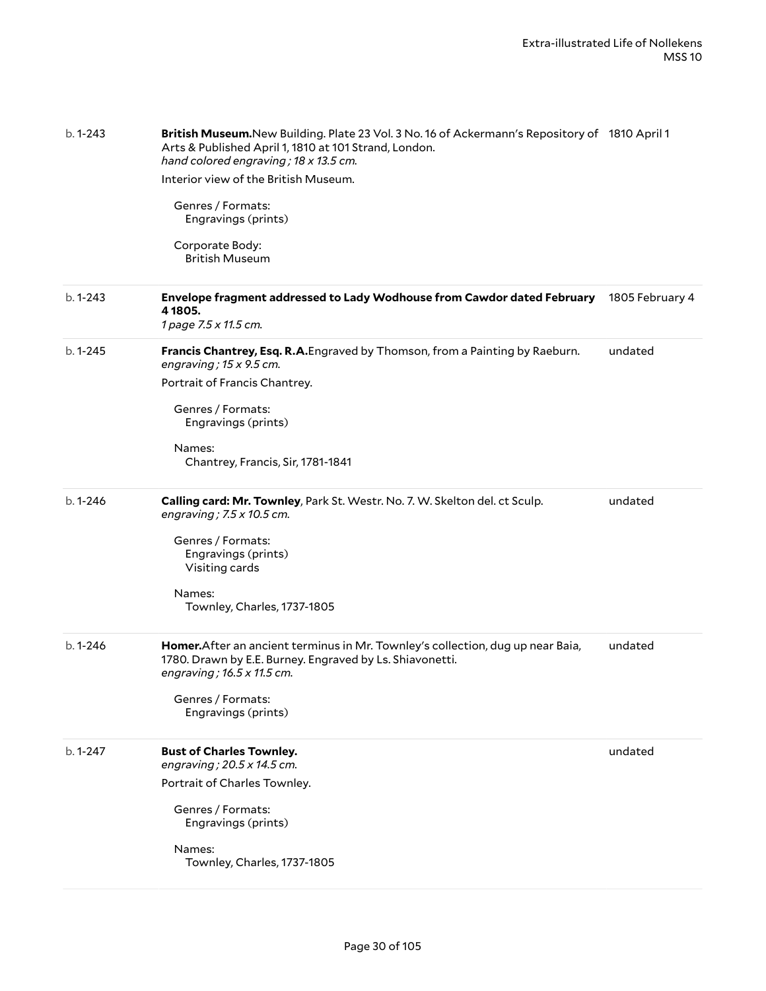| $b.1 - 243$ | British Museum.New Building. Plate 23 Vol. 3 No. 16 of Ackermann's Repository of 1810 April 1<br>Arts & Published April 1, 1810 at 101 Strand, London.<br>hand colored engraving; 18 x 13.5 cm.<br>Interior view of the British Museum.<br>Genres / Formats:<br>Engravings (prints)<br>Corporate Body:<br><b>British Museum</b> |                 |
|-------------|---------------------------------------------------------------------------------------------------------------------------------------------------------------------------------------------------------------------------------------------------------------------------------------------------------------------------------|-----------------|
| b. 1-243    | Envelope fragment addressed to Lady Wodhouse from Cawdor dated February<br>4 1805.<br>1 page 7.5 x 11.5 cm.                                                                                                                                                                                                                     | 1805 February 4 |
| $b.1 - 245$ | Francis Chantrey, Esq. R.A. Engraved by Thomson, from a Painting by Raeburn.<br>engraving; $15 \times 9.5$ cm.<br>Portrait of Francis Chantrey.<br>Genres / Formats:<br>Engravings (prints)<br>Names:<br>Chantrey, Francis, Sir, 1781-1841                                                                                      | undated         |
| $b.1 - 246$ | Calling card: Mr. Townley, Park St. Westr. No. 7. W. Skelton del. ct Sculp.<br>engraving; $7.5 \times 10.5$ cm.<br>Genres / Formats:<br>Engravings (prints)<br>Visiting cards<br>Names:<br>Townley, Charles, 1737-1805                                                                                                          | undated         |
| $b.1 - 246$ | Homer. After an ancient terminus in Mr. Townley's collection, dug up near Baia,<br>1780. Drawn by E.E. Burney. Engraved by Ls. Shiavonetti.<br>engraving; 16.5 x 11.5 cm.<br>Genres / Formats:<br>Engravings (prints)                                                                                                           | undated         |
| $b.1 - 247$ | <b>Bust of Charles Townley.</b><br>engraving; 20.5 x 14.5 cm.<br>Portrait of Charles Townley.<br>Genres / Formats:<br>Engravings (prints)<br>Names:<br>Townley, Charles, 1737-1805                                                                                                                                              | undated         |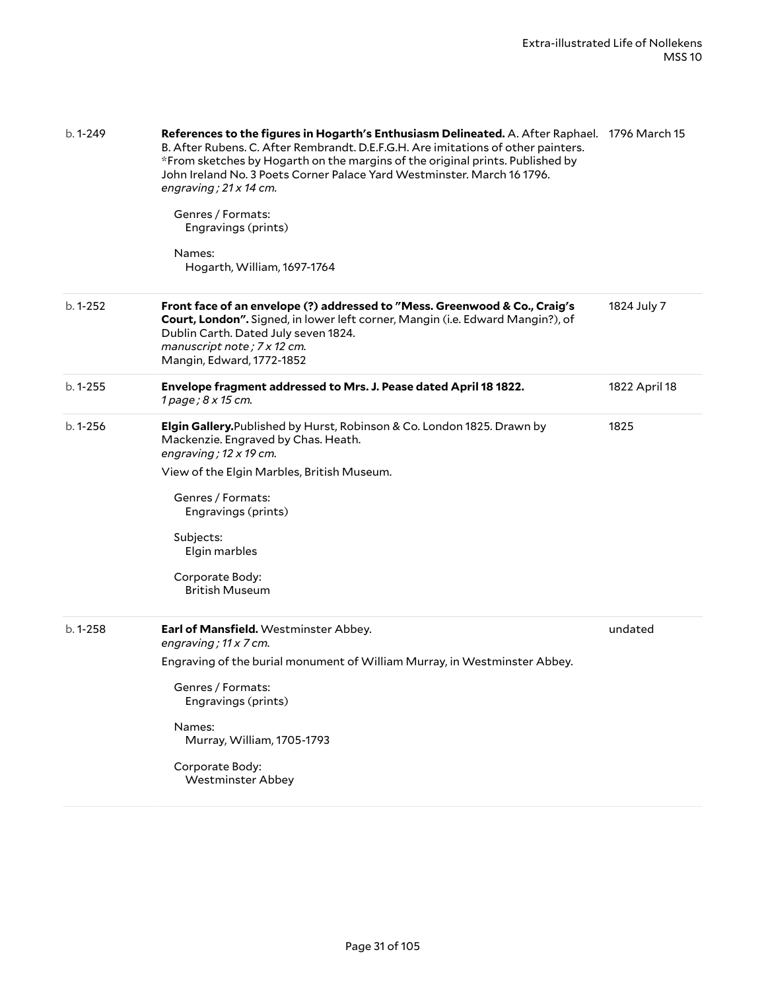| $b.1 - 249$ | References to the figures in Hogarth's Enthusiasm Delineated. A. After Raphael. 1796 March 15<br>B. After Rubens. C. After Rembrandt. D.E.F.G.H. Are imitations of other painters.<br>*From sketches by Hogarth on the margins of the original prints. Published by<br>John Ireland No. 3 Poets Corner Palace Yard Westminster. March 16 1796.<br>engraving; 21 x 14 cm.<br>Genres / Formats:<br>Engravings (prints)<br>Names:<br>Hogarth, William, 1697-1764 |               |
|-------------|---------------------------------------------------------------------------------------------------------------------------------------------------------------------------------------------------------------------------------------------------------------------------------------------------------------------------------------------------------------------------------------------------------------------------------------------------------------|---------------|
| $b.1 - 252$ | Front face of an envelope (?) addressed to "Mess. Greenwood & Co., Craig's<br>Court, London". Signed, in lower left corner, Mangin (i.e. Edward Mangin?), of<br>Dublin Carth. Dated July seven 1824.<br>manuscript note; 7 x 12 cm.<br>Mangin, Edward, 1772-1852                                                                                                                                                                                              | 1824 July 7   |
| $b.1 - 255$ | Envelope fragment addressed to Mrs. J. Pease dated April 18 1822.<br>1 page; 8 x 15 cm.                                                                                                                                                                                                                                                                                                                                                                       | 1822 April 18 |
| $b.1 - 256$ | Elgin Gallery. Published by Hurst, Robinson & Co. London 1825. Drawn by<br>Mackenzie. Engraved by Chas. Heath.<br>engraving; $12 \times 19$ cm.<br>View of the Elgin Marbles, British Museum.<br>Genres / Formats:<br>Engravings (prints)<br>Subjects:<br>Elgin marbles<br>Corporate Body:<br><b>British Museum</b>                                                                                                                                           | 1825          |
| $b.1 - 258$ | Earl of Mansfield. Westminster Abbey.<br>engraving; 11 x 7 cm.<br>Engraving of the burial monument of William Murray, in Westminster Abbey.<br>Genres / Formats:<br>Engravings (prints)<br>Names:<br>Murray, William, 1705-1793<br>Corporate Body:<br><b>Westminster Abbey</b>                                                                                                                                                                                | undated       |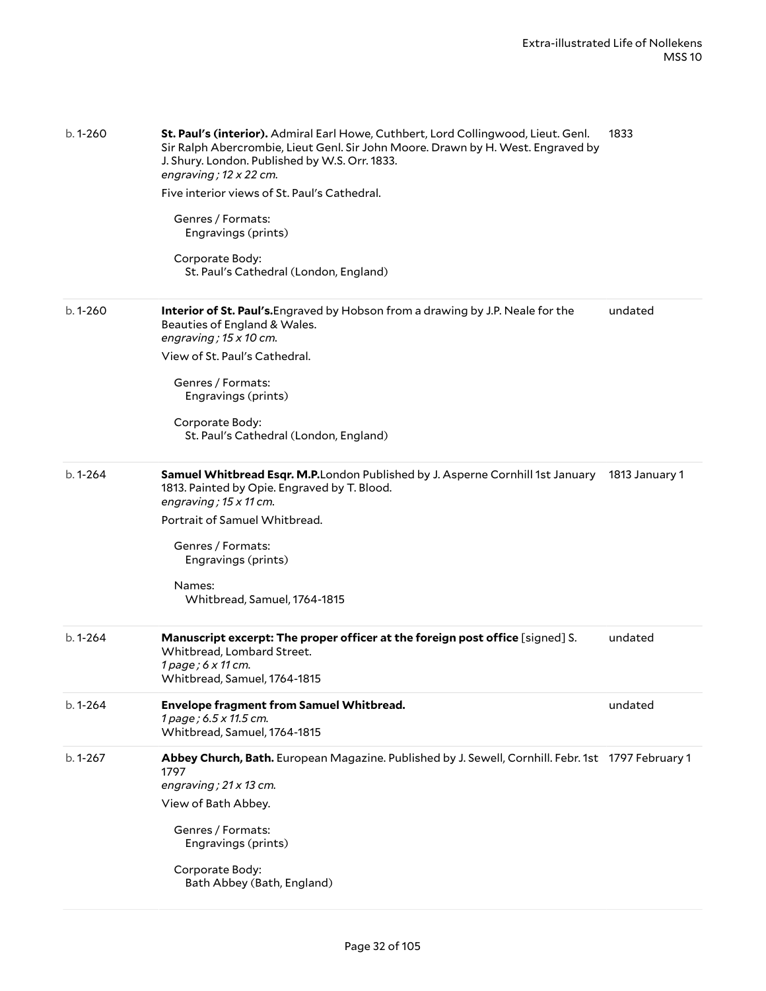| $b.1 - 260$ | St. Paul's (interior). Admiral Earl Howe, Cuthbert, Lord Collingwood, Lieut. Genl.<br>Sir Ralph Abercrombie, Lieut Genl. Sir John Moore. Drawn by H. West. Engraved by<br>J. Shury. London. Published by W.S. Orr. 1833.<br>engraving; $12 \times 22$ cm.<br>Five interior views of St. Paul's Cathedral.<br>Genres / Formats:<br>Engravings (prints)<br>Corporate Body:<br>St. Paul's Cathedral (London, England) | 1833           |
|-------------|--------------------------------------------------------------------------------------------------------------------------------------------------------------------------------------------------------------------------------------------------------------------------------------------------------------------------------------------------------------------------------------------------------------------|----------------|
| $b.1 - 260$ | Interior of St. Paul's. Engraved by Hobson from a drawing by J.P. Neale for the<br>Beauties of England & Wales.<br>engraving; $15 \times 10$ cm.<br>View of St. Paul's Cathedral.<br>Genres / Formats:<br>Engravings (prints)<br>Corporate Body:<br>St. Paul's Cathedral (London, England)                                                                                                                         | undated        |
| $b.1 - 264$ | Samuel Whitbread Esqr. M.P.London Published by J. Asperne Cornhill 1st January<br>1813. Painted by Opie. Engraved by T. Blood.<br>engraving; $15 \times 11$ cm.<br>Portrait of Samuel Whitbread.<br>Genres / Formats:<br>Engravings (prints)<br>Names:<br>Whitbread, Samuel, 1764-1815                                                                                                                             | 1813 January 1 |
| $b.1 - 264$ | Manuscript excerpt: The proper officer at the foreign post office [signed] S.<br>Whitbread, Lombard Street.<br>1 page; 6 x 11 cm.<br>Whitbread, Samuel, 1764-1815                                                                                                                                                                                                                                                  | undated        |
| $b.1 - 264$ | <b>Envelope fragment from Samuel Whitbread.</b><br>1 page; 6.5 x 11.5 cm.<br>Whitbread, Samuel, 1764-1815                                                                                                                                                                                                                                                                                                          | undated        |
| $b.1 - 267$ | Abbey Church, Bath. European Magazine. Published by J. Sewell, Cornhill. Febr. 1st 1797 February 1<br>1797<br>engraving; $21 \times 13$ cm.<br>View of Bath Abbey.<br>Genres / Formats:<br>Engravings (prints)<br>Corporate Body:<br>Bath Abbey (Bath, England)                                                                                                                                                    |                |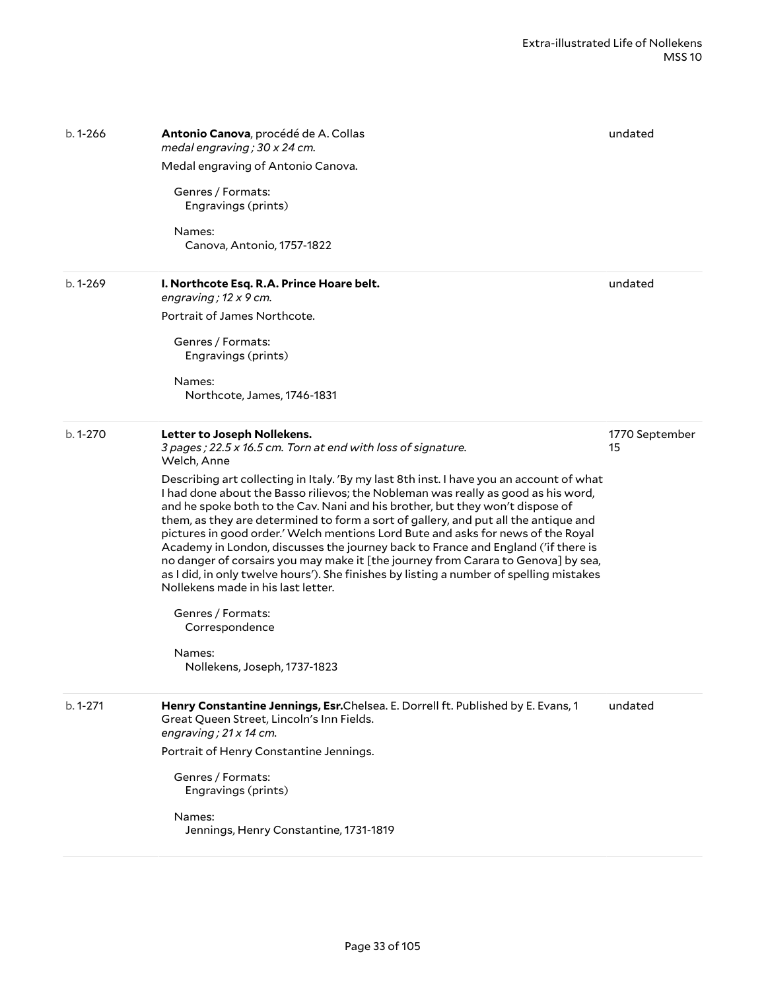| $b.1 - 266$ | Antonio Canova, procédé de A. Collas<br>medal engraving; 30 x 24 cm.                                                                                                                                                                                                                                                                                                                                                                                                                                                                                                                                                                                                                                                                                | undated              |
|-------------|-----------------------------------------------------------------------------------------------------------------------------------------------------------------------------------------------------------------------------------------------------------------------------------------------------------------------------------------------------------------------------------------------------------------------------------------------------------------------------------------------------------------------------------------------------------------------------------------------------------------------------------------------------------------------------------------------------------------------------------------------------|----------------------|
|             | Medal engraving of Antonio Canova.                                                                                                                                                                                                                                                                                                                                                                                                                                                                                                                                                                                                                                                                                                                  |                      |
|             | Genres / Formats:<br>Engravings (prints)                                                                                                                                                                                                                                                                                                                                                                                                                                                                                                                                                                                                                                                                                                            |                      |
|             | Names:<br>Canova, Antonio, 1757-1822                                                                                                                                                                                                                                                                                                                                                                                                                                                                                                                                                                                                                                                                                                                |                      |
| $b.1 - 269$ | I. Northcote Esq. R.A. Prince Hoare belt.<br>engraving; $12 \times 9$ cm.                                                                                                                                                                                                                                                                                                                                                                                                                                                                                                                                                                                                                                                                           | undated              |
|             | Portrait of James Northcote.                                                                                                                                                                                                                                                                                                                                                                                                                                                                                                                                                                                                                                                                                                                        |                      |
|             | Genres / Formats:<br>Engravings (prints)                                                                                                                                                                                                                                                                                                                                                                                                                                                                                                                                                                                                                                                                                                            |                      |
|             | Names:<br>Northcote, James, 1746-1831                                                                                                                                                                                                                                                                                                                                                                                                                                                                                                                                                                                                                                                                                                               |                      |
| $b.1 - 270$ | Letter to Joseph Nollekens.<br>3 pages; 22.5 x 16.5 cm. Torn at end with loss of signature.<br>Welch, Anne                                                                                                                                                                                                                                                                                                                                                                                                                                                                                                                                                                                                                                          | 1770 September<br>15 |
|             | Describing art collecting in Italy. 'By my last 8th inst. I have you an account of what<br>I had done about the Basso rilievos; the Nobleman was really as good as his word,<br>and he spoke both to the Cav. Nani and his brother, but they won't dispose of<br>them, as they are determined to form a sort of gallery, and put all the antique and<br>pictures in good order.' Welch mentions Lord Bute and asks for news of the Royal<br>Academy in London, discusses the journey back to France and England ('if there is<br>no danger of corsairs you may make it [the journey from Carara to Genova] by sea,<br>as I did, in only twelve hours'). She finishes by listing a number of spelling mistakes<br>Nollekens made in his last letter. |                      |
|             | Genres / Formats:<br>Correspondence                                                                                                                                                                                                                                                                                                                                                                                                                                                                                                                                                                                                                                                                                                                 |                      |
|             | Names:<br>Nollekens, Joseph, 1737-1823                                                                                                                                                                                                                                                                                                                                                                                                                                                                                                                                                                                                                                                                                                              |                      |
| $b.1 - 271$ | Henry Constantine Jennings, Esr.Chelsea. E. Dorrell ft. Published by E. Evans, 1<br>Great Queen Street, Lincoln's Inn Fields.<br>engraving; 21 x 14 cm.                                                                                                                                                                                                                                                                                                                                                                                                                                                                                                                                                                                             | undated              |
|             | Portrait of Henry Constantine Jennings.                                                                                                                                                                                                                                                                                                                                                                                                                                                                                                                                                                                                                                                                                                             |                      |
|             | Genres / Formats:<br>Engravings (prints)                                                                                                                                                                                                                                                                                                                                                                                                                                                                                                                                                                                                                                                                                                            |                      |
|             | Names:<br>Jennings, Henry Constantine, 1731-1819                                                                                                                                                                                                                                                                                                                                                                                                                                                                                                                                                                                                                                                                                                    |                      |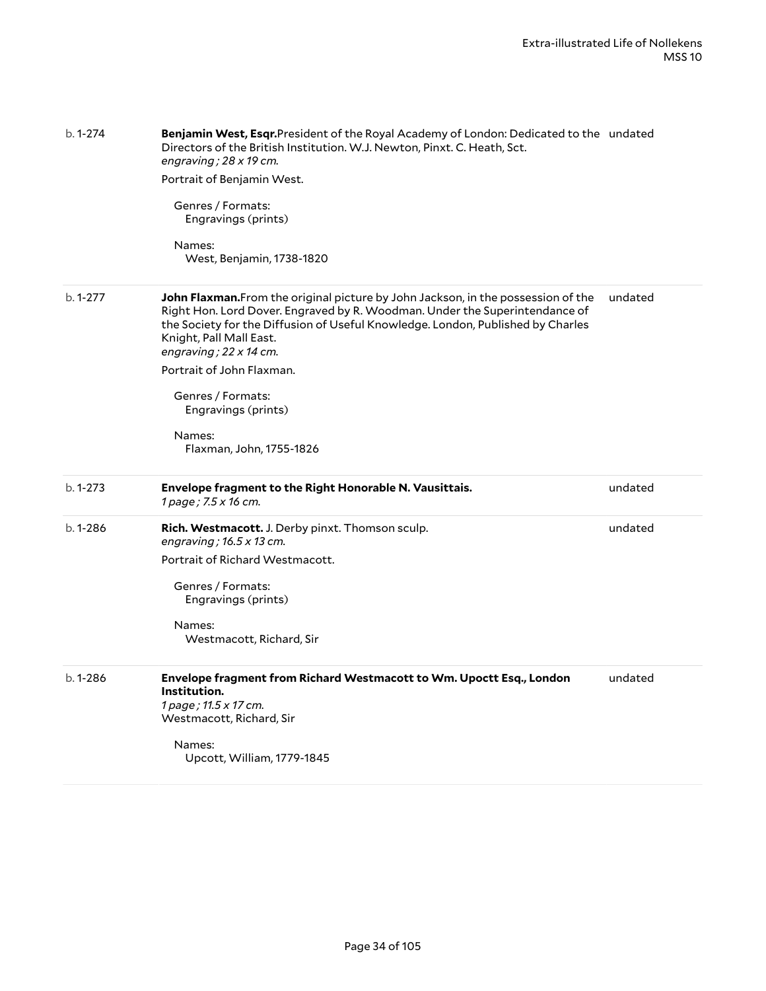| $b.1 - 274$ | Benjamin West, Esqr.President of the Royal Academy of London: Dedicated to the undated<br>Directors of the British Institution. W.J. Newton, Pinxt. C. Heath, Sct.<br>engraving; $28 \times 19$ cm.<br>Portrait of Benjamin West.                                                                               |         |
|-------------|-----------------------------------------------------------------------------------------------------------------------------------------------------------------------------------------------------------------------------------------------------------------------------------------------------------------|---------|
|             | Genres / Formats:<br>Engravings (prints)                                                                                                                                                                                                                                                                        |         |
|             | Names:<br>West, Benjamin, 1738-1820                                                                                                                                                                                                                                                                             |         |
| $b.1 - 277$ | John Flaxman. From the original picture by John Jackson, in the possession of the<br>Right Hon. Lord Dover. Engraved by R. Woodman. Under the Superintendance of<br>the Society for the Diffusion of Useful Knowledge. London, Published by Charles<br>Knight, Pall Mall East.<br>engraving; $22 \times 14$ cm. | undated |
|             | Portrait of John Flaxman.                                                                                                                                                                                                                                                                                       |         |
|             | Genres / Formats:<br>Engravings (prints)                                                                                                                                                                                                                                                                        |         |
|             | Names:<br>Flaxman, John, 1755-1826                                                                                                                                                                                                                                                                              |         |
| $b.1 - 273$ | Envelope fragment to the Right Honorable N. Vausittais.<br>1 page; 7.5 x 16 cm.                                                                                                                                                                                                                                 | undated |
| b. 1-286    | Rich. Westmacott. J. Derby pinxt. Thomson sculp.<br>engraving; $16.5 \times 13$ cm.                                                                                                                                                                                                                             | undated |
|             | Portrait of Richard Westmacott.                                                                                                                                                                                                                                                                                 |         |
|             | Genres / Formats:<br>Engravings (prints)                                                                                                                                                                                                                                                                        |         |
|             | Names:<br>Westmacott, Richard, Sir                                                                                                                                                                                                                                                                              |         |
| $b.1 - 286$ | Envelope fragment from Richard Westmacott to Wm. Upoctt Esq., London<br>Institution.<br>1 page; 11.5 x 17 cm.<br>Westmacott, Richard, Sir                                                                                                                                                                       | undated |
|             | Names:<br>Upcott, William, 1779-1845                                                                                                                                                                                                                                                                            |         |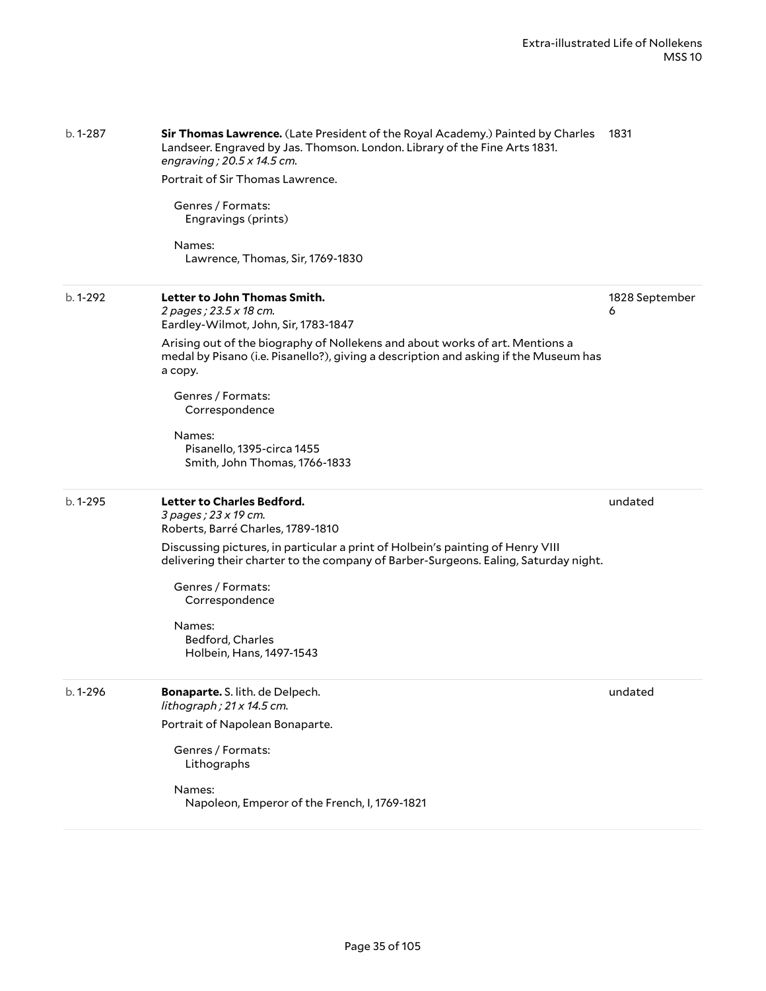| b. 1-287    | <b>Sir Thomas Lawrence.</b> (Late President of the Royal Academy.) Painted by Charles 1831<br>Landseer. Engraved by Jas. Thomson. London. Library of the Fine Arts 1831.<br>engraving; $20.5 \times 14.5$ cm. |                     |
|-------------|---------------------------------------------------------------------------------------------------------------------------------------------------------------------------------------------------------------|---------------------|
|             | Portrait of Sir Thomas Lawrence.                                                                                                                                                                              |                     |
|             | Genres / Formats:<br>Engravings (prints)                                                                                                                                                                      |                     |
|             | Names:<br>Lawrence, Thomas, Sir, 1769-1830                                                                                                                                                                    |                     |
| b. 1-292    | Letter to John Thomas Smith.<br>2 pages; 23.5 x 18 cm.<br>Eardley-Wilmot, John, Sir, 1783-1847                                                                                                                | 1828 September<br>6 |
|             | Arising out of the biography of Nollekens and about works of art. Mentions a<br>medal by Pisano (i.e. Pisanello?), giving a description and asking if the Museum has<br>a copy.                               |                     |
|             | Genres / Formats:<br>Correspondence                                                                                                                                                                           |                     |
|             | Names:<br>Pisanello, 1395-circa 1455<br>Smith, John Thomas, 1766-1833                                                                                                                                         |                     |
| $b.1 - 295$ | Letter to Charles Bedford.<br>3 pages; 23 x 19 cm.<br>Roberts, Barré Charles, 1789-1810                                                                                                                       | undated             |
|             | Discussing pictures, in particular a print of Holbein's painting of Henry VIII<br>delivering their charter to the company of Barber-Surgeons. Ealing, Saturday night.                                         |                     |
|             | Genres / Formats:<br>Correspondence                                                                                                                                                                           |                     |
|             | Names:<br>Bedford, Charles<br>Holbein, Hans, 1497-1543                                                                                                                                                        |                     |
| b. 1-296    | Bonaparte. S. lith. de Delpech.<br>lithograph; 21 x 14.5 cm.                                                                                                                                                  | undated             |
|             | Portrait of Napolean Bonaparte.                                                                                                                                                                               |                     |
|             | Genres / Formats:<br>Lithographs                                                                                                                                                                              |                     |
|             | Names:<br>Napoleon, Emperor of the French, I, 1769-1821                                                                                                                                                       |                     |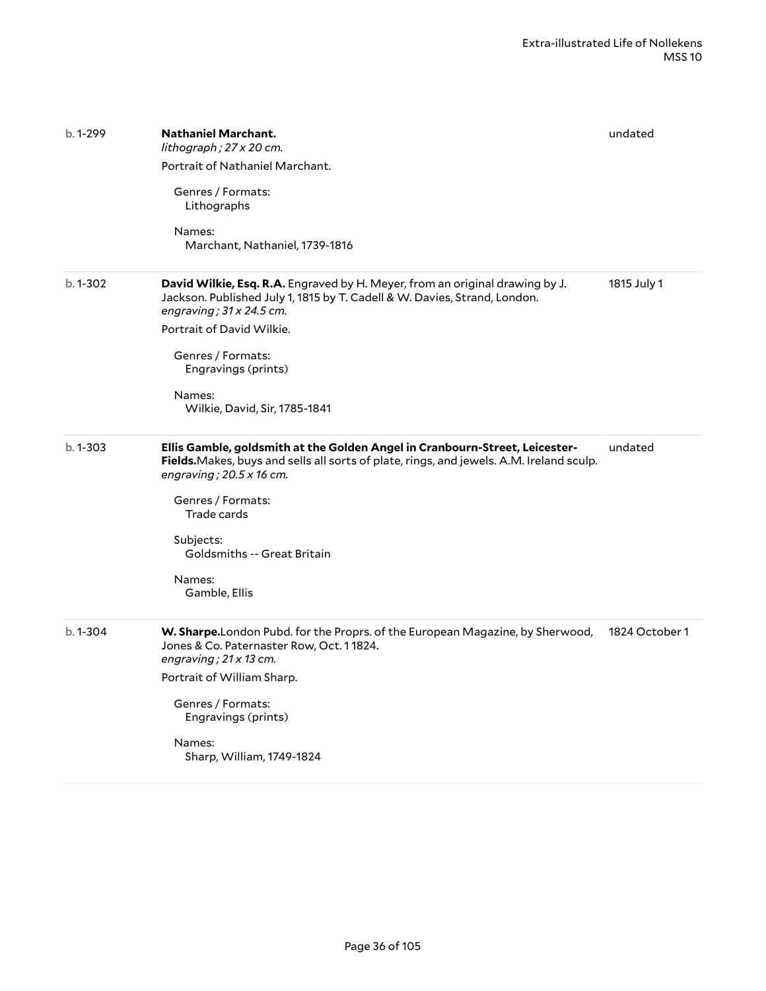| b. 1-299    | <b>Nathaniel Marchant.</b><br>lithograph; 27 x 20 cm.<br>Portrait of Nathaniel Marchant.<br>Genres / Formats:<br>Lithographs<br>Names:<br>Marchant, Nathaniel, 1739-1816                                                                                                                                                     | undated        |
|-------------|------------------------------------------------------------------------------------------------------------------------------------------------------------------------------------------------------------------------------------------------------------------------------------------------------------------------------|----------------|
| $b.1 - 302$ | David Wilkie, Esq. R.A. Engraved by H. Meyer, from an original drawing by J.<br>Jackson. Published July 1, 1815 by T. Cadell & W. Davies, Strand, London.<br>engraving; $31 \times 24.5$ cm.<br>Portrait of David Wilkie.<br>Genres / Formats:<br>Engravings (prints)<br>Names:<br>Wilkie, David, Sir, 1785-1841             | 1815 July 1    |
| $b.1 - 303$ | Ellis Gamble, goldsmith at the Golden Angel in Cranbourn-Street, Leicester-<br>Fields. Makes, buys and sells all sorts of plate, rings, and jewels. A.M. Ireland sculp.<br>engraving; $20.5 \times 16$ cm.<br>Genres / Formats:<br>Trade cards<br>Subjects:<br><b>Goldsmiths -- Great Britain</b><br>Names:<br>Gamble, Ellis | undated        |
| b. 1-304    | W. Sharpe.London Pubd. for the Proprs. of the European Magazine, by Sherwood,<br>Jones & Co. Paternaster Row, Oct. 11824.<br>engraving; $21 \times 13$ cm.<br>Portrait of William Sharp.<br>Genres / Formats:<br>Engravings (prints)<br>Names:<br>Sharp, William, 1749-1824                                                  | 1824 October 1 |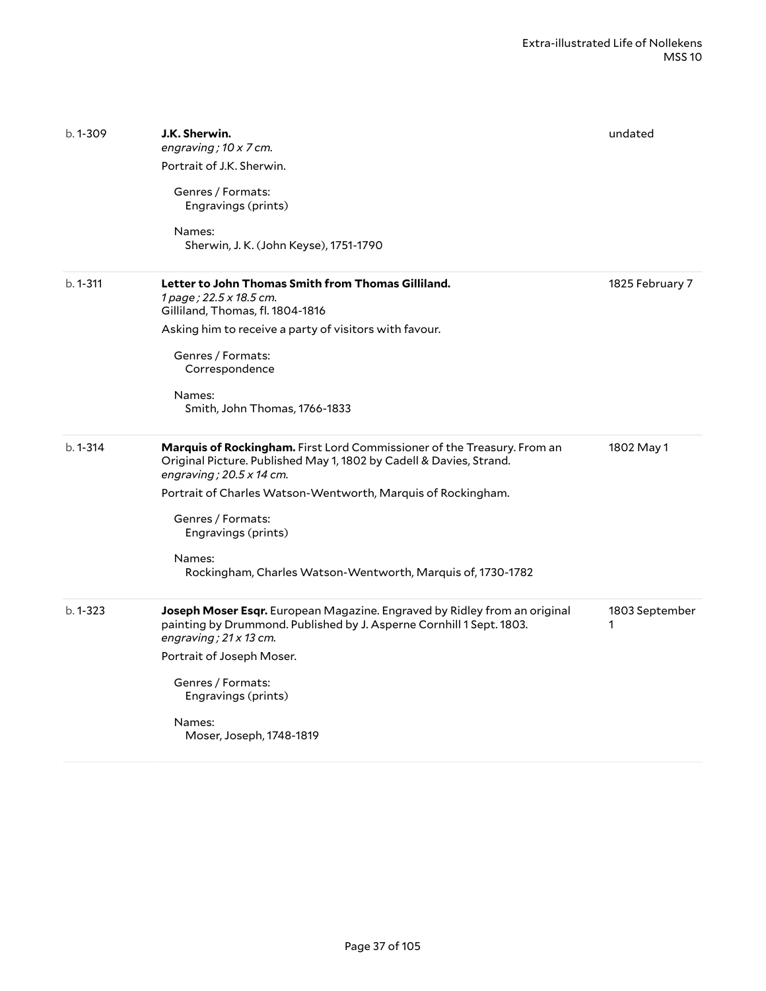| $b.1 - 309$  | J.K. Sherwin.<br>engraving; 10 x 7 cm.<br>Portrait of J.K. Sherwin.<br>Genres / Formats:<br>Engravings (prints)<br>Names:<br>Sherwin, J. K. (John Keyse), 1751-1790                                                                                                                                                                                                    | undated             |
|--------------|------------------------------------------------------------------------------------------------------------------------------------------------------------------------------------------------------------------------------------------------------------------------------------------------------------------------------------------------------------------------|---------------------|
| $b. 1 - 311$ | Letter to John Thomas Smith from Thomas Gilliland.<br>1 page; 22.5 x 18.5 cm.<br>Gilliland, Thomas, fl. 1804-1816<br>Asking him to receive a party of visitors with favour.<br>Genres / Formats:<br>Correspondence<br>Names:<br>Smith, John Thomas, 1766-1833                                                                                                          | 1825 February 7     |
| $b. 1 - 314$ | Marquis of Rockingham. First Lord Commissioner of the Treasury. From an<br>Original Picture. Published May 1, 1802 by Cadell & Davies, Strand.<br>engraving; $20.5 \times 14$ cm.<br>Portrait of Charles Watson-Wentworth, Marquis of Rockingham.<br>Genres / Formats:<br>Engravings (prints)<br>Names:<br>Rockingham, Charles Watson-Wentworth, Marquis of, 1730-1782 | 1802 May 1          |
| $b.1 - 323$  | Joseph Moser Esqr. European Magazine. Engraved by Ridley from an original<br>painting by Drummond. Published by J. Asperne Cornhill 1 Sept. 1803.<br>engraving; $21 \times 13$ cm.<br>Portrait of Joseph Moser.<br>Genres / Formats:<br>Engravings (prints)<br>Names:<br>Moser, Joseph, 1748-1819                                                                      | 1803 September<br>1 |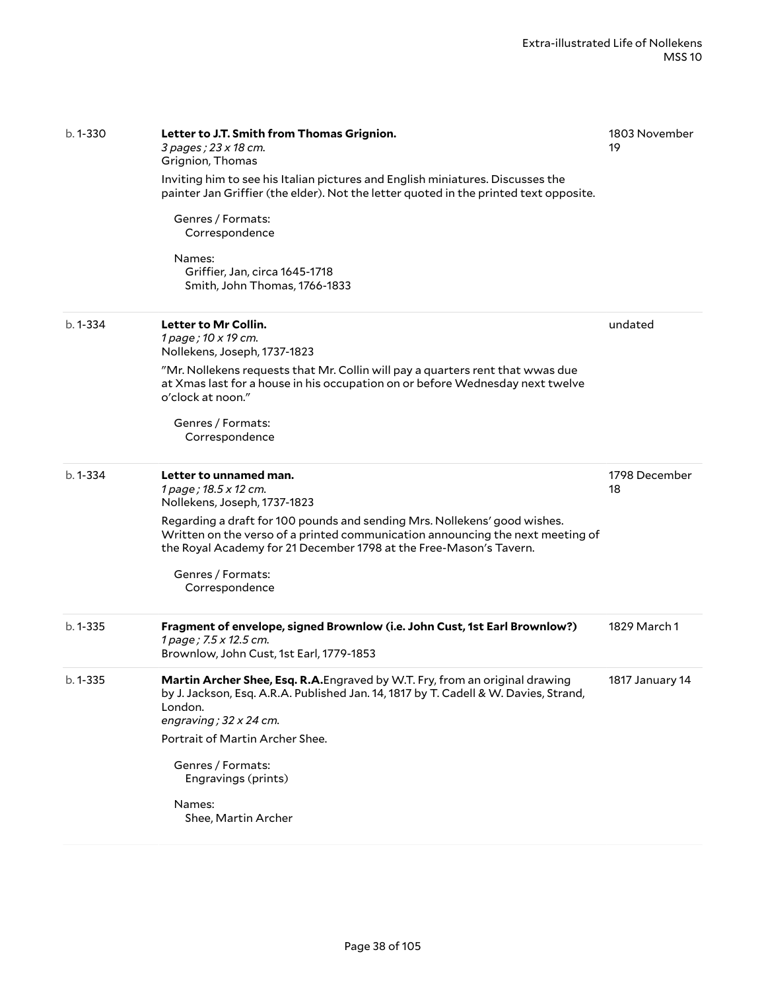| $b.1 - 330$  | Letter to J.T. Smith from Thomas Grignion.<br>3 pages; 23 x 18 cm.<br>Grignion, Thomas<br>Inviting him to see his Italian pictures and English miniatures. Discusses the<br>painter Jan Griffier (the elder). Not the letter quoted in the printed text opposite.<br>Genres / Formats:<br>Correspondence<br>Names:<br>Griffier, Jan, circa 1645-1718<br>Smith, John Thomas, 1766-1833 | 1803 November<br>19 |
|--------------|---------------------------------------------------------------------------------------------------------------------------------------------------------------------------------------------------------------------------------------------------------------------------------------------------------------------------------------------------------------------------------------|---------------------|
| $b.1 - 334$  | Letter to Mr Collin.<br>1 page; 10 x 19 cm.<br>Nollekens, Joseph, 1737-1823<br>"Mr. Nollekens requests that Mr. Collin will pay a quarters rent that wwas due<br>at Xmas last for a house in his occupation on or before Wednesday next twelve<br>o'clock at noon."<br>Genres / Formats:<br>Correspondence                                                                            | undated             |
| $b.1 - 334$  | Letter to unnamed man.<br>1 page; 18.5 x 12 cm.<br>Nollekens, Joseph, 1737-1823<br>Regarding a draft for 100 pounds and sending Mrs. Nollekens' good wishes.<br>Written on the verso of a printed communication announcing the next meeting of<br>the Royal Academy for 21 December 1798 at the Free-Mason's Tavern.<br>Genres / Formats:<br>Correspondence                           | 1798 December<br>18 |
| $b. 1 - 335$ | Fragment of envelope, signed Brownlow (i.e. John Cust, 1st Earl Brownlow?)<br>1 page; 7.5 x 12.5 cm.<br>Brownlow, John Cust, 1st Earl, 1779-1853                                                                                                                                                                                                                                      | 1829 March 1        |
| b. 1-335     | Martin Archer Shee, Esq. R.A. Engraved by W.T. Fry, from an original drawing<br>by J. Jackson, Esq. A.R.A. Published Jan. 14, 1817 by T. Cadell & W. Davies, Strand,<br>London.<br>engraving; 32 x 24 cm.<br>Portrait of Martin Archer Shee.<br>Genres / Formats:<br>Engravings (prints)<br>Names:<br>Shee, Martin Archer                                                             | 1817 January 14     |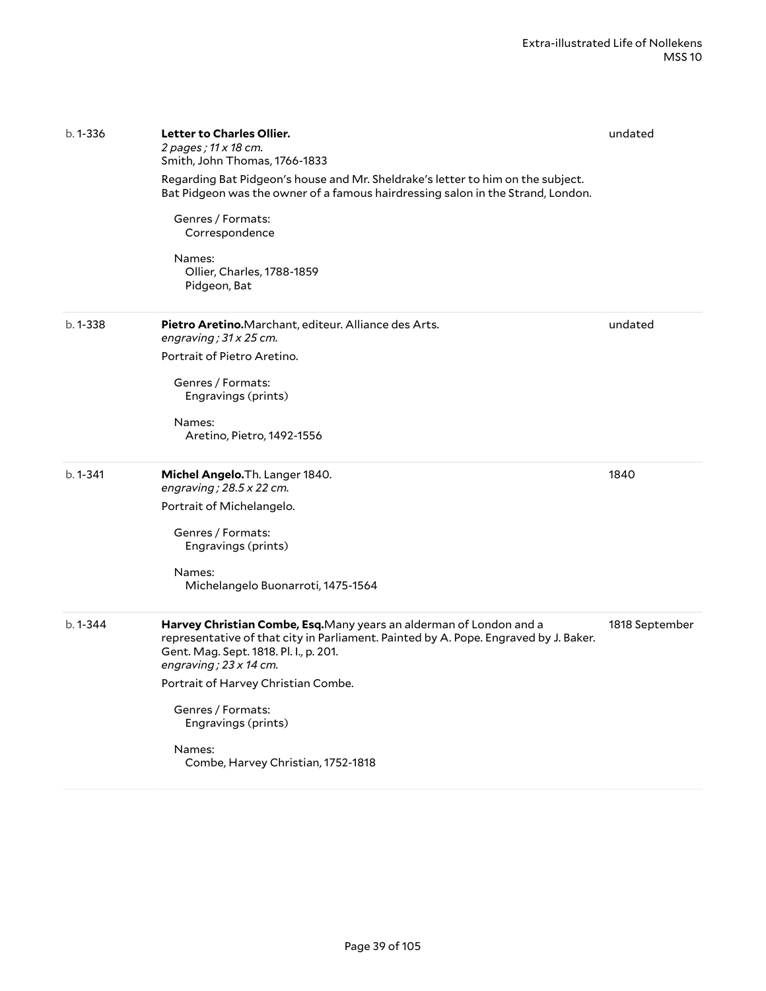| $b.1 - 336$  | <b>Letter to Charles Ollier.</b><br>2 pages ; 11 x 18 cm.<br>Smith, John Thomas, 1766-1833                                                                                                                                             | undated        |
|--------------|----------------------------------------------------------------------------------------------------------------------------------------------------------------------------------------------------------------------------------------|----------------|
|              | Regarding Bat Pidgeon's house and Mr. Sheldrake's letter to him on the subject.<br>Bat Pidgeon was the owner of a famous hairdressing salon in the Strand, London.                                                                     |                |
|              | Genres / Formats:<br>Correspondence                                                                                                                                                                                                    |                |
|              | Names:<br>Ollier, Charles, 1788-1859<br>Pidgeon, Bat                                                                                                                                                                                   |                |
| $b.1 - 338$  | <b>Pietro Aretino.</b> Marchant, editeur. Alliance des Arts.<br>engraving; $31 \times 25$ cm.                                                                                                                                          | undated        |
|              | Portrait of Pietro Aretino.                                                                                                                                                                                                            |                |
|              | Genres / Formats:<br>Engravings (prints)                                                                                                                                                                                               |                |
|              | Names:<br>Aretino, Pietro, 1492-1556                                                                                                                                                                                                   |                |
| $b. 1 - 341$ | Michel Angelo. Th. Langer 1840.<br>engraving; $28.5 \times 22$ cm.                                                                                                                                                                     | 1840           |
|              | Portrait of Michelangelo.                                                                                                                                                                                                              |                |
|              | Genres / Formats:<br>Engravings (prints)                                                                                                                                                                                               |                |
|              | Names:<br>Michelangelo Buonarroti, 1475-1564                                                                                                                                                                                           |                |
| $b.1 - 344$  | Harvey Christian Combe, Esq. Many years an alderman of London and a<br>representative of that city in Parliament. Painted by A. Pope. Engraved by J. Baker.<br>Gent. Mag. Sept. 1818. Pl. I., p. 201.<br>engraving; $23 \times 14$ cm. | 1818 September |
|              | Portrait of Harvey Christian Combe.                                                                                                                                                                                                    |                |
|              | Genres / Formats:<br>Engravings (prints)                                                                                                                                                                                               |                |
|              | Names:<br>Combe, Harvey Christian, 1752-1818                                                                                                                                                                                           |                |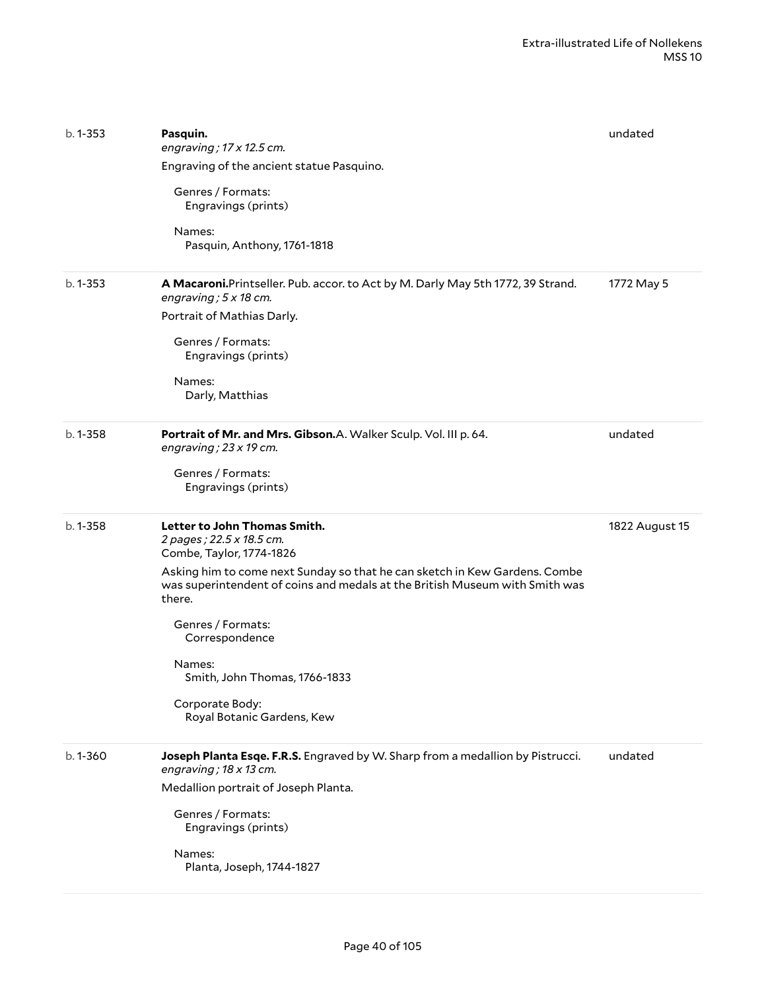| $b. 1 - 353$ | Pasquin.<br>engraving; $17 \times 12.5$ cm.<br>Engraving of the ancient statue Pasquino.<br>Genres / Formats:<br>Engravings (prints)<br>Names:<br>Pasquin, Anthony, 1761-1818                                                                                                                                                                                                                  | undated        |
|--------------|------------------------------------------------------------------------------------------------------------------------------------------------------------------------------------------------------------------------------------------------------------------------------------------------------------------------------------------------------------------------------------------------|----------------|
| $b. 1 - 353$ | A Macaroni. Printseller. Pub. accor. to Act by M. Darly May 5th 1772, 39 Strand.<br>engraving; $5 \times 18$ cm.<br>Portrait of Mathias Darly.<br>Genres / Formats:<br>Engravings (prints)<br>Names:<br>Darly, Matthias                                                                                                                                                                        | 1772 May 5     |
| $b. 1 - 358$ | Portrait of Mr. and Mrs. Gibson.A. Walker Sculp. Vol. III p. 64.<br>engraving; $23 \times 19$ cm.<br>Genres / Formats:<br>Engravings (prints)                                                                                                                                                                                                                                                  | undated        |
| $b.1 - 358$  | Letter to John Thomas Smith.<br>2 pages; 22.5 x 18.5 cm.<br>Combe, Taylor, 1774-1826<br>Asking him to come next Sunday so that he can sketch in Kew Gardens. Combe<br>was superintendent of coins and medals at the British Museum with Smith was<br>there.<br>Genres / Formats:<br>Correspondence<br>Names:<br>Smith, John Thomas, 1766-1833<br>Corporate Body:<br>Royal Botanic Gardens, Kew | 1822 August 15 |
| b. 1-360     | Joseph Planta Esqe. F.R.S. Engraved by W. Sharp from a medallion by Pistrucci.<br>engraving; 18 x 13 cm.<br>Medallion portrait of Joseph Planta.<br>Genres / Formats:<br>Engravings (prints)<br>Names:<br>Planta, Joseph, 1744-1827                                                                                                                                                            | undated        |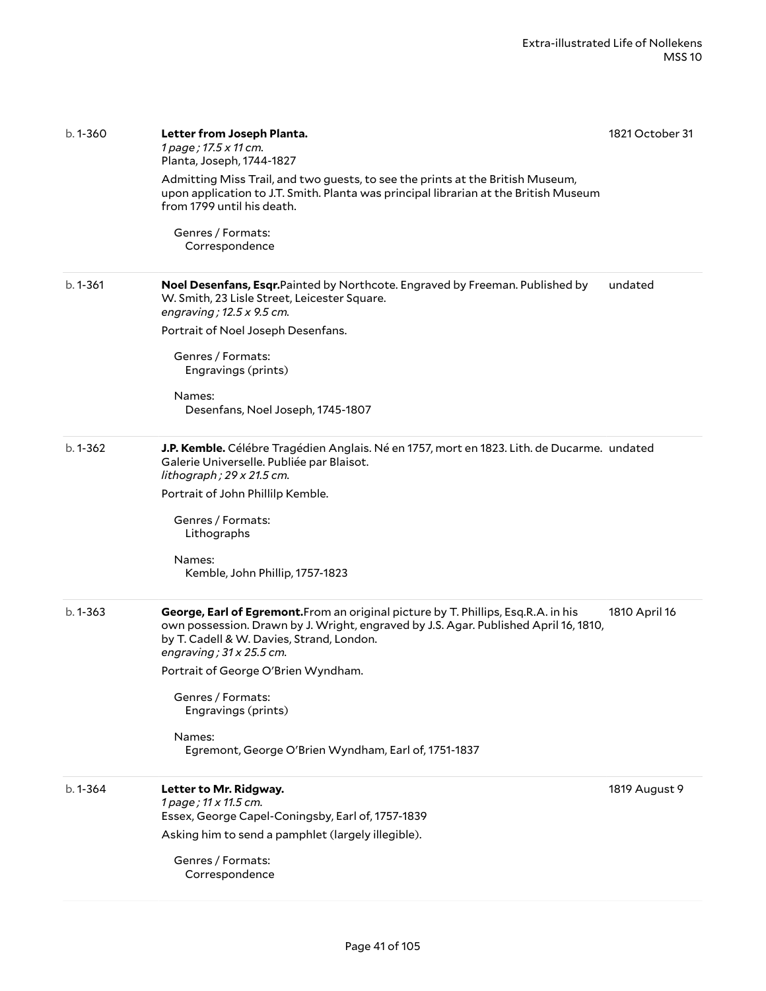| b. 1-360     | Letter from Joseph Planta.<br>1 page; 17.5 x 11 cm.<br>Planta, Joseph, 1744-1827<br>Admitting Miss Trail, and two guests, to see the prints at the British Museum,<br>upon application to J.T. Smith. Planta was principal librarian at the British Museum<br>from 1799 until his death.<br>Genres / Formats:<br>Correspondence                                                                                   | 1821 October 31 |
|--------------|-------------------------------------------------------------------------------------------------------------------------------------------------------------------------------------------------------------------------------------------------------------------------------------------------------------------------------------------------------------------------------------------------------------------|-----------------|
| b. 1-361     | Noel Desenfans, Esqr.Painted by Northcote. Engraved by Freeman. Published by<br>W. Smith, 23 Lisle Street, Leicester Square.<br>engraving; 12.5 x 9.5 cm.<br>Portrait of Noel Joseph Desenfans.<br>Genres / Formats:<br>Engravings (prints)<br>Names:<br>Desenfans, Noel Joseph, 1745-1807                                                                                                                        | undated         |
| b. 1-362     | J.P. Kemble. Célébre Tragédien Anglais. Né en 1757, mort en 1823. Lith. de Ducarme. undated<br>Galerie Universelle. Publiée par Blaisot.<br>lithograph; 29 x 21.5 cm.<br>Portrait of John Phillilp Kemble.<br>Genres / Formats:<br>Lithographs<br>Names:<br>Kemble, John Phillip, 1757-1823                                                                                                                       |                 |
| $b. 1 - 363$ | George, Earl of Egremont. From an original picture by T. Phillips, Esq. R. A. in his<br>own possession. Drawn by J. Wright, engraved by J.S. Agar. Published April 16, 1810,<br>by T. Cadell & W. Davies, Strand, London.<br>engraving; $31 \times 25.5$ cm.<br>Portrait of George O'Brien Wyndham.<br>Genres / Formats:<br>Engravings (prints)<br>Names:<br>Egremont, George O'Brien Wyndham, Earl of, 1751-1837 | 1810 April 16   |
| b. 1-364     | Letter to Mr. Ridgway.<br>1 page; 11 x 11.5 cm.<br>Essex, George Capel-Coningsby, Earl of, 1757-1839<br>Asking him to send a pamphlet (largely illegible).<br>Genres / Formats:<br>Correspondence                                                                                                                                                                                                                 | 1819 August 9   |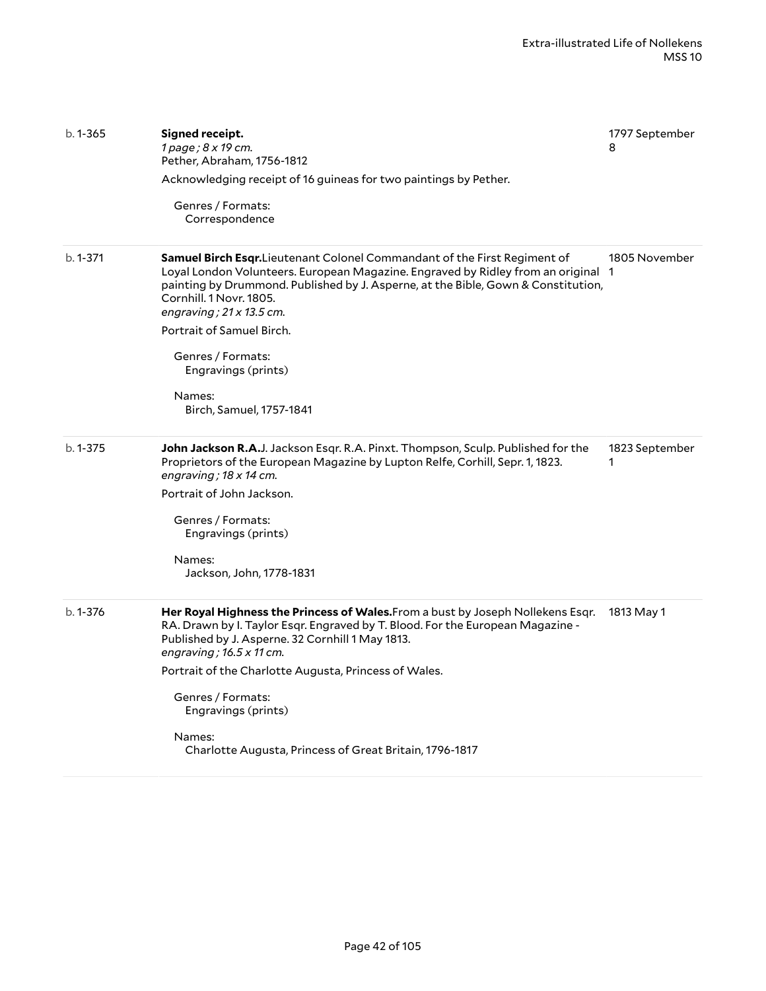| $b.1 - 365$  | Signed receipt.<br>1 page; 8 x 19 cm.<br>Pether, Abraham, 1756-1812<br>Acknowledging receipt of 16 guineas for two paintings by Pether.<br>Genres / Formats:<br>Correspondence                                                                                                                                                                                                                                                     | 1797 September<br>8 |
|--------------|------------------------------------------------------------------------------------------------------------------------------------------------------------------------------------------------------------------------------------------------------------------------------------------------------------------------------------------------------------------------------------------------------------------------------------|---------------------|
| $b. 1 - 371$ | Samuel Birch Esqr.Lieutenant Colonel Commandant of the First Regiment of<br>Loyal London Volunteers. European Magazine. Engraved by Ridley from an original 1<br>painting by Drummond. Published by J. Asperne, at the Bible, Gown & Constitution,<br>Cornhill. 1 Novr. 1805.<br>engraving; $21 \times 13.5$ cm.<br>Portrait of Samuel Birch.<br>Genres / Formats:<br>Engravings (prints)<br>Names:<br>Birch, Samuel, 1757-1841    | 1805 November       |
| $b. 1 - 375$ | John Jackson R.A.J. Jackson Esqr. R.A. Pinxt. Thompson, Sculp. Published for the<br>Proprietors of the European Magazine by Lupton Relfe, Corhill, Sepr. 1, 1823.<br>engraving; 18 x 14 cm.<br>Portrait of John Jackson.<br>Genres / Formats:<br>Engravings (prints)<br>Names:<br>Jackson, John, 1778-1831                                                                                                                         | 1823 September<br>1 |
| b. 1-376     | Her Royal Highness the Princess of Wales. From a bust by Joseph Nollekens Esqr.<br>RA. Drawn by I. Taylor Esqr. Engraved by T. Blood. For the European Magazine -<br>Published by J. Asperne. 32 Cornhill 1 May 1813.<br>engraving; $16.5 \times 11$ cm.<br>Portrait of the Charlotte Augusta, Princess of Wales.<br>Genres / Formats:<br>Engravings (prints)<br>Names:<br>Charlotte Augusta, Princess of Great Britain, 1796-1817 | 1813 May 1          |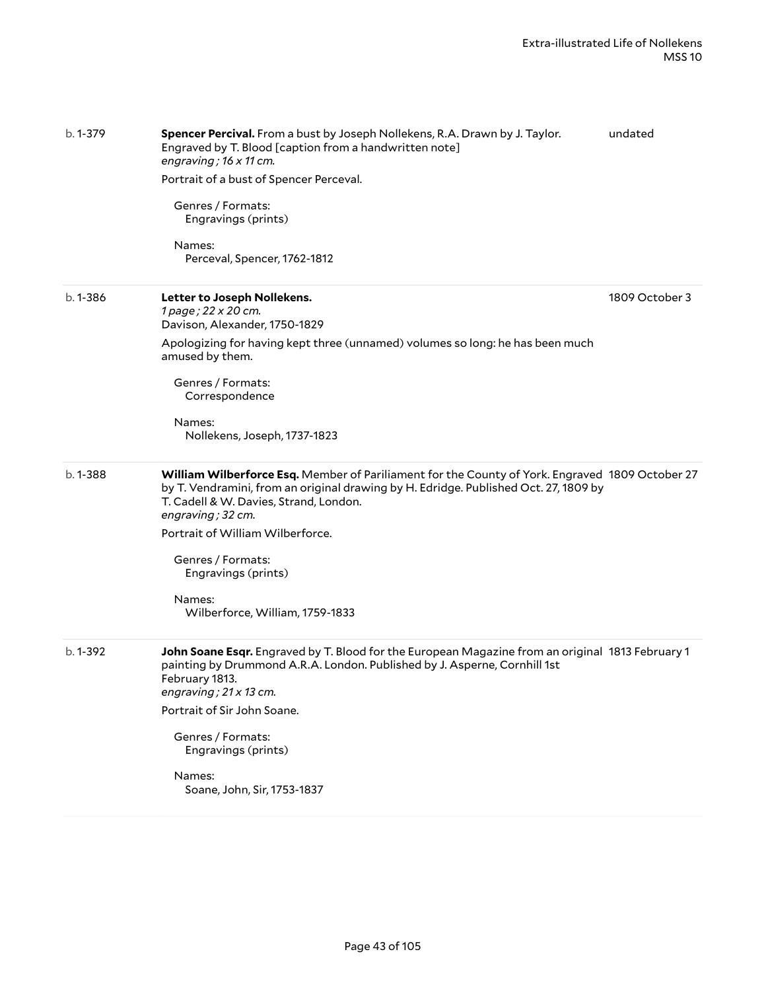| b. 1-379    | Spencer Percival. From a bust by Joseph Nollekens, R.A. Drawn by J. Taylor.<br>Engraved by T. Blood [caption from a handwritten note]<br>engraving; 16 x 11 cm.                                                                                        | undated        |
|-------------|--------------------------------------------------------------------------------------------------------------------------------------------------------------------------------------------------------------------------------------------------------|----------------|
|             | Portrait of a bust of Spencer Perceval.                                                                                                                                                                                                                |                |
|             | Genres / Formats:<br>Engravings (prints)                                                                                                                                                                                                               |                |
|             | Names:<br>Perceval, Spencer, 1762-1812                                                                                                                                                                                                                 |                |
| $b.1 - 386$ | Letter to Joseph Nollekens.<br>1 page; 22 x 20 cm.<br>Davison, Alexander, 1750-1829                                                                                                                                                                    | 1809 October 3 |
|             | Apologizing for having kept three (unnamed) volumes so long: he has been much<br>amused by them.                                                                                                                                                       |                |
|             | Genres / Formats:<br>Correspondence                                                                                                                                                                                                                    |                |
|             | Names:<br>Nollekens, Joseph, 1737-1823                                                                                                                                                                                                                 |                |
| $b.1 - 388$ | William Wilberforce Esq. Member of Pariliament for the County of York. Engraved 1809 October 27<br>by T. Vendramini, from an original drawing by H. Edridge. Published Oct. 27, 1809 by<br>T. Cadell & W. Davies, Strand, London.<br>engraving; 32 cm. |                |
|             | Portrait of William Wilberforce.                                                                                                                                                                                                                       |                |
|             | Genres / Formats:<br>Engravings (prints)                                                                                                                                                                                                               |                |
|             | Names:<br>Wilberforce, William, 1759-1833                                                                                                                                                                                                              |                |
| b. 1-392    | John Soane Esqr. Engraved by T. Blood for the European Magazine from an original 1813 February 1<br>painting by Drummond A.R.A. London. Published by J. Asperne, Cornhill 1st<br>February 1813.<br>engraving; $21 \times 13$ cm.                       |                |
|             | Portrait of Sir John Soane.                                                                                                                                                                                                                            |                |
|             | Genres / Formats:<br>Engravings (prints)                                                                                                                                                                                                               |                |
|             | Names:<br>Soane, John, Sir, 1753-1837                                                                                                                                                                                                                  |                |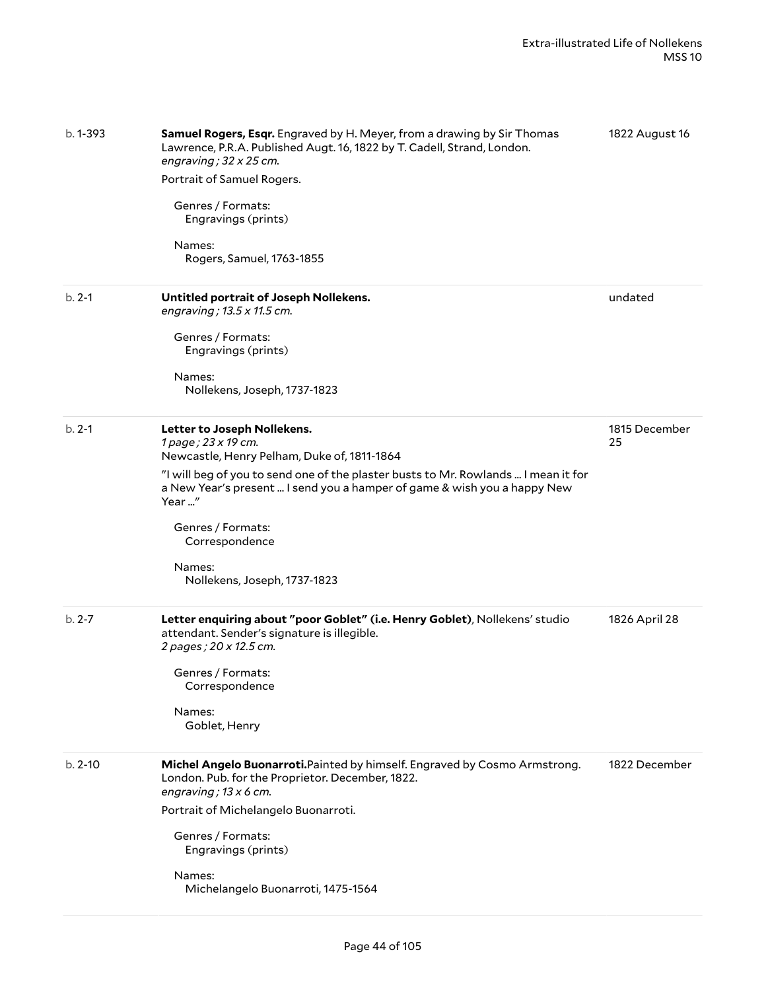| b. 1-393    | <b>Samuel Rogers, Esqr.</b> Engraved by H. Meyer, from a drawing by Sir Thomas<br>Lawrence, P.R.A. Published Augt. 16, 1822 by T. Cadell, Strand, London.<br>engraving; $32 \times 25$ cm.<br>Portrait of Samuel Rogers.<br>Genres / Formats:<br>Engravings (prints)<br>Names:<br>Rogers, Samuel, 1763-1855                                                    | 1822 August 16      |
|-------------|----------------------------------------------------------------------------------------------------------------------------------------------------------------------------------------------------------------------------------------------------------------------------------------------------------------------------------------------------------------|---------------------|
| $b. 2-1$    | Untitled portrait of Joseph Nollekens.<br>engraving; 13.5 x 11.5 cm.<br>Genres / Formats:<br>Engravings (prints)<br>Names:<br>Nollekens, Joseph, 1737-1823                                                                                                                                                                                                     | undated             |
| $b. 2-1$    | Letter to Joseph Nollekens.<br>1 page; 23 x 19 cm.<br>Newcastle, Henry Pelham, Duke of, 1811-1864<br>"I will beg of you to send one of the plaster busts to Mr. Rowlands  I mean it for<br>a New Year's present  I send you a hamper of game & wish you a happy New<br>Year "<br>Genres / Formats:<br>Correspondence<br>Names:<br>Nollekens, Joseph, 1737-1823 | 1815 December<br>25 |
| $b. 2 - 7$  | Letter enquiring about "poor Goblet" (i.e. Henry Goblet), Nollekens' studio<br>attendant. Sender's signature is illegible.<br>2 pages ; 20 x 12.5 cm.<br>Genres / Formats:<br>Correspondence<br>Names:<br>Goblet, Henry                                                                                                                                        | 1826 April 28       |
| $b. 2 - 10$ | Michel Angelo Buonarroti. Painted by himself. Engraved by Cosmo Armstrong.<br>London. Pub. for the Proprietor. December, 1822.<br>engraving; $13 \times 6$ cm.<br>Portrait of Michelangelo Buonarroti.<br>Genres / Formats:<br>Engravings (prints)<br>Names:<br>Michelangelo Buonarroti, 1475-1564                                                             | 1822 December       |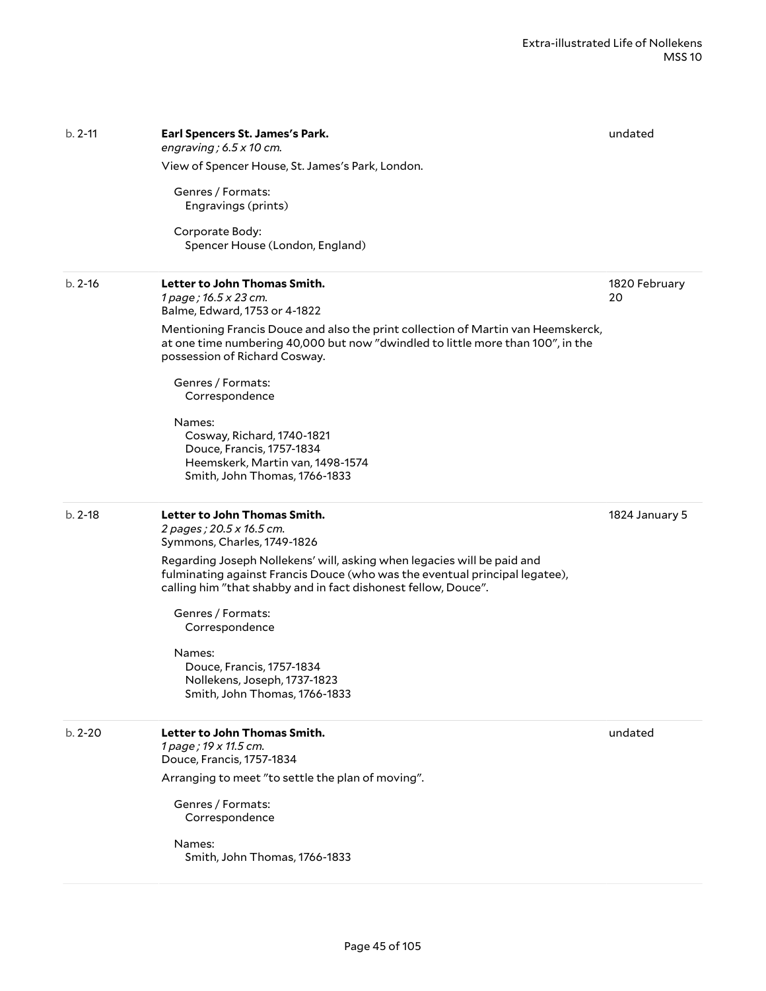| $b. 2-11$   | Earl Spencers St. James's Park.<br>engraving; $6.5 \times 10$ cm.                                                                                                                                                        | undated             |
|-------------|--------------------------------------------------------------------------------------------------------------------------------------------------------------------------------------------------------------------------|---------------------|
|             | View of Spencer House, St. James's Park, London.                                                                                                                                                                         |                     |
|             | Genres / Formats:<br>Engravings (prints)                                                                                                                                                                                 |                     |
|             | Corporate Body:<br>Spencer House (London, England)                                                                                                                                                                       |                     |
| $b. 2 - 16$ | Letter to John Thomas Smith.<br>1 page; 16.5 x 23 cm.<br>Balme, Edward, 1753 or 4-1822                                                                                                                                   | 1820 February<br>20 |
|             | Mentioning Francis Douce and also the print collection of Martin van Heemskerck,<br>at one time numbering 40,000 but now "dwindled to little more than 100", in the<br>possession of Richard Cosway.                     |                     |
|             | Genres / Formats:<br>Correspondence                                                                                                                                                                                      |                     |
|             | Names:<br>Cosway, Richard, 1740-1821<br>Douce, Francis, 1757-1834<br>Heemskerk, Martin van, 1498-1574<br>Smith, John Thomas, 1766-1833                                                                                   |                     |
| $b. 2-18$   | Letter to John Thomas Smith.<br>2 pages; 20.5 x 16.5 cm.<br>Symmons, Charles, 1749-1826                                                                                                                                  | 1824 January 5      |
|             | Regarding Joseph Nollekens' will, asking when legacies will be paid and<br>fulminating against Francis Douce (who was the eventual principal legatee),<br>calling him "that shabby and in fact dishonest fellow, Douce". |                     |
|             | Genres / Formats:<br>Correspondence                                                                                                                                                                                      |                     |
|             | Names:<br>Douce, Francis, 1757-1834<br>Nollekens, Joseph, 1737-1823<br>Smith, John Thomas, 1766-1833                                                                                                                     |                     |
| $b. 2 - 20$ | Letter to John Thomas Smith.<br>1 page; 19 x 11.5 cm.<br>Douce, Francis, 1757-1834                                                                                                                                       | undated             |
|             | Arranging to meet "to settle the plan of moving".                                                                                                                                                                        |                     |
|             | Genres / Formats:<br>Correspondence                                                                                                                                                                                      |                     |
|             | Names:<br>Smith, John Thomas, 1766-1833                                                                                                                                                                                  |                     |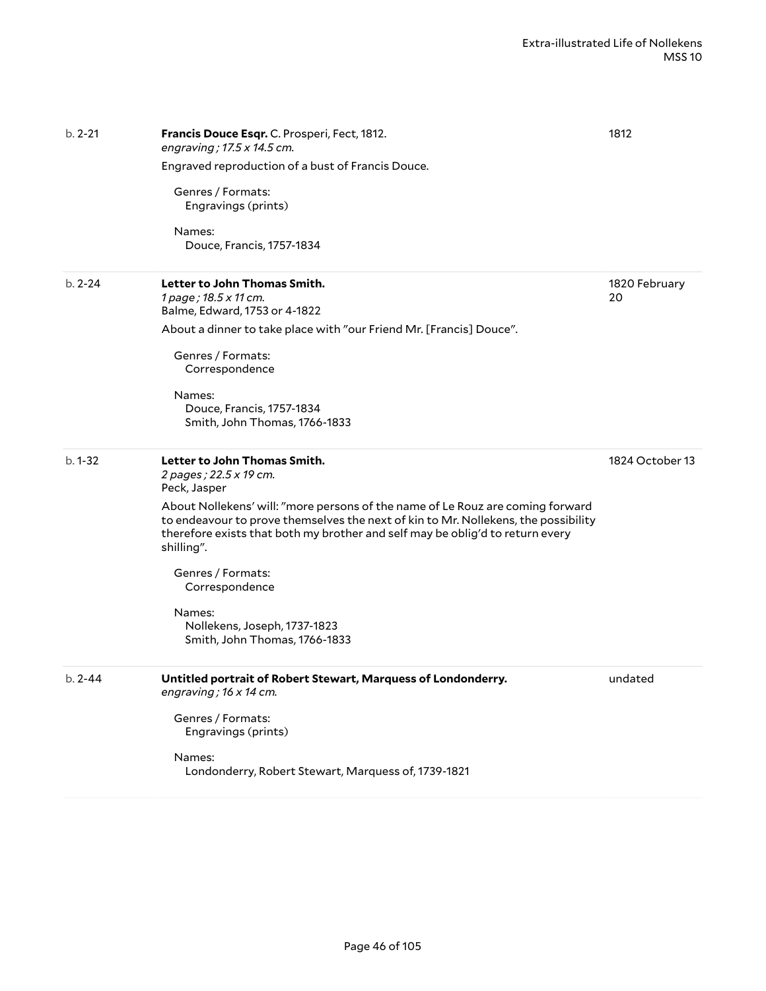| $b. 2 - 21$ | Francis Douce Esqr. C. Prosperi, Fect, 1812.<br>engraving; 17.5 x 14.5 cm.                                                                                                                                                                                          | 1812                |
|-------------|---------------------------------------------------------------------------------------------------------------------------------------------------------------------------------------------------------------------------------------------------------------------|---------------------|
|             | Engraved reproduction of a bust of Francis Douce.                                                                                                                                                                                                                   |                     |
|             | Genres / Formats:<br>Engravings (prints)                                                                                                                                                                                                                            |                     |
|             | Names:<br>Douce, Francis, 1757-1834                                                                                                                                                                                                                                 |                     |
| $b. 2 - 24$ | Letter to John Thomas Smith.<br>1 page; 18.5 x 11 cm.<br>Balme, Edward, 1753 or 4-1822                                                                                                                                                                              | 1820 February<br>20 |
|             | About a dinner to take place with "our Friend Mr. [Francis] Douce".                                                                                                                                                                                                 |                     |
|             | Genres / Formats:<br>Correspondence                                                                                                                                                                                                                                 |                     |
|             | Names:<br>Douce, Francis, 1757-1834<br>Smith, John Thomas, 1766-1833                                                                                                                                                                                                |                     |
| $b.1 - 32$  | Letter to John Thomas Smith.<br>2 pages ; 22.5 x 19 cm.<br>Peck, Jasper                                                                                                                                                                                             | 1824 October 13     |
|             | About Nollekens' will: "more persons of the name of Le Rouz are coming forward<br>to endeavour to prove themselves the next of kin to Mr. Nollekens, the possibility<br>therefore exists that both my brother and self may be oblig'd to return every<br>shilling". |                     |
|             | Genres / Formats:<br>Correspondence                                                                                                                                                                                                                                 |                     |
|             | Names:<br>Nollekens, Joseph, 1737-1823<br>Smith, John Thomas, 1766-1833                                                                                                                                                                                             |                     |
| $b. 2 - 44$ | Untitled portrait of Robert Stewart, Marquess of Londonderry.<br>engraving; 16 x 14 cm.                                                                                                                                                                             | undated             |
|             | Genres / Formats:<br>Engravings (prints)                                                                                                                                                                                                                            |                     |
|             | Names:<br>Londonderry, Robert Stewart, Marquess of, 1739-1821                                                                                                                                                                                                       |                     |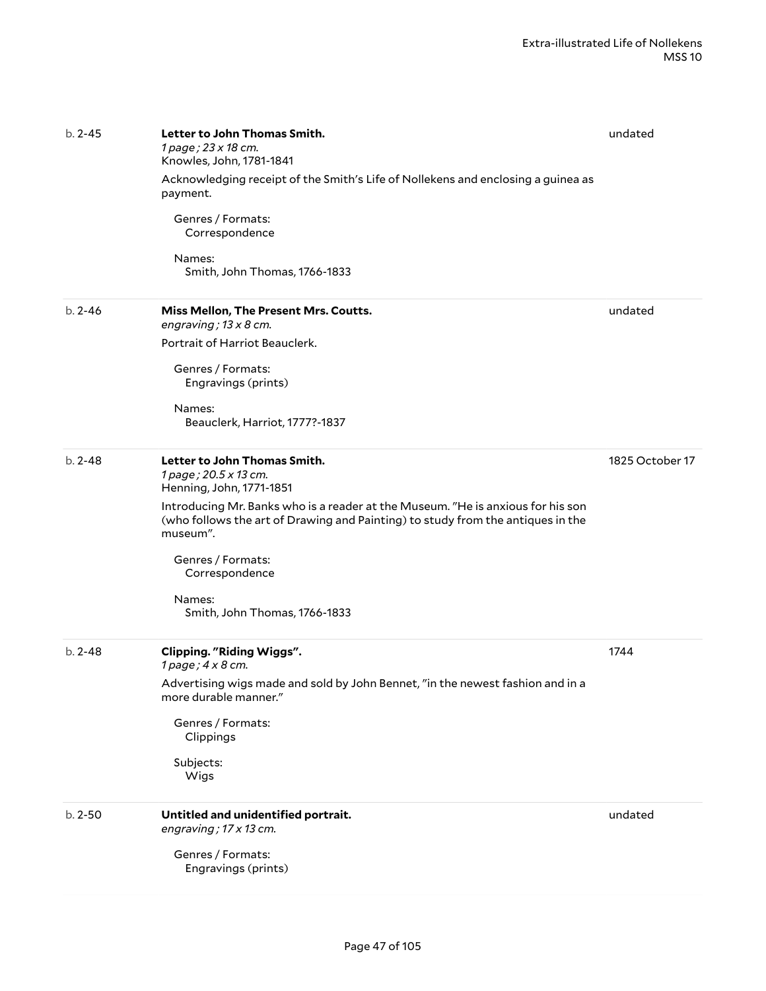| $b. 2 - 45$ | Letter to John Thomas Smith.<br>1 page; 23 x 18 cm.<br>Knowles, John, 1781-1841<br>Acknowledging receipt of the Smith's Life of Nollekens and enclosing a guinea as<br>payment.<br>Genres / Formats:<br>Correspondence<br>Names:<br>Smith, John Thomas, 1766-1833                                                                                     | undated         |
|-------------|-------------------------------------------------------------------------------------------------------------------------------------------------------------------------------------------------------------------------------------------------------------------------------------------------------------------------------------------------------|-----------------|
| $b. 2 - 46$ | Miss Mellon, The Present Mrs. Coutts.<br>engraving; $13 \times 8$ cm.<br>Portrait of Harriot Beauclerk.<br>Genres / Formats:<br>Engravings (prints)<br>Names:<br>Beauclerk, Harriot, 1777?-1837                                                                                                                                                       | undated         |
| $b. 2 - 48$ | Letter to John Thomas Smith.<br>1 page; 20.5 x 13 cm.<br>Henning, John, 1771-1851<br>Introducing Mr. Banks who is a reader at the Museum. "He is anxious for his son<br>(who follows the art of Drawing and Painting) to study from the antiques in the<br>museum".<br>Genres / Formats:<br>Correspondence<br>Names:<br>Smith, John Thomas, 1766-1833 | 1825 October 17 |
| $b. 2 - 48$ | <b>Clipping. "Riding Wiggs".</b><br>1 page; 4 x 8 cm.<br>Advertising wigs made and sold by John Bennet, "in the newest fashion and in a<br>more durable manner."<br>Genres / Formats:<br>Clippings<br>Subjects:<br>Wigs                                                                                                                               | 1744            |
| $b. 2 - 50$ | Untitled and unidentified portrait.<br>engraving; 17 x 13 cm.<br>Genres / Formats:<br>Engravings (prints)                                                                                                                                                                                                                                             | undated         |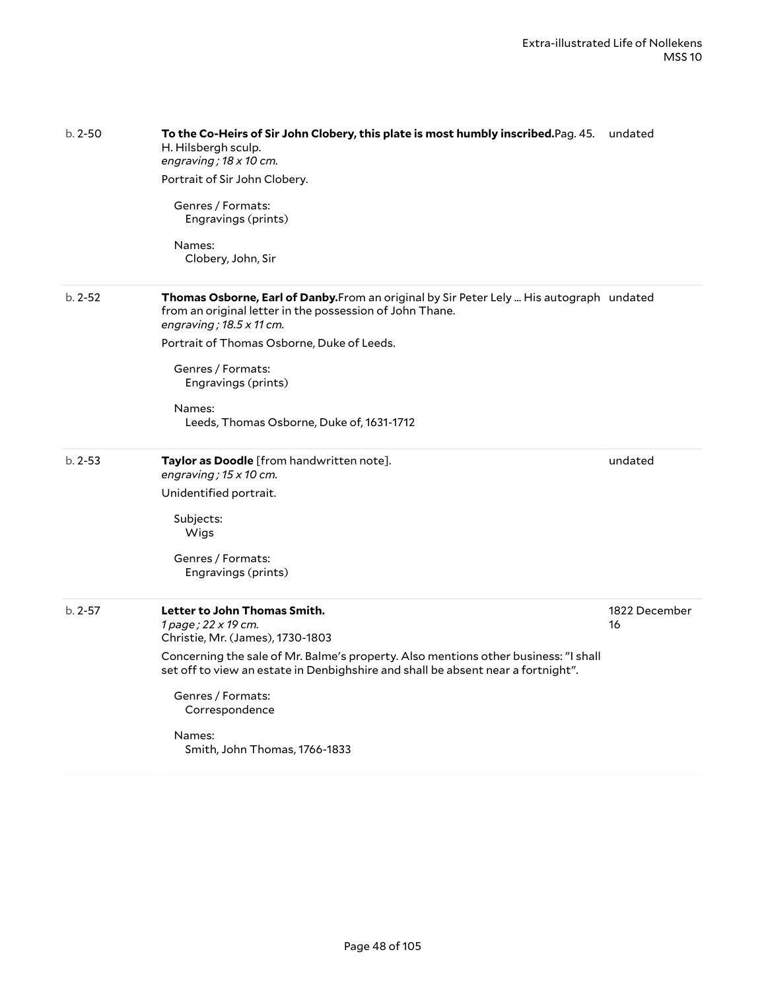| $b. 2 - 50$ | To the Co-Heirs of Sir John Clobery, this plate is most humbly inscribed.Pag. 45. undated<br>H. Hilsbergh sculp.<br>engraving; $18 \times 10$ cm.<br>Portrait of Sir John Clobery.<br>Genres / Formats:<br>Engravings (prints)<br>Names:<br>Clobery, John, Sir                                                                                       |                     |
|-------------|------------------------------------------------------------------------------------------------------------------------------------------------------------------------------------------------------------------------------------------------------------------------------------------------------------------------------------------------------|---------------------|
| $b. 2 - 52$ | Thomas Osborne, Earl of Danby. From an original by Sir Peter Lely  His autograph undated<br>from an original letter in the possession of John Thane.<br>engraving; $18.5 \times 11$ cm.<br>Portrait of Thomas Osborne, Duke of Leeds.<br>Genres / Formats:<br>Engravings (prints)<br>Names:<br>Leeds, Thomas Osborne, Duke of, 1631-1712             |                     |
| $b. 2 - 53$ | Taylor as Doodle [from handwritten note].<br>engraving; $15 \times 10$ cm.<br>Unidentified portrait.<br>Subjects:<br>Wigs<br>Genres / Formats:<br>Engravings (prints)                                                                                                                                                                                | undated             |
| $b. 2 - 57$ | Letter to John Thomas Smith.<br>1 page; 22 x 19 cm.<br>Christie, Mr. (James), 1730-1803<br>Concerning the sale of Mr. Balme's property. Also mentions other business: "I shall<br>set off to view an estate in Denbighshire and shall be absent near a fortnight".<br>Genres / Formats:<br>Correspondence<br>Names:<br>Smith, John Thomas, 1766-1833 | 1822 December<br>16 |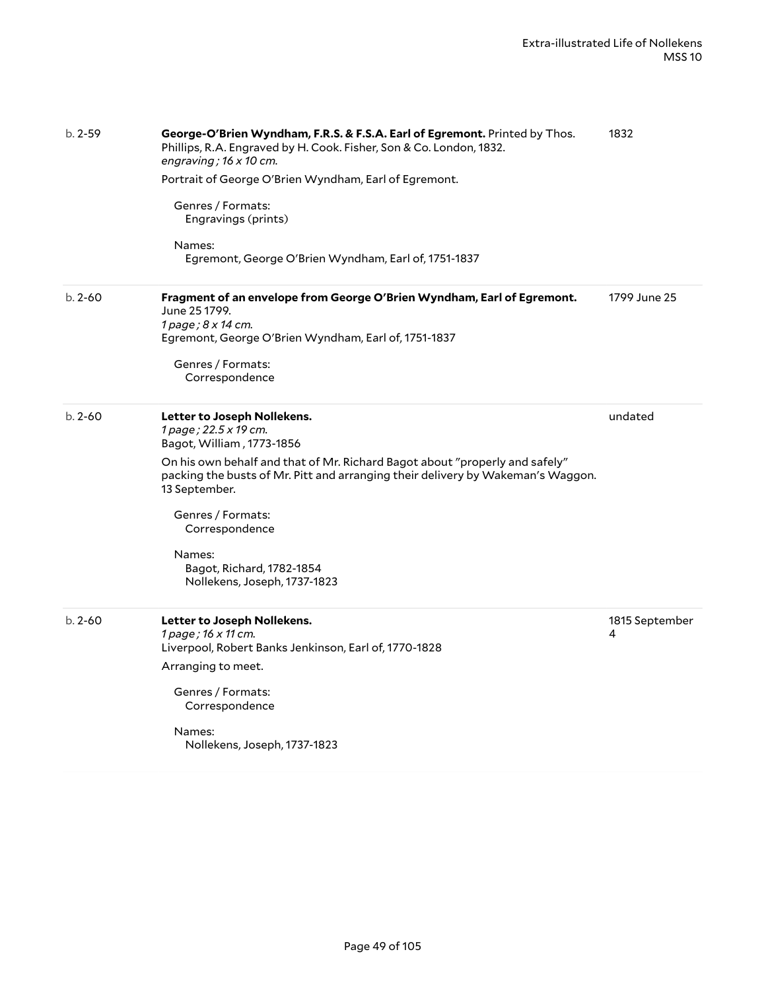| $b. 2 - 59$ | George-O'Brien Wyndham, F.R.S. & F.S.A. Earl of Egremont. Printed by Thos.<br>Phillips, R.A. Engraved by H. Cook. Fisher, Son & Co. London, 1832.<br>engraving; $16 \times 10$ cm.<br>Portrait of George O'Brien Wyndham, Earl of Egremont.<br>Genres / Formats:<br>Engravings (prints)<br>Names:<br>Egremont, George O'Brien Wyndham, Earl of, 1751-1837                          | 1832                |
|-------------|------------------------------------------------------------------------------------------------------------------------------------------------------------------------------------------------------------------------------------------------------------------------------------------------------------------------------------------------------------------------------------|---------------------|
| $b. 2 - 60$ | Fragment of an envelope from George O'Brien Wyndham, Earl of Egremont.<br>June 25 1799.<br>1 page; 8 x 14 cm.<br>Egremont, George O'Brien Wyndham, Earl of, 1751-1837<br>Genres / Formats:<br>Correspondence                                                                                                                                                                       | 1799 June 25        |
| $b. 2 - 60$ | Letter to Joseph Nollekens.<br>1 page; 22.5 x 19 cm.<br>Bagot, William, 1773-1856<br>On his own behalf and that of Mr. Richard Bagot about "properly and safely"<br>packing the busts of Mr. Pitt and arranging their delivery by Wakeman's Waggon.<br>13 September.<br>Genres / Formats:<br>Correspondence<br>Names:<br>Bagot, Richard, 1782-1854<br>Nollekens, Joseph, 1737-1823 | undated             |
| $b. 2 - 60$ | Letter to Joseph Nollekens.<br>1 page; 16 x 11 cm.<br>Liverpool, Robert Banks Jenkinson, Earl of, 1770-1828<br>Arranging to meet.<br>Genres / Formats:<br>Correspondence<br>Names:<br>Nollekens, Joseph, 1737-1823                                                                                                                                                                 | 1815 September<br>4 |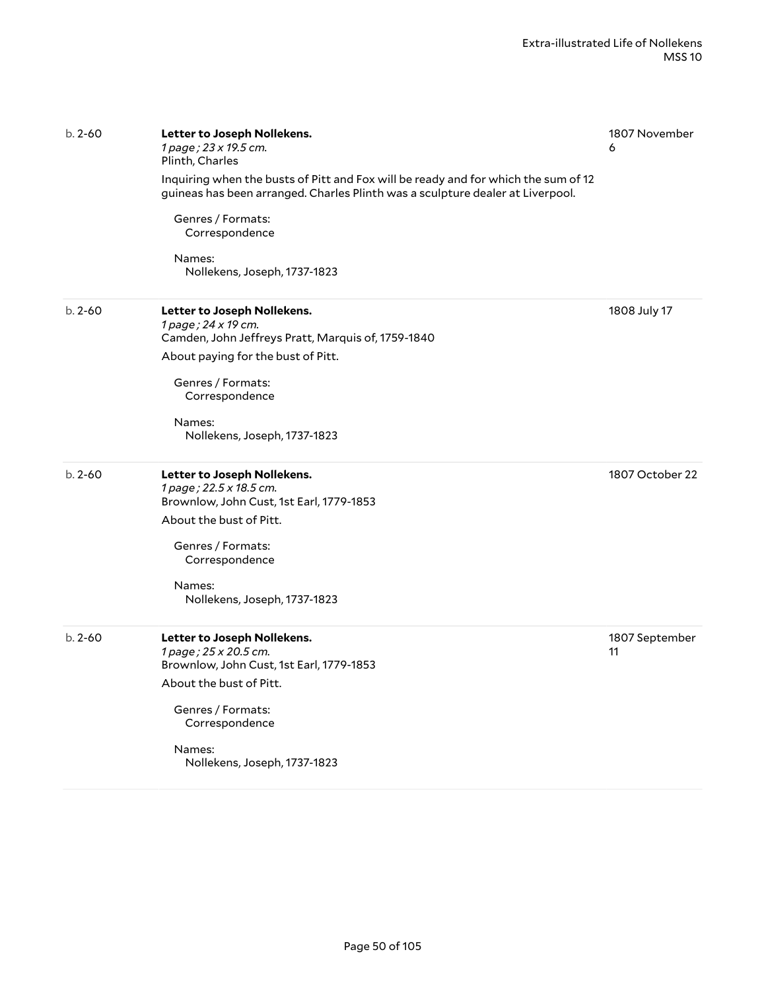| $b. 2 - 60$ | Letter to Joseph Nollekens.<br>1 page; 23 x 19.5 cm.<br>Plinth, Charles                                                                                              | 1807 November<br>6   |
|-------------|----------------------------------------------------------------------------------------------------------------------------------------------------------------------|----------------------|
|             | Inquiring when the busts of Pitt and Fox will be ready and for which the sum of 12<br>guineas has been arranged. Charles Plinth was a sculpture dealer at Liverpool. |                      |
|             | Genres / Formats:<br>Correspondence                                                                                                                                  |                      |
|             | Names:<br>Nollekens, Joseph, 1737-1823                                                                                                                               |                      |
| $b. 2 - 60$ | Letter to Joseph Nollekens.<br>1 page; 24 x 19 cm.<br>Camden, John Jeffreys Pratt, Marquis of, 1759-1840                                                             | 1808 July 17         |
|             | About paying for the bust of Pitt.                                                                                                                                   |                      |
|             | Genres / Formats:<br>Correspondence                                                                                                                                  |                      |
|             | Names:<br>Nollekens, Joseph, 1737-1823                                                                                                                               |                      |
| $b. 2 - 60$ | Letter to Joseph Nollekens.<br>1 page; 22.5 x 18.5 cm.<br>Brownlow, John Cust, 1st Earl, 1779-1853                                                                   | 1807 October 22      |
|             | About the bust of Pitt.                                                                                                                                              |                      |
|             | Genres / Formats:<br>Correspondence                                                                                                                                  |                      |
|             | Names:<br>Nollekens, Joseph, 1737-1823                                                                                                                               |                      |
| $b. 2 - 60$ | Letter to Joseph Nollekens.<br>1 page; 25 x 20.5 cm.<br>Brownlow, John Cust, 1st Earl, 1779-1853                                                                     | 1807 September<br>11 |
|             | About the bust of Pitt.                                                                                                                                              |                      |
|             | Genres / Formats:<br>Correspondence                                                                                                                                  |                      |
|             | Names:<br>Nollekens, Joseph, 1737-1823                                                                                                                               |                      |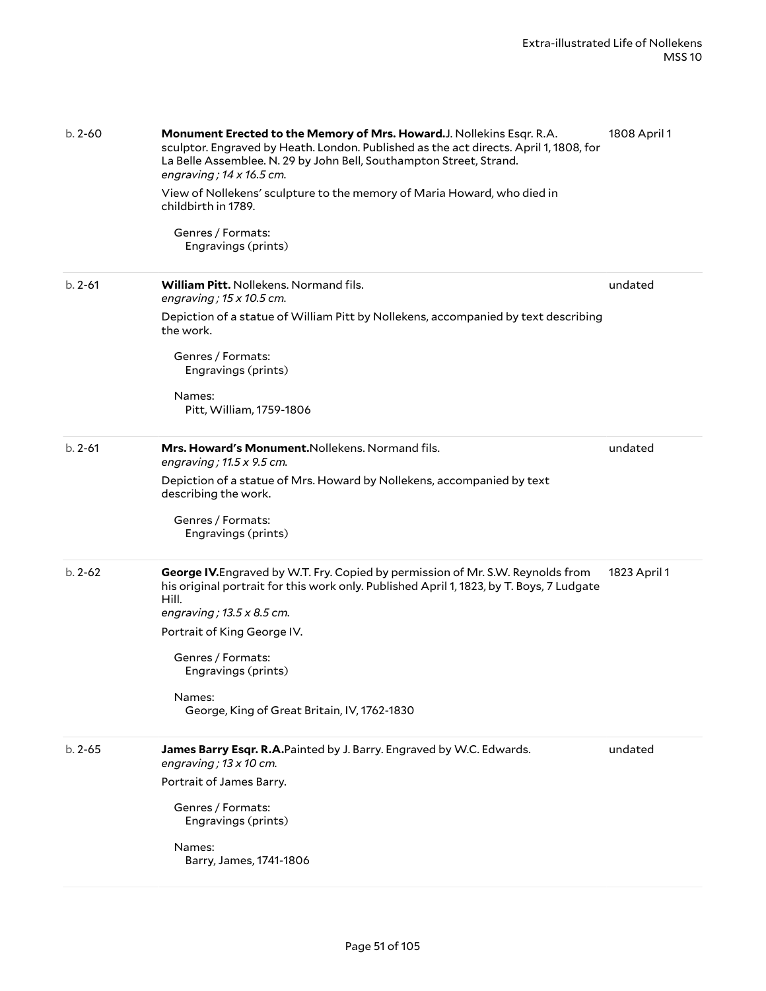| $b. 2 - 60$ | Monument Erected to the Memory of Mrs. Howard.J. Nollekins Esqr. R.A.<br>sculptor. Engraved by Heath. London. Published as the act directs. April 1, 1808, for<br>La Belle Assemblee. N. 29 by John Bell, Southampton Street, Strand.<br>engraving; $14 \times 16.5$ cm.<br>View of Nollekens' sculpture to the memory of Maria Howard, who died in<br>childbirth in 1789.<br>Genres / Formats:<br>Engravings (prints) | 1808 April 1 |
|-------------|------------------------------------------------------------------------------------------------------------------------------------------------------------------------------------------------------------------------------------------------------------------------------------------------------------------------------------------------------------------------------------------------------------------------|--------------|
| $b. 2 - 61$ | William Pitt. Nollekens. Normand fils.<br>engraving; $15 \times 10.5$ cm.<br>Depiction of a statue of William Pitt by Nollekens, accompanied by text describing<br>the work.                                                                                                                                                                                                                                           | undated      |
|             | Genres / Formats:<br>Engravings (prints)<br>Names:<br>Pitt, William, 1759-1806                                                                                                                                                                                                                                                                                                                                         |              |
| $b. 2 - 61$ | Mrs. Howard's Monument. Nollekens. Normand fils.<br>engraving; $11.5 \times 9.5$ cm.<br>Depiction of a statue of Mrs. Howard by Nollekens, accompanied by text<br>describing the work.<br>Genres / Formats:<br>Engravings (prints)                                                                                                                                                                                     | undated      |
| $b. 2 - 62$ | George IV. Engraved by W.T. Fry. Copied by permission of Mr. S.W. Reynolds from<br>his original portrait for this work only. Published April 1, 1823, by T. Boys, 7 Ludgate<br>Hill.<br>engraving; $13.5 \times 8.5$ cm.<br>Portrait of King George IV.<br>Genres / Formats:<br>Engravings (prints)<br>Names:<br>George, King of Great Britain, IV, 1762-1830                                                          | 1823 April 1 |
| $b. 2 - 65$ | James Barry Esqr. R.A.Painted by J. Barry. Engraved by W.C. Edwards.<br>engraving; $13 \times 10$ cm.<br>Portrait of James Barry.<br>Genres / Formats:<br>Engravings (prints)<br>Names:<br>Barry, James, 1741-1806                                                                                                                                                                                                     | undated      |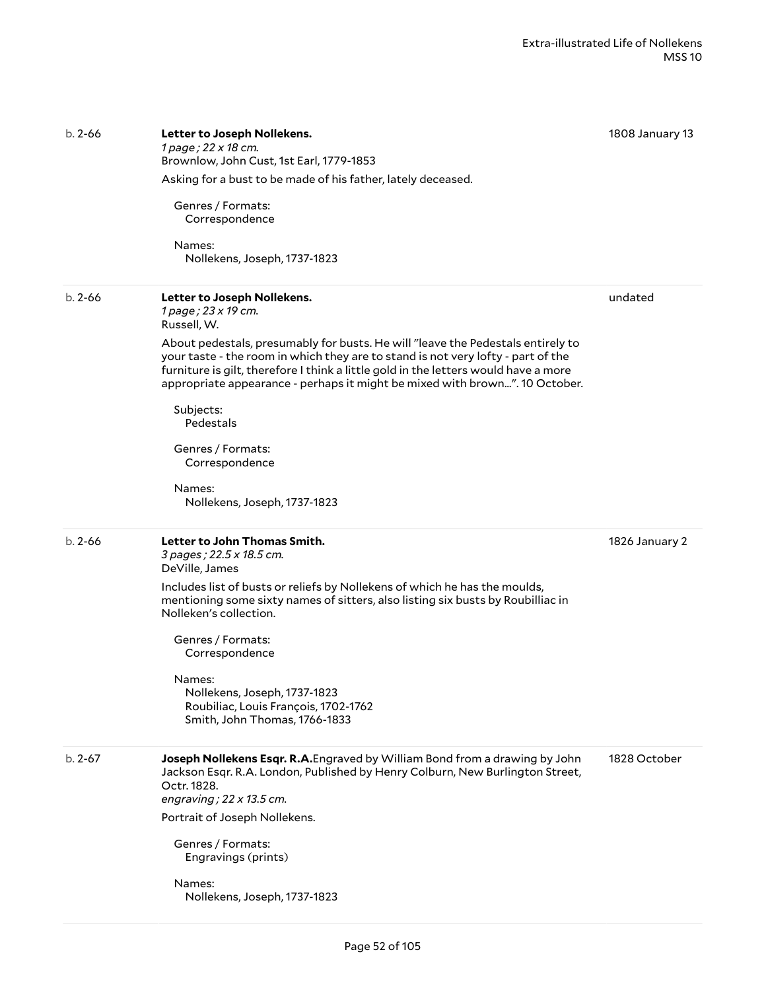| $b. 2 - 66$ | Letter to Joseph Nollekens.<br>1 page ; 22 x 18 cm.<br>Brownlow, John Cust, 1st Earl, 1779-1853<br>Asking for a bust to be made of his father, lately deceased.<br>Genres / Formats:<br>Correspondence                                                                                                                                    | 1808 January 13 |
|-------------|-------------------------------------------------------------------------------------------------------------------------------------------------------------------------------------------------------------------------------------------------------------------------------------------------------------------------------------------|-----------------|
|             | Names:<br>Nollekens, Joseph, 1737-1823                                                                                                                                                                                                                                                                                                    |                 |
| $b. 2 - 66$ | Letter to Joseph Nollekens.<br>1 page; 23 x 19 cm.<br>Russell, W.                                                                                                                                                                                                                                                                         | undated         |
|             | About pedestals, presumably for busts. He will "leave the Pedestals entirely to<br>your taste - the room in which they are to stand is not very lofty - part of the<br>furniture is gilt, therefore I think a little gold in the letters would have a more<br>appropriate appearance - perhaps it might be mixed with brown". 10 October. |                 |
|             | Subjects:<br>Pedestals                                                                                                                                                                                                                                                                                                                    |                 |
|             | Genres / Formats:<br>Correspondence                                                                                                                                                                                                                                                                                                       |                 |
|             | Names:<br>Nollekens, Joseph, 1737-1823                                                                                                                                                                                                                                                                                                    |                 |
|             |                                                                                                                                                                                                                                                                                                                                           |                 |
| $b. 2 - 66$ | Letter to John Thomas Smith.<br>3 pages; 22.5 x 18.5 cm.<br>DeVille, James                                                                                                                                                                                                                                                                | 1826 January 2  |
|             | Includes list of busts or reliefs by Nollekens of which he has the moulds,<br>mentioning some sixty names of sitters, also listing six busts by Roubilliac in<br>Nolleken's collection.                                                                                                                                                   |                 |
|             | Genres / Formats:<br>Correspondence                                                                                                                                                                                                                                                                                                       |                 |
|             | Names:<br>Nollekens, Joseph, 1737-1823<br>Roubiliac, Louis François, 1702-1762<br>Smith, John Thomas, 1766-1833                                                                                                                                                                                                                           |                 |
| $b. 2 - 67$ | Joseph Nollekens Esqr. R.A. Engraved by William Bond from a drawing by John<br>Jackson Esqr. R.A. London, Published by Henry Colburn, New Burlington Street,<br>Octr. 1828.<br>engraving; $22 \times 13.5$ cm.                                                                                                                            | 1828 October    |
|             | Portrait of Joseph Nollekens.                                                                                                                                                                                                                                                                                                             |                 |
|             | Genres / Formats:<br>Engravings (prints)                                                                                                                                                                                                                                                                                                  |                 |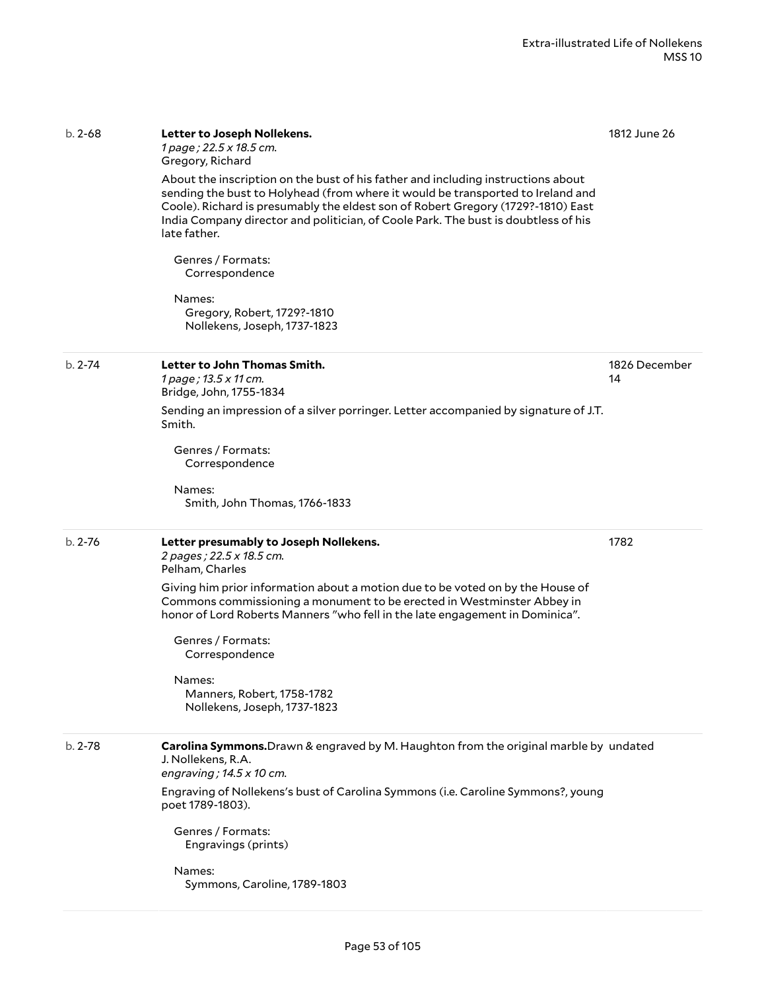| $b. 2 - 68$ | Letter to Joseph Nollekens.<br>1 page; 22.5 x 18.5 cm.<br>Gregory, Richard<br>About the inscription on the bust of his father and including instructions about                                                                                                            | 1812 June 26        |
|-------------|---------------------------------------------------------------------------------------------------------------------------------------------------------------------------------------------------------------------------------------------------------------------------|---------------------|
|             | sending the bust to Holyhead (from where it would be transported to Ireland and<br>Coole). Richard is presumably the eldest son of Robert Gregory (1729?-1810) East<br>India Company director and politician, of Coole Park. The bust is doubtless of his<br>late father. |                     |
|             | Genres / Formats:<br>Correspondence                                                                                                                                                                                                                                       |                     |
|             | Names:<br>Gregory, Robert, 1729?-1810<br>Nollekens, Joseph, 1737-1823                                                                                                                                                                                                     |                     |
| $b. 2 - 74$ | Letter to John Thomas Smith.<br>1 page; 13.5 x 11 cm.<br>Bridge, John, 1755-1834                                                                                                                                                                                          | 1826 December<br>14 |
|             | Sending an impression of a silver porringer. Letter accompanied by signature of J.T.<br>Smith.                                                                                                                                                                            |                     |
|             | Genres / Formats:<br>Correspondence                                                                                                                                                                                                                                       |                     |
|             | Names:<br>Smith, John Thomas, 1766-1833                                                                                                                                                                                                                                   |                     |
| $b. 2 - 76$ | Letter presumably to Joseph Nollekens.<br>2 pages; 22.5 x 18.5 cm.<br>Pelham, Charles                                                                                                                                                                                     | 1782                |
|             | Giving him prior information about a motion due to be voted on by the House of<br>Commons commissioning a monument to be erected in Westminster Abbey in<br>honor of Lord Roberts Manners "who fell in the late engagement in Dominica".                                  |                     |
|             | Genres / Formats:<br>Correspondence                                                                                                                                                                                                                                       |                     |
|             | Names:<br>Manners, Robert, 1758-1782<br>Nollekens, Joseph, 1737-1823                                                                                                                                                                                                      |                     |
| $b. 2 - 78$ | Carolina Symmons. Drawn & engraved by M. Haughton from the original marble by undated<br>J. Nollekens, R.A.<br>engraving; $14.5 \times 10$ cm.                                                                                                                            |                     |
|             | Engraving of Nollekens's bust of Carolina Symmons (i.e. Caroline Symmons?, young<br>poet 1789-1803).                                                                                                                                                                      |                     |
|             | Genres / Formats:<br>Engravings (prints)                                                                                                                                                                                                                                  |                     |
|             | Names:<br>Symmons, Caroline, 1789-1803                                                                                                                                                                                                                                    |                     |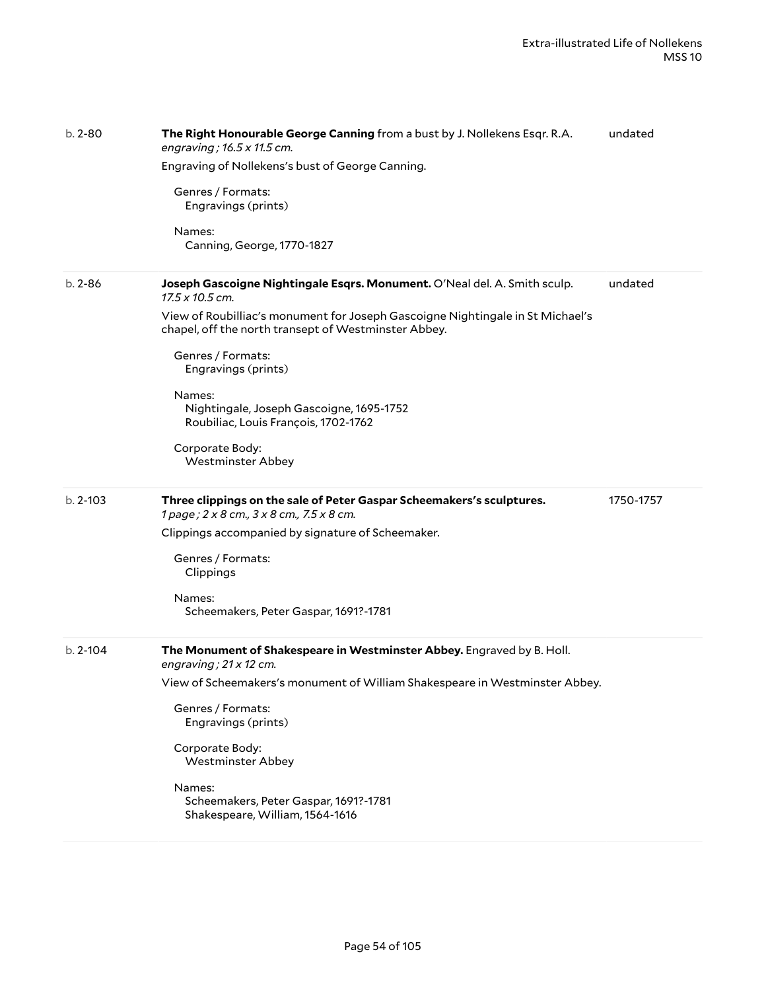| $b. 2 - 80$  | The Right Honourable George Canning from a bust by J. Nollekens Esqr. R.A.<br>engraving; 16.5 x 11.5 cm.<br>Engraving of Nollekens's bust of George Canning.<br>Genres / Formats:<br>Engravings (prints)<br>Names:<br>Canning, George, 1770-1827                                                                                                                                                                                       | undated   |
|--------------|----------------------------------------------------------------------------------------------------------------------------------------------------------------------------------------------------------------------------------------------------------------------------------------------------------------------------------------------------------------------------------------------------------------------------------------|-----------|
| $b. 2 - 86$  | Joseph Gascoigne Nightingale Esqrs. Monument. O'Neal del. A. Smith sculp.<br>$17.5 \times 10.5$ cm.<br>View of Roubilliac's monument for Joseph Gascoigne Nightingale in St Michael's<br>chapel, off the north transept of Westminster Abbey.<br>Genres / Formats:<br>Engravings (prints)<br>Names:<br>Nightingale, Joseph Gascoigne, 1695-1752<br>Roubiliac, Louis François, 1702-1762<br>Corporate Body:<br><b>Westminster Abbey</b> | undated   |
| $b. 2 - 103$ | Three clippings on the sale of Peter Gaspar Scheemakers's sculptures.<br>1 page; 2 x 8 cm., 3 x 8 cm., 7.5 x 8 cm.<br>Clippings accompanied by signature of Scheemaker.<br>Genres / Formats:<br>Clippings<br>Names:<br>Scheemakers, Peter Gaspar, 1691?-1781                                                                                                                                                                           | 1750-1757 |
| $b. 2 - 104$ | The Monument of Shakespeare in Westminster Abbey. Engraved by B. Holl.<br>engraving; $21 \times 12$ cm.<br>View of Scheemakers's monument of William Shakespeare in Westminster Abbey.<br>Genres / Formats:<br>Engravings (prints)<br>Corporate Body:<br><b>Westminster Abbey</b><br>Names:<br>Scheemakers, Peter Gaspar, 1691?-1781<br>Shakespeare, William, 1564-1616                                                                |           |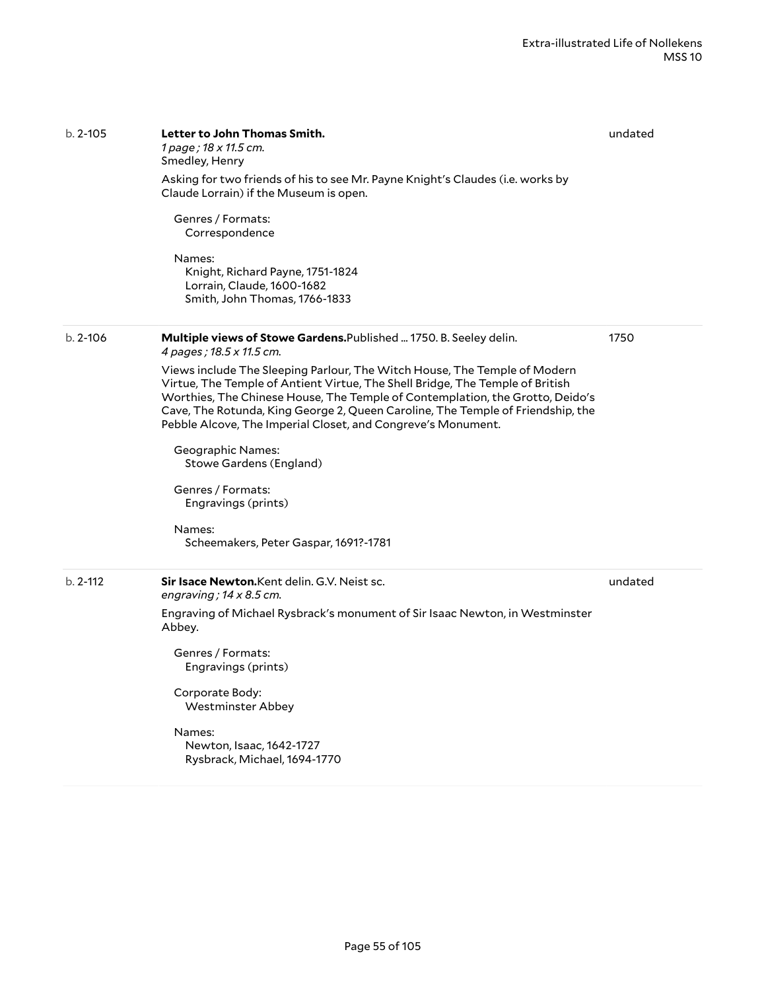| $b. 2 - 105$ | Letter to John Thomas Smith.<br>1 page ; 18 x 11.5 cm.<br>Smedley, Henry<br>Asking for two friends of his to see Mr. Payne Knight's Claudes (i.e. works by<br>Claude Lorrain) if the Museum is open.<br>Genres / Formats:<br>Correspondence<br>Names:<br>Knight, Richard Payne, 1751-1824<br>Lorrain, Claude, 1600-1682<br>Smith, John Thomas, 1766-1833                                                                                                                                                                                                                                                                                                | undated |
|--------------|---------------------------------------------------------------------------------------------------------------------------------------------------------------------------------------------------------------------------------------------------------------------------------------------------------------------------------------------------------------------------------------------------------------------------------------------------------------------------------------------------------------------------------------------------------------------------------------------------------------------------------------------------------|---------|
| $b. 2 - 106$ | Multiple views of Stowe Gardens. Published  1750. B. Seeley delin.<br>4 pages ; 18.5 x 11.5 cm.<br>Views include The Sleeping Parlour, The Witch House, The Temple of Modern<br>Virtue, The Temple of Antient Virtue, The Shell Bridge, The Temple of British<br>Worthies, The Chinese House, The Temple of Contemplation, the Grotto, Deido's<br>Cave, The Rotunda, King George 2, Queen Caroline, The Temple of Friendship, the<br>Pebble Alcove, The Imperial Closet, and Congreve's Monument.<br><b>Geographic Names:</b><br>Stowe Gardens (England)<br>Genres / Formats:<br>Engravings (prints)<br>Names:<br>Scheemakers, Peter Gaspar, 1691?-1781 | 1750    |
| $h. 2-112$   | Sir Isace Newton. Kent delin. G.V. Neist sc.<br>engraving; $14 \times 8.5$ cm.<br>Engraving of Michael Rysbrack's monument of Sir Isaac Newton, in Westminster<br>Abbey.<br>Genres / Formats:<br>Engravings (prints)<br>Corporate Body:<br><b>Westminster Abbey</b><br>Names:<br>Newton, Isaac, 1642-1727<br>Rysbrack, Michael, 1694-1770                                                                                                                                                                                                                                                                                                               | undated |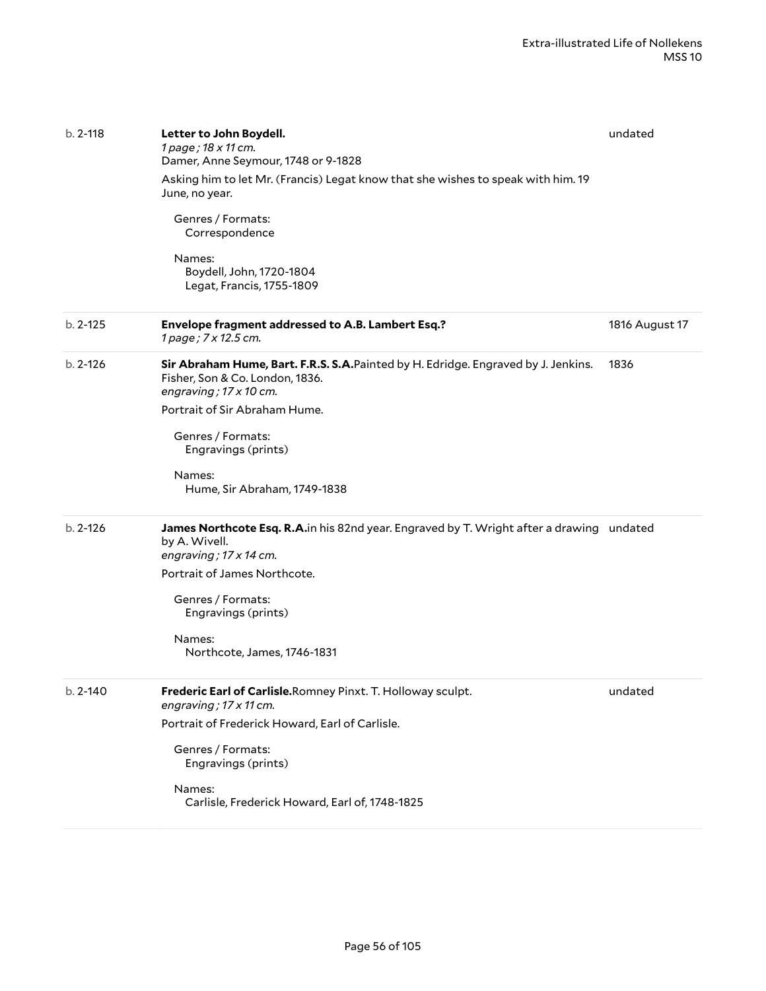| $b. 2 - 118$ | Letter to John Boydell.<br>1 page; 18 x 11 cm.<br>Damer, Anne Seymour, 1748 or 9-1828<br>Asking him to let Mr. (Francis) Legat know that she wishes to speak with him. 19<br>June, no year.<br>Genres / Formats:<br>Correspondence<br>Names:<br>Boydell, John, 1720-1804<br>Legat, Francis, 1755-1809 | undated        |
|--------------|-------------------------------------------------------------------------------------------------------------------------------------------------------------------------------------------------------------------------------------------------------------------------------------------------------|----------------|
| $b. 2 - 125$ | Envelope fragment addressed to A.B. Lambert Esq.?<br>1 page; 7 x 12.5 cm.                                                                                                                                                                                                                             | 1816 August 17 |
| $b. 2 - 126$ | Sir Abraham Hume, Bart. F.R.S. S.A. Painted by H. Edridge. Engraved by J. Jenkins.<br>Fisher, Son & Co. London, 1836.<br>engraving; $17 \times 10$ cm.<br>Portrait of Sir Abraham Hume.<br>Genres / Formats:<br>Engravings (prints)<br>Names:<br>Hume, Sir Abraham, 1749-1838                         | 1836           |
| $b. 2 - 126$ | James Northcote Esq. R.A.in his 82nd year. Engraved by T. Wright after a drawing undated<br>by A. Wivell.<br>engraving; 17 x 14 cm.<br>Portrait of James Northcote.<br>Genres / Formats:<br>Engravings (prints)<br>Names:<br>Northcote, James, 1746-1831                                              |                |
| b. 2-140     | Frederic Earl of Carlisle.Romney Pinxt. T. Holloway sculpt.<br>engraving; 17 x 11 cm.<br>Portrait of Frederick Howard, Earl of Carlisle.<br>Genres / Formats:<br>Engravings (prints)<br>Names:<br>Carlisle, Frederick Howard, Earl of, 1748-1825                                                      | undated        |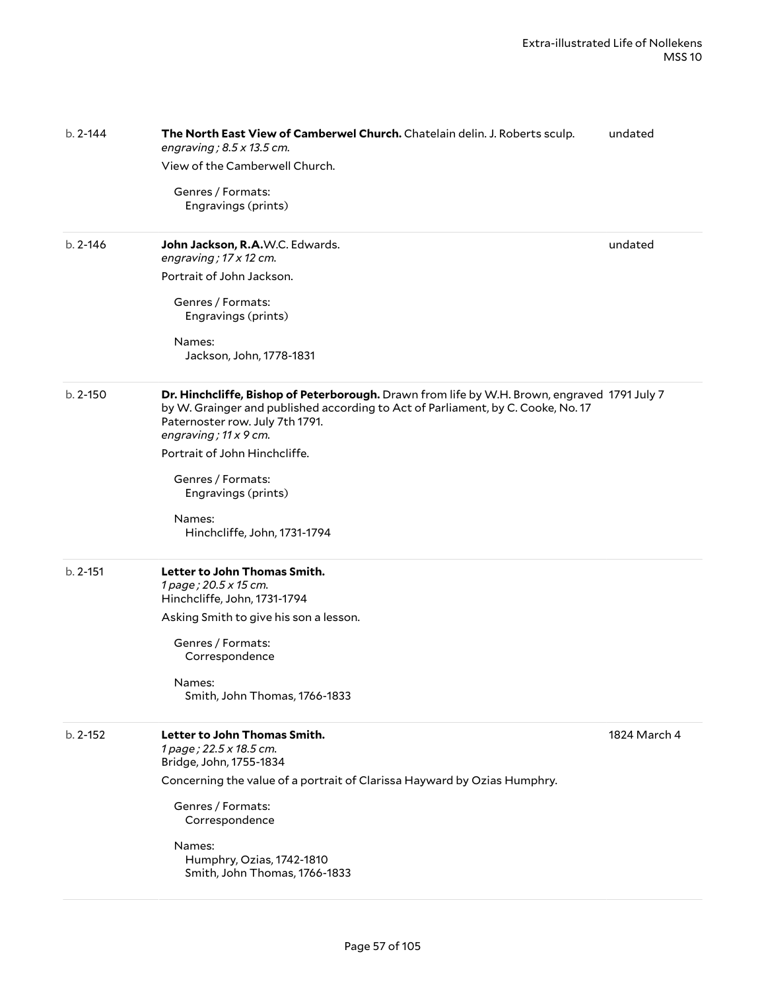| $b. 2 - 144$ | The North East View of Camberwel Church. Chatelain delin. J. Roberts sculp.<br>engraving; $8.5 \times 13.5$ cm.<br>View of the Camberwell Church.<br>Genres / Formats:<br>Engravings (prints)                                                                                                                                                                       | undated      |
|--------------|---------------------------------------------------------------------------------------------------------------------------------------------------------------------------------------------------------------------------------------------------------------------------------------------------------------------------------------------------------------------|--------------|
| $b. 2 - 146$ | John Jackson, R.A.W.C. Edwards.<br>engraving; 17 x 12 cm.<br>Portrait of John Jackson.<br>Genres / Formats:<br>Engravings (prints)<br>Names:<br>Jackson, John, 1778-1831                                                                                                                                                                                            | undated      |
| $b. 2 - 150$ | Dr. Hinchcliffe, Bishop of Peterborough. Drawn from life by W.H. Brown, engraved 1791 July 7<br>by W. Grainger and published according to Act of Parliament, by C. Cooke, No. 17<br>Paternoster row. July 7th 1791.<br>engraving; 11 x 9 cm.<br>Portrait of John Hinchcliffe.<br>Genres / Formats:<br>Engravings (prints)<br>Names:<br>Hinchcliffe, John, 1731-1794 |              |
| $b. 2 - 151$ | Letter to John Thomas Smith.<br>1 page; 20.5 x 15 cm.<br>Hinchcliffe, John, 1731-1794<br>Asking Smith to give his son a lesson.<br>Genres / Formats:<br>Correspondence<br>Names:<br>Smith, John Thomas, 1766-1833                                                                                                                                                   |              |
| $b. 2 - 152$ | Letter to John Thomas Smith.<br>1 page; 22.5 x 18.5 cm.<br>Bridge, John, 1755-1834<br>Concerning the value of a portrait of Clarissa Hayward by Ozias Humphry.<br>Genres / Formats:<br>Correspondence<br>Names:<br>Humphry, Ozias, 1742-1810<br>Smith, John Thomas, 1766-1833                                                                                       | 1824 March 4 |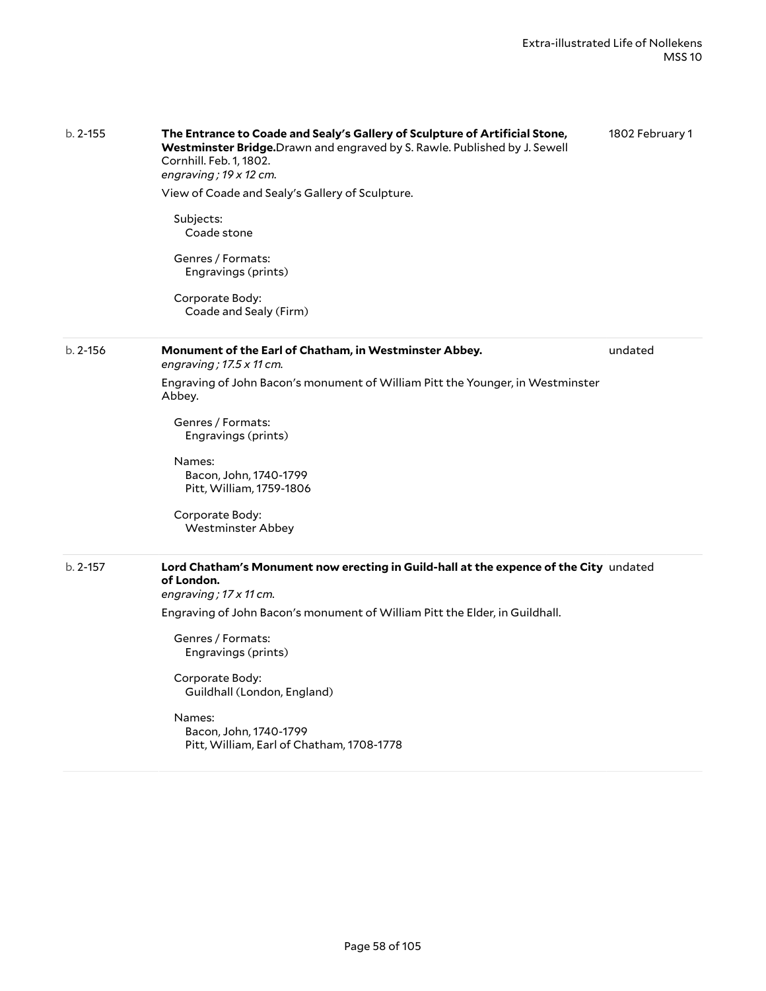| $b. 2 - 155$ | The Entrance to Coade and Sealy's Gallery of Sculpture of Artificial Stone,<br>Westminster Bridge. Drawn and engraved by S. Rawle. Published by J. Sewell<br>Cornhill. Feb. 1, 1802.<br>engraving; $19 \times 12$ cm. | 1802 February 1 |
|--------------|-----------------------------------------------------------------------------------------------------------------------------------------------------------------------------------------------------------------------|-----------------|
|              | View of Coade and Sealy's Gallery of Sculpture.                                                                                                                                                                       |                 |
|              | Subjects:<br>Coade stone                                                                                                                                                                                              |                 |
|              | Genres / Formats:<br>Engravings (prints)                                                                                                                                                                              |                 |
|              | Corporate Body:<br>Coade and Sealy (Firm)                                                                                                                                                                             |                 |
| $b. 2 - 156$ | Monument of the Earl of Chatham, in Westminster Abbey.<br>engraving; $17.5 \times 11$ cm.                                                                                                                             | undated         |
|              | Engraving of John Bacon's monument of William Pitt the Younger, in Westminster<br>Abbey.                                                                                                                              |                 |
|              | Genres / Formats:<br>Engravings (prints)                                                                                                                                                                              |                 |
|              | Names:<br>Bacon, John, 1740-1799<br>Pitt, William, 1759-1806                                                                                                                                                          |                 |
|              | Corporate Body:<br><b>Westminster Abbey</b>                                                                                                                                                                           |                 |
| $b. 2 - 157$ | Lord Chatham's Monument now erecting in Guild-hall at the expence of the City undated<br>of London.                                                                                                                   |                 |
|              | engraving; 17 x 11 cm.                                                                                                                                                                                                |                 |
|              | Engraving of John Bacon's monument of William Pitt the Elder, in Guildhall.                                                                                                                                           |                 |
|              | Genres / Formats:<br>Engravings (prints)                                                                                                                                                                              |                 |
|              | Corporate Body:<br>Guildhall (London, England)                                                                                                                                                                        |                 |
|              | Names:<br>Bacon, John, 1740-1799<br>Pitt, William, Earl of Chatham, 1708-1778                                                                                                                                         |                 |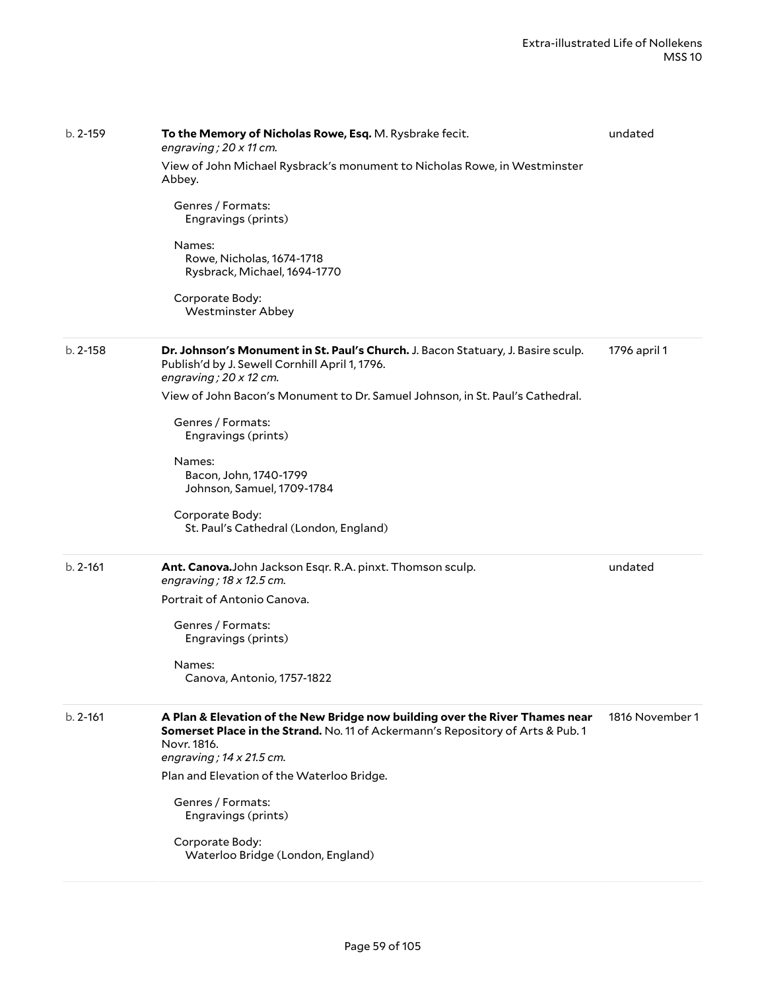| $b. 2 - 159$ | To the Memory of Nicholas Rowe, Esq. M. Rysbrake fecit.<br>engraving; 20 x 11 cm.                                                                                                                                 | undated         |
|--------------|-------------------------------------------------------------------------------------------------------------------------------------------------------------------------------------------------------------------|-----------------|
|              | View of John Michael Rysbrack's monument to Nicholas Rowe, in Westminster<br>Abbey.                                                                                                                               |                 |
|              | Genres / Formats:<br>Engravings (prints)                                                                                                                                                                          |                 |
|              | Names:<br>Rowe, Nicholas, 1674-1718<br>Rysbrack, Michael, 1694-1770                                                                                                                                               |                 |
|              | Corporate Body:<br><b>Westminster Abbey</b>                                                                                                                                                                       |                 |
| $b. 2 - 158$ | Dr. Johnson's Monument in St. Paul's Church. J. Bacon Statuary, J. Basire sculp.<br>Publish'd by J. Sewell Cornhill April 1, 1796.<br>engraving; 20 x 12 cm.                                                      | 1796 april 1    |
|              | View of John Bacon's Monument to Dr. Samuel Johnson, in St. Paul's Cathedral.                                                                                                                                     |                 |
|              | Genres / Formats:<br>Engravings (prints)                                                                                                                                                                          |                 |
|              | Names:<br>Bacon, John, 1740-1799<br>Johnson, Samuel, 1709-1784                                                                                                                                                    |                 |
|              | Corporate Body:<br>St. Paul's Cathedral (London, England)                                                                                                                                                         |                 |
| $b. 2 - 161$ | Ant. Canova.John Jackson Esqr. R.A. pinxt. Thomson sculp.<br>engraving; $18 \times 12.5$ cm.                                                                                                                      | undated         |
|              | Portrait of Antonio Canova.                                                                                                                                                                                       |                 |
|              | Genres / Formats:<br>Engravings (prints)                                                                                                                                                                          |                 |
|              | Names:<br>Canova, Antonio, 1757-1822                                                                                                                                                                              |                 |
| $b. 2 - 161$ | A Plan & Elevation of the New Bridge now building over the River Thames near<br>Somerset Place in the Strand. No. 11 of Ackermann's Repository of Arts & Pub. 1<br>Novr. 1816.<br>engraving; $14 \times 21.5$ cm. | 1816 November 1 |
|              | Plan and Elevation of the Waterloo Bridge.                                                                                                                                                                        |                 |
|              | Genres / Formats:<br>Engravings (prints)                                                                                                                                                                          |                 |
|              | Corporate Body:<br>Waterloo Bridge (London, England)                                                                                                                                                              |                 |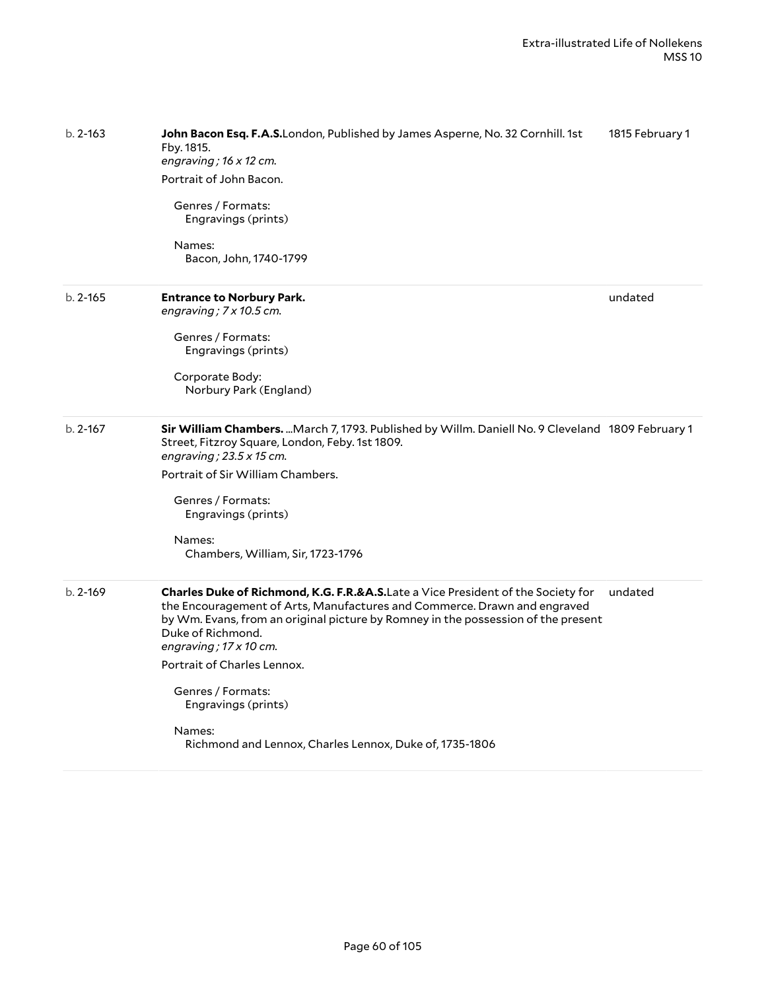| $b. 2 - 163$ | John Bacon Esq. F.A.S.London, Published by James Asperne, No. 32 Cornhill. 1st<br>Fby. 1815.<br>engraving; $16 \times 12$ cm.<br>Portrait of John Bacon.<br>Genres / Formats:<br>Engravings (prints)<br>Names:<br>Bacon, John, 1740-1799                                                                                                                                                                                                                | 1815 February 1 |
|--------------|---------------------------------------------------------------------------------------------------------------------------------------------------------------------------------------------------------------------------------------------------------------------------------------------------------------------------------------------------------------------------------------------------------------------------------------------------------|-----------------|
| $b. 2 - 165$ | <b>Entrance to Norbury Park.</b><br>engraving; 7 x 10.5 cm.<br>Genres / Formats:<br>Engravings (prints)<br>Corporate Body:<br>Norbury Park (England)                                                                                                                                                                                                                                                                                                    | undated         |
| $b. 2 - 167$ | Sir William Chambers.  March 7, 1793. Published by Willm. Daniell No. 9 Cleveland 1809 February 1<br>Street, Fitzroy Square, London, Feby. 1st 1809.<br>engraving; $23.5 \times 15$ cm.<br>Portrait of Sir William Chambers.<br>Genres / Formats:<br>Engravings (prints)<br>Names:<br>Chambers, William, Sir, 1723-1796                                                                                                                                 |                 |
| $b. 2 - 169$ | Charles Duke of Richmond, K.G. F.R.&A.S.Late a Vice President of the Society for<br>the Encouragement of Arts, Manufactures and Commerce. Drawn and engraved<br>by Wm. Evans, from an original picture by Romney in the possession of the present<br>Duke of Richmond.<br>engraving; $17 \times 10$ cm.<br>Portrait of Charles Lennox.<br>Genres / Formats:<br>Engravings (prints)<br>Names:<br>Richmond and Lennox, Charles Lennox, Duke of, 1735-1806 | undated         |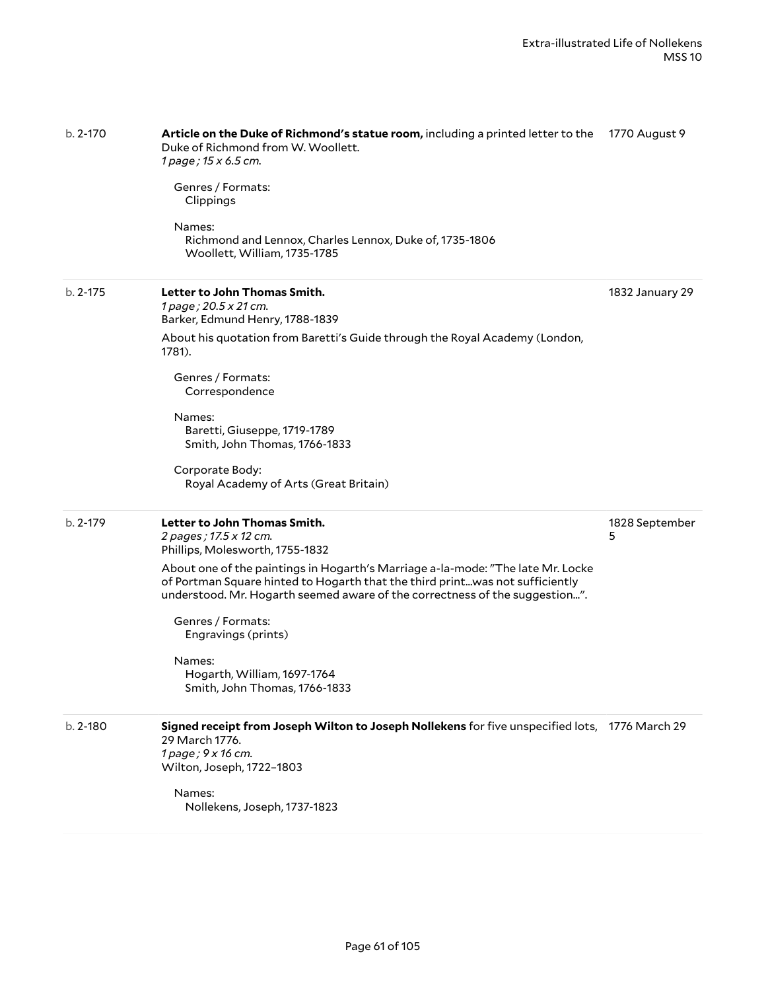| b. 2-170     | Article on the Duke of Richmond's statue room, including a printed letter to the<br>Duke of Richmond from W. Woollett.<br>1 page; 15 x 6.5 cm.                                                                                                 | 1770 August 9       |
|--------------|------------------------------------------------------------------------------------------------------------------------------------------------------------------------------------------------------------------------------------------------|---------------------|
|              | Genres / Formats:<br>Clippings                                                                                                                                                                                                                 |                     |
|              | Names:<br>Richmond and Lennox, Charles Lennox, Duke of, 1735-1806<br>Woollett, William, 1735-1785                                                                                                                                              |                     |
| $b. 2 - 175$ | Letter to John Thomas Smith.<br>1 page; 20.5 x 21 cm.<br>Barker, Edmund Henry, 1788-1839                                                                                                                                                       | 1832 January 29     |
|              | About his quotation from Baretti's Guide through the Royal Academy (London,<br>1781).                                                                                                                                                          |                     |
|              | Genres / Formats:<br>Correspondence                                                                                                                                                                                                            |                     |
|              | Names:<br>Baretti, Giuseppe, 1719-1789<br>Smith, John Thomas, 1766-1833                                                                                                                                                                        |                     |
|              | Corporate Body:<br>Royal Academy of Arts (Great Britain)                                                                                                                                                                                       |                     |
| $b. 2 - 179$ | Letter to John Thomas Smith.<br>2 pages; 17.5 x 12 cm.<br>Phillips, Molesworth, 1755-1832                                                                                                                                                      | 1828 September<br>5 |
|              | About one of the paintings in Hogarth's Marriage a-la-mode: "The late Mr. Locke<br>of Portman Square hinted to Hogarth that the third printwas not sufficiently<br>understood. Mr. Hogarth seemed aware of the correctness of the suggestion". |                     |
|              | Genres / Formats:<br>Engravings (prints)                                                                                                                                                                                                       |                     |
|              | Names:<br>Hogarth, William, 1697-1764<br>Smith, John Thomas, 1766-1833                                                                                                                                                                         |                     |
| b. 2-180     | Signed receipt from Joseph Wilton to Joseph Nollekens for five unspecified lots, 1776 March 29<br>29 March 1776.<br>1 page; 9 x 16 cm.                                                                                                         |                     |
|              | Wilton, Joseph, 1722-1803                                                                                                                                                                                                                      |                     |
|              | Names:<br>Nollekens, Joseph, 1737-1823                                                                                                                                                                                                         |                     |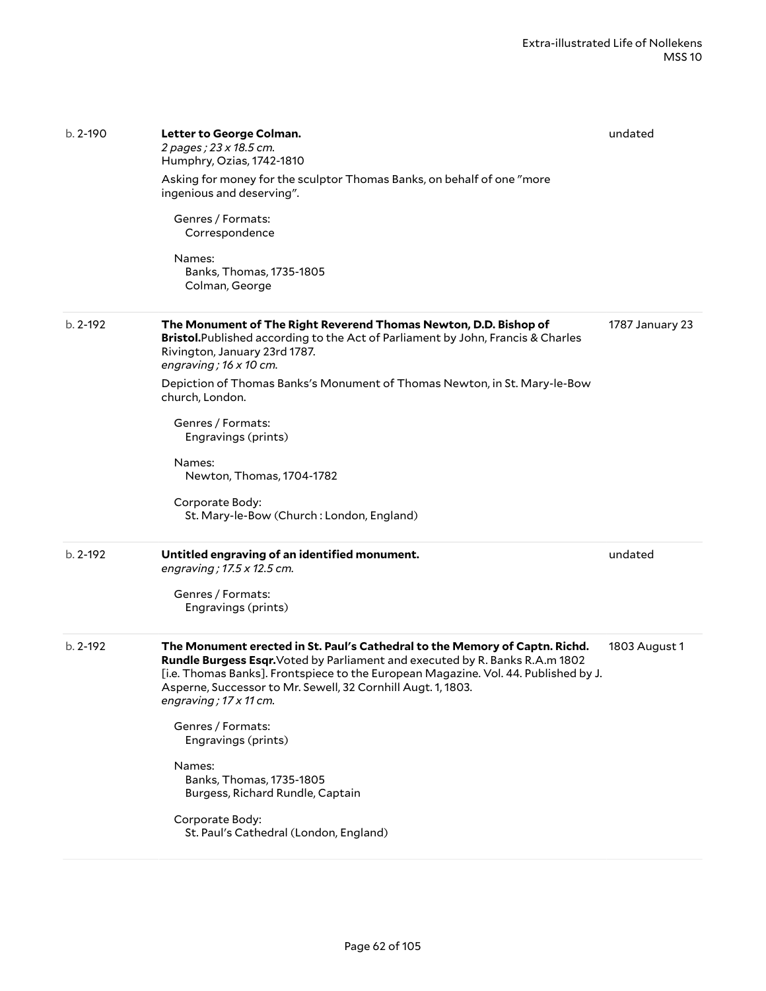| $b. 2 - 190$ | Letter to George Colman.<br>2 pages; 23 x 18.5 cm.<br>Humphry, Ozias, 1742-1810<br>Asking for money for the sculptor Thomas Banks, on behalf of one "more<br>ingenious and deserving".<br>Genres / Formats:<br>Correspondence<br>Names:<br>Banks, Thomas, 1735-1805<br>Colman, George                                                                                                                                                                                                                                           | undated         |
|--------------|---------------------------------------------------------------------------------------------------------------------------------------------------------------------------------------------------------------------------------------------------------------------------------------------------------------------------------------------------------------------------------------------------------------------------------------------------------------------------------------------------------------------------------|-----------------|
| $b. 2 - 192$ | The Monument of The Right Reverend Thomas Newton, D.D. Bishop of<br>Bristol. Published according to the Act of Parliament by John, Francis & Charles<br>Rivington, January 23rd 1787.<br>engraving; $16 \times 10$ cm.<br>Depiction of Thomas Banks's Monument of Thomas Newton, in St. Mary-le-Bow<br>church, London.<br>Genres / Formats:<br>Engravings (prints)<br>Names:<br>Newton, Thomas, 1704-1782<br>Corporate Body:<br>St. Mary-le-Bow (Church: London, England)                                                       | 1787 January 23 |
| $b. 2 - 192$ | Untitled engraving of an identified monument.<br>engraving; 17.5 x 12.5 cm.<br>Genres / Formats:<br>Engravings (prints)                                                                                                                                                                                                                                                                                                                                                                                                         | undated         |
| $b. 2 - 192$ | The Monument erected in St. Paul's Cathedral to the Memory of Captn. Richd.<br>Rundle Burgess Esqr. Voted by Parliament and executed by R. Banks R.A.m 1802<br>[i.e. Thomas Banks]. Frontspiece to the European Magazine. Vol. 44. Published by J.<br>Asperne, Successor to Mr. Sewell, 32 Cornhill Augt. 1, 1803.<br>engraving; 17 x 11 cm.<br>Genres / Formats:<br>Engravings (prints)<br>Names:<br>Banks, Thomas, 1735-1805<br>Burgess, Richard Rundle, Captain<br>Corporate Body:<br>St. Paul's Cathedral (London, England) | 1803 August 1   |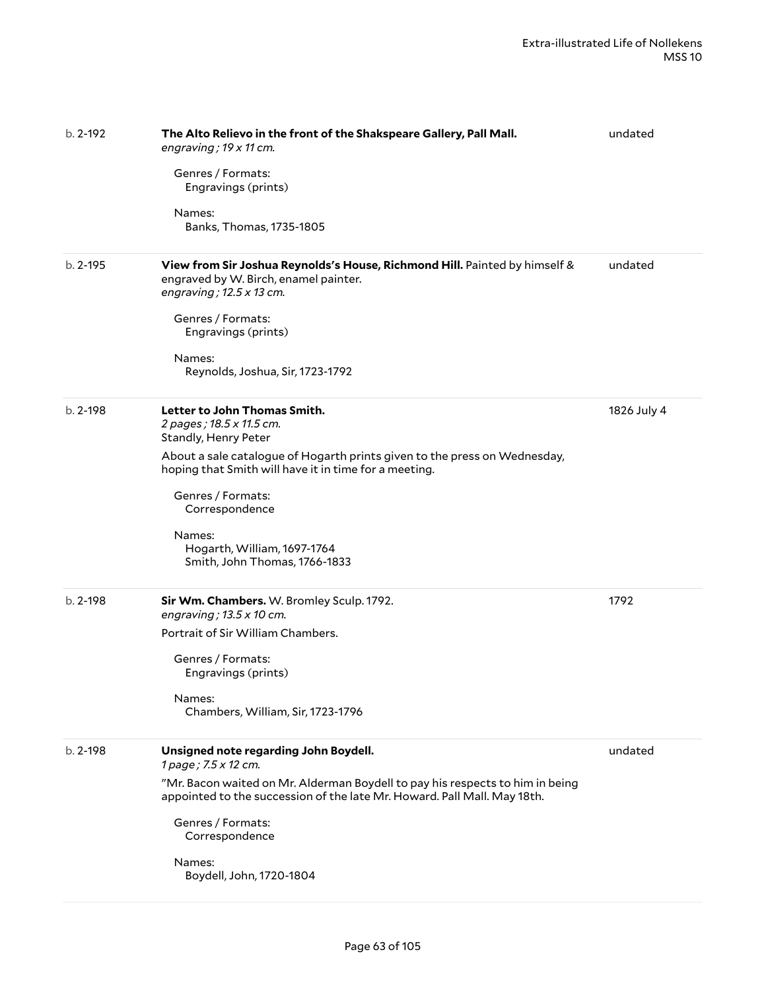| $b. 2 - 192$ | The Alto Relievo in the front of the Shakspeare Gallery, Pall Mall.<br>engraving; 19 x 11 cm.<br>Genres / Formats:<br>Engravings (prints)<br>Names:<br>Banks, Thomas, 1735-1805                                                                                                                                                         | undated     |
|--------------|-----------------------------------------------------------------------------------------------------------------------------------------------------------------------------------------------------------------------------------------------------------------------------------------------------------------------------------------|-------------|
| $b. 2 - 195$ | View from Sir Joshua Reynolds's House, Richmond Hill. Painted by himself &<br>engraved by W. Birch, enamel painter.<br>engraving; $12.5 \times 13$ cm.<br>Genres / Formats:<br>Engravings (prints)<br>Names:<br>Reynolds, Joshua, Sir, 1723-1792                                                                                        | undated     |
| b. 2-198     | Letter to John Thomas Smith.<br>2 pages; 18.5 x 11.5 cm.<br>Standly, Henry Peter<br>About a sale catalogue of Hogarth prints given to the press on Wednesday,<br>hoping that Smith will have it in time for a meeting.<br>Genres / Formats:<br>Correspondence<br>Names:<br>Hogarth, William, 1697-1764<br>Smith, John Thomas, 1766-1833 | 1826 July 4 |
| $b. 2 - 198$ | Sir Wm. Chambers. W. Bromley Sculp. 1792.<br>engraving; $13.5 \times 10$ cm.<br>Portrait of Sir William Chambers.<br>Genres / Formats:<br>Engravings (prints)<br>Names:<br>Chambers, William, Sir, 1723-1796                                                                                                                            | 1792        |
| $b. 2 - 198$ | Unsigned note regarding John Boydell.<br>1 page; 7.5 x 12 cm.<br>"Mr. Bacon waited on Mr. Alderman Boydell to pay his respects to him in being<br>appointed to the succession of the late Mr. Howard. Pall Mall. May 18th.<br>Genres / Formats:<br>Correspondence<br>Names:<br>Boydell, John, 1720-1804                                 | undated     |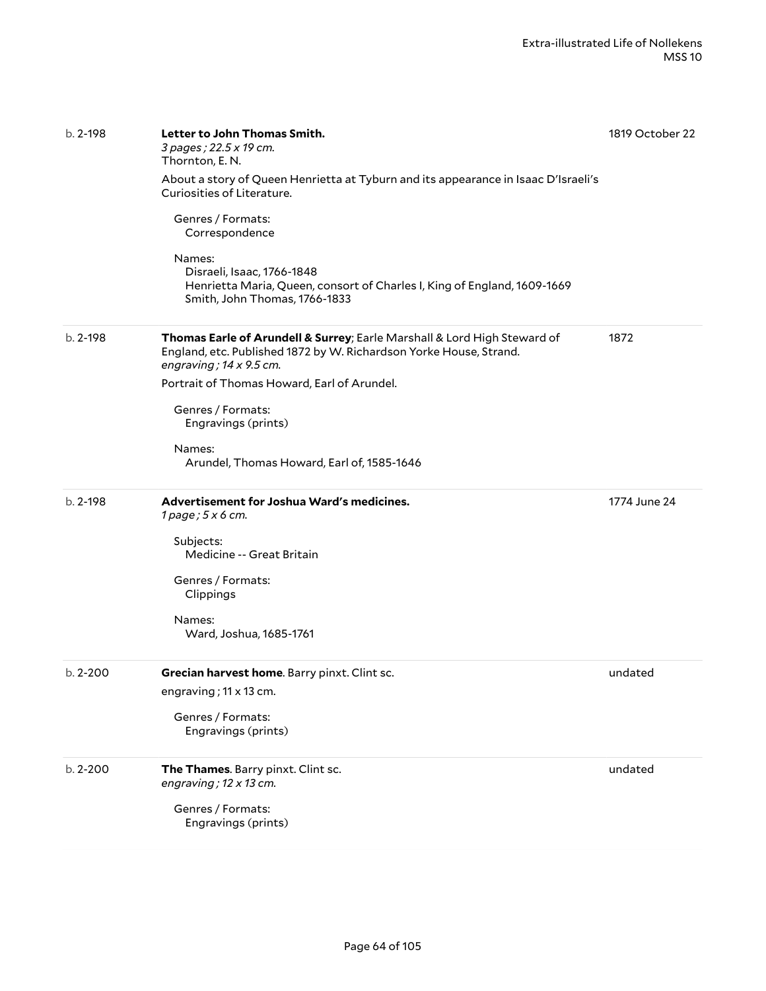| $b. 2 - 198$ | Letter to John Thomas Smith.<br>3 pages ; 22.5 x 19 cm.<br>Thornton, E. N.<br>About a story of Queen Henrietta at Tyburn and its appearance in Isaac D'Israeli's<br>Curiosities of Literature.<br>Genres / Formats:<br>Correspondence<br>Names:<br>Disraeli, Isaac, 1766-1848<br>Henrietta Maria, Queen, consort of Charles I, King of England, 1609-1669<br>Smith, John Thomas, 1766-1833 | 1819 October 22 |
|--------------|--------------------------------------------------------------------------------------------------------------------------------------------------------------------------------------------------------------------------------------------------------------------------------------------------------------------------------------------------------------------------------------------|-----------------|
| $b. 2 - 198$ | Thomas Earle of Arundell & Surrey; Earle Marshall & Lord High Steward of<br>England, etc. Published 1872 by W. Richardson Yorke House, Strand.<br>engraving; $14 \times 9.5$ cm.<br>Portrait of Thomas Howard, Earl of Arundel.<br>Genres / Formats:<br>Engravings (prints)<br>Names:<br>Arundel, Thomas Howard, Earl of, 1585-1646                                                        | 1872            |
| $b. 2 - 198$ | Advertisement for Joshua Ward's medicines.<br>$1$ page; $5x$ 6 cm.<br>Subjects:<br>Medicine -- Great Britain<br>Genres / Formats:<br>Clippings<br>Names:<br>Ward, Joshua, 1685-1761                                                                                                                                                                                                        | 1774 June 24    |
| $b. 2 - 200$ | Grecian harvest home. Barry pinxt. Clint sc.<br>engraving; 11 x 13 cm.<br>Genres / Formats:<br>Engravings (prints)                                                                                                                                                                                                                                                                         | undated         |
| b. 2-200     | The Thames. Barry pinxt. Clint sc.<br>engraving; $12 \times 13$ cm.<br>Genres / Formats:<br>Engravings (prints)                                                                                                                                                                                                                                                                            | undated         |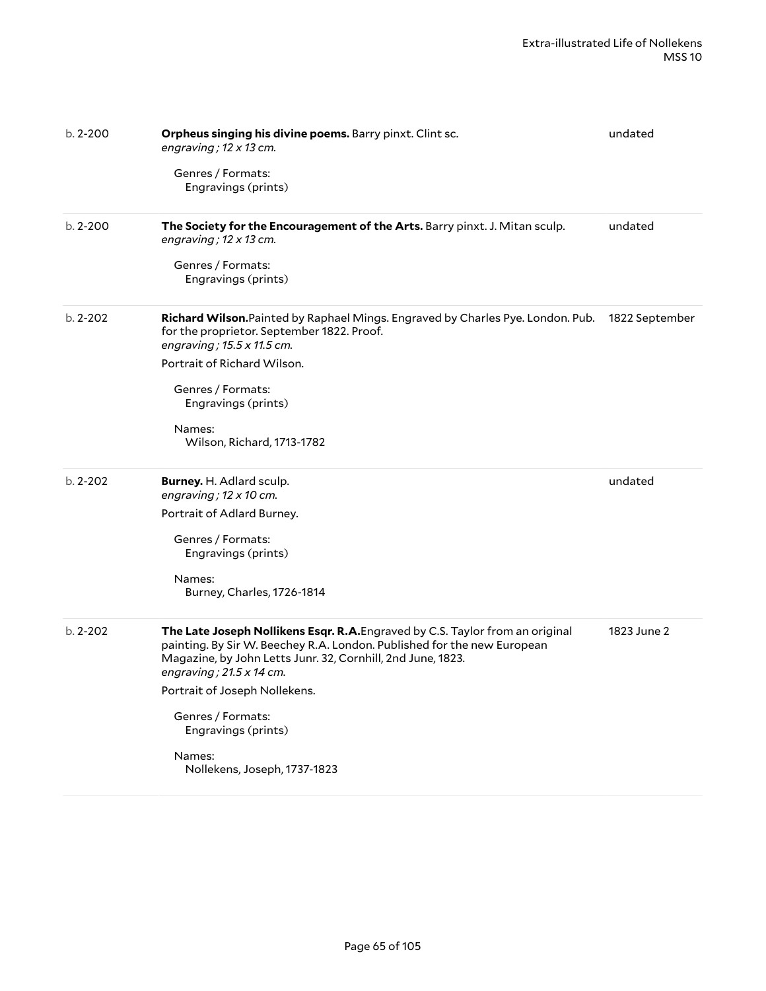| $b. 2 - 200$ | Orpheus singing his divine poems. Barry pinxt. Clint sc.<br>engraving; $12 \times 13$ cm.<br>Genres / Formats:<br>Engravings (prints)                                                                                                                                                                                                                                             | undated        |
|--------------|-----------------------------------------------------------------------------------------------------------------------------------------------------------------------------------------------------------------------------------------------------------------------------------------------------------------------------------------------------------------------------------|----------------|
| $b. 2 - 200$ | The Society for the Encouragement of the Arts. Barry pinxt. J. Mitan sculp.<br>engraving; $12 \times 13$ cm.<br>Genres / Formats:<br>Engravings (prints)                                                                                                                                                                                                                          | undated        |
| $b. 2 - 202$ | Richard Wilson. Painted by Raphael Mings. Engraved by Charles Pye. London. Pub.<br>for the proprietor. September 1822. Proof.<br>engraving ; 15.5 x 11.5 cm.<br>Portrait of Richard Wilson.<br>Genres / Formats:<br>Engravings (prints)<br>Names:<br>Wilson, Richard, 1713-1782                                                                                                   | 1822 September |
| $b. 2 - 202$ | Burney. H. Adlard sculp.<br>engraving; $12 \times 10$ cm.<br>Portrait of Adlard Burney.<br>Genres / Formats:<br>Engravings (prints)<br>Names:<br>Burney, Charles, 1726-1814                                                                                                                                                                                                       | undated        |
| $b. 2 - 202$ | The Late Joseph Nollikens Esqr. R.A. Engraved by C.S. Taylor from an original<br>painting. By Sir W. Beechey R.A. London. Published for the new European<br>Magazine, by John Letts Junr. 32, Cornhill, 2nd June, 1823.<br>engraving; $21.5 \times 14$ cm.<br>Portrait of Joseph Nollekens.<br>Genres / Formats:<br>Engravings (prints)<br>Names:<br>Nollekens, Joseph, 1737-1823 | 1823 June 2    |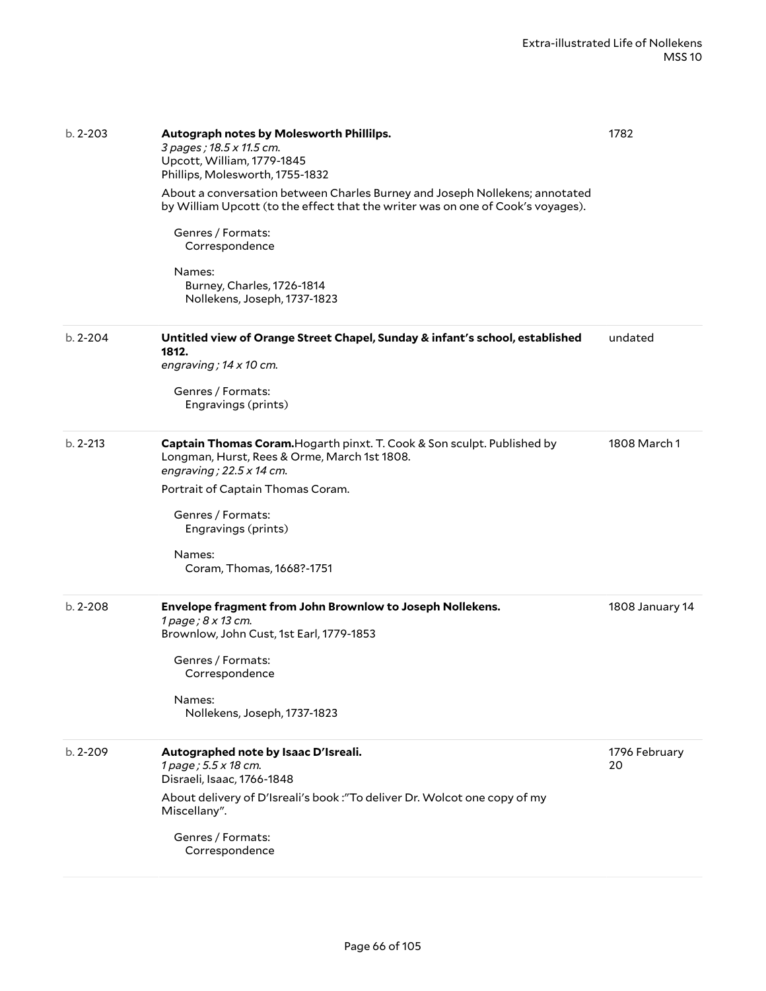| $b. 2 - 203$ | Autograph notes by Molesworth Phillilps.<br>3 pages; 18.5 x 11.5 cm.<br>Upcott, William, 1779-1845<br>Phillips, Molesworth, 1755-1832<br>About a conversation between Charles Burney and Joseph Nollekens; annotated<br>by William Upcott (to the effect that the writer was on one of Cook's voyages).<br>Genres / Formats:<br>Correspondence<br>Names:<br>Burney, Charles, 1726-1814<br>Nollekens, Joseph, 1737-1823 | 1782                |
|--------------|------------------------------------------------------------------------------------------------------------------------------------------------------------------------------------------------------------------------------------------------------------------------------------------------------------------------------------------------------------------------------------------------------------------------|---------------------|
| $b. 2 - 204$ | Untitled view of Orange Street Chapel, Sunday & infant's school, established<br>1812.<br>engraving; $14 \times 10$ cm.<br>Genres / Formats:<br>Engravings (prints)                                                                                                                                                                                                                                                     | undated             |
| $b. 2 - 213$ | Captain Thomas Coram. Hogarth pinxt. T. Cook & Son sculpt. Published by<br>Longman, Hurst, Rees & Orme, March 1st 1808.<br>engraving; $22.5 \times 14$ cm.<br>Portrait of Captain Thomas Coram.<br>Genres / Formats:<br>Engravings (prints)<br>Names:<br>Coram, Thomas, 1668?-1751                                                                                                                                     | 1808 March 1        |
| $b. 2 - 208$ | Envelope fragment from John Brownlow to Joseph Nollekens.<br>1 page ; 8 x 13 cm.<br>Brownlow, John Cust, 1st Earl, 1779-1853<br>Genres / Formats:<br>Correspondence<br>Names:<br>Nollekens, Joseph, 1737-1823                                                                                                                                                                                                          | 1808 January 14     |
| $b. 2 - 209$ | Autographed note by Isaac D'Isreali.<br>1 page; 5.5 x 18 cm.<br>Disraeli, Isaac, 1766-1848<br>About delivery of D'Isreali's book: "To deliver Dr. Wolcot one copy of my<br>Miscellany".<br>Genres / Formats:<br>Correspondence                                                                                                                                                                                         | 1796 February<br>20 |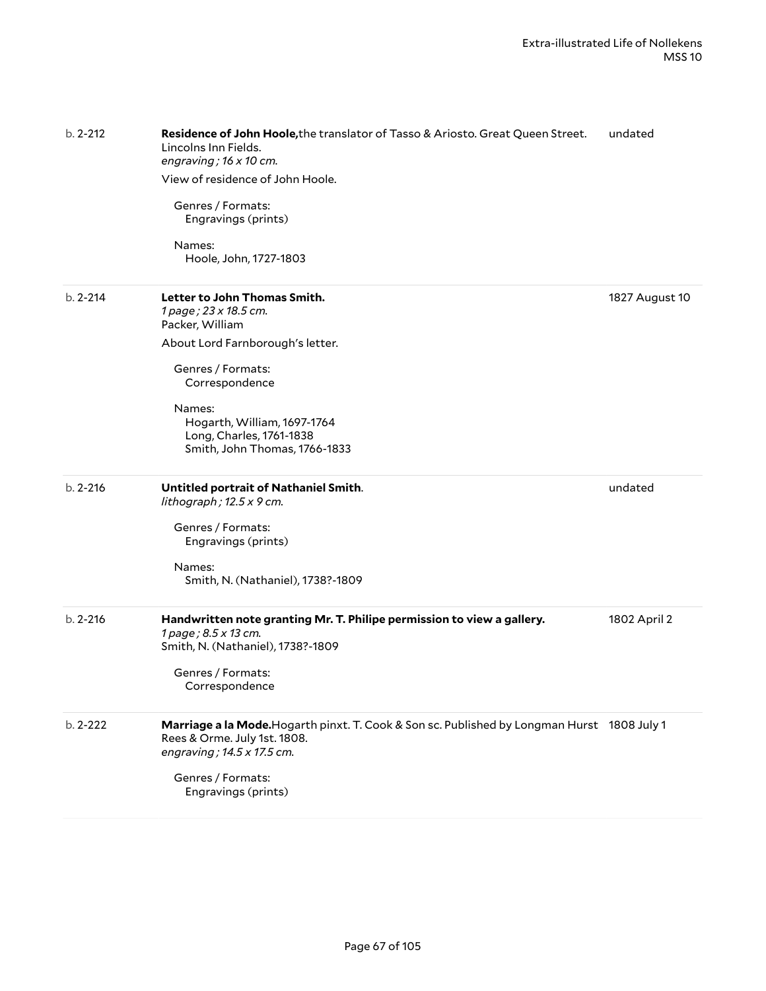| b. 2-212     | Residence of John Hoole, the translator of Tasso & Ariosto. Great Queen Street.<br>Lincolns Inn Fields.<br>engraving; 16 x 10 cm.<br>View of residence of John Hoole.<br>Genres / Formats:<br>Engravings (prints)<br>Names:<br>Hoole, John, 1727-1803 | undated        |
|--------------|-------------------------------------------------------------------------------------------------------------------------------------------------------------------------------------------------------------------------------------------------------|----------------|
| $b. 2 - 214$ | Letter to John Thomas Smith.<br>1 page; 23 x 18.5 cm.<br>Packer, William                                                                                                                                                                              | 1827 August 10 |
|              | About Lord Farnborough's letter.                                                                                                                                                                                                                      |                |
|              | Genres / Formats:<br>Correspondence                                                                                                                                                                                                                   |                |
|              | Names:<br>Hogarth, William, 1697-1764<br>Long, Charles, 1761-1838<br>Smith, John Thomas, 1766-1833                                                                                                                                                    |                |
| $b. 2 - 216$ | Untitled portrait of Nathaniel Smith.<br>lithograph; $12.5 \times 9$ cm.                                                                                                                                                                              | undated        |
|              | Genres / Formats:<br>Engravings (prints)                                                                                                                                                                                                              |                |
|              | Names:<br>Smith, N. (Nathaniel), 1738?-1809                                                                                                                                                                                                           |                |
| $b. 2 - 216$ | Handwritten note granting Mr. T. Philipe permission to view a gallery.<br>1 page; 8.5 x 13 cm.<br>Smith, N. (Nathaniel), 1738?-1809                                                                                                                   | 1802 April 2   |
|              | Genres / Formats:<br>Correspondence                                                                                                                                                                                                                   |                |
| b. 2-222     | Marriage a la Mode. Hogarth pinxt. T. Cook & Son sc. Published by Longman Hurst 1808 July 1<br>Rees & Orme. July 1st. 1808.<br>engraving; 14.5 x 17.5 cm.<br>Genres / Formats:                                                                        |                |
|              | Engravings (prints)                                                                                                                                                                                                                                   |                |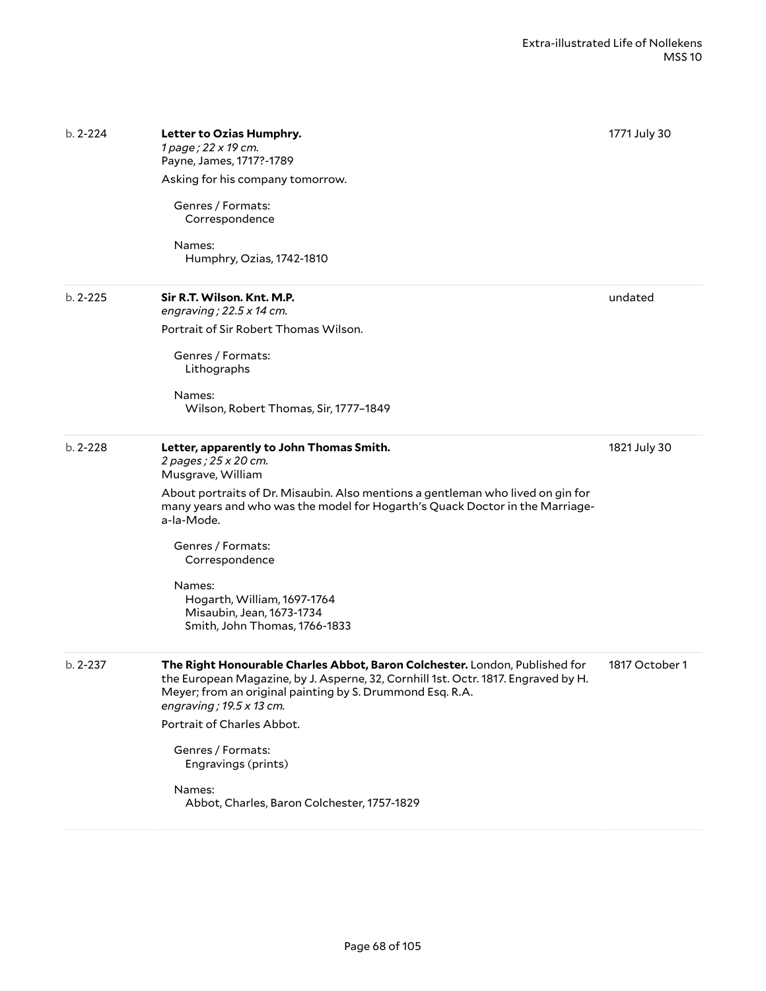| $b. 2 - 224$ | Letter to Ozias Humphry.<br>1 page; 22 x 19 cm.<br>Payne, James, 1717?-1789<br>Asking for his company tomorrow.<br>Genres / Formats:<br>Correspondence<br>Names:<br>Humphry, Ozias, 1742-1810                                                                                                                                                                                                                        | 1771 July 30   |
|--------------|----------------------------------------------------------------------------------------------------------------------------------------------------------------------------------------------------------------------------------------------------------------------------------------------------------------------------------------------------------------------------------------------------------------------|----------------|
| $b. 2 - 225$ | Sir R.T. Wilson. Knt. M.P.<br>engraving; $22.5 \times 14$ cm.<br>Portrait of Sir Robert Thomas Wilson.<br>Genres / Formats:<br>Lithographs<br>Names:<br>Wilson, Robert Thomas, Sir, 1777-1849                                                                                                                                                                                                                        | undated        |
| $b. 2 - 228$ | Letter, apparently to John Thomas Smith.<br>2 pages; 25 x 20 cm.<br>Musgrave, William<br>About portraits of Dr. Misaubin. Also mentions a gentleman who lived on gin for<br>many years and who was the model for Hogarth's Quack Doctor in the Marriage-<br>a-la-Mode.<br>Genres / Formats:<br>Correspondence<br>Names:<br>Hogarth, William, 1697-1764<br>Misaubin, Jean, 1673-1734<br>Smith, John Thomas, 1766-1833 | 1821 July 30   |
| $b. 2 - 237$ | The Right Honourable Charles Abbot, Baron Colchester. London, Published for<br>the European Magazine, by J. Asperne, 32, Cornhill 1st. Octr. 1817. Engraved by H.<br>Meyer; from an original painting by S. Drummond Esq. R.A.<br>engraving; $19.5 \times 13$ cm.<br>Portrait of Charles Abbot.<br>Genres / Formats:<br>Engravings (prints)<br>Names:<br>Abbot, Charles, Baron Colchester, 1757-1829                 | 1817 October 1 |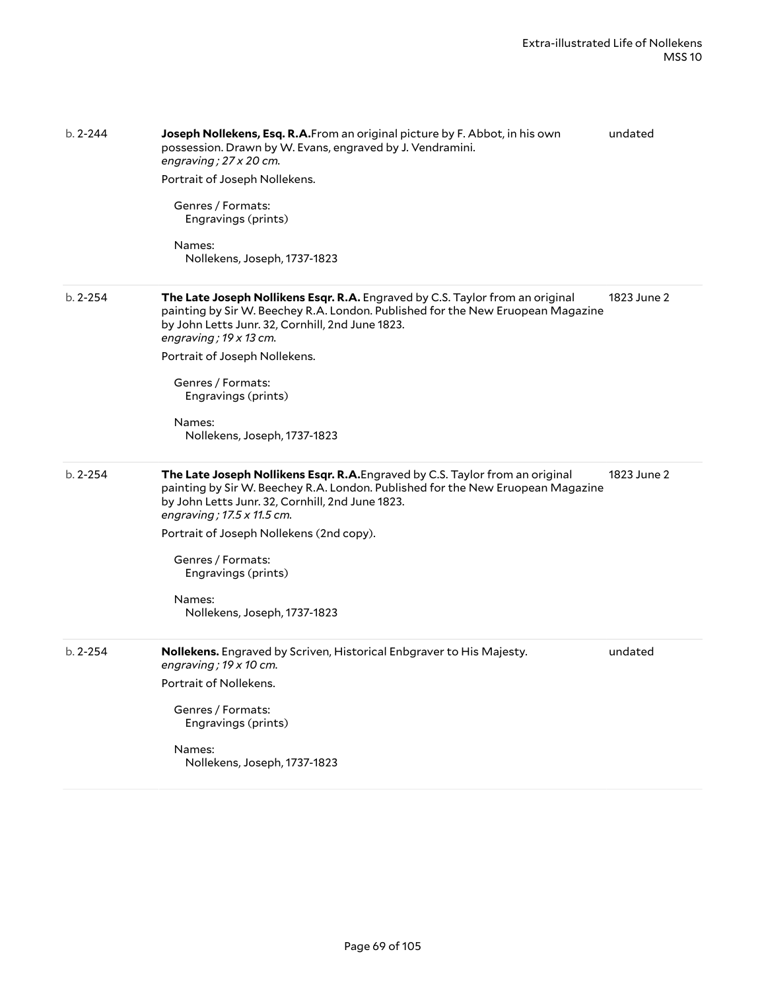| $b. 2 - 244$ | Joseph Nollekens, Esq. R.A.From an original picture by F. Abbot, in his own<br>possession. Drawn by W. Evans, engraved by J. Vendramini.<br>engraving; 27 x 20 cm.<br>Portrait of Joseph Nollekens.<br>Genres / Formats:<br>Engravings (prints)<br>Names:<br>Nollekens, Joseph, 1737-1823                                                                                            | undated     |
|--------------|--------------------------------------------------------------------------------------------------------------------------------------------------------------------------------------------------------------------------------------------------------------------------------------------------------------------------------------------------------------------------------------|-------------|
| $b. 2 - 254$ | The Late Joseph Nollikens Esqr. R.A. Engraved by C.S. Taylor from an original<br>painting by Sir W. Beechey R.A. London. Published for the New Eruopean Magazine<br>by John Letts Junr. 32, Cornhill, 2nd June 1823.<br>engraving; $19 \times 13$ cm.<br>Portrait of Joseph Nollekens.<br>Genres / Formats:<br>Engravings (prints)<br>Names:<br>Nollekens, Joseph, 1737-1823         | 1823 June 2 |
| $b. 2 - 254$ | The Late Joseph Nollikens Esqr. R.A. Engraved by C.S. Taylor from an original<br>painting by Sir W. Beechey R.A. London. Published for the New Eruopean Magazine<br>by John Letts Junr. 32, Cornhill, 2nd June 1823.<br>engraving; 17.5 x 11.5 cm.<br>Portrait of Joseph Nollekens (2nd copy).<br>Genres / Formats:<br>Engravings (prints)<br>Names:<br>Nollekens, Joseph, 1737-1823 | 1823 June 2 |
| $b. 2 - 254$ | Nollekens. Engraved by Scriven, Historical Enbgraver to His Majesty.<br>engraving; $19 \times 10$ cm.<br>Portrait of Nollekens.<br>Genres / Formats:<br>Engravings (prints)<br>Names:<br>Nollekens, Joseph, 1737-1823                                                                                                                                                                | undated     |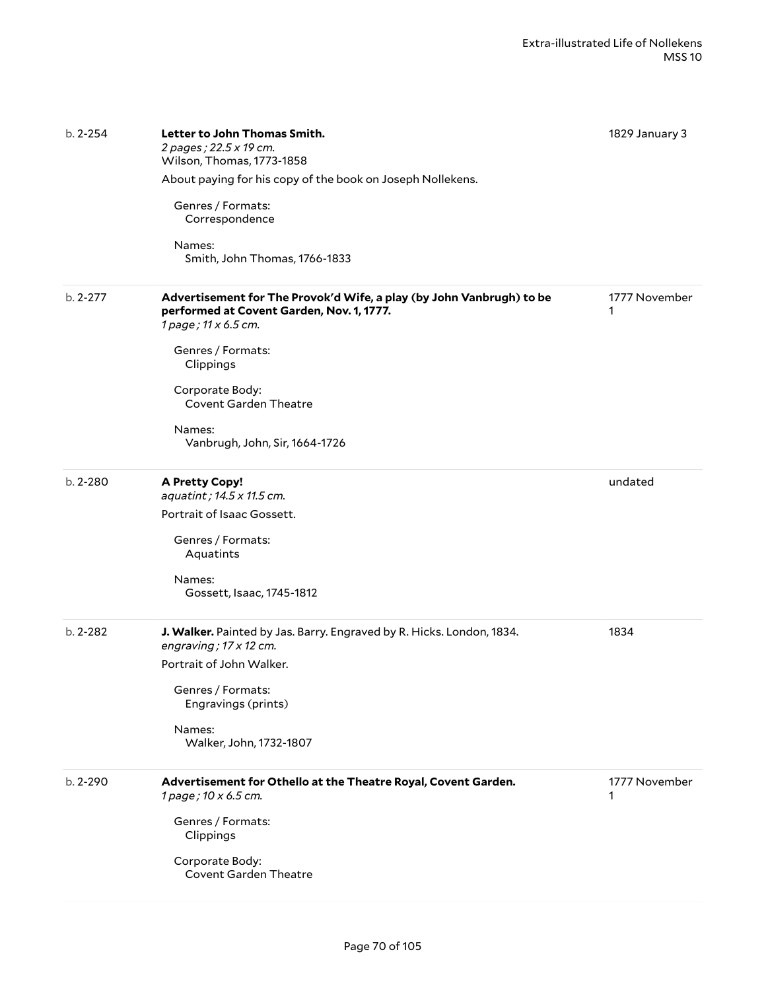| $b. 2 - 254$ | Letter to John Thomas Smith.<br>2 pages; 22.5 x 19 cm.<br>Wilson, Thomas, 1773-1858<br>About paying for his copy of the book on Joseph Nollekens.<br>Genres / Formats:<br>Correspondence<br>Names:<br>Smith, John Thomas, 1766-1833                                        | 1829 January 3     |
|--------------|----------------------------------------------------------------------------------------------------------------------------------------------------------------------------------------------------------------------------------------------------------------------------|--------------------|
| $b. 2 - 277$ | Advertisement for The Provok'd Wife, a play (by John Vanbrugh) to be<br>performed at Covent Garden, Nov. 1, 1777.<br>1 page; 11 x 6.5 cm.<br>Genres / Formats:<br>Clippings<br>Corporate Body:<br><b>Covent Garden Theatre</b><br>Names:<br>Vanbrugh, John, Sir, 1664-1726 | 1777 November<br>1 |
| $b. 2 - 280$ | <b>A Pretty Copy!</b><br>aquatint; 14.5 x 11.5 cm.<br>Portrait of Isaac Gossett.<br>Genres / Formats:<br>Aquatints<br>Names:<br>Gossett, Isaac, 1745-1812                                                                                                                  | undated            |
| $b. 2 - 282$ | J. Walker. Painted by Jas. Barry. Engraved by R. Hicks. London, 1834.<br>engraving; 17 x 12 cm.<br>Portrait of John Walker.<br>Genres / Formats:<br>Engravings (prints)<br>Names:<br>Walker, John, 1732-1807                                                               | 1834               |
| b. 2-290     | Advertisement for Othello at the Theatre Royal, Covent Garden.<br>1 page; 10 x 6.5 cm.<br>Genres / Formats:<br>Clippings<br>Corporate Body:<br><b>Covent Garden Theatre</b>                                                                                                | 1777 November<br>1 |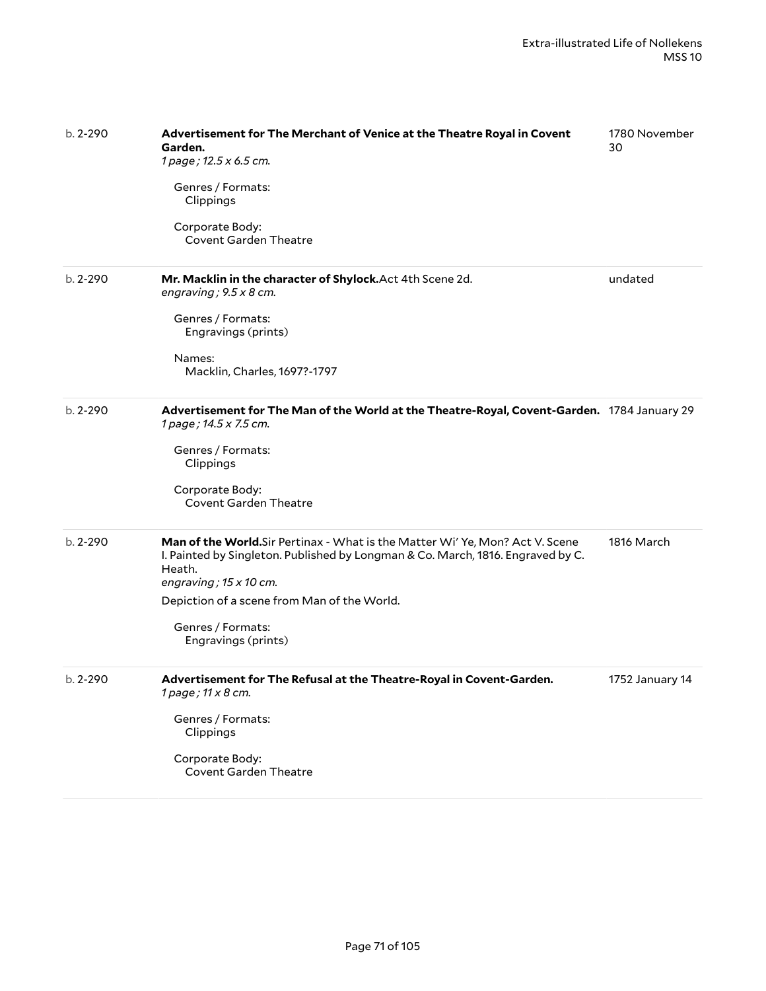| $b. 2 - 290$ | Advertisement for The Merchant of Venice at the Theatre Royal in Covent<br>Garden.<br>1 page; 12.5 x 6.5 cm.<br>Genres / Formats:<br>Clippings<br>Corporate Body:<br><b>Covent Garden Theatre</b>                                                                                                     | 1780 November<br>30 |
|--------------|-------------------------------------------------------------------------------------------------------------------------------------------------------------------------------------------------------------------------------------------------------------------------------------------------------|---------------------|
| $b. 2 - 290$ | Mr. Macklin in the character of Shylock. Act 4th Scene 2d.<br>engraving; $9.5 \times 8$ cm.<br>Genres / Formats:<br>Engravings (prints)<br>Names:<br>Macklin, Charles, 1697?-1797                                                                                                                     | undated             |
| $b. 2 - 290$ | Advertisement for The Man of the World at the Theatre-Royal, Covent-Garden. 1784 January 29<br>1 page; 14.5 x 7.5 cm.<br>Genres / Formats:<br>Clippings<br>Corporate Body:<br><b>Covent Garden Theatre</b>                                                                                            |                     |
| $b. 2 - 290$ | Man of the World.Sir Pertinax - What is the Matter Wi' Ye, Mon? Act V. Scene<br>I. Painted by Singleton. Published by Longman & Co. March, 1816. Engraved by C.<br>Heath.<br>engraving; $15 \times 10$ cm.<br>Depiction of a scene from Man of the World.<br>Genres / Formats:<br>Engravings (prints) | 1816 March          |
| $b. 2 - 290$ | Advertisement for The Refusal at the Theatre-Royal in Covent-Garden.<br>1 page; 11 x 8 cm.<br>Genres / Formats:<br>Clippings<br>Corporate Body:<br><b>Covent Garden Theatre</b>                                                                                                                       | 1752 January 14     |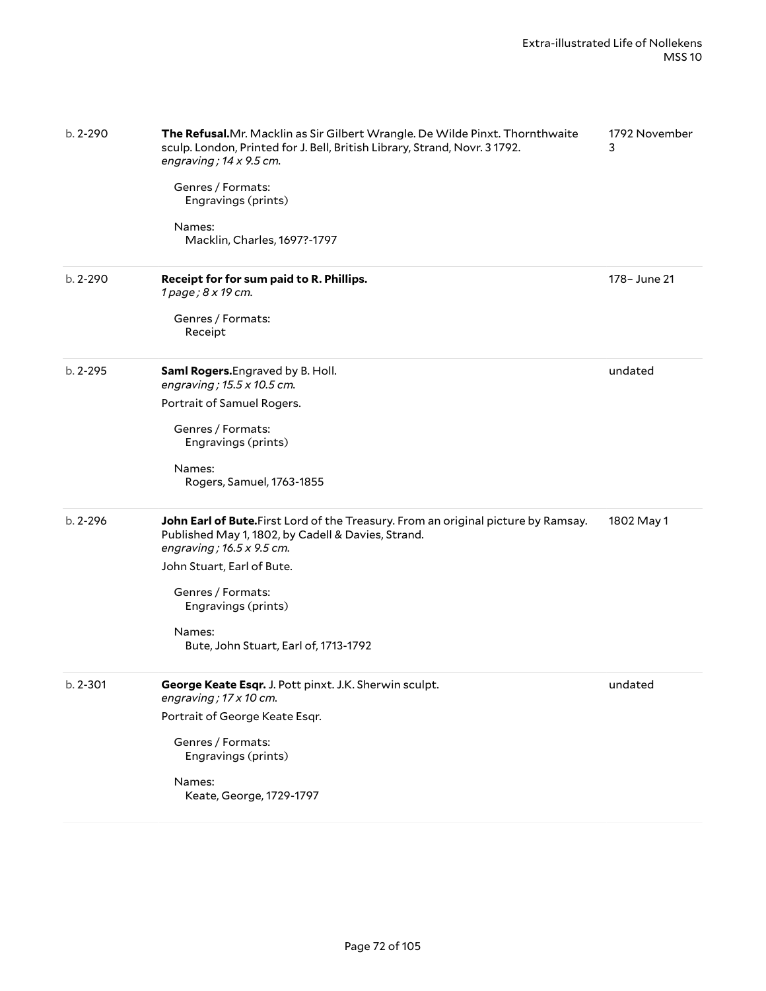| b. 2-290     | The Refusal.Mr. Macklin as Sir Gilbert Wrangle. De Wilde Pinxt. Thornthwaite<br>sculp. London, Printed for J. Bell, British Library, Strand, Novr. 3 1792.<br>engraving; $14 \times 9.5$ cm.<br>Genres / Formats:<br>Engravings (prints)<br>Names:<br>Macklin, Charles, 1697?-1797 | 1792 November<br>3 |
|--------------|------------------------------------------------------------------------------------------------------------------------------------------------------------------------------------------------------------------------------------------------------------------------------------|--------------------|
| $b. 2 - 290$ | Receipt for for sum paid to R. Phillips.<br>1 page; 8 x 19 cm.                                                                                                                                                                                                                     | 178- June 21       |
|              | Genres / Formats:<br>Receipt                                                                                                                                                                                                                                                       |                    |
| $b. 2 - 295$ | Saml Rogers. Engraved by B. Holl.<br>engraving; 15.5 x 10.5 cm.                                                                                                                                                                                                                    | undated            |
|              | Portrait of Samuel Rogers.                                                                                                                                                                                                                                                         |                    |
|              | Genres / Formats:<br>Engravings (prints)                                                                                                                                                                                                                                           |                    |
|              | Names:<br>Rogers, Samuel, 1763-1855                                                                                                                                                                                                                                                |                    |
| $b. 2 - 296$ | John Earl of Bute. First Lord of the Treasury. From an original picture by Ramsay.<br>Published May 1, 1802, by Cadell & Davies, Strand.<br>engraving; 16.5 x 9.5 cm.                                                                                                              | 1802 May 1         |
|              | John Stuart, Earl of Bute.                                                                                                                                                                                                                                                         |                    |
|              | Genres / Formats:<br>Engravings (prints)                                                                                                                                                                                                                                           |                    |
|              | Names:<br>Bute, John Stuart, Earl of, 1713-1792                                                                                                                                                                                                                                    |                    |
| $b. 2 - 301$ | George Keate Esqr. J. Pott pinxt. J.K. Sherwin sculpt.<br>engraving; 17 x 10 cm.                                                                                                                                                                                                   | undated            |
|              | Portrait of George Keate Esqr.                                                                                                                                                                                                                                                     |                    |
|              | Genres / Formats:<br>Engravings (prints)                                                                                                                                                                                                                                           |                    |
|              | Names:<br>Keate, George, 1729-1797                                                                                                                                                                                                                                                 |                    |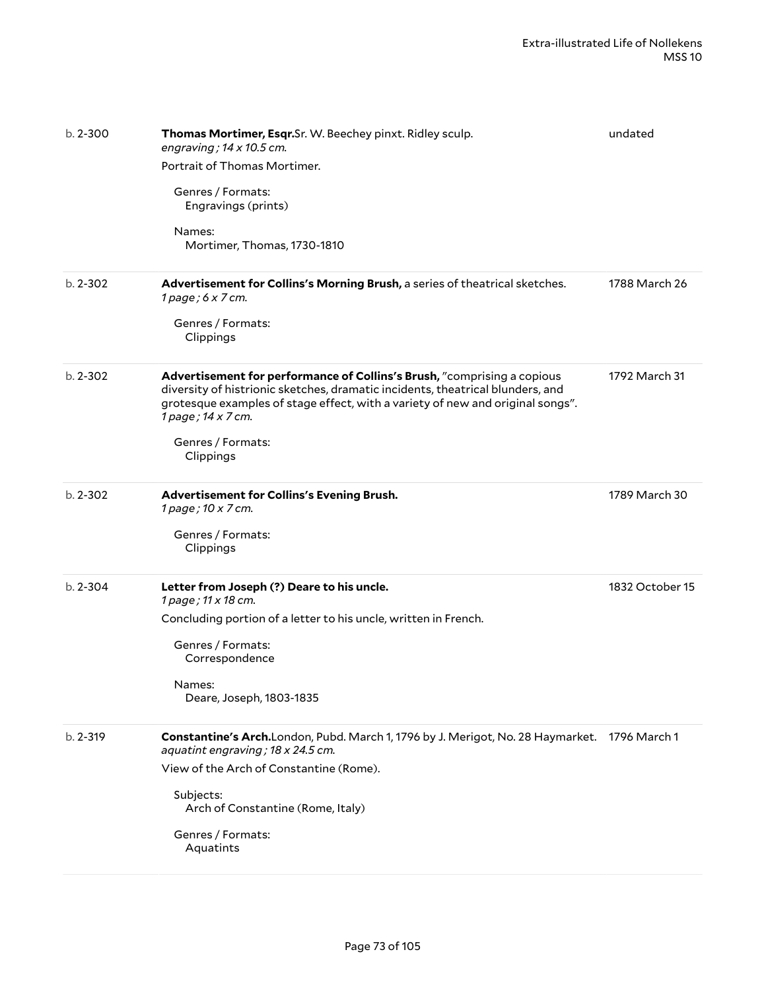| $b. 2 - 300$ | Thomas Mortimer, Esqr.Sr. W. Beechey pinxt. Ridley sculp.<br>engraving; $14 \times 10.5$ cm.<br>Portrait of Thomas Mortimer.<br>Genres / Formats:<br>Engravings (prints)<br>Names:<br>Mortimer, Thomas, 1730-1810                                                                                   | undated         |
|--------------|-----------------------------------------------------------------------------------------------------------------------------------------------------------------------------------------------------------------------------------------------------------------------------------------------------|-----------------|
| $b. 2 - 302$ | Advertisement for Collins's Morning Brush, a series of theatrical sketches.<br>$1$ page; $6 \times 7$ cm.<br>Genres / Formats:<br>Clippings                                                                                                                                                         | 1788 March 26   |
| $b. 2 - 302$ | Advertisement for performance of Collins's Brush, "comprising a copious<br>diversity of histrionic sketches, dramatic incidents, theatrical blunders, and<br>grotesque examples of stage effect, with a variety of new and original songs".<br>1 page; 14 x 7 cm.<br>Genres / Formats:<br>Clippings | 1792 March 31   |
| $b. 2 - 302$ | Advertisement for Collins's Evening Brush.<br>1 page; 10 x 7 cm.<br>Genres / Formats:<br>Clippings                                                                                                                                                                                                  | 1789 March 30   |
| $b. 2 - 304$ | Letter from Joseph (?) Deare to his uncle.<br>1 page; 11 x 18 cm.<br>Concluding portion of a letter to his uncle, written in French.<br>Genres / Formats:<br>Correspondence<br>Names:<br>Deare, Joseph, 1803-1835                                                                                   | 1832 October 15 |
| b. 2-319     | Constantine's Arch.London, Pubd. March 1, 1796 by J. Merigot, No. 28 Haymarket. 1796 March 1<br>aquatint engraving; 18 x 24.5 cm.<br>View of the Arch of Constantine (Rome).<br>Subjects:<br>Arch of Constantine (Rome, Italy)<br>Genres / Formats:<br>Aquatints                                    |                 |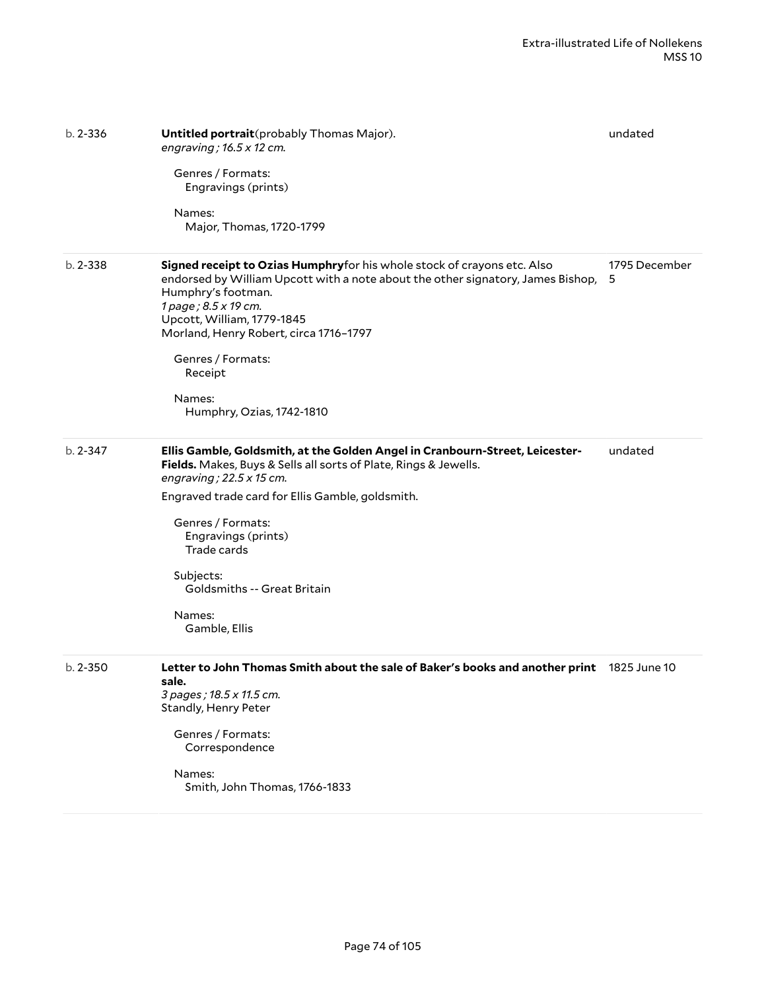| $b. 2 - 336$ | Untitled portrait (probably Thomas Major).<br>engraving; $16.5 \times 12$ cm.<br>Genres / Formats:<br>Engravings (prints)<br>Names:<br>Major, Thomas, 1720-1799                                                                                                                                                                                                                  | undated            |
|--------------|----------------------------------------------------------------------------------------------------------------------------------------------------------------------------------------------------------------------------------------------------------------------------------------------------------------------------------------------------------------------------------|--------------------|
| $b. 2 - 338$ | Signed receipt to Ozias Humphryfor his whole stock of crayons etc. Also<br>endorsed by William Upcott with a note about the other signatory, James Bishop,<br>Humphry's footman.<br>1 page; 8.5 x 19 cm.<br>Upcott, William, 1779-1845<br>Morland, Henry Robert, circa 1716-1797<br>Genres / Formats:<br>Receipt<br>Names:<br>Humphry, Ozias, 1742-1810                          | 1795 December<br>5 |
| $b. 2 - 347$ | Ellis Gamble, Goldsmith, at the Golden Angel in Cranbourn-Street, Leicester-<br>Fields. Makes, Buys & Sells all sorts of Plate, Rings & Jewells.<br>engraving; $22.5 \times 15$ cm.<br>Engraved trade card for Ellis Gamble, goldsmith.<br>Genres / Formats:<br>Engravings (prints)<br>Trade cards<br>Subjects:<br><b>Goldsmiths -- Great Britain</b><br>Names:<br>Gamble, Ellis | undated            |
| $b. 2 - 350$ | Letter to John Thomas Smith about the sale of Baker's books and another print 1825 June 10<br>sale.<br>3 pages ; 18.5 x 11.5 cm.<br>Standly, Henry Peter<br>Genres / Formats:<br>Correspondence<br>Names:<br>Smith, John Thomas, 1766-1833                                                                                                                                       |                    |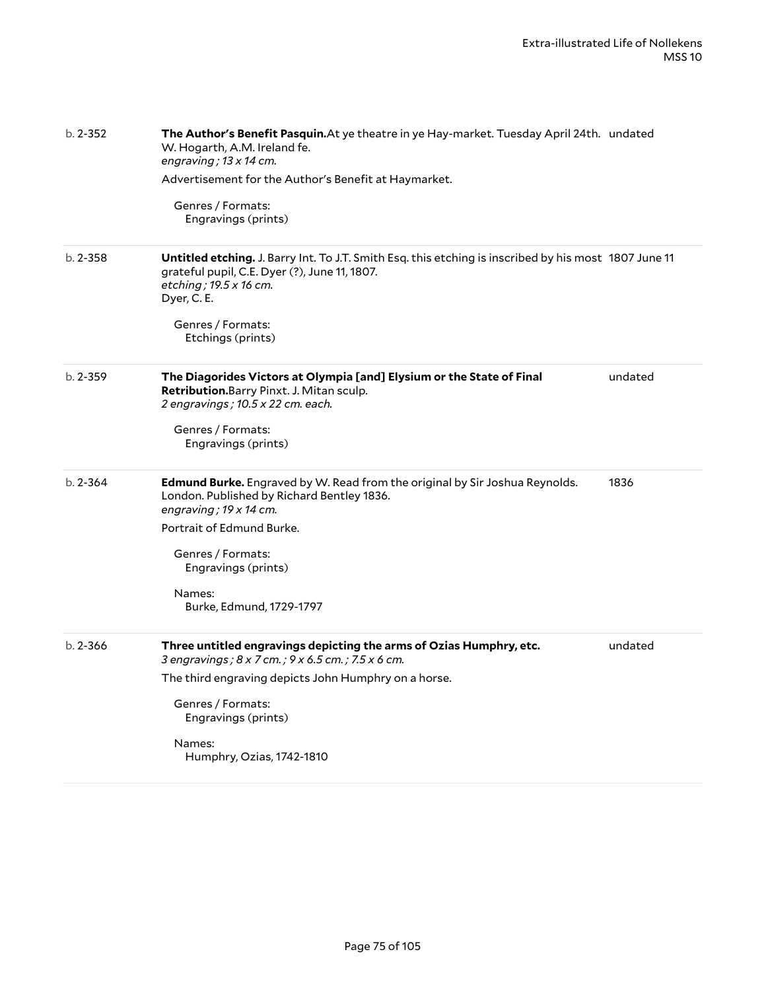| $b. 2 - 352$ | The Author's Benefit Pasquin. At ye theatre in ye Hay-market. Tuesday April 24th. undated<br>W. Hogarth, A.M. Ireland fe.<br>engraving ; 13 x 14 cm.<br>Advertisement for the Author's Benefit at Haymarket.<br>Genres / Formats:<br>Engravings (prints)                  |         |
|--------------|---------------------------------------------------------------------------------------------------------------------------------------------------------------------------------------------------------------------------------------------------------------------------|---------|
| $b. 2 - 358$ | Untitled etching. J. Barry Int. To J.T. Smith Esq. this etching is inscribed by his most 1807 June 11<br>grateful pupil, C.E. Dyer (?), June 11, 1807.<br>etching; 19.5 x 16 cm.<br>Dyer, C. E.<br>Genres / Formats:<br>Etchings (prints)                                 |         |
| $b. 2 - 359$ | The Diagorides Victors at Olympia [and] Elysium or the State of Final<br>Retribution. Barry Pinxt. J. Mitan sculp.<br>2 engravings; 10.5 x 22 cm. each.<br>Genres / Formats:<br>Engravings (prints)                                                                       | undated |
| $b. 2 - 364$ | Edmund Burke. Engraved by W. Read from the original by Sir Joshua Reynolds.<br>London. Published by Richard Bentley 1836.<br>engraving; $19 \times 14$ cm.<br>Portrait of Edmund Burke.<br>Genres / Formats:<br>Engravings (prints)<br>Names:<br>Burke, Edmund, 1729-1797 | 1836    |
| $b. 2 - 366$ | Three untitled engravings depicting the arms of Ozias Humphry, etc.<br>3 engravings; 8 x 7 cm.; 9 x 6.5 cm.; 7.5 x 6 cm.<br>The third engraving depicts John Humphry on a horse.<br>Genres / Formats:<br>Engravings (prints)<br>Names:<br>Humphry, Ozias, 1742-1810       | undated |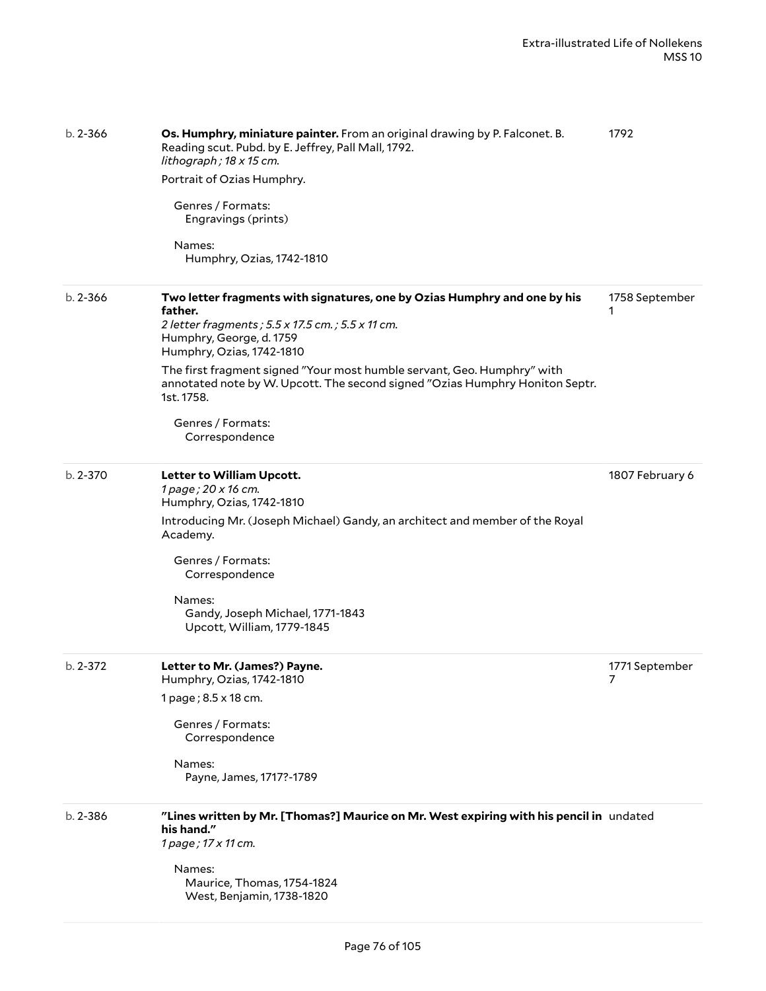| $b. 2 - 366$ | Os. Humphry, miniature painter. From an original drawing by P. Falconet. B.<br>Reading scut. Pubd. by E. Jeffrey, Pall Mall, 1792.<br>lithograph; 18 x 15 cm.<br>Portrait of Ozias Humphry.<br>Genres / Formats: | 1792                             |
|--------------|------------------------------------------------------------------------------------------------------------------------------------------------------------------------------------------------------------------|----------------------------------|
|              | Engravings (prints)<br>Names:<br>Humphry, Ozias, 1742-1810                                                                                                                                                       |                                  |
| $b. 2 - 366$ | Two letter fragments with signatures, one by Ozias Humphry and one by his<br>father.<br>2 letter fragments; 5.5 x 17.5 cm.; 5.5 x 11 cm.<br>Humphry, George, d. 1759<br>Humphry, Ozias, 1742-1810                | 1758 September<br>1              |
|              | The first fragment signed "Your most humble servant, Geo. Humphry" with<br>annotated note by W. Upcott. The second signed "Ozias Humphry Honiton Septr.<br>1st. 1758.                                            |                                  |
|              | Genres / Formats:<br>Correspondence                                                                                                                                                                              |                                  |
| b. 2-370     | Letter to William Upcott.<br>1 page; 20 x 16 cm.<br>Humphry, Ozias, 1742-1810                                                                                                                                    | 1807 February 6                  |
|              | Introducing Mr. (Joseph Michael) Gandy, an architect and member of the Royal<br>Academy.                                                                                                                         |                                  |
|              | Genres / Formats:<br>Correspondence                                                                                                                                                                              |                                  |
|              | Names:<br>Gandy, Joseph Michael, 1771-1843<br>Upcott, William, 1779-1845                                                                                                                                         |                                  |
| $b. 2 - 372$ | Letter to Mr. (James?) Payne.<br>Humphry, Ozias, 1742-1810                                                                                                                                                       | 1771 September<br>$\overline{7}$ |
|              | 1 page; 8.5 x 18 cm.<br>Genres / Formats:                                                                                                                                                                        |                                  |
|              | Correspondence                                                                                                                                                                                                   |                                  |
|              | Names:<br>Payne, James, 1717?-1789                                                                                                                                                                               |                                  |
| $b. 2 - 386$ | "Lines written by Mr. [Thomas?] Maurice on Mr. West expiring with his pencil in undated<br>his hand."<br>1 page; 17 x 11 cm.                                                                                     |                                  |
|              | Names:<br>Maurice, Thomas, 1754-1824<br>West, Benjamin, 1738-1820                                                                                                                                                |                                  |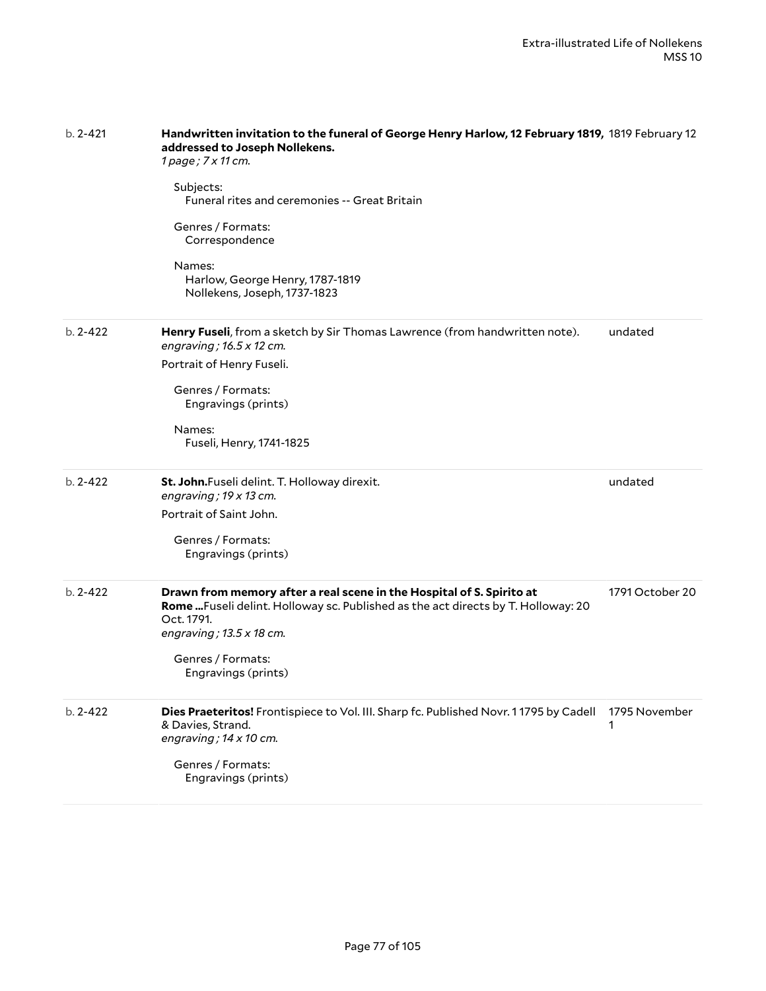| $b. 2 - 421$ | Handwritten invitation to the funeral of George Henry Harlow, 12 February 1819, 1819 February 12<br>addressed to Joseph Nollekens.<br>1 page; 7 x 11 cm.                                                    |                    |  |
|--------------|-------------------------------------------------------------------------------------------------------------------------------------------------------------------------------------------------------------|--------------------|--|
|              | Subjects:<br><b>Funeral rites and ceremonies -- Great Britain</b>                                                                                                                                           |                    |  |
|              | Genres / Formats:<br>Correspondence                                                                                                                                                                         |                    |  |
|              | Names:<br>Harlow, George Henry, 1787-1819<br>Nollekens, Joseph, 1737-1823                                                                                                                                   |                    |  |
| $b. 2 - 422$ | Henry Fuseli, from a sketch by Sir Thomas Lawrence (from handwritten note).<br>engraving; $16.5 \times 12$ cm.                                                                                              | undated            |  |
|              | Portrait of Henry Fuseli.                                                                                                                                                                                   |                    |  |
|              | Genres / Formats:<br>Engravings (prints)                                                                                                                                                                    |                    |  |
|              | Names:<br>Fuseli, Henry, 1741-1825                                                                                                                                                                          |                    |  |
| $b. 2 - 422$ | St. John.Fuseli delint. T. Holloway direxit.<br>engraving; $19 \times 13$ cm.                                                                                                                               | undated            |  |
|              | Portrait of Saint John.                                                                                                                                                                                     |                    |  |
|              | Genres / Formats:<br>Engravings (prints)                                                                                                                                                                    |                    |  |
| $b. 2 - 422$ | Drawn from memory after a real scene in the Hospital of S. Spirito at<br>Rome  Fuseli delint. Holloway sc. Published as the act directs by T. Holloway: 20<br>Oct. 1791.<br>engraving; $13.5 \times 18$ cm. | 1791 October 20    |  |
|              | Genres / Formats:<br>Engravings (prints)                                                                                                                                                                    |                    |  |
| $b. 2 - 422$ | Dies Praeteritos! Frontispiece to Vol. III. Sharp fc. Published Novr. 11795 by Cadell<br>& Davies, Strand.<br>engraving; $14 \times 10$ cm.                                                                 | 1795 November<br>1 |  |
|              | Genres / Formats:<br>Engravings (prints)                                                                                                                                                                    |                    |  |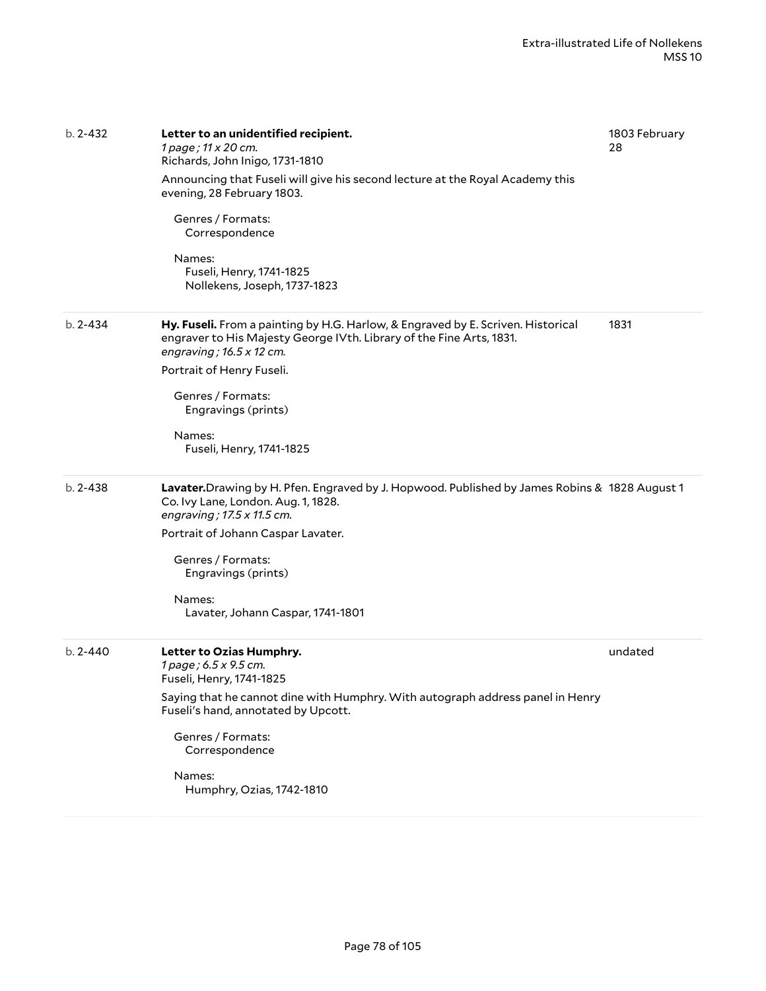| $b. 2 - 432$ | Letter to an unidentified recipient.<br>1 page; 11 x 20 cm.<br>Richards, John Inigo, 1731-1810<br>Announcing that Fuseli will give his second lecture at the Royal Academy this<br>evening, 28 February 1803.<br>Genres / Formats:<br>Correspondence<br>Names:<br>Fuseli, Henry, 1741-1825<br>Nollekens, Joseph, 1737-1823 | 1803 February<br>28 |
|--------------|----------------------------------------------------------------------------------------------------------------------------------------------------------------------------------------------------------------------------------------------------------------------------------------------------------------------------|---------------------|
| $b. 2 - 434$ | Hy. Fuseli. From a painting by H.G. Harlow, & Engraved by E. Scriven. Historical<br>engraver to His Majesty George IVth. Library of the Fine Arts, 1831.<br>engraving; $16.5 \times 12$ cm.<br>Portrait of Henry Fuseli.<br>Genres / Formats:<br>Engravings (prints)<br>Names:<br>Fuseli, Henry, 1741-1825                 | 1831                |
| $b. 2 - 438$ | Lavater. Drawing by H. Pfen. Engraved by J. Hopwood. Published by James Robins & 1828 August 1<br>Co. Ivy Lane, London. Aug. 1, 1828.<br>engraving; 17.5 x 11.5 cm.<br>Portrait of Johann Caspar Lavater.<br>Genres / Formats:<br>Engravings (prints)<br>Names:<br>Lavater, Johann Caspar, 1741-1801                       |                     |
| b. 2-440     | Letter to Ozias Humphry.<br>1 page; 6.5 x 9.5 cm.<br>Fuseli, Henry, 1741-1825<br>Saying that he cannot dine with Humphry. With autograph address panel in Henry<br>Fuseli's hand, annotated by Upcott.<br>Genres / Formats:<br>Correspondence<br>Names:<br>Humphry, Ozias, 1742-1810                                       | undated             |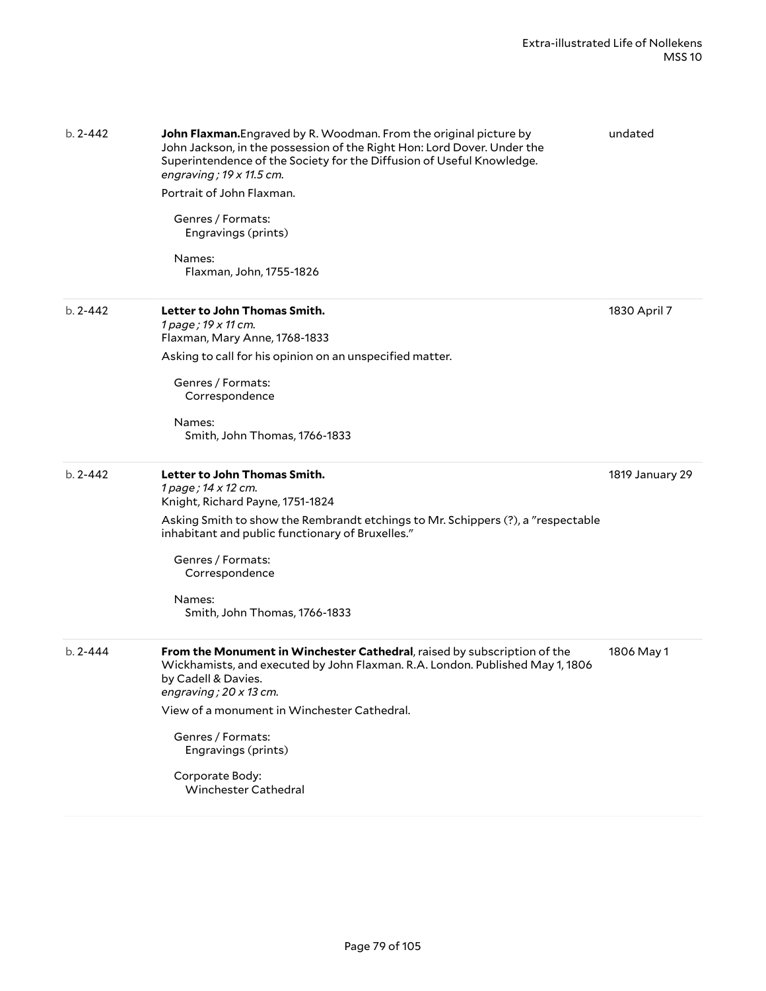| $b. 2 - 442$ | <b>John Flaxman.</b> Engraved by R. Woodman. From the original picture by<br>John Jackson, in the possession of the Right Hon: Lord Dover. Under the<br>Superintendence of the Society for the Diffusion of Useful Knowledge.<br>engraving; $19 \times 11.5$ cm.<br>Portrait of John Flaxman.<br>Genres / Formats:<br>Engravings (prints)<br>Names:<br>Flaxman, John, 1755-1826 | undated         |
|--------------|---------------------------------------------------------------------------------------------------------------------------------------------------------------------------------------------------------------------------------------------------------------------------------------------------------------------------------------------------------------------------------|-----------------|
| $b. 2 - 442$ | Letter to John Thomas Smith.<br>1 page; 19 x 11 cm.<br>Flaxman, Mary Anne, 1768-1833<br>Asking to call for his opinion on an unspecified matter.                                                                                                                                                                                                                                | 1830 April 7    |
|              | Genres / Formats:<br>Correspondence<br>Names:<br>Smith, John Thomas, 1766-1833                                                                                                                                                                                                                                                                                                  |                 |
| $b. 2 - 442$ | Letter to John Thomas Smith.<br>1 page; 14 x 12 cm.<br>Knight, Richard Payne, 1751-1824<br>Asking Smith to show the Rembrandt etchings to Mr. Schippers (?), a "respectable<br>inhabitant and public functionary of Bruxelles."<br>Genres / Formats:<br>Correspondence<br>Names:<br>Smith, John Thomas, 1766-1833                                                               | 1819 January 29 |
| $b. 2 - 444$ | From the Monument in Winchester Cathedral, raised by subscription of the<br>Wickhamists, and executed by John Flaxman. R.A. London. Published May 1, 1806<br>by Cadell & Davies.<br>engraving; $20 \times 13$ cm.<br>View of a monument in Winchester Cathedral.<br>Genres / Formats:<br>Engravings (prints)<br>Corporate Body:<br><b>Winchester Cathedral</b>                  | 1806 May 1      |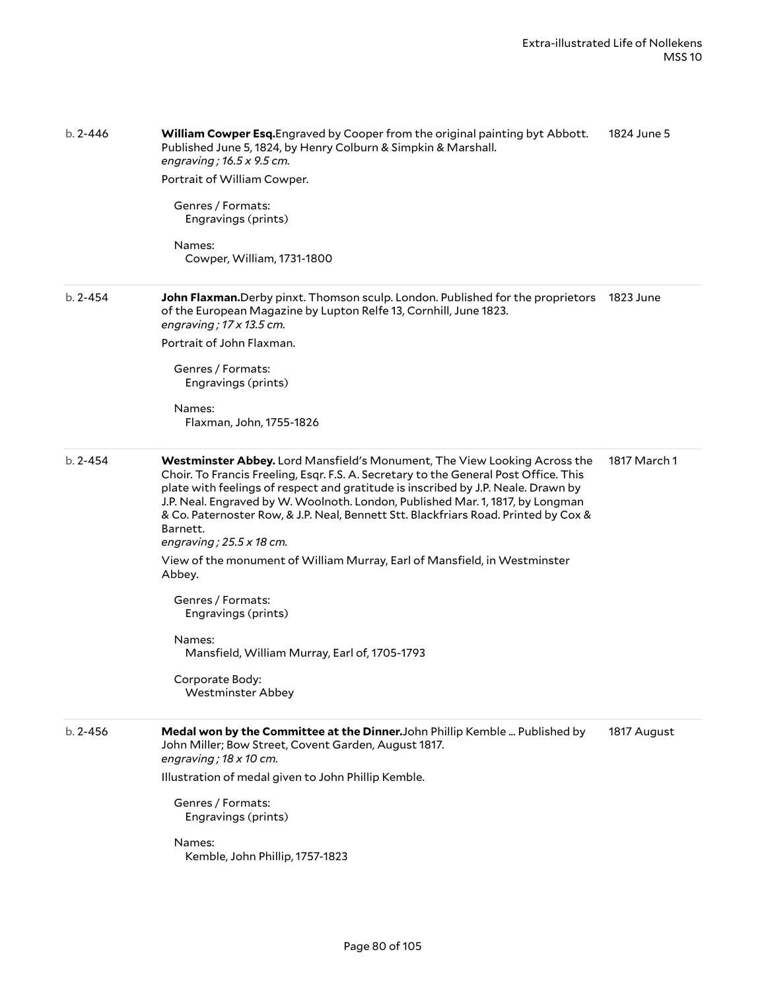| b. 2-446     | William Cowper Esq. Engraved by Cooper from the original painting byt Abbott.<br>Published June 5, 1824, by Henry Colburn & Simpkin & Marshall.<br>engraving; $16.5 \times 9.5$ cm.<br>Portrait of William Cowper.<br>Genres / Formats:<br>Engravings (prints)<br>Names:<br>Cowper, William, 1731-1800                                                                                                                                                                                                                                                                                                                                                                                                                      | 1824 June 5  |
|--------------|-----------------------------------------------------------------------------------------------------------------------------------------------------------------------------------------------------------------------------------------------------------------------------------------------------------------------------------------------------------------------------------------------------------------------------------------------------------------------------------------------------------------------------------------------------------------------------------------------------------------------------------------------------------------------------------------------------------------------------|--------------|
| $b. 2 - 454$ | John Flaxman.Derby pinxt. Thomson sculp. London. Published for the proprietors<br>of the European Magazine by Lupton Relfe 13, Cornhill, June 1823.<br>engraving; $17 \times 13.5$ cm.<br>Portrait of John Flaxman.<br>Genres / Formats:<br>Engravings (prints)<br>Names:<br>Flaxman, John, 1755-1826                                                                                                                                                                                                                                                                                                                                                                                                                       | 1823 June    |
| $b. 2 - 454$ | Westminster Abbey. Lord Mansfield's Monument, The View Looking Across the<br>Choir. To Francis Freeling, Esqr. F.S. A. Secretary to the General Post Office. This<br>plate with feelings of respect and gratitude is inscribed by J.P. Neale. Drawn by<br>J.P. Neal. Engraved by W. Woolnoth. London, Published Mar. 1, 1817, by Longman<br>& Co. Paternoster Row, & J.P. Neal, Bennett Stt. Blackfriars Road. Printed by Cox &<br>Barnett.<br>engraving; $25.5 \times 18$ cm.<br>View of the monument of William Murray, Earl of Mansfield, in Westminster<br>Abbey.<br>Genres / Formats:<br>Engravings (prints)<br>Names:<br>Mansfield, William Murray, Earl of, 1705-1793<br>Corporate Body:<br><b>Westminster Abbey</b> | 1817 March 1 |
| $b. 2 - 456$ | Medal won by the Committee at the Dinner. John Phillip Kemble  Published by<br>John Miller; Bow Street, Covent Garden, August 1817.<br>engraving; $18 \times 10$ cm.<br>Illustration of medal given to John Phillip Kemble.<br>Genres / Formats:<br>Engravings (prints)<br>Names:<br>Kemble, John Phillip, 1757-1823                                                                                                                                                                                                                                                                                                                                                                                                        | 1817 August  |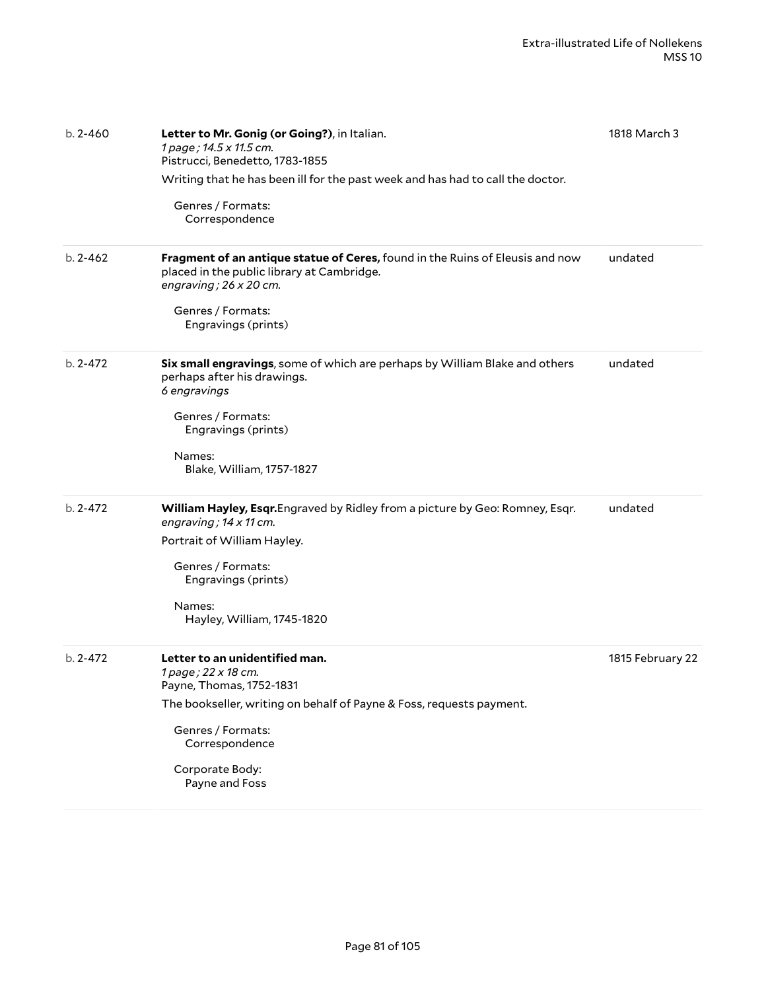| $b. 2 - 460$ | Letter to Mr. Gonig (or Going?), in Italian.<br>1 page; 14.5 x 11.5 cm.<br>Pistrucci, Benedetto, 1783-1855<br>Writing that he has been ill for the past week and has had to call the doctor.<br>Genres / Formats:<br>Correspondence   | 1818 March 3     |
|--------------|---------------------------------------------------------------------------------------------------------------------------------------------------------------------------------------------------------------------------------------|------------------|
| $b. 2 - 462$ | Fragment of an antique statue of Ceres, found in the Ruins of Eleusis and now<br>placed in the public library at Cambridge.<br>engraving; $26 \times 20$ cm.<br>Genres / Formats:<br>Engravings (prints)                              | undated          |
| $b. 2 - 472$ | Six small engravings, some of which are perhaps by William Blake and others<br>perhaps after his drawings.<br>6 engravings<br>Genres / Formats:<br>Engravings (prints)<br>Names:<br>Blake, William, 1757-1827                         | undated          |
| $b. 2 - 472$ | William Hayley, Esqr. Engraved by Ridley from a picture by Geo: Romney, Esqr.<br>engraving; $14 \times 11$ cm.<br>Portrait of William Hayley.<br>Genres / Formats:<br>Engravings (prints)<br>Names:<br>Hayley, William, 1745-1820     | undated          |
| $b. 2 - 472$ | Letter to an unidentified man.<br>1 page; 22 x 18 cm.<br>Payne, Thomas, 1752-1831<br>The bookseller, writing on behalf of Payne & Foss, requests payment.<br>Genres / Formats:<br>Correspondence<br>Corporate Body:<br>Payne and Foss | 1815 February 22 |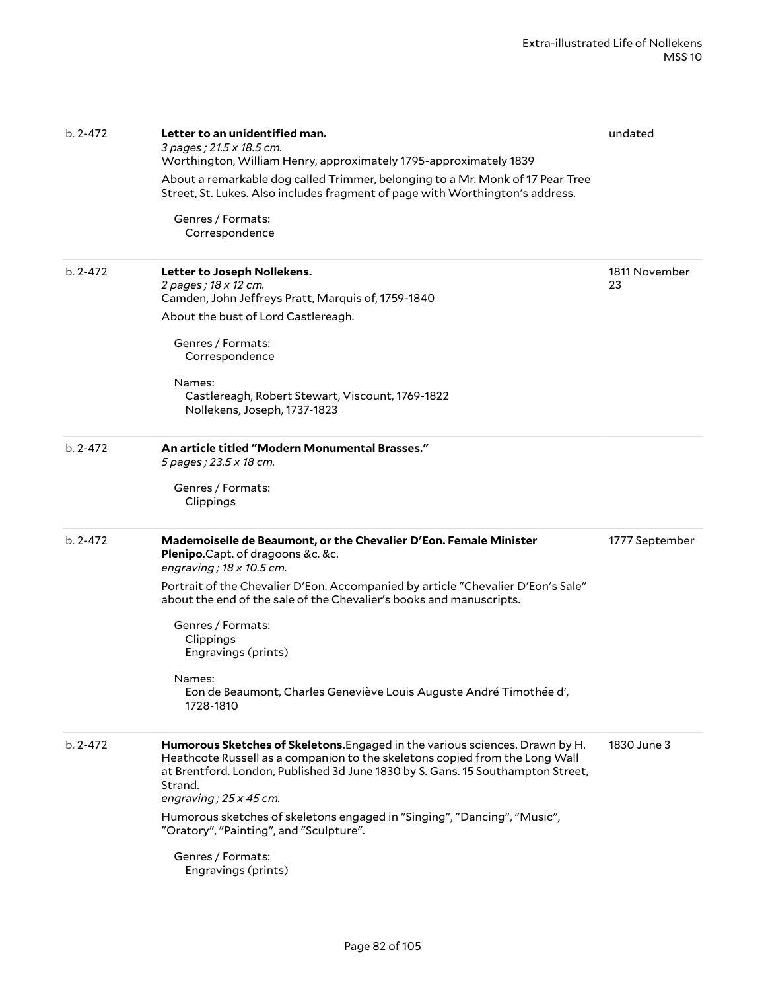| $b. 2 - 472$ | Letter to an unidentified man.<br>3 pages; 21.5 x 18.5 cm.<br>Worthington, William Henry, approximately 1795-approximately 1839<br>About a remarkable dog called Trimmer, belonging to a Mr. Monk of 17 Pear Tree<br>Street, St. Lukes. Also includes fragment of page with Worthington's address.<br>Genres / Formats:<br>Correspondence                                                                                                                     | undated             |
|--------------|---------------------------------------------------------------------------------------------------------------------------------------------------------------------------------------------------------------------------------------------------------------------------------------------------------------------------------------------------------------------------------------------------------------------------------------------------------------|---------------------|
| $b. 2 - 472$ | Letter to Joseph Nollekens.<br>2 pages; 18 x 12 cm.<br>Camden, John Jeffreys Pratt, Marquis of, 1759-1840<br>About the bust of Lord Castlereagh.<br>Genres / Formats:<br>Correspondence<br>Names:<br>Castlereagh, Robert Stewart, Viscount, 1769-1822<br>Nollekens, Joseph, 1737-1823                                                                                                                                                                         | 1811 November<br>23 |
| $b. 2 - 472$ | An article titled "Modern Monumental Brasses."<br>5 pages ; 23.5 x 18 cm.<br>Genres / Formats:<br>Clippings                                                                                                                                                                                                                                                                                                                                                   |                     |
| $b. 2 - 472$ | Mademoiselle de Beaumont, or the Chevalier D'Eon. Female Minister<br>Plenipo.Capt. of dragoons &c. &c.<br>engraving; $18 \times 10.5$ cm.<br>Portrait of the Chevalier D'Eon. Accompanied by article "Chevalier D'Eon's Sale"<br>about the end of the sale of the Chevalier's books and manuscripts.<br>Genres / Formats:<br>Clippings<br>Engravings (prints)<br>Names:<br>Eon de Beaumont, Charles Geneviève Louis Auguste André Timothée d',<br>1728-1810   | 1777 September      |
| $b. 2 - 472$ | Humorous Sketches of Skeletons. Engaged in the various sciences. Drawn by H.<br>Heathcote Russell as a companion to the skeletons copied from the Long Wall<br>at Brentford. London, Published 3d June 1830 by S. Gans. 15 Southampton Street,<br>Strand.<br>engraving; $25 \times 45$ cm.<br>Humorous sketches of skeletons engaged in "Singing", "Dancing", "Music",<br>"Oratory", "Painting", and "Sculpture".<br>Genres / Formats:<br>Engravings (prints) | 1830 June 3         |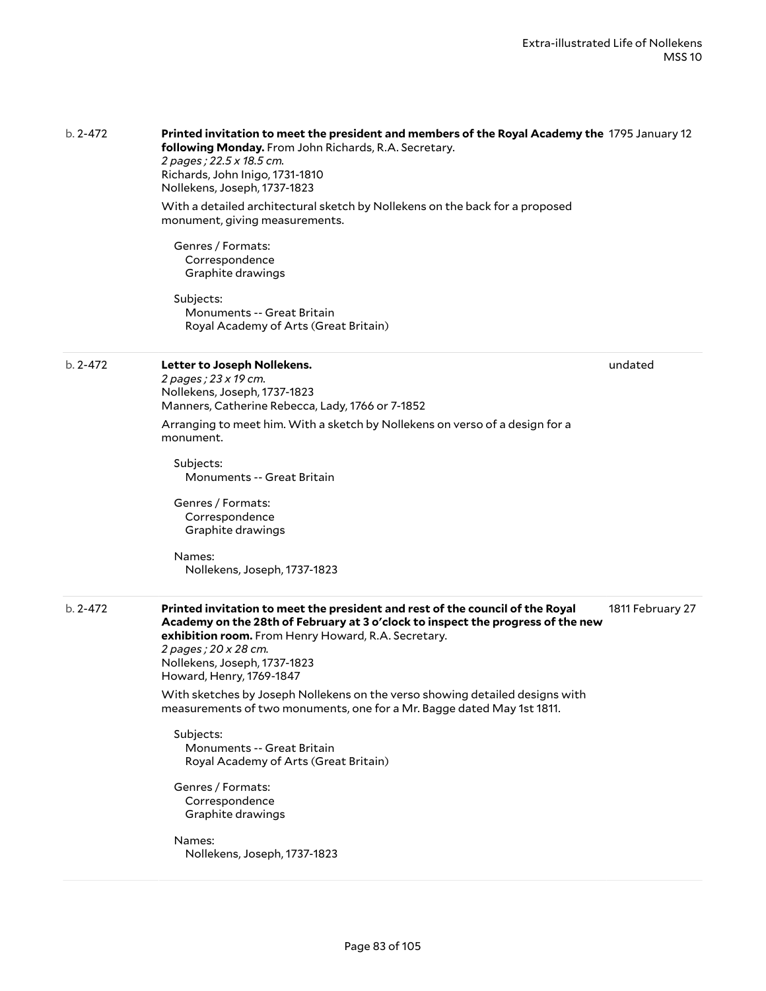|              | following Monday. From John Richards, R.A. Secretary.<br>2 pages; 22.5 x 18.5 cm.<br>Richards, John Inigo, 1731-1810<br>Nollekens, Joseph, 1737-1823<br>With a detailed architectural sketch by Nollekens on the back for a proposed<br>monument, giving measurements.<br>Genres / Formats:<br>Correspondence<br>Graphite drawings<br>Subjects:<br><b>Monuments -- Great Britain</b><br>Royal Academy of Arts (Great Britain)                                                                                                                                                                                                                                           |                  |
|--------------|-------------------------------------------------------------------------------------------------------------------------------------------------------------------------------------------------------------------------------------------------------------------------------------------------------------------------------------------------------------------------------------------------------------------------------------------------------------------------------------------------------------------------------------------------------------------------------------------------------------------------------------------------------------------------|------------------|
| $b. 2 - 472$ | Letter to Joseph Nollekens.<br>2 pages; 23 x 19 cm.<br>Nollekens, Joseph, 1737-1823<br>Manners, Catherine Rebecca, Lady, 1766 or 7-1852<br>Arranging to meet him. With a sketch by Nollekens on verso of a design for a<br>monument.<br>Subjects:<br><b>Monuments -- Great Britain</b><br>Genres / Formats:<br>Correspondence<br>Graphite drawings<br>Names:<br>Nollekens, Joseph, 1737-1823                                                                                                                                                                                                                                                                            | undated          |
| $b. 2 - 472$ | Printed invitation to meet the president and rest of the council of the Royal<br>Academy on the 28th of February at 3 o'clock to inspect the progress of the new<br>exhibition room. From Henry Howard, R.A. Secretary.<br>2 pages ; 20 x 28 cm.<br>Nollekens, Joseph, 1737-1823<br>Howard, Henry, 1769-1847<br>With sketches by Joseph Nollekens on the verso showing detailed designs with<br>measurements of two monuments, one for a Mr. Bagge dated May 1st 1811.<br>Subjects:<br><b>Monuments -- Great Britain</b><br>Royal Academy of Arts (Great Britain)<br>Genres / Formats:<br>Correspondence<br>Graphite drawings<br>Names:<br>Nollekens, Joseph, 1737-1823 | 1811 February 27 |

b. 2-472 **Printed invitation to meet the president and members of the Royal Academy the** 1795 January 12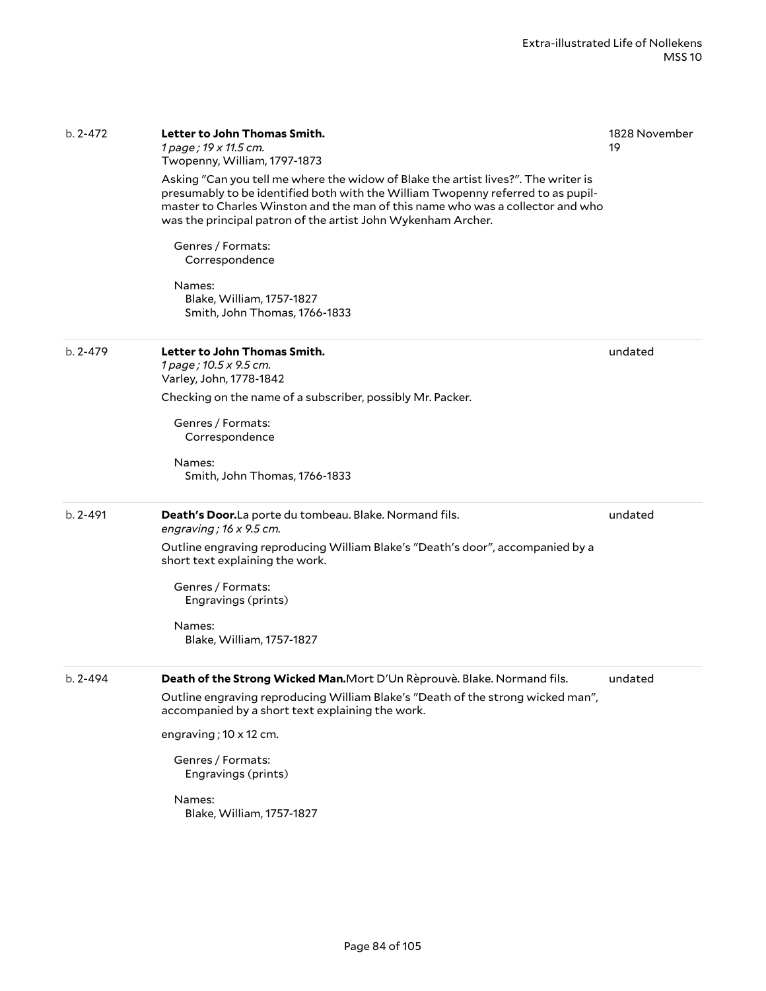| b. 2-472     | Letter to John Thomas Smith.<br>1 page; 19 x 11.5 cm.<br>Twopenny, William, 1797-1873                                                                                                                                                                                                                                    | 1828 November<br>19 |
|--------------|--------------------------------------------------------------------------------------------------------------------------------------------------------------------------------------------------------------------------------------------------------------------------------------------------------------------------|---------------------|
|              | Asking "Can you tell me where the widow of Blake the artist lives?". The writer is<br>presumably to be identified both with the William Twopenny referred to as pupil-<br>master to Charles Winston and the man of this name who was a collector and who<br>was the principal patron of the artist John Wykenham Archer. |                     |
|              | Genres / Formats:<br>Correspondence                                                                                                                                                                                                                                                                                      |                     |
|              | Names:<br>Blake, William, 1757-1827<br>Smith, John Thomas, 1766-1833                                                                                                                                                                                                                                                     |                     |
| $b. 2 - 479$ | Letter to John Thomas Smith.<br>1 page; 10.5 x 9.5 cm.<br>Varley, John, 1778-1842                                                                                                                                                                                                                                        | undated             |
|              | Checking on the name of a subscriber, possibly Mr. Packer.                                                                                                                                                                                                                                                               |                     |
|              | Genres / Formats:<br>Correspondence                                                                                                                                                                                                                                                                                      |                     |
|              | Names:<br>Smith, John Thomas, 1766-1833                                                                                                                                                                                                                                                                                  |                     |
| $b. 2 - 491$ | Death's Door.La porte du tombeau. Blake. Normand fils.<br>engraving; $16 \times 9.5$ cm.                                                                                                                                                                                                                                 | undated             |
|              | Outline engraving reproducing William Blake's "Death's door", accompanied by a<br>short text explaining the work.                                                                                                                                                                                                        |                     |
|              | Genres / Formats:<br>Engravings (prints)                                                                                                                                                                                                                                                                                 |                     |
|              | Names:<br>Blake, William, 1757-1827                                                                                                                                                                                                                                                                                      |                     |
| $b. 2 - 494$ | Death of the Strong Wicked Man. Mort D'Un Rèprouvè. Blake. Normand fils.                                                                                                                                                                                                                                                 | undated             |
|              | Outline engraving reproducing William Blake's "Death of the strong wicked man",<br>accompanied by a short text explaining the work.                                                                                                                                                                                      |                     |
|              | engraving; 10 x 12 cm.                                                                                                                                                                                                                                                                                                   |                     |
|              | Genres / Formats:<br>Engravings (prints)                                                                                                                                                                                                                                                                                 |                     |
|              | Names:<br>Blake, William, 1757-1827                                                                                                                                                                                                                                                                                      |                     |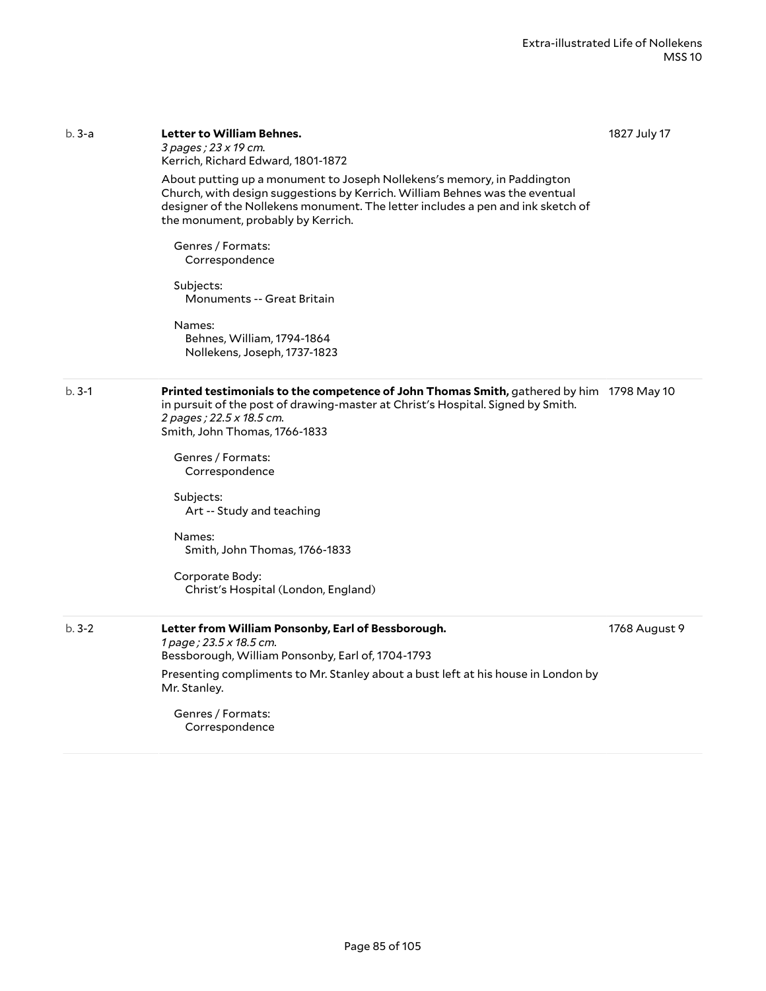1827 July 17

|         | Kerrich, Richard Edward, 1801-1872                                                                                                                                                                                                                                              |               |
|---------|---------------------------------------------------------------------------------------------------------------------------------------------------------------------------------------------------------------------------------------------------------------------------------|---------------|
|         | About putting up a monument to Joseph Nollekens's memory, in Paddington<br>Church, with design suggestions by Kerrich. William Behnes was the eventual<br>designer of the Nollekens monument. The letter includes a pen and ink sketch of<br>the monument, probably by Kerrich. |               |
|         | Genres / Formats:<br>Correspondence                                                                                                                                                                                                                                             |               |
|         | Subjects:<br>Monuments -- Great Britain                                                                                                                                                                                                                                         |               |
|         | Names:<br>Behnes, William, 1794-1864<br>Nollekens, Joseph, 1737-1823                                                                                                                                                                                                            |               |
| $b.3-1$ | Printed testimonials to the competence of John Thomas Smith, gathered by him 1798 May 10<br>in pursuit of the post of drawing-master at Christ's Hospital. Signed by Smith.<br>2 pages; 22.5 x 18.5 cm.<br>Smith, John Thomas, 1766-1833                                        |               |
|         | Genres / Formats:<br>Correspondence                                                                                                                                                                                                                                             |               |
|         | Subjects:<br>Art -- Study and teaching                                                                                                                                                                                                                                          |               |
|         | Names:<br>Smith, John Thomas, 1766-1833                                                                                                                                                                                                                                         |               |
|         | Corporate Body:<br>Christ's Hospital (London, England)                                                                                                                                                                                                                          |               |
| $b.3-2$ | Letter from William Ponsonby, Earl of Bessborough.<br>1 page; 23.5 x 18.5 cm.<br>Bessborough, William Ponsonby, Earl of, 1704-1793                                                                                                                                              | 1768 August 9 |
|         | Presenting compliments to Mr. Stanley about a bust left at his house in London by<br>Mr. Stanley.                                                                                                                                                                               |               |
|         | Genres / Formats:<br>Correspondence                                                                                                                                                                                                                                             |               |

b. 3-a **Letter to William Behnes.**

*3 pages ; 23 x 19 cm.*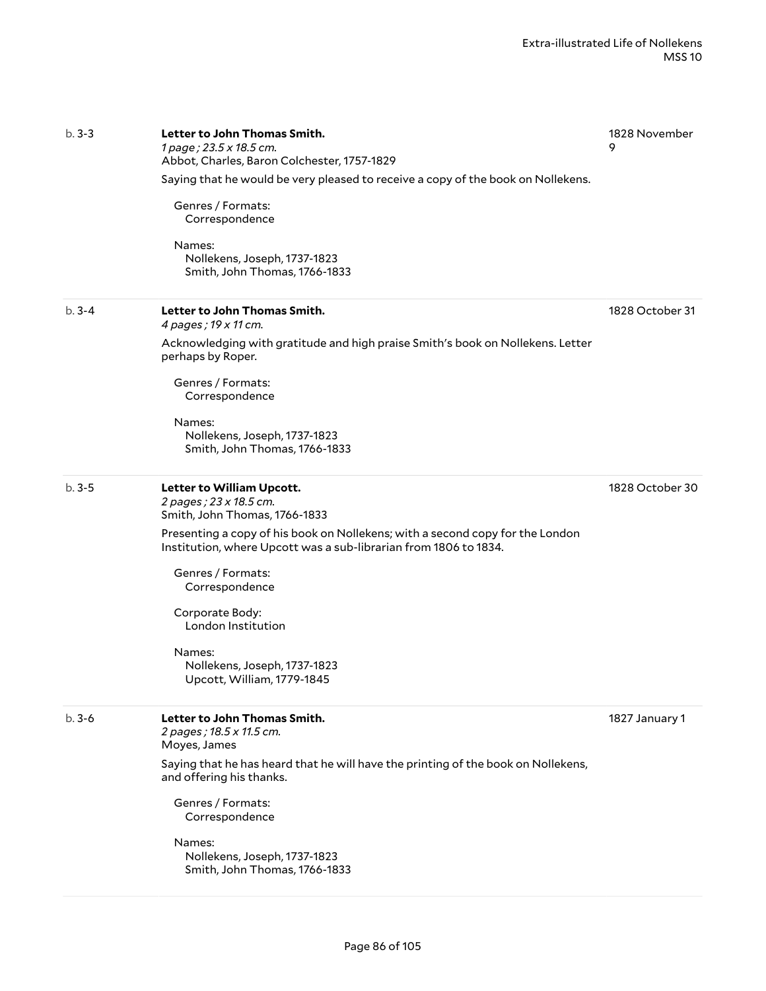| $b.3-3$   | Letter to John Thomas Smith.<br>1 page; 23.5 x 18.5 cm.<br>Abbot, Charles, Baron Colchester, 1757-1829                                            | 1828 November<br>9 |
|-----------|---------------------------------------------------------------------------------------------------------------------------------------------------|--------------------|
|           | Saying that he would be very pleased to receive a copy of the book on Nollekens.                                                                  |                    |
|           | Genres / Formats:<br>Correspondence                                                                                                               |                    |
|           | Names:<br>Nollekens, Joseph, 1737-1823<br>Smith, John Thomas, 1766-1833                                                                           |                    |
| $b.3 - 4$ | Letter to John Thomas Smith.<br>4 pages; 19 x 11 cm.                                                                                              | 1828 October 31    |
|           | Acknowledging with gratitude and high praise Smith's book on Nollekens. Letter<br>perhaps by Roper.                                               |                    |
|           | Genres / Formats:<br>Correspondence                                                                                                               |                    |
|           | Names:<br>Nollekens, Joseph, 1737-1823<br>Smith, John Thomas, 1766-1833                                                                           |                    |
| $b.3 - 5$ | Letter to William Upcott.<br>2 pages ; 23 x 18.5 cm.<br>Smith, John Thomas, 1766-1833                                                             | 1828 October 30    |
|           | Presenting a copy of his book on Nollekens; with a second copy for the London<br>Institution, where Upcott was a sub-librarian from 1806 to 1834. |                    |
|           | Genres / Formats:<br>Correspondence                                                                                                               |                    |
|           | Corporate Body:<br>London Institution                                                                                                             |                    |
|           | Names:<br>Nollekens, Joseph, 1737-1823<br>Upcott, William, 1779-1845                                                                              |                    |
| $b.3-6$   | Letter to John Thomas Smith.<br>2 pages; 18.5 x 11.5 cm.<br>Moyes, James                                                                          | 1827 January 1     |
|           | Saying that he has heard that he will have the printing of the book on Nollekens,<br>and offering his thanks.                                     |                    |
|           | Genres / Formats:<br>Correspondence                                                                                                               |                    |
|           | Names:<br>Nollekens, Joseph, 1737-1823<br>Smith, John Thomas, 1766-1833                                                                           |                    |
|           |                                                                                                                                                   |                    |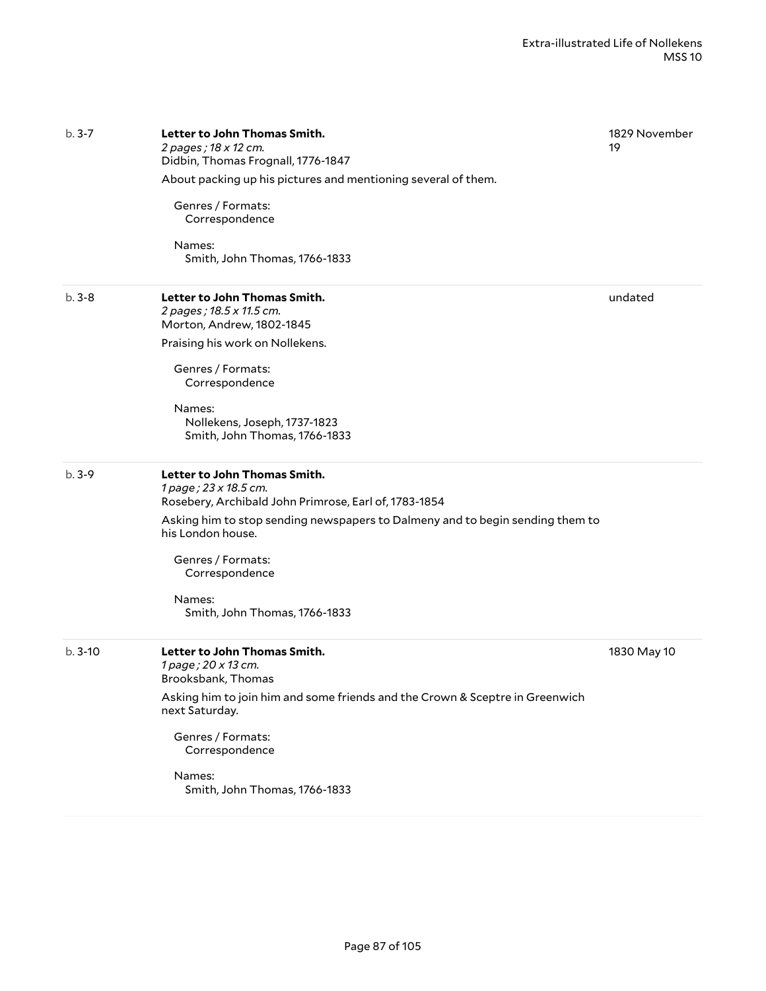| $b.3 - 7$ | Letter to John Thomas Smith.<br>2 pages; 18 x 12 cm.<br>Didbin, Thomas Frognall, 1776-1847                     | 1829 November<br>19 |
|-----------|----------------------------------------------------------------------------------------------------------------|---------------------|
|           | About packing up his pictures and mentioning several of them.                                                  |                     |
|           | Genres / Formats:<br>Correspondence                                                                            |                     |
|           | Names:<br>Smith, John Thomas, 1766-1833                                                                        |                     |
| $b.3 - 8$ | Letter to John Thomas Smith.<br>2 pages; 18.5 x 11.5 cm.<br>Morton, Andrew, 1802-1845                          | undated             |
|           | Praising his work on Nollekens.                                                                                |                     |
|           | Genres / Formats:<br>Correspondence                                                                            |                     |
|           | Names:<br>Nollekens, Joseph, 1737-1823<br>Smith, John Thomas, 1766-1833                                        |                     |
| $b.3-9$   | Letter to John Thomas Smith.<br>1 page; 23 x 18.5 cm.<br>Rosebery, Archibald John Primrose, Earl of, 1783-1854 |                     |
|           | Asking him to stop sending newspapers to Dalmeny and to begin sending them to<br>his London house.             |                     |
|           | Genres / Formats:<br>Correspondence                                                                            |                     |
|           | Names:<br>Smith, John Thomas, 1766-1833                                                                        |                     |
| $b.3-10$  | Letter to John Thomas Smith.<br>1 page; 20 x 13 cm.<br>Brooksbank, Thomas                                      | 1830 May 10         |
|           | Asking him to join him and some friends and the Crown & Sceptre in Greenwich<br>next Saturday.                 |                     |
|           | Genres / Formats:<br>Correspondence                                                                            |                     |
|           | Names:<br>Smith, John Thomas, 1766-1833                                                                        |                     |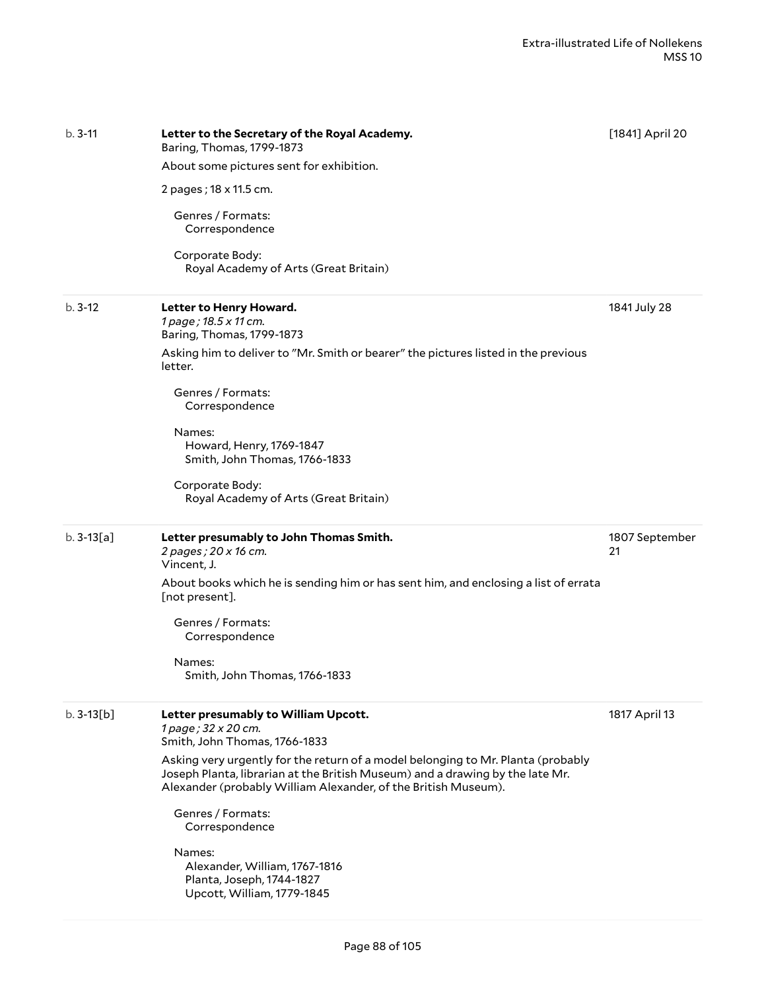| $b.3-11$     | Letter to the Secretary of the Royal Academy.<br>Baring, Thomas, 1799-1873                                                                                                                                                          | [1841] April 20      |
|--------------|-------------------------------------------------------------------------------------------------------------------------------------------------------------------------------------------------------------------------------------|----------------------|
|              | About some pictures sent for exhibition.                                                                                                                                                                                            |                      |
|              | 2 pages; 18 x 11.5 cm.                                                                                                                                                                                                              |                      |
|              | Genres / Formats:<br>Correspondence                                                                                                                                                                                                 |                      |
|              | Corporate Body:<br>Royal Academy of Arts (Great Britain)                                                                                                                                                                            |                      |
| $b.3-12$     | Letter to Henry Howard.<br>1 page; 18.5 x 11 cm.<br>Baring, Thomas, 1799-1873                                                                                                                                                       | 1841 July 28         |
|              | Asking him to deliver to "Mr. Smith or bearer" the pictures listed in the previous<br>letter.                                                                                                                                       |                      |
|              | Genres / Formats:<br>Correspondence                                                                                                                                                                                                 |                      |
|              | Names:<br>Howard, Henry, 1769-1847<br>Smith, John Thomas, 1766-1833                                                                                                                                                                 |                      |
|              | Corporate Body:<br>Royal Academy of Arts (Great Britain)                                                                                                                                                                            |                      |
| $b. 3-13[a]$ | Letter presumably to John Thomas Smith.<br>2 pages; 20 x 16 cm.<br>Vincent, J.                                                                                                                                                      | 1807 September<br>21 |
|              | About books which he is sending him or has sent him, and enclosing a list of errata<br>[not present].                                                                                                                               |                      |
|              | Genres / Formats:<br>Correspondence                                                                                                                                                                                                 |                      |
|              | Names:<br>Smith, John Thomas, 1766-1833                                                                                                                                                                                             |                      |
| $b.3-13[b]$  | Letter presumably to William Upcott.<br>1 page; 32 x 20 cm.<br>Smith, John Thomas, 1766-1833                                                                                                                                        | 1817 April 13        |
|              | Asking very urgently for the return of a model belonging to Mr. Planta (probably<br>Joseph Planta, librarian at the British Museum) and a drawing by the late Mr.<br>Alexander (probably William Alexander, of the British Museum). |                      |
|              | Genres / Formats:<br>Correspondence                                                                                                                                                                                                 |                      |
|              | Names:<br>Alexander, William, 1767-1816<br>Planta, Joseph, 1744-1827<br>Upcott, William, 1779-1845                                                                                                                                  |                      |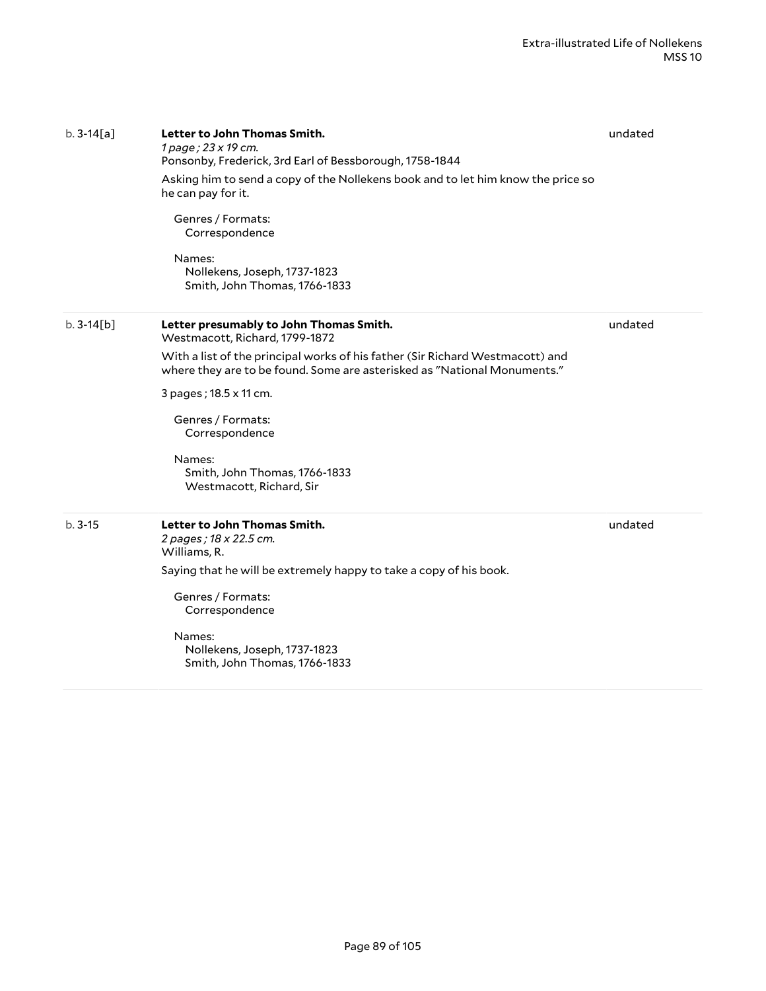| $b. 3-14[a]$ | Letter to John Thomas Smith.<br>1 page; 23 x 19 cm.<br>Ponsonby, Frederick, 3rd Earl of Bessborough, 1758-1844<br>Asking him to send a copy of the Nollekens book and to let him know the price so<br>he can pay for it.<br>Genres / Formats:<br>Correspondence<br>Names:<br>Nollekens, Joseph, 1737-1823<br>Smith, John Thomas, 1766-1833                                     | undated |
|--------------|--------------------------------------------------------------------------------------------------------------------------------------------------------------------------------------------------------------------------------------------------------------------------------------------------------------------------------------------------------------------------------|---------|
| $b.3-14[b]$  | Letter presumably to John Thomas Smith.<br>Westmacott, Richard, 1799-1872<br>With a list of the principal works of his father (Sir Richard Westmacott) and<br>where they are to be found. Some are asterisked as "National Monuments."<br>3 pages; 18.5 x 11 cm.<br>Genres / Formats:<br>Correspondence<br>Names:<br>Smith, John Thomas, 1766-1833<br>Westmacott, Richard, Sir | undated |
| $b.3-15$     | Letter to John Thomas Smith.<br>2 pages; 18 x 22.5 cm.<br>Williams, R.<br>Saying that he will be extremely happy to take a copy of his book.<br>Genres / Formats:<br>Correspondence<br>Names:<br>Nollekens, Joseph, 1737-1823<br>Smith, John Thomas, 1766-1833                                                                                                                 | undated |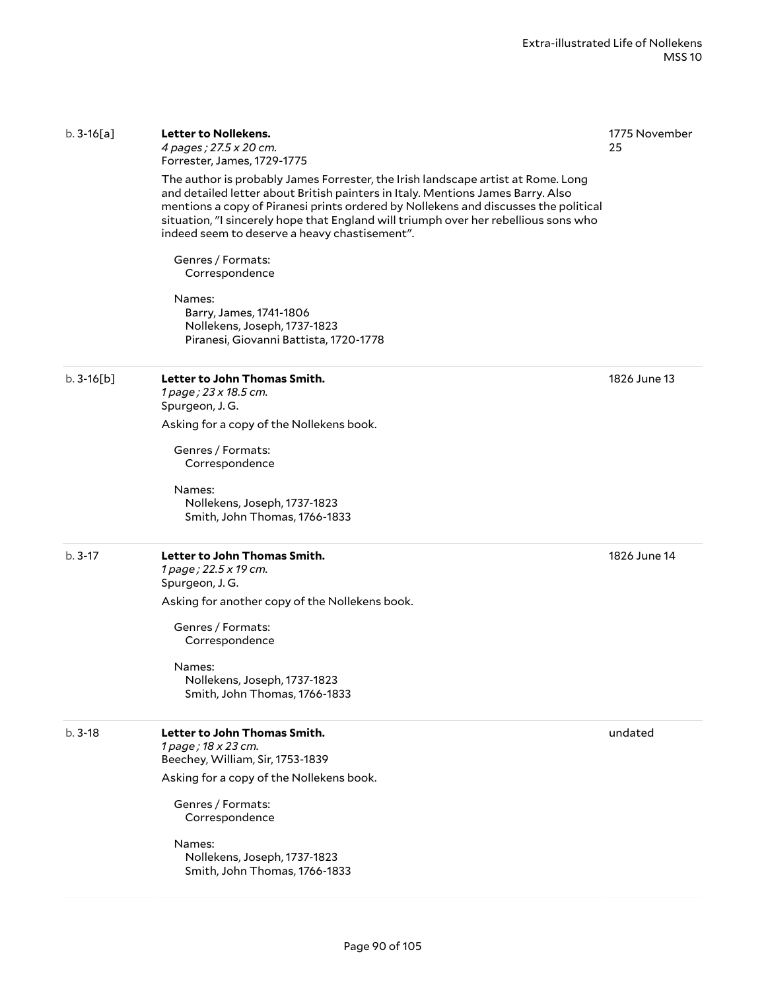Page 90 of 105

#### b. 3-16[a] **Letter to Nollekens.**

*4 pages ; 27.5 x 20 cm.* Forrester, James, 1729-1775

The author is probably James Forrester, the Irish landscape artist at Rome. Long and detailed letter about British painters in Italy. Mentions James Barry. Also mentions a copy of Piranesi prints ordered by Nollekens and discusses the political situation, "I sincerely hope that England will triumph over her rebellious sons who indeed seem to deserve a heavy chastisement".

Genres / Formats: Correspondence

Names: Barry, James, 1741-1806 Nollekens, Joseph, 1737-1823 Piranesi, Giovanni Battista, 1720-1778

### b. 3-16[b] **Letter to John Thomas Smith.**

*1 page ; 23 x 18.5 cm.* Spurgeon, J. G. Asking for a copy of the Nollekens book.

Genres / Formats: Correspondence

Names: Nollekens, Joseph, 1737-1823 Smith, John Thomas, 1766-1833

#### b. 3-17 **Letter to John Thomas Smith.** *1 page ; 22.5 x 19 cm.* Spurgeon, J. G.

Asking for another copy of the Nollekens book.

Genres / Formats: Correspondence

### Names:

Nollekens, Joseph, 1737-1823 Smith, John Thomas, 1766-1833

### b. 3-18 **Letter to John Thomas Smith.**

*1 page ; 18 x 23 cm.* Beechey, William, Sir, 1753-1839 Asking for a copy of the Nollekens book.

Genres / Formats: Correspondence

Names: Nollekens, Joseph, 1737-1823 Smith, John Thomas, 1766-1833 1775 November 25

1826 June 13

1826 June 14

undated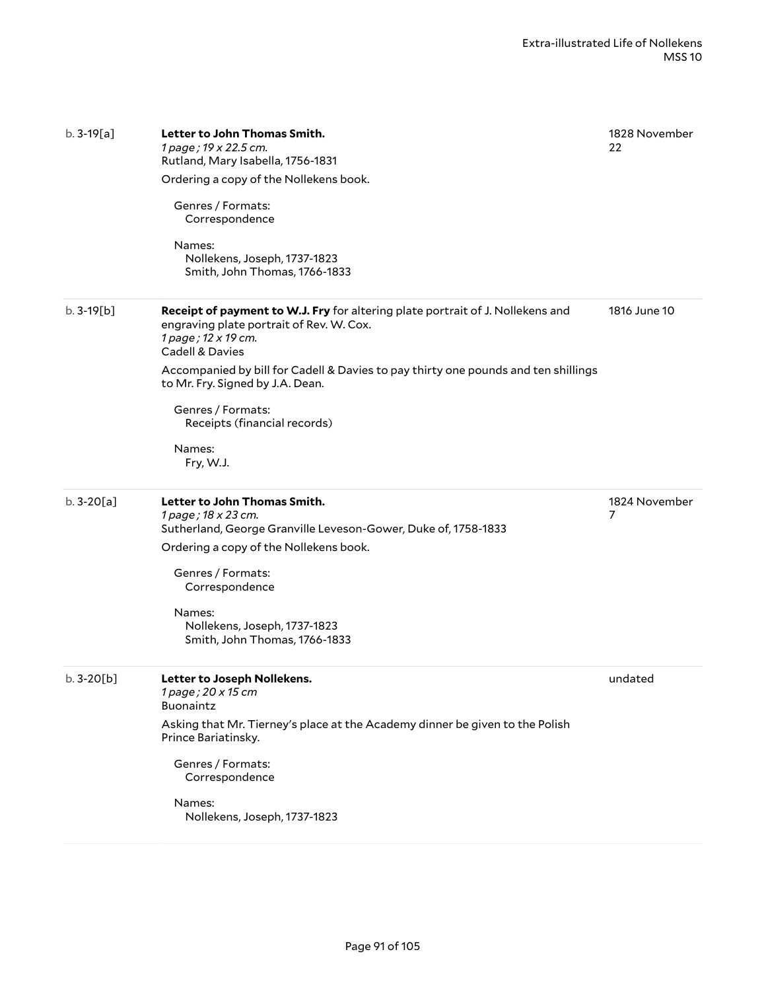| $b.3-19[a]$ | Letter to John Thomas Smith.<br>1 page; 19 x 22.5 cm.<br>Rutland, Mary Isabella, 1756-1831<br>Ordering a copy of the Nollekens book.<br>Genres / Formats:<br>Correspondence<br>Names:<br>Nollekens, Joseph, 1737-1823<br>Smith, John Thomas, 1766-1833                                                                                                                            | 1828 November<br>22 |
|-------------|-----------------------------------------------------------------------------------------------------------------------------------------------------------------------------------------------------------------------------------------------------------------------------------------------------------------------------------------------------------------------------------|---------------------|
| $b.3-19[b]$ | <b>Receipt of payment to W.J. Fry for altering plate portrait of J. Nollekens and</b><br>engraving plate portrait of Rev. W. Cox.<br>1 page; 12 x 19 cm.<br>Cadell & Davies<br>Accompanied by bill for Cadell & Davies to pay thirty one pounds and ten shillings<br>to Mr. Fry. Signed by J.A. Dean.<br>Genres / Formats:<br>Receipts (financial records)<br>Names:<br>Fry, W.J. | 1816 June 10        |
| $b.3-20[a]$ | Letter to John Thomas Smith.<br>1 page; 18 x 23 cm.<br>Sutherland, George Granville Leveson-Gower, Duke of, 1758-1833<br>Ordering a copy of the Nollekens book.<br>Genres / Formats:<br>Correspondence<br>Names:<br>Nollekens, Joseph, 1737-1823<br>Smith, John Thomas, 1766-1833                                                                                                 | 1824 November<br>7  |
| $b.3-20[b]$ | Letter to Joseph Nollekens.<br>1 page; 20 x 15 cm<br>Buonaintz<br>Asking that Mr. Tierney's place at the Academy dinner be given to the Polish<br>Prince Bariatinsky.<br>Genres / Formats:<br>Correspondence<br>Names:<br>Nollekens, Joseph, 1737-1823                                                                                                                            | undated             |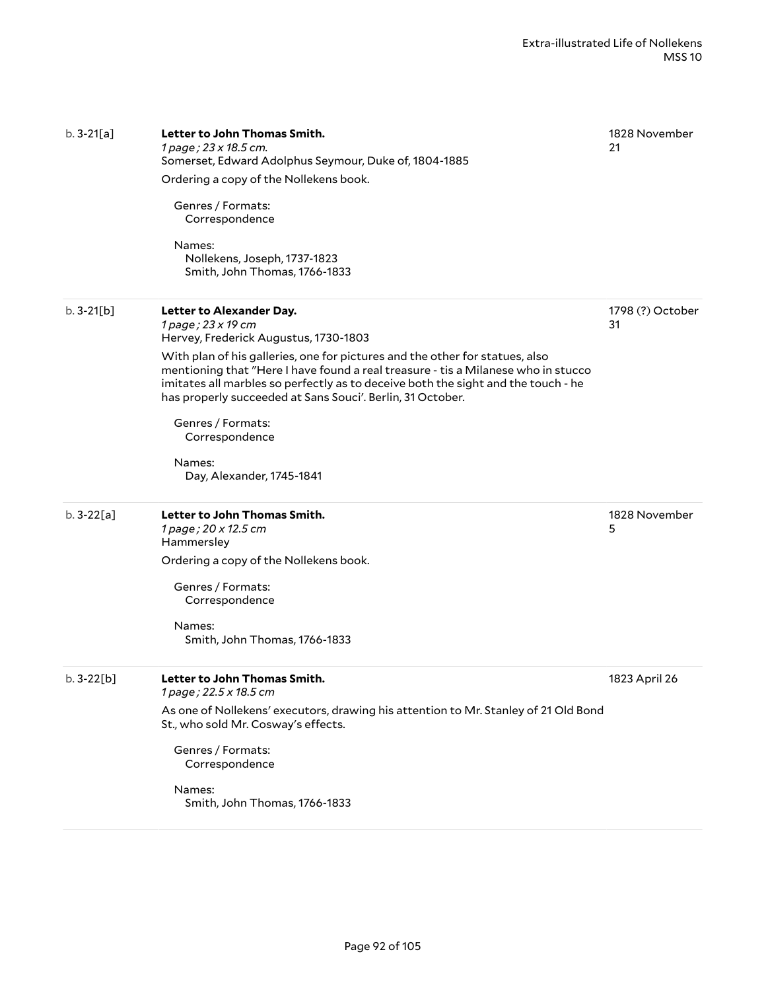| $b. 3-21[a]$ | Letter to John Thomas Smith.<br>1 page; 23 x 18.5 cm.<br>Somerset, Edward Adolphus Seymour, Duke of, 1804-1885<br>Ordering a copy of the Nollekens book.<br>Genres / Formats:<br>Correspondence<br>Names:<br>Nollekens, Joseph, 1737-1823<br>Smith, John Thomas, 1766-1833                                                                                                                                                                                                                    | 1828 November<br>21    |
|--------------|-----------------------------------------------------------------------------------------------------------------------------------------------------------------------------------------------------------------------------------------------------------------------------------------------------------------------------------------------------------------------------------------------------------------------------------------------------------------------------------------------|------------------------|
| $b.3-21[b]$  | Letter to Alexander Day.<br>1 page; 23 x 19 cm<br>Hervey, Frederick Augustus, 1730-1803<br>With plan of his galleries, one for pictures and the other for statues, also<br>mentioning that "Here I have found a real treasure - tis a Milanese who in stucco<br>imitates all marbles so perfectly as to deceive both the sight and the touch - he<br>has properly succeeded at Sans Souci'. Berlin, 31 October.<br>Genres / Formats:<br>Correspondence<br>Names:<br>Day, Alexander, 1745-1841 | 1798 (?) October<br>31 |
| $b.3-22[a]$  | Letter to John Thomas Smith.<br>1 page; 20 x 12.5 cm<br>Hammersley<br>Ordering a copy of the Nollekens book.<br>Genres / Formats:<br>Correspondence<br>Names:<br>Smith, John Thomas, 1766-1833                                                                                                                                                                                                                                                                                                | 1828 November<br>5     |
| $b.3-22[b]$  | Letter to John Thomas Smith.<br>1 page; 22.5 x 18.5 cm<br>As one of Nollekens' executors, drawing his attention to Mr. Stanley of 21 Old Bond<br>St., who sold Mr. Cosway's effects.<br>Genres / Formats:<br>Correspondence<br>Names:<br>Smith, John Thomas, 1766-1833                                                                                                                                                                                                                        | 1823 April 26          |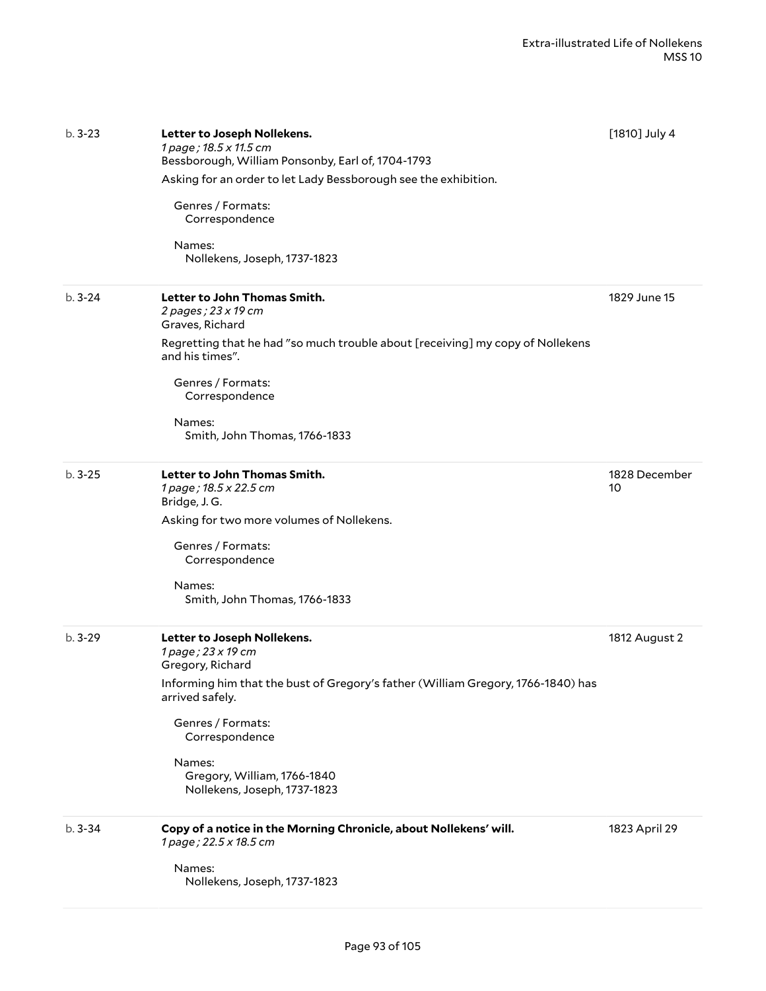| $b.3 - 23$ | Letter to Joseph Nollekens.<br>1 page; 18.5 x 11.5 cm<br>Bessborough, William Ponsonby, Earl of, 1704-1793<br>Asking for an order to let Lady Bessborough see the exhibition.<br>Genres / Formats:<br>Correspondence<br>Names:<br>Nollekens, Joseph, 1737-1823                               | [1810] July 4       |
|------------|----------------------------------------------------------------------------------------------------------------------------------------------------------------------------------------------------------------------------------------------------------------------------------------------|---------------------|
| $b.3 - 24$ | Letter to John Thomas Smith.<br>2 pages ; 23 x 19 cm<br>Graves, Richard<br>Regretting that he had "so much trouble about [receiving] my copy of Nollekens<br>and his times".<br>Genres / Formats:<br>Correspondence<br>Names:<br>Smith, John Thomas, 1766-1833                               | 1829 June 15        |
| $b.3 - 25$ | Letter to John Thomas Smith.<br>1 page; 18.5 x 22.5 cm<br>Bridge, J.G.<br>Asking for two more volumes of Nollekens.<br>Genres / Formats:<br>Correspondence<br>Names:<br>Smith, John Thomas, 1766-1833                                                                                        | 1828 December<br>10 |
| $b.3-29$   | Letter to Joseph Nollekens.<br>1 page; 23 x 19 cm<br>Gregory, Richard<br>Informing him that the bust of Gregory's father (William Gregory, 1766-1840) has<br>arrived safely.<br>Genres / Formats:<br>Correspondence<br>Names:<br>Gregory, William, 1766-1840<br>Nollekens, Joseph, 1737-1823 | 1812 August 2       |
| $b.3 - 34$ | Copy of a notice in the Morning Chronicle, about Nollekens' will.<br>1 page; 22.5 x 18.5 cm<br>Names:<br>Nollekens, Joseph, 1737-1823                                                                                                                                                        | 1823 April 29       |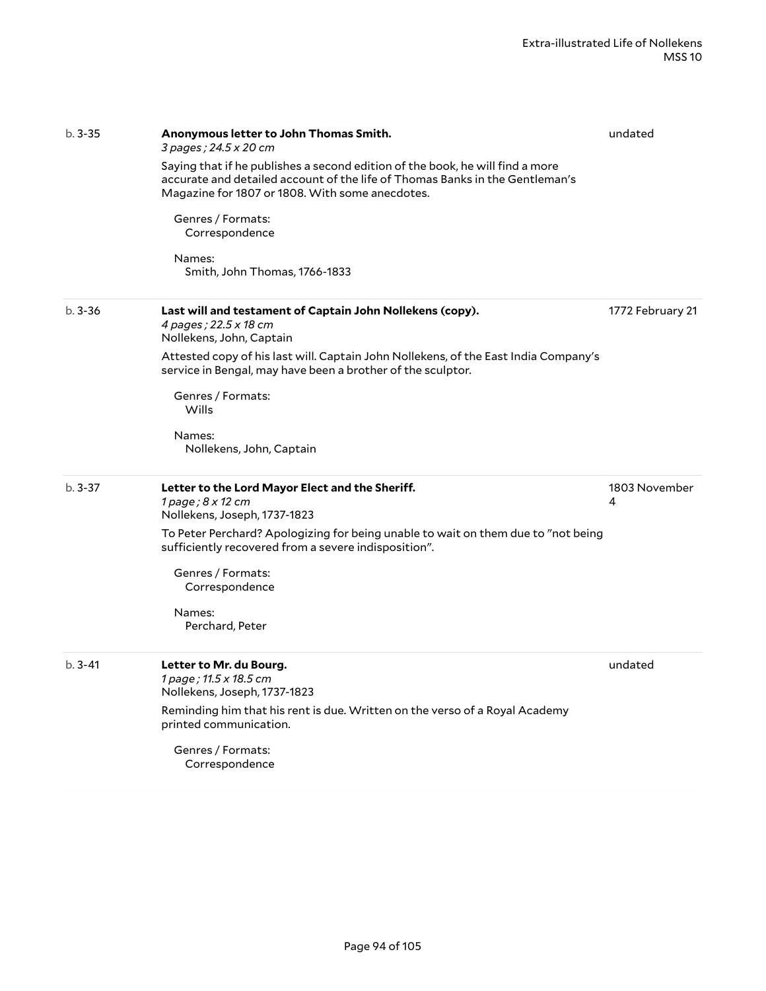| $b.3 - 35$ | Anonymous letter to John Thomas Smith.<br>3 pages; 24.5 x 20 cm                                                                                                                                                  | undated            |
|------------|------------------------------------------------------------------------------------------------------------------------------------------------------------------------------------------------------------------|--------------------|
|            | Saying that if he publishes a second edition of the book, he will find a more<br>accurate and detailed account of the life of Thomas Banks in the Gentleman's<br>Magazine for 1807 or 1808. With some anecdotes. |                    |
|            | Genres / Formats:<br>Correspondence                                                                                                                                                                              |                    |
|            | Names:<br>Smith, John Thomas, 1766-1833                                                                                                                                                                          |                    |
| $b.3 - 36$ | Last will and testament of Captain John Nollekens (copy).<br>4 pages ; 22.5 x 18 cm<br>Nollekens, John, Captain                                                                                                  | 1772 February 21   |
|            | Attested copy of his last will. Captain John Nollekens, of the East India Company's<br>service in Bengal, may have been a brother of the sculptor.                                                               |                    |
|            | Genres / Formats:<br>Wills                                                                                                                                                                                       |                    |
|            | Names:<br>Nollekens, John, Captain                                                                                                                                                                               |                    |
| $b.3 - 37$ | Letter to the Lord Mayor Elect and the Sheriff.<br>1 page ; 8 x 12 cm<br>Nollekens, Joseph, 1737-1823                                                                                                            | 1803 November<br>4 |
|            | To Peter Perchard? Apologizing for being unable to wait on them due to "not being<br>sufficiently recovered from a severe indisposition".                                                                        |                    |
|            | Genres / Formats:<br>Correspondence                                                                                                                                                                              |                    |
|            | Names:<br>Perchard, Peter                                                                                                                                                                                        |                    |
| $b.3 - 41$ | Letter to Mr. du Bourg.<br>1 page ; 11.5 x 18.5 cm<br>Nollekens, Joseph, 1737-1823                                                                                                                               | undated            |
|            | Reminding him that his rent is due. Written on the verso of a Royal Academy<br>printed communication.                                                                                                            |                    |
|            | Genres / Formats:<br>Correspondence                                                                                                                                                                              |                    |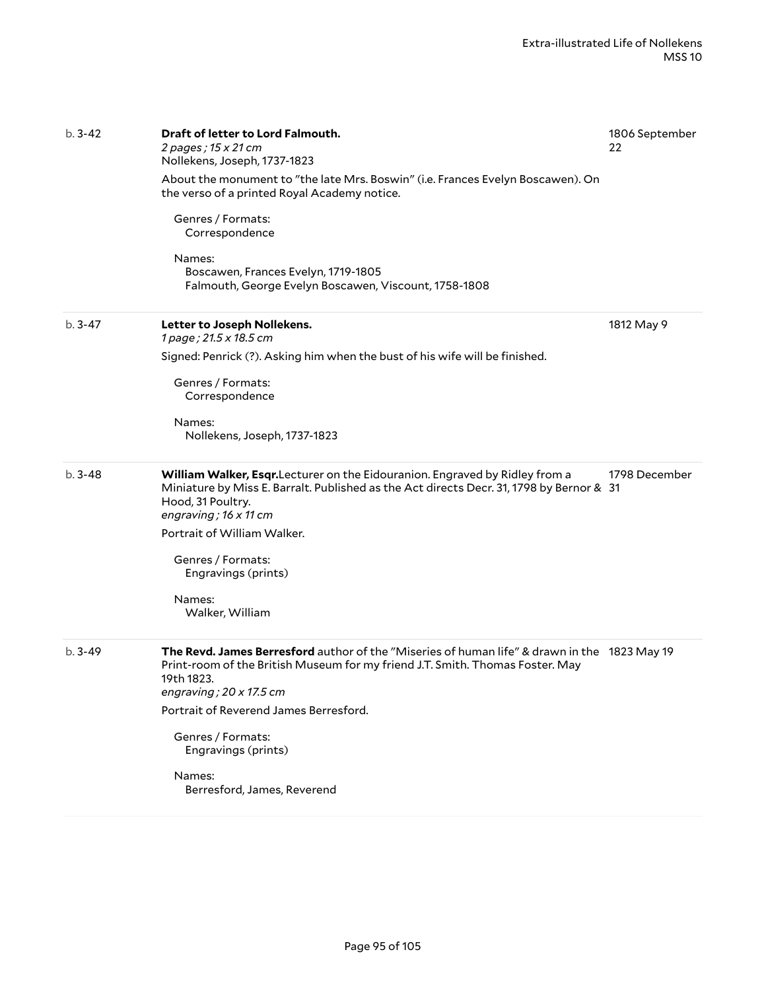| $b.3 - 42$ | Draft of letter to Lord Falmouth.<br>2 pages; 15 x 21 cm<br>Nollekens, Joseph, 1737-1823<br>About the monument to "the late Mrs. Boswin" (i.e. Frances Evelyn Boscawen). On<br>the verso of a printed Royal Academy notice.<br>Genres / Formats:<br>Correspondence<br>Names:<br>Boscawen, Frances Evelyn, 1719-1805<br>Falmouth, George Evelyn Boscawen, Viscount, 1758-1808 | 1806 September<br>22 |
|------------|------------------------------------------------------------------------------------------------------------------------------------------------------------------------------------------------------------------------------------------------------------------------------------------------------------------------------------------------------------------------------|----------------------|
| $b.3 - 47$ | Letter to Joseph Nollekens.<br>1 page; 21.5 x 18.5 cm<br>Signed: Penrick (?). Asking him when the bust of his wife will be finished.<br>Genres / Formats:<br>Correspondence<br>Names:<br>Nollekens, Joseph, 1737-1823                                                                                                                                                        | 1812 May 9           |
| $b.3 - 48$ | William Walker, Esqr. Lecturer on the Eidouranion. Engraved by Ridley from a<br>Miniature by Miss E. Barralt. Published as the Act directs Decr. 31, 1798 by Bernor & 31<br>Hood, 31 Poultry.<br>engraving; $16 \times 11$ cm<br>Portrait of William Walker.<br>Genres / Formats:<br>Engravings (prints)<br>Names:<br>Walker, William                                        | 1798 December        |
| $b.3 - 49$ | The Revd. James Berresford author of the "Miseries of human life" & drawn in the 1823 May 19<br>Print-room of the British Museum for my friend J.T. Smith. Thomas Foster. May<br>19th 1823.<br>engraving; $20 \times 17.5$ cm<br>Portrait of Reverend James Berresford.<br>Genres / Formats:<br>Engravings (prints)<br>Names:<br>Berresford, James, Reverend                 |                      |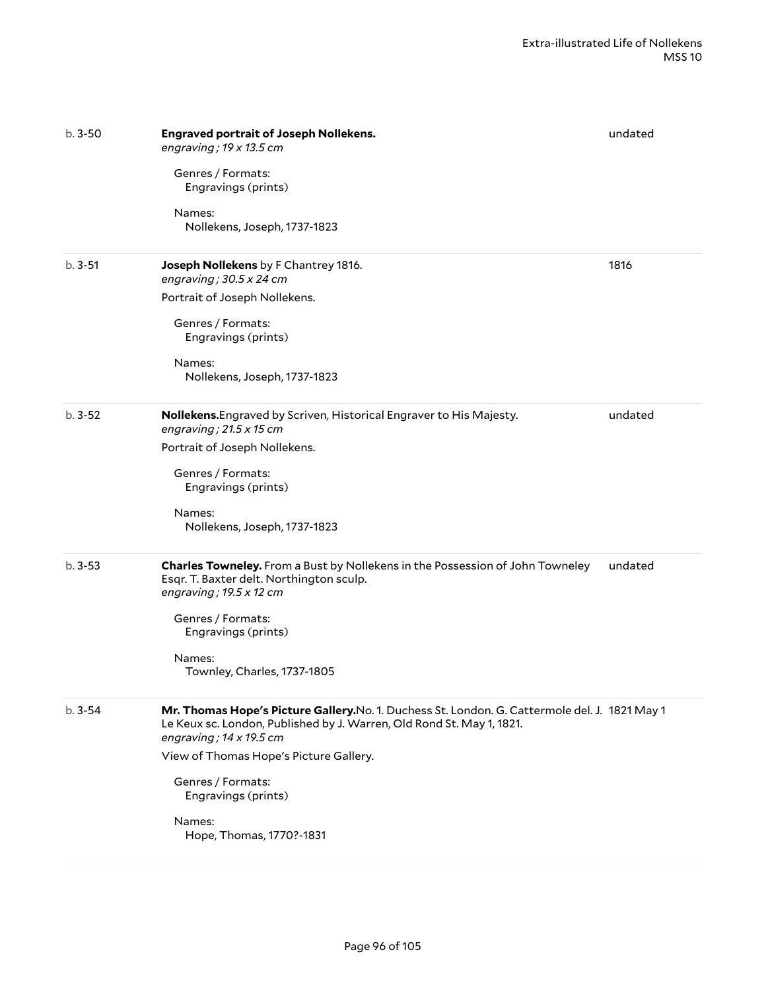| $b.3 - 50$ | <b>Engraved portrait of Joseph Nollekens.</b><br>engraving; $19 \times 13.5$ cm                                                                                                                           | undated |
|------------|-----------------------------------------------------------------------------------------------------------------------------------------------------------------------------------------------------------|---------|
|            | Genres / Formats:<br>Engravings (prints)                                                                                                                                                                  |         |
|            | Names:<br>Nollekens, Joseph, 1737-1823                                                                                                                                                                    |         |
| $b.3 - 51$ | Joseph Nollekens by F Chantrey 1816.<br>engraving; $30.5 \times 24$ cm                                                                                                                                    | 1816    |
|            | Portrait of Joseph Nollekens.                                                                                                                                                                             |         |
|            | Genres / Formats:<br>Engravings (prints)                                                                                                                                                                  |         |
|            | Names:<br>Nollekens, Joseph, 1737-1823                                                                                                                                                                    |         |
| $b.3-52$   | Nollekens. Engraved by Scriven, Historical Engraver to His Majesty.<br>engraving; $21.5 \times 15$ cm                                                                                                     | undated |
|            | Portrait of Joseph Nollekens.                                                                                                                                                                             |         |
|            | Genres / Formats:<br>Engravings (prints)                                                                                                                                                                  |         |
|            | Names:<br>Nollekens, Joseph, 1737-1823                                                                                                                                                                    |         |
| $b.3 - 53$ | Charles Towneley. From a Bust by Nollekens in the Possession of John Towneley<br>Esqr. T. Baxter delt. Northington sculp.<br>engraving; 19.5 x 12 cm                                                      | undated |
|            | Genres / Formats:<br>Engravings (prints)                                                                                                                                                                  |         |
|            | Names:<br>Townley, Charles, 1737-1805                                                                                                                                                                     |         |
| $b.3 - 54$ | Mr. Thomas Hope's Picture Gallery. No. 1. Duchess St. London. G. Cattermole del. J. 1821 May 1<br>Le Keux sc. London, Published by J. Warren, Old Rond St. May 1, 1821.<br>engraving; $14 \times 19.5$ cm |         |
|            | View of Thomas Hope's Picture Gallery.                                                                                                                                                                    |         |
|            | Genres / Formats:<br>Engravings (prints)                                                                                                                                                                  |         |
|            | Names:<br>Hope, Thomas, 1770?-1831                                                                                                                                                                        |         |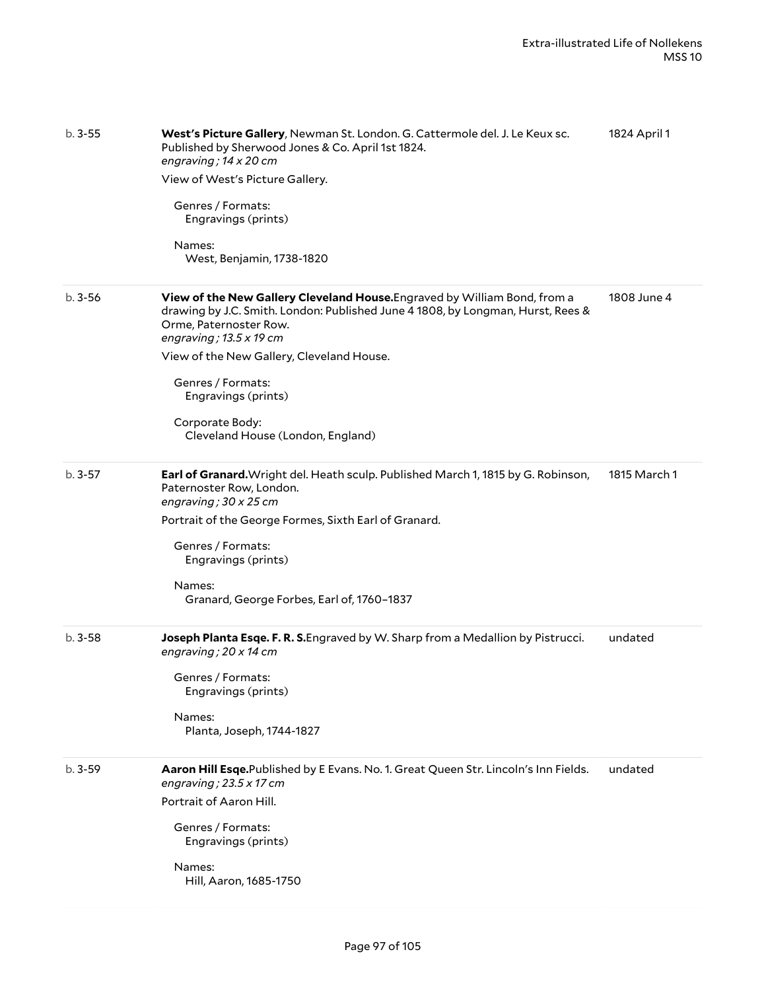| $b.3 - 55$ | West's Picture Gallery, Newman St. London. G. Cattermole del. J. Le Keux sc.<br>Published by Sherwood Jones & Co. April 1st 1824.<br>engraving; $14 \times 20$ cm<br>View of West's Picture Gallery.<br>Genres / Formats:<br>Engravings (prints)<br>Names:<br>West, Benjamin, 1738-1820                                                                                   | 1824 April 1 |
|------------|---------------------------------------------------------------------------------------------------------------------------------------------------------------------------------------------------------------------------------------------------------------------------------------------------------------------------------------------------------------------------|--------------|
| $b.3 - 56$ | View of the New Gallery Cleveland House. Engraved by William Bond, from a<br>drawing by J.C. Smith. London: Published June 4 1808, by Longman, Hurst, Rees &<br>Orme, Paternoster Row.<br>engraving; $13.5 \times 19$ cm<br>View of the New Gallery, Cleveland House.<br>Genres / Formats:<br>Engravings (prints)<br>Corporate Body:<br>Cleveland House (London, England) | 1808 June 4  |
| $b.3 - 57$ | Earl of Granard. Wright del. Heath sculp. Published March 1, 1815 by G. Robinson,<br>Paternoster Row, London.<br>engraving; $30 \times 25$ cm<br>Portrait of the George Formes, Sixth Earl of Granard.<br>Genres / Formats:<br>Engravings (prints)<br>Names:<br>Granard, George Forbes, Earl of, 1760-1837                                                                | 1815 March 1 |
| $b.3 - 58$ | Joseph Planta Esqe. F. R. S. Engraved by W. Sharp from a Medallion by Pistrucci.<br>engraving; 20 x 14 cm<br>Genres / Formats:<br>Engravings (prints)<br>Names:<br>Planta, Joseph, 1744-1827                                                                                                                                                                              | undated      |
| $b.3-59$   | Aaron Hill Esqe. Published by E Evans. No. 1. Great Queen Str. Lincoln's Inn Fields.<br>engraving; $23.5 \times 17$ cm<br>Portrait of Aaron Hill.<br>Genres / Formats:<br>Engravings (prints)<br>Names:<br>Hill, Aaron, 1685-1750                                                                                                                                         | undated      |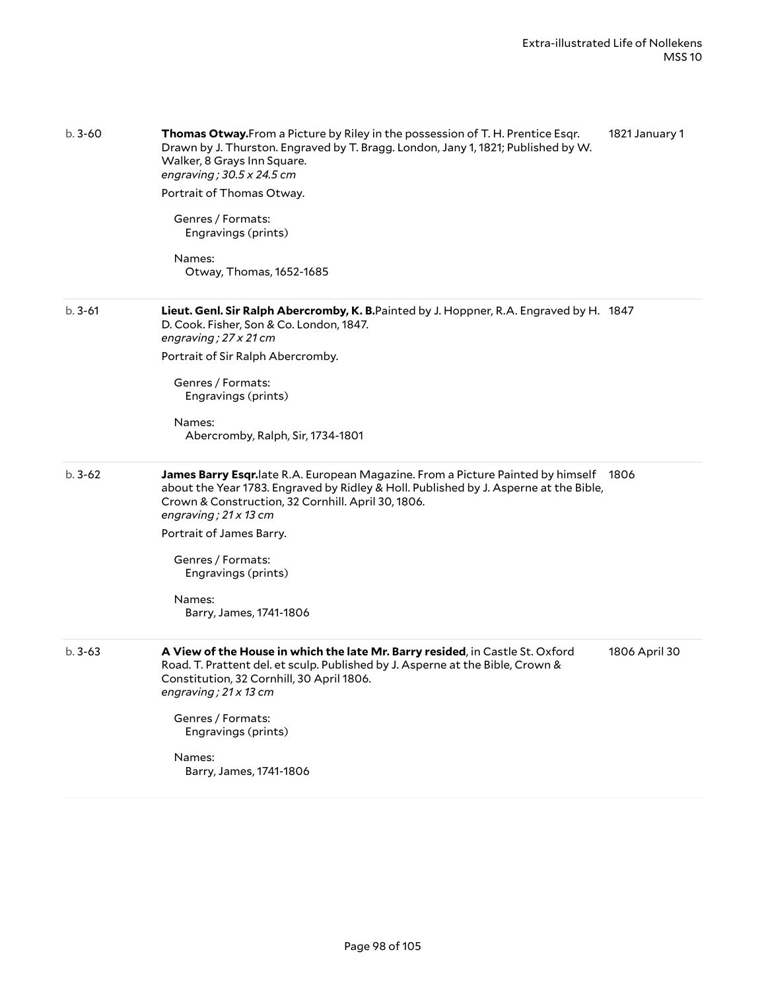| $b.3 - 60$ | Thomas Otway. From a Picture by Riley in the possession of T. H. Prentice Esqr.<br>Drawn by J. Thurston. Engraved by T. Bragg. London, Jany 1, 1821; Published by W.<br>Walker, 8 Grays Inn Square.<br>engraving; 30.5 x 24.5 cm<br>Portrait of Thomas Otway.<br>Genres / Formats:<br>Engravings (prints)<br>Names:<br>Otway, Thomas, 1652-1685                       | 1821 January 1 |
|------------|-----------------------------------------------------------------------------------------------------------------------------------------------------------------------------------------------------------------------------------------------------------------------------------------------------------------------------------------------------------------------|----------------|
| $b.3 - 61$ | Lieut. Genl. Sir Ralph Abercromby, K. B.Painted by J. Hoppner, R.A. Engraved by H. 1847<br>D. Cook. Fisher, Son & Co. London, 1847.<br>engraving; 27 x 21 cm<br>Portrait of Sir Ralph Abercromby.<br>Genres / Formats:<br>Engravings (prints)<br>Names:<br>Abercromby, Ralph, Sir, 1734-1801                                                                          |                |
| $b.3-62$   | James Barry Esqr. late R.A. European Magazine. From a Picture Painted by himself<br>about the Year 1783. Engraved by Ridley & Holl. Published by J. Asperne at the Bible,<br>Crown & Construction, 32 Cornhill. April 30, 1806.<br>engraving; 21 x 13 cm<br>Portrait of James Barry.<br>Genres / Formats:<br>Engravings (prints)<br>Names:<br>Barry, James, 1741-1806 | 1806           |
| $b.3-63$   | A View of the House in which the late Mr. Barry resided, in Castle St. Oxford<br>Road. T. Prattent del. et sculp. Published by J. Asperne at the Bible, Crown &<br>Constitution, 32 Cornhill, 30 April 1806.<br>engraving; 21 x 13 cm<br>Genres / Formats:<br>Engravings (prints)<br>Names:<br>Barry, James, 1741-1806                                                | 1806 April 30  |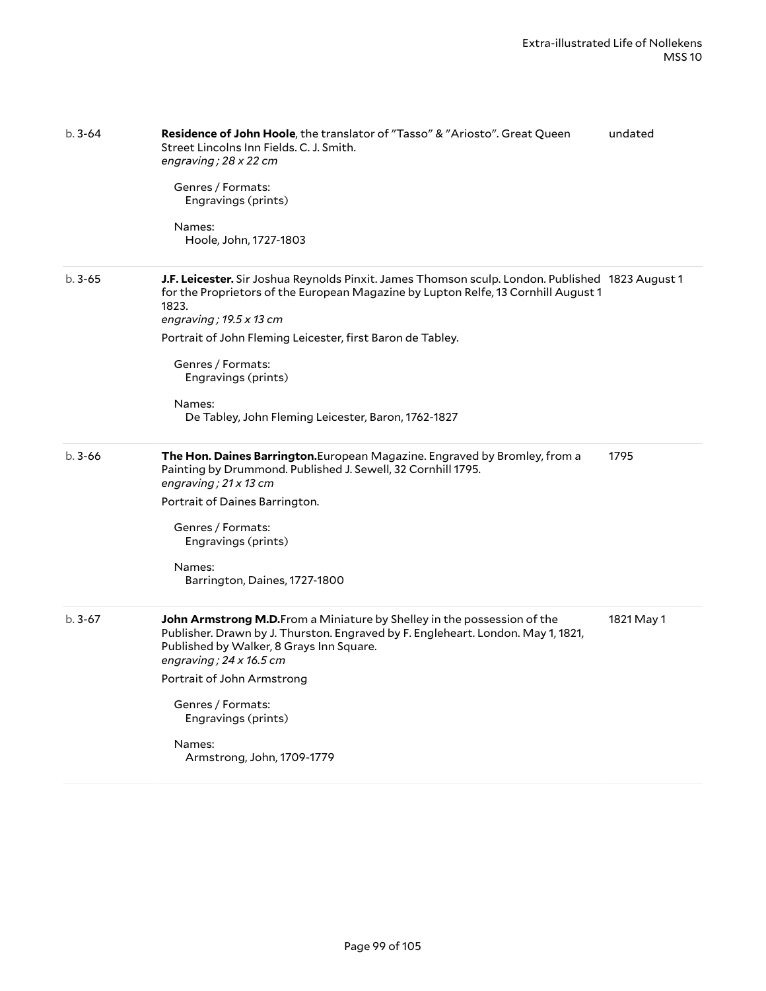| $b.3 - 64$ | Residence of John Hoole, the translator of "Tasso" & "Ariosto". Great Queen<br>Street Lincolns Inn Fields. C. J. Smith.<br>engraving; 28 x 22 cm<br>Genres / Formats:<br>Engravings (prints)<br>Names:<br>Hoole, John, 1727-1803                                                                                                                                                                      | undated    |
|------------|-------------------------------------------------------------------------------------------------------------------------------------------------------------------------------------------------------------------------------------------------------------------------------------------------------------------------------------------------------------------------------------------------------|------------|
| $b.3 - 65$ | J.F. Leicester. Sir Joshua Reynolds Pinxit. James Thomson sculp. London. Published 1823 August 1<br>for the Proprietors of the European Magazine by Lupton Relfe, 13 Cornhill August 1<br>1823.<br>engraving; 19.5 x 13 cm<br>Portrait of John Fleming Leicester, first Baron de Tabley.<br>Genres / Formats:<br>Engravings (prints)<br>Names:<br>De Tabley, John Fleming Leicester, Baron, 1762-1827 |            |
| $b.3 - 66$ | The Hon. Daines Barrington.European Magazine. Engraved by Bromley, from a<br>Painting by Drummond. Published J. Sewell, 32 Cornhill 1795.<br>engraving; $21 \times 13$ cm<br>Portrait of Daines Barrington.<br>Genres / Formats:<br>Engravings (prints)<br>Names:<br>Barrington, Daines, 1727-1800                                                                                                    | 1795       |
| $b.3-67$   | John Armstrong M.D.From a Miniature by Shelley in the possession of the<br>Publisher. Drawn by J. Thurston. Engraved by F. Engleheart. London. May 1, 1821,<br>Published by Walker, 8 Grays Inn Square.<br>engraving; 24 x 16.5 cm<br>Portrait of John Armstrong<br>Genres / Formats:<br>Engravings (prints)<br>Names:<br>Armstrong, John, 1709-1779                                                  | 1821 May 1 |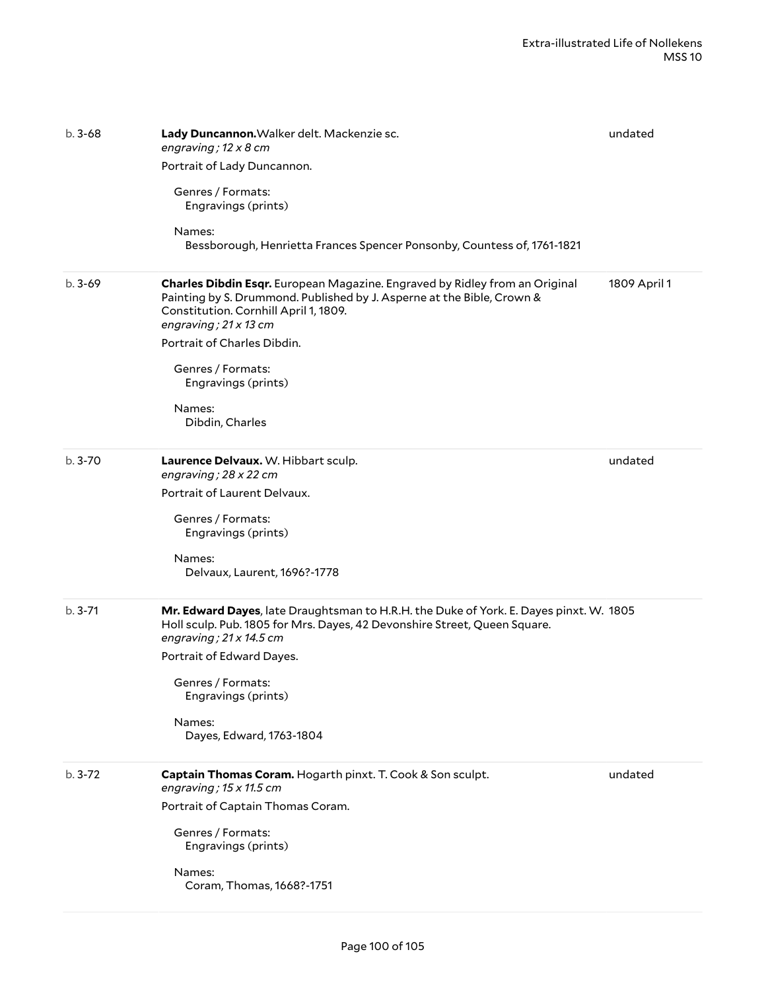| $b.3 - 68$ | Lady Duncannon. Walker delt. Mackenzie sc.<br>engraving; $12 \times 8$ cm<br>Portrait of Lady Duncannon.<br>Genres / Formats:<br>Engravings (prints)<br>Names:<br>Bessborough, Henrietta Frances Spencer Ponsonby, Countess of, 1761-1821                                                                                              | undated      |
|------------|----------------------------------------------------------------------------------------------------------------------------------------------------------------------------------------------------------------------------------------------------------------------------------------------------------------------------------------|--------------|
| $b.3-69$   | Charles Dibdin Esqr. European Magazine. Engraved by Ridley from an Original<br>Painting by S. Drummond. Published by J. Asperne at the Bible, Crown &<br>Constitution. Cornhill April 1, 1809.<br>engraving; $21 \times 13$ cm<br>Portrait of Charles Dibdin.<br>Genres / Formats:<br>Engravings (prints)<br>Names:<br>Dibdin, Charles | 1809 April 1 |
| $b.3 - 70$ | Laurence Delvaux. W. Hibbart sculp.<br>engraving; 28 x 22 cm<br>Portrait of Laurent Delvaux.<br>Genres / Formats:<br>Engravings (prints)<br>Names:<br>Delvaux, Laurent, 1696?-1778                                                                                                                                                     | undated      |
| $b.3 - 71$ | Mr. Edward Dayes, late Draughtsman to H.R.H. the Duke of York. E. Dayes pinxt. W. 1805<br>Holl sculp. Pub. 1805 for Mrs. Dayes, 42 Devonshire Street, Queen Square.<br>engraving; $21 \times 14.5$ cm<br>Portrait of Edward Dayes.<br>Genres / Formats:<br>Engravings (prints)<br>Names:<br>Dayes, Edward, 1763-1804                   |              |
| $b.3 - 72$ | Captain Thomas Coram. Hogarth pinxt. T. Cook & Son sculpt.<br>engraving; $15 \times 11.5$ cm<br>Portrait of Captain Thomas Coram.<br>Genres / Formats:<br>Engravings (prints)<br>Names:<br>Coram, Thomas, 1668?-1751                                                                                                                   | undated      |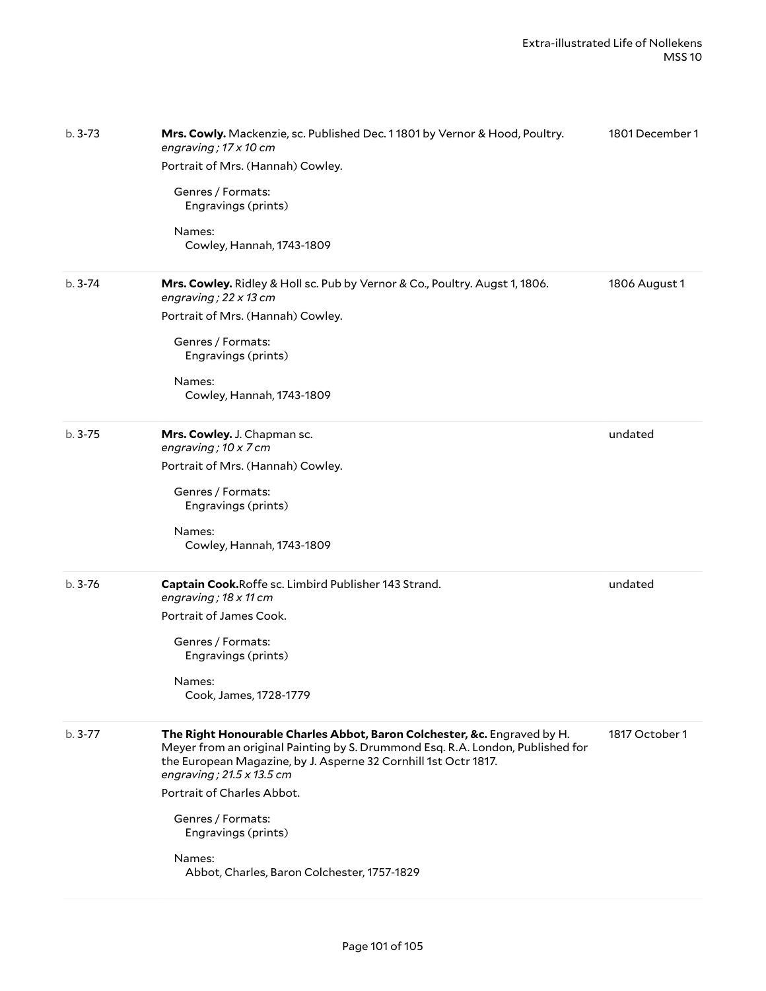| $b.3 - 73$ | Mrs. Cowly. Mackenzie, sc. Published Dec. 11801 by Vernor & Hood, Poultry.<br>engraving; 17 x 10 cm<br>Portrait of Mrs. (Hannah) Cowley.<br>Genres / Formats:<br>Engravings (prints)<br>Names:<br>Cowley, Hannah, 1743-1809                                                                                                                                                                          | 1801 December 1 |
|------------|------------------------------------------------------------------------------------------------------------------------------------------------------------------------------------------------------------------------------------------------------------------------------------------------------------------------------------------------------------------------------------------------------|-----------------|
| $b.3 - 74$ | Mrs. Cowley. Ridley & Holl sc. Pub by Vernor & Co., Poultry. Augst 1, 1806.<br>engraving; $22 \times 13$ cm<br>Portrait of Mrs. (Hannah) Cowley.<br>Genres / Formats:<br>Engravings (prints)<br>Names:<br>Cowley, Hannah, 1743-1809                                                                                                                                                                  | 1806 August 1   |
| $b.3 - 75$ | Mrs. Cowley. J. Chapman sc.<br>engraving; 10 x 7 cm<br>Portrait of Mrs. (Hannah) Cowley.<br>Genres / Formats:<br>Engravings (prints)<br>Names:<br>Cowley, Hannah, 1743-1809                                                                                                                                                                                                                          | undated         |
| $b.3 - 76$ | Captain Cook.Roffe sc. Limbird Publisher 143 Strand.<br>engraving; 18 x 11 cm<br>Portrait of James Cook.<br>Genres / Formats:<br>Engravings (prints)<br>Names:<br>Cook, James, 1728-1779                                                                                                                                                                                                             | undated         |
| $b.3 - 77$ | The Right Honourable Charles Abbot, Baron Colchester, &c. Engraved by H.<br>Meyer from an original Painting by S. Drummond Esq. R.A. London, Published for<br>the European Magazine, by J. Asperne 32 Cornhill 1st Octr 1817.<br>engraving; $21.5 \times 13.5$ cm<br>Portrait of Charles Abbot.<br>Genres / Formats:<br>Engravings (prints)<br>Names:<br>Abbot, Charles, Baron Colchester, 1757-1829 | 1817 October 1  |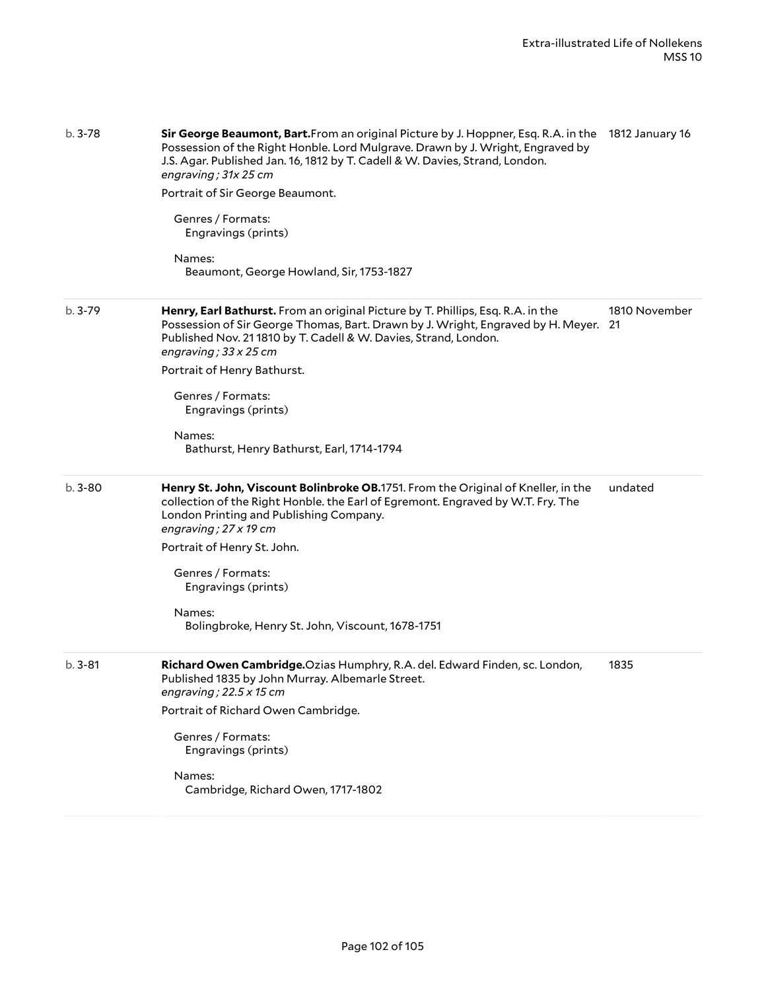| $b.3 - 78$ | Sir George Beaumont, Bart. From an original Picture by J. Hoppner, Esq. R.A. in the 1812 January 16<br>Possession of the Right Honble. Lord Mulgrave. Drawn by J. Wright, Engraved by<br>J.S. Agar. Published Jan. 16, 1812 by T. Cadell & W. Davies, Strand, London.<br>engraving; 31x 25 cm<br>Portrait of Sir George Beaumont.<br>Genres / Formats:<br>Engravings (prints) |                     |
|------------|-------------------------------------------------------------------------------------------------------------------------------------------------------------------------------------------------------------------------------------------------------------------------------------------------------------------------------------------------------------------------------|---------------------|
|            | Names:<br>Beaumont, George Howland, Sir, 1753-1827                                                                                                                                                                                                                                                                                                                            |                     |
| $b.3 - 79$ | Henry, Earl Bathurst. From an original Picture by T. Phillips, Esq. R.A. in the<br>Possession of Sir George Thomas, Bart. Drawn by J. Wright, Engraved by H. Meyer.<br>Published Nov. 21 1810 by T. Cadell & W. Davies, Strand, London.<br>engraving; $33 \times 25$ cm                                                                                                       | 1810 November<br>21 |
|            | Portrait of Henry Bathurst.                                                                                                                                                                                                                                                                                                                                                   |                     |
|            | Genres / Formats:<br>Engravings (prints)                                                                                                                                                                                                                                                                                                                                      |                     |
|            | Names:<br>Bathurst, Henry Bathurst, Earl, 1714-1794                                                                                                                                                                                                                                                                                                                           |                     |
| $b.3 - 80$ | Henry St. John, Viscount Bolinbroke OB.1751. From the Original of Kneller, in the<br>collection of the Right Honble. the Earl of Egremont. Engraved by W.T. Fry. The<br>London Printing and Publishing Company.<br>engraving; 27 x 19 cm                                                                                                                                      | undated             |
|            | Portrait of Henry St. John.                                                                                                                                                                                                                                                                                                                                                   |                     |
|            | Genres / Formats:<br>Engravings (prints)                                                                                                                                                                                                                                                                                                                                      |                     |
|            | Names:<br>Bolingbroke, Henry St. John, Viscount, 1678-1751                                                                                                                                                                                                                                                                                                                    |                     |
| $b.3 - 81$ | Richard Owen Cambridge. Ozias Humphry, R.A. del. Edward Finden, sc. London,<br>Published 1835 by John Murray. Albemarle Street.<br>engraving; $22.5 \times 15$ cm                                                                                                                                                                                                             | 1835                |
|            | Portrait of Richard Owen Cambridge.                                                                                                                                                                                                                                                                                                                                           |                     |
|            | Genres / Formats:<br>Engravings (prints)                                                                                                                                                                                                                                                                                                                                      |                     |
|            | Names:<br>Cambridge, Richard Owen, 1717-1802                                                                                                                                                                                                                                                                                                                                  |                     |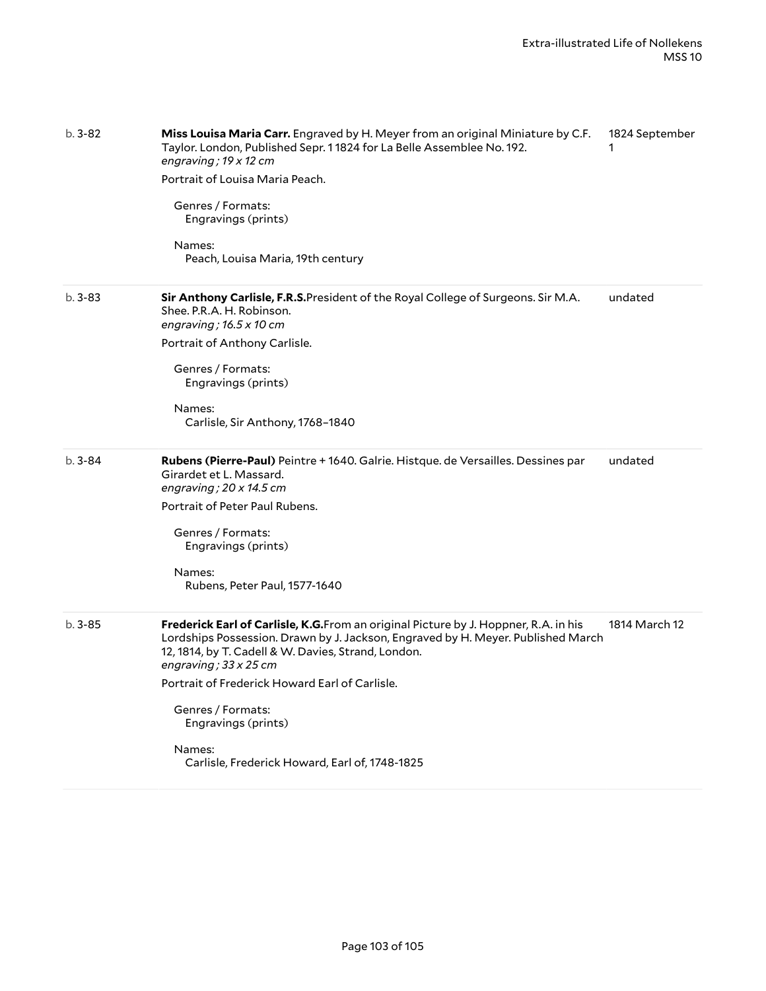| b. 3-82    | Miss Louisa Maria Carr. Engraved by H. Meyer from an original Miniature by C.F.<br>Taylor. London, Published Sepr. 11824 for La Belle Assemblee No. 192.<br>engraving; $19 \times 12$ cm                                                                        | 1824 September |
|------------|-----------------------------------------------------------------------------------------------------------------------------------------------------------------------------------------------------------------------------------------------------------------|----------------|
|            | Portrait of Louisa Maria Peach.<br>Genres / Formats:<br>Engravings (prints)                                                                                                                                                                                     |                |
|            |                                                                                                                                                                                                                                                                 |                |
|            | Names:<br>Peach, Louisa Maria, 19th century                                                                                                                                                                                                                     |                |
| $b.3 - 83$ | Sir Anthony Carlisle, F.R.S. President of the Royal College of Surgeons. Sir M.A.<br>Shee. P.R.A. H. Robinson.<br>engraving; $16.5 \times 10$ cm                                                                                                                | undated        |
|            | Portrait of Anthony Carlisle.                                                                                                                                                                                                                                   |                |
|            | Genres / Formats:<br>Engravings (prints)                                                                                                                                                                                                                        |                |
|            | Names:<br>Carlisle, Sir Anthony, 1768-1840                                                                                                                                                                                                                      |                |
| $b.3 - 84$ | Rubens (Pierre-Paul) Peintre + 1640. Galrie. Histque. de Versailles. Dessines par<br>Girardet et L. Massard.<br>engraving; $20 \times 14.5$ cm                                                                                                                  | undated        |
|            | Portrait of Peter Paul Rubens.                                                                                                                                                                                                                                  |                |
|            | Genres / Formats:<br>Engravings (prints)                                                                                                                                                                                                                        |                |
|            | Names:<br>Rubens, Peter Paul, 1577-1640                                                                                                                                                                                                                         |                |
| $b.3 - 85$ | Frederick Earl of Carlisle, K.G. From an original Picture by J. Hoppner, R.A. in his<br>Lordships Possession. Drawn by J. Jackson, Engraved by H. Meyer. Published March<br>12, 1814, by T. Cadell & W. Davies, Strand, London.<br>engraving; $33 \times 25$ cm | 1814 March 12  |
|            | Portrait of Frederick Howard Earl of Carlisle.                                                                                                                                                                                                                  |                |
|            | Genres / Formats:<br>Engravings (prints)                                                                                                                                                                                                                        |                |
|            | Names:<br>Carlisle, Frederick Howard, Earl of, 1748-1825                                                                                                                                                                                                        |                |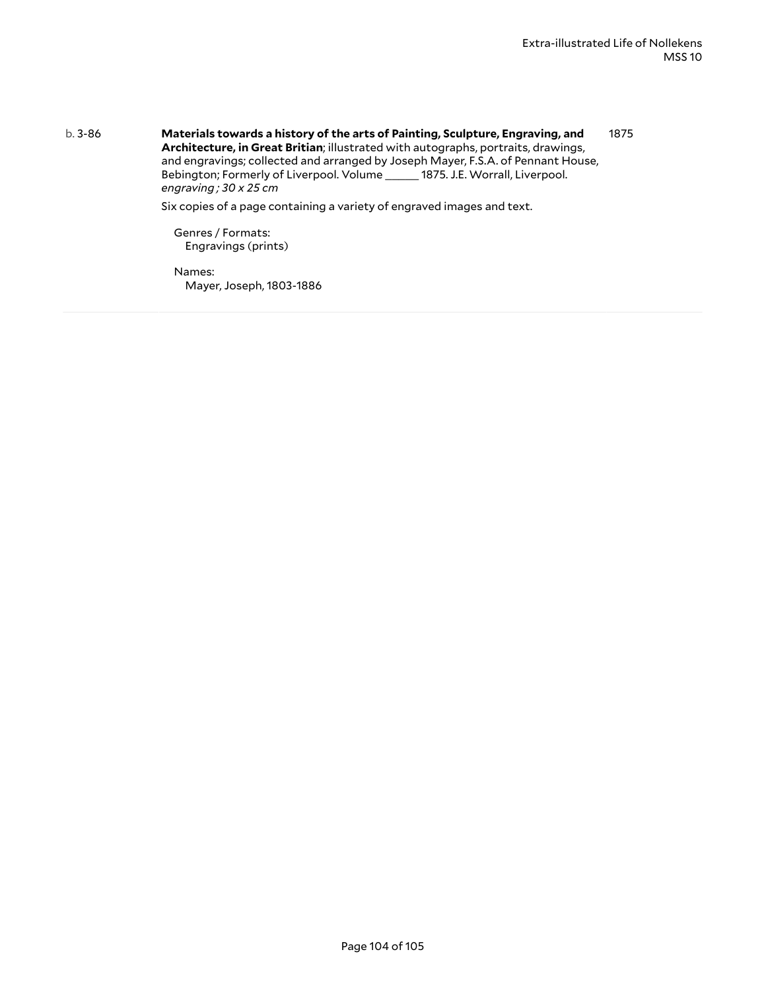b. 3-86 **Materials towards a history of the arts of Painting, Sculpture, Engraving, and Architecture, in Great Britian**; illustrated with autographs, portraits, drawings, and engravings; collected and arranged by Joseph Mayer, F.S.A. of Pennant House, Bebington; Formerly of Liverpool. Volume \_\_\_\_\_ 1875. J.E. Worrall, Liverpool. *engraving ; 30 x 25 cm* 1875

Six copies of a page containing a variety of engraved images and text.

Genres / Formats: Engravings (prints)

Names: Mayer, Joseph, 1803-1886